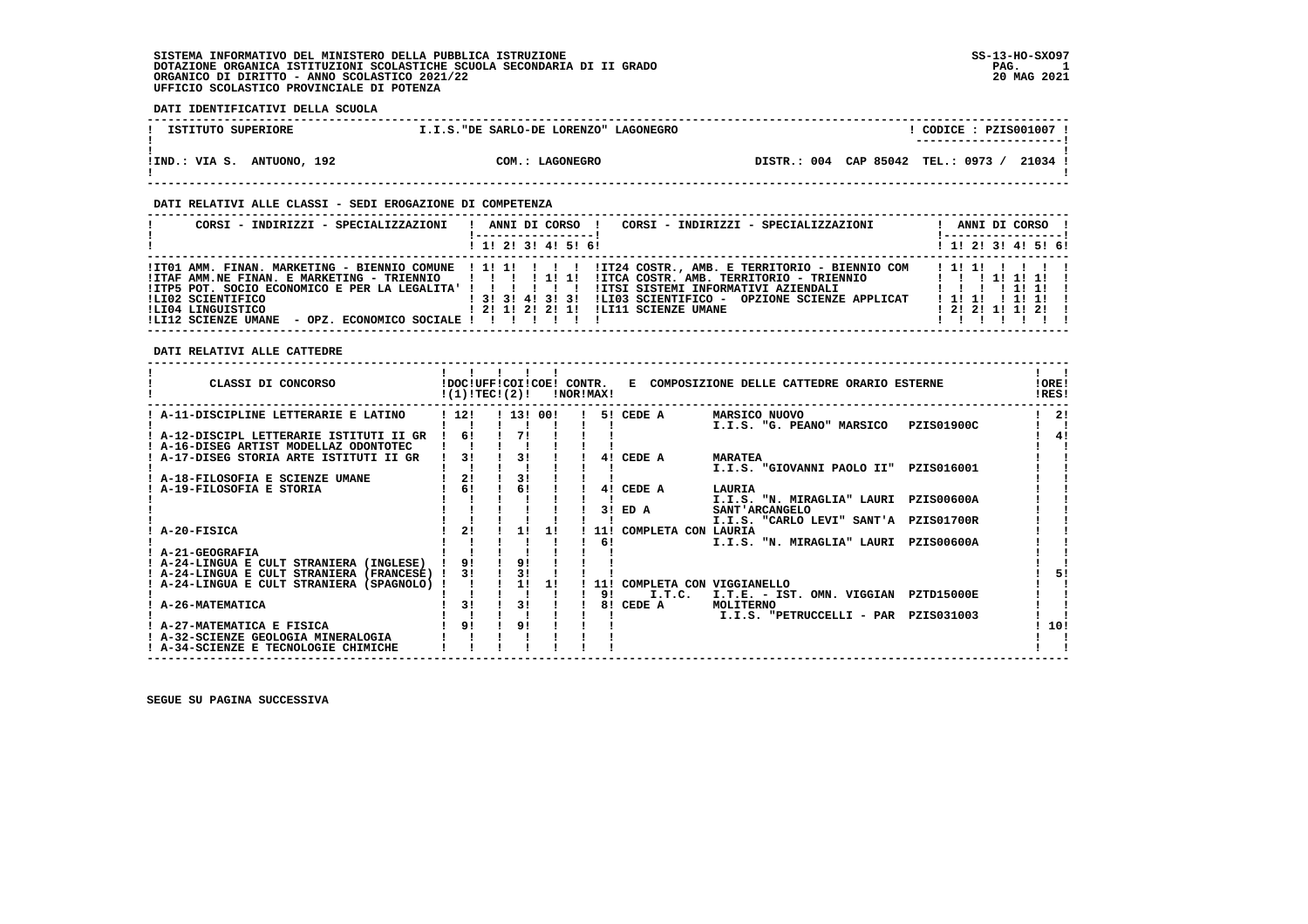### **DATI IDENTIFICATIVI DELLA SCUOLA**

| ISTITUTO SUPERIORE         | I.I.S. "DE SARLO-DE LORENZO" LAGONEGRO | CODICE : PZIS001007 !<br>---------------------- |
|----------------------------|----------------------------------------|-------------------------------------------------|
| IIND.: VIA S. ANTUONO, 192 | COM.: LAGONEGRO                        | DISTR.: 004 CAP 85042 TEL.: 0973 /<br>21034 !   |

#### **DATI RELATIVI ALLE CLASSI - SEDI EROGAZIONE DI COMPETENZA**

  **------------------------------------------------------------------------------------------------------------------------------------ ! CORSI - INDIRIZZI - SPECIALIZZAZIONI ! ANNI DI CORSO ! CORSI - INDIRIZZI - SPECIALIZZAZIONI ! ANNI DI CORSO ! ! !-----------------! !-----------------! ! ! 1! 2! 3! 4! 5! 6! ! 1! 2! 3! 4! 5! 6!**1 1 2 3 3 4 5 6 1  **------------------------------------------------------------------------------------------------------------------------------------ !IT01 AMM. FINAN. MARKETING - BIENNIO COMUNE ! 1! 1! ! ! ! !IT24 COSTR., AMB. E TERRITORIO - BIENNIO COM ! 1! 1! ! ! ! ! !ITAF AMM.NE FINAN. E MARKETING - TRIENNIO ! ! ! ! 1! 1! !ITCA COSTR. AMB. TERRITORIO - TRIENNIO ! ! ! 1! 1! 1! ! !ITP5 POT. SOCIO ECONOMICO E PER LA LEGALITA' ! ! ! ! ! ! !ITSI SISTEMI INFORMATIVI AZIENDALI ! ! ! ! 1! 1! ! !LI02 SCIENTIFICO ! 3! 3! 4! 3! 3! !LI03 SCIENTIFICO - OPZIONE SCIENZE APPLICAT ! 1! 1! ! 1! 1! ! !LI04 LINGUISTICO ! 2! 1! 2! 2! 1! !LI11 SCIENZE UMANE ! 2! 2! 1! 1! 2! ! !LI12 SCIENZE UMANE - OPZ. ECONOMICO SOCIALE ! ! ! ! ! ! ! ! ! ! ! ! ! ! ------------------------------------------------------------------------------------------------------------------------------------**

### **DATI RELATIVI ALLE CATTEDRE**

| CLASSI DI CONCORSO                          | !DOC!UFF!COI!COE! CONTR.<br>!(1)!TEC!(2)! |                |    | !NOR!MAX! |            |                                    | E COMPOSIZIONE DELLE CATTEDRE ORARIO ESTERNE |                   | !ORE!<br>!RES! |
|---------------------------------------------|-------------------------------------------|----------------|----|-----------|------------|------------------------------------|----------------------------------------------|-------------------|----------------|
| A-11-DISCIPLINE LETTERARIE E LATINO         | 112!                                      | ! 13! 00!      |    |           |            | 5! CEDE A                          | MARSICO NUOVO                                |                   | 21             |
| A-12-DISCIPL LETTERARIE ISTITUTI II GR      | 6!                                        | 71             |    |           |            |                                    | I.I.S. "G. PEANO" MARSICO                    | PZIS01900C        | 4!             |
| ! A-16-DISEG ARTIST MODELLAZ ODONTOTEC      |                                           |                |    |           |            |                                    |                                              |                   |                |
| : A-17-DISEG STORIA ARTE ISTITUTI II GR     | 31                                        | 31             |    |           | 41         | CEDE A                             | <b>MARATEA</b>                               |                   |                |
|                                             |                                           |                |    |           |            |                                    | I.I.S. "GIOVANNI PAOLO II"                   | PZIS016001        |                |
| A-18-FILOSOFIA E SCIENZE UMANE              | 2!                                        | 31             |    |           |            |                                    |                                              |                   |                |
| A-19-FILOSOFIA E STORIA                     | 6!                                        | 6!             |    |           | 41         | CEDE A                             | LAURIA                                       |                   |                |
|                                             |                                           |                |    |           |            |                                    | I.I.S. "N. MIRAGLIA" LAURI                   | <b>PZIS00600A</b> |                |
|                                             |                                           |                |    |           | 31         | ED A                               | SANT 'ARCANGELO                              |                   |                |
|                                             |                                           |                |    |           |            |                                    | I.I.S. "CARLO LEVI" SANT'A PZIS01700R        |                   |                |
| A-20-FISICA                                 | 21                                        | <b>1 L</b>     | 11 |           | 11 !       | COMPLETA CON LAURIA                |                                              |                   |                |
|                                             |                                           |                |    |           | 6!         |                                    | I.I.S. "N. MIRAGLIA" LAURI                   | <b>PZIS00600A</b> |                |
| ! A-21-GEOGRAFIA                            |                                           |                |    |           |            |                                    |                                              |                   |                |
| ! A-24-LINGUA E CULT STRANIERA (INGLESE)    | 91                                        | 91             |    |           |            |                                    |                                              |                   |                |
| ! A-24-LINGUA E CULT STRANIERA (FRANCESE) ! | 31                                        | 3!<br>11       |    |           |            |                                    |                                              |                   | 51             |
| ! A-24-LINGUA E CULT STRANIERA (SPAGNOLO) ! |                                           |                | 11 |           | 11 !<br>91 | COMPLETA CON VIGGIANELLO<br>I.T.C. | I.T.E. - IST. OMN. VIGGIAN                   | <b>PZTD15000E</b> |                |
| A-26-MATEMATICA                             | 31                                        | 31             |    |           | 81         | CEDE A                             | MOLITERNO                                    |                   |                |
|                                             |                                           |                |    |           |            |                                    | I.I.S. "PETRUCCELLI - PAR                    | PZIS031003        |                |
| ! A-27-MATEMATICA E FISICA                  | 9 <sub>1</sub>                            | 9 <sub>1</sub> |    |           |            |                                    |                                              |                   | 10!            |
| ! A-32-SCIENZE GEOLOGIA MINERALOGIA         |                                           |                |    |           |            |                                    |                                              |                   |                |
| ! A-34-SCIENZE E TECNOLOGIE CHIMICHE        |                                           |                |    |           |            |                                    |                                              |                   |                |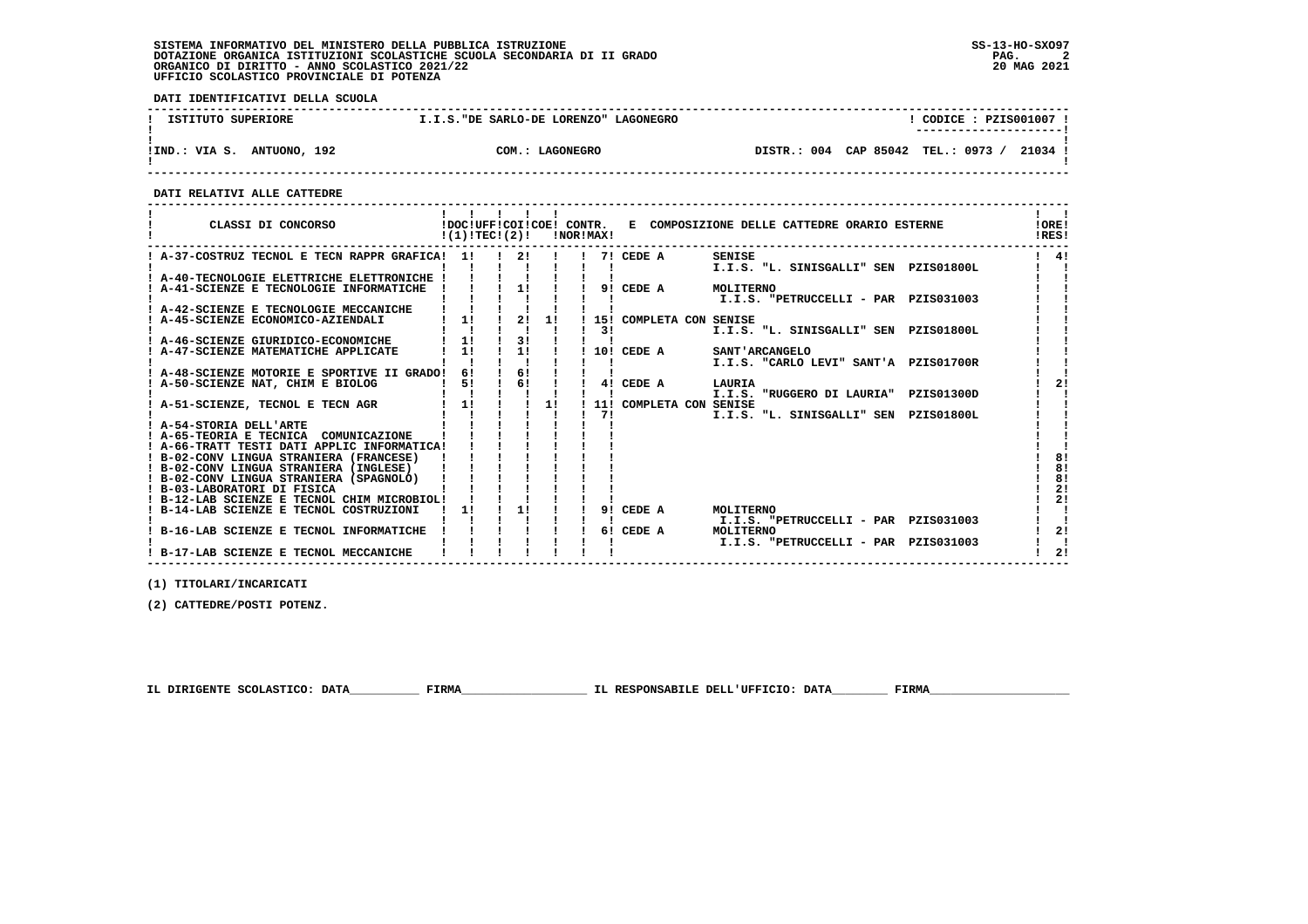**DATI IDENTIFICATIVI DELLA SCUOLA**

| ISTITUTO SUPERIORE               | I.I.S. "DE SARLO-DE LORENZO" LAGONEGRO | CODICE: PZIS001007<br>----------------------       |
|----------------------------------|----------------------------------------|----------------------------------------------------|
| ANTUONO, 192<br>!IND.:<br>VIA S. | COM.: LAGONEGRO                        | CAP 85042<br>TEL.: 0973<br>21034<br>004<br>DISTR.: |

 **------------------------------------------------------------------------------------------------------------------------------------**

 **DATI RELATIVI ALLE CATTEDRE**

| CLASSI DI CONCORSO                                                                | $!(1)!TEC!(2)!$ $INORIMAX!$ |               |              |     |            | !DOC!UFF!COI!COE! CONTR. E COMPOSIZIONE DELLE CATTEDRE ORARIO ESTERNE | 10RE!<br>IRES! |          |
|-----------------------------------------------------------------------------------|-----------------------------|---------------|--------------|-----|------------|-----------------------------------------------------------------------|----------------|----------|
| ! A-37-COSTRUZ TECNOL E TECN RAPPR GRAFICA! 1! ! 2! !                             |                             |               |              |     | 7! CEDE A  | SENISE                                                                |                | 41       |
| ! A-40-TECNOLOGIE ELETTRICHE ELETTRONICHE !                                       |                             |               |              |     |            | I.I.S. "L. SINISGALLI" SEN PZIS01800L                                 |                |          |
| ! A-41-SCIENZE E TECNOLOGIE INFORMATICHE                                          |                             |               | $11 \quad 1$ |     | 9! CEDE A  | MOLITERNO                                                             |                |          |
|                                                                                   |                             |               |              |     |            | I.I.S. "PETRUCCELLI - PAR PZIS031003                                  |                |          |
| A-42-SCIENZE E TECNOLOGIE MECCANICHE                                              |                             |               |              |     |            |                                                                       |                |          |
| ! A-45-SCIENZE ECONOMICO-AZIENDALI                                                | 1!                          | 2!            | 11           |     |            | 15! COMPLETA CON SENISE                                               |                |          |
|                                                                                   |                             |               |              | 3 I |            | I.I.S. "L. SINISGALLI" SEN PZIS01800L                                 |                |          |
| ! A-46-SCIENZE GIURIDICO-ECONOMICHE                                               | 1!                          | 3!            |              |     |            |                                                                       |                |          |
| ! A-47-SCIENZE MATEMATICHE APPLICATE                                              | 11                          | 11            |              |     | 10! CEDE A | <b>SANT'ARCANGELO</b>                                                 |                |          |
|                                                                                   |                             |               |              |     |            | I.I.S. "CARLO LEVI" SANT'A PZIS01700R                                 |                |          |
| ! A-48-SCIENZE MOTORIE E SPORTIVE II GRADO!                                       | 61                          | 6!            |              |     |            |                                                                       |                |          |
| ! A-50-SCIENZE NAT, CHIM E BIOLOG                                                 | 5!                          | $\frac{1}{6}$ |              |     | 4! CEDE A  | LAURIA                                                                |                | 21       |
|                                                                                   |                             |               |              |     |            | I.I.S. "RUGGERO DI LAURIA" PZIS01300D                                 |                |          |
| ! A-51-SCIENZE, TECNOL E TECN AGR                                                 | $1 \quad 11$                |               | 11           |     |            | 11! COMPLETA CON SENISE                                               |                |          |
|                                                                                   |                             |               |              | 71  |            | I.I.S. "L. SINISGALLI" SEN PZIS01800L                                 |                |          |
| ! A-54-STORIA DELL'ARTE                                                           |                             |               |              |     |            |                                                                       |                |          |
| ! A-65-TEORIA E TECNICA COMUNICAZIONE                                             |                             |               |              |     |            |                                                                       |                |          |
| ! A-66-TRATT TESTI DATI APPLIC INFORMATICA!                                       |                             |               |              |     |            |                                                                       |                |          |
| ! B-02-CONV LINGUA STRANIERA (FRANCESE)<br>! B-02-CONV LINGUA STRANIERA (INGLESE) |                             |               |              |     |            |                                                                       |                | 81<br>8! |
| ! B-02-CONV LINGUA STRANIERA (SPAGNOLO)                                           |                             |               |              |     |            |                                                                       |                | 8!       |
| ! B-03-LABORATORI DI FISICA                                                       |                             |               |              |     |            |                                                                       |                | 2!       |
| ! B-12-LAB SCIENZE E TECNOL CHIM MICROBIOL!                                       |                             |               |              |     |            |                                                                       |                | 21       |
| B-14-LAB SCIENZE E TECNOL COSTRUZIONI                                             | 11                          | 11            |              |     | 9! CEDE A  | MOLITERNO                                                             |                |          |
|                                                                                   |                             |               |              |     |            | I.I.S. "PETRUCCELLI - PAR PZIS031003                                  |                |          |
| B-16-LAB SCIENZE E TECNOL INFORMATICHE                                            |                             |               |              |     | 6! CEDE A  | MOLITERNO                                                             |                | 2!       |
|                                                                                   |                             |               |              |     |            | I.I.S. "PETRUCCELLI - PAR PZIS031003                                  |                |          |
| ! B-17-LAB SCIENZE E TECNOL MECCANICHE                                            |                             |               |              |     |            |                                                                       |                | 21       |
|                                                                                   |                             |               |              |     |            |                                                                       |                |          |

 **------------------------------------------------------------------------------------------------------------------------------------**

 **(1) TITOLARI/INCARICATI**

 **(2) CATTEDRE/POSTI POTENZ.**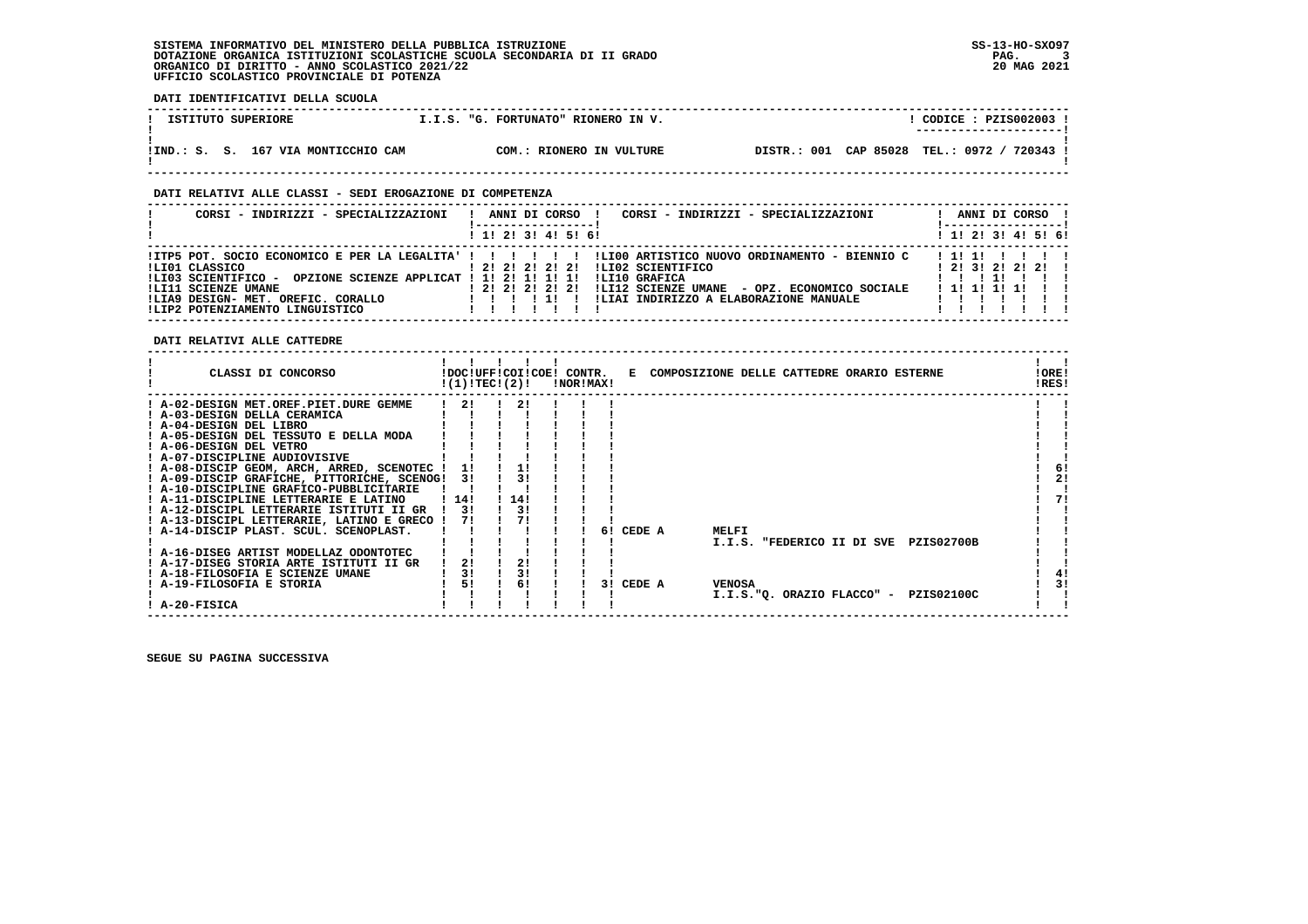**DATI IDENTIFICATIVI DELLA SCUOLA**

| I.I.S. "G. FORTUNATO" RIONERO IN V.<br>ISTITUTO SUPERIORE<br>----------------------<br>DISTR.: 001 CAP 85028<br>!IND.: S. S. 167 VIA MONTICCHIO CAM<br>COM.: RIONERO IN VULTURE |  |  |                       |
|---------------------------------------------------------------------------------------------------------------------------------------------------------------------------------|--|--|-----------------------|
|                                                                                                                                                                                 |  |  | CODICE: PZIS002003 !  |
|                                                                                                                                                                                 |  |  |                       |
|                                                                                                                                                                                 |  |  | TEL.: 0972 / 720343 ! |

 **------------------------------------------------------------------------------------------------------------------------------------**

### **DATI RELATIVI ALLE CLASSI - SEDI EROGAZIONE DI COMPETENZA**

| CORSI - INDIRIZZI - SPECIALIZZAZIONI                                                                                       |                       |  | ANNI DI CORSO | ANNI DI CORSO<br>CORSI - INDIRIZZI - SPECIALIZZAZIONI                                                                                                       |  |
|----------------------------------------------------------------------------------------------------------------------------|-----------------------|--|---------------|-------------------------------------------------------------------------------------------------------------------------------------------------------------|--|
|                                                                                                                            | 1 1! 2! 3! 4! 5! 6!   |  |               | $1$ 1! 2! 3! 4! 5! 6!                                                                                                                                       |  |
| !LI01 CLASSICO                                                                                                             | $1$ 2! 2! 2! 2! 2!    |  |               | ITP5 POT. SOCIO ECONOMICO E PER LA LEGALITA' ! ! !!!!!! ILI00 ARTISTICO NUOVO ORDINAMENTO - BIENNIO C<br>1111<br>ILI02 SCIENTIFICO<br>1 2 1 3 1 2 1 2 1 2 1 |  |
| !LI03 SCIENTIFICO - OPZIONE SCIENZE APPLICAT ! 1! 2! 1! 1! 1!<br>!LI11 SCIENZE UMANE<br>ILIA9 DESIGN- MET. OREFIC. CORALLO | 1 2 1 2 1 2 1 2 1 2 1 |  |               | ILI10 GRAFICA<br>!LI12 SCIENZE UMANE - OPZ. ECONOMICO SOCIALE<br>1 11 11 11 11<br>!LIAI INDIRIZZO A ELABORAZIONE MANUALE                                    |  |
| ILIP2 POTENZIAMENTO LINGUISTICO                                                                                            |                       |  |               |                                                                                                                                                             |  |

 **DATI RELATIVI ALLE CATTEDRE**

| CLASSI DI CONCORSO                          |      | !(1)!TEC!(2)! | !DOC!UFF!COI!COE! CONTR. | !NOR!MAX! |     |        |               | E COMPOSIZIONE DELLE CATTEDRE ORARIO ESTERNE |                                       | !ORE!<br>!RES! |    |
|---------------------------------------------|------|---------------|--------------------------|-----------|-----|--------|---------------|----------------------------------------------|---------------------------------------|----------------|----|
| ! A-02-DESIGN MET.OREF.PIET.DURE GEMME      |      | 21            | 21                       |           |     |        |               |                                              |                                       |                |    |
| ! A-03-DESIGN DELLA CERAMICA                |      |               |                          |           |     |        |               |                                              |                                       |                |    |
| ! A-04-DESIGN DEL LIBRO                     |      |               |                          |           |     |        |               |                                              |                                       |                |    |
| ! A-05-DESIGN DEL TESSUTO E DELLA MODA      |      |               |                          |           |     |        |               |                                              |                                       |                |    |
| ! A-06-DESIGN DEL VETRO                     |      |               |                          |           |     |        |               |                                              |                                       |                |    |
| ! A-07-DISCIPLINE AUDIOVISIVE               |      |               |                          |           |     |        |               |                                              |                                       |                |    |
| ! A-08-DISCIP GEOM, ARCH, ARRED, SCENOTEC ! |      | 11            | 11                       |           |     |        |               |                                              |                                       |                | 6! |
| ! A-09-DISCIP GRAFICHE, PITTORICHE, SCENOG! |      | 31            | 31                       |           |     |        |               |                                              |                                       |                | 2! |
| ! A-10-DISCIPLINE GRAFICO-PUBBLICITARIE     |      |               |                          |           |     |        |               |                                              |                                       |                |    |
| ! A-11-DISCIPLINE LETTERARIE E LATINO       | 114! |               | 14!                      |           |     |        |               |                                              |                                       |                | 71 |
| ! A-12-DISCIPL LETTERARIE ISTITUTI II GR    |      | 3!            | 31                       |           |     |        |               |                                              |                                       |                |    |
| ! A-13-DISCIPL LETTERARIE, LATINO E GRECO ! |      | 71            |                          |           |     |        |               |                                              |                                       |                |    |
| ! A-14-DISCIP PLAST. SCUL. SCENOPLAST.      |      |               |                          |           | 61  | CEDE A | MELFI         |                                              |                                       |                |    |
|                                             |      |               |                          |           |     |        |               |                                              | I.I.S. "FEDERICO II DI SVE PZIS02700B |                |    |
| ! A-16-DISEG ARTIST MODELLAZ ODONTOTEC      |      |               |                          |           |     |        |               |                                              |                                       |                |    |
| ! A-17-DISEG STORIA ARTE ISTITUTI II GR     |      | 21            |                          |           |     |        |               |                                              |                                       |                |    |
| ! A-18-FILOSOFIA E SCIENZE UMANE            |      | 3!            |                          |           |     |        |               |                                              |                                       |                | 41 |
| ! A-19-FILOSOFIA E STORIA                   |      | 5!            | 6!                       |           | 3 I | CEDE A | <b>VENOSA</b> |                                              |                                       |                | 3! |
| A-20-FISICA                                 |      |               |                          |           |     |        |               |                                              | I.I.S."Q. ORAZIO FLACCO" - PZIS02100C |                |    |
|                                             |      |               |                          |           |     |        |               |                                              |                                       |                |    |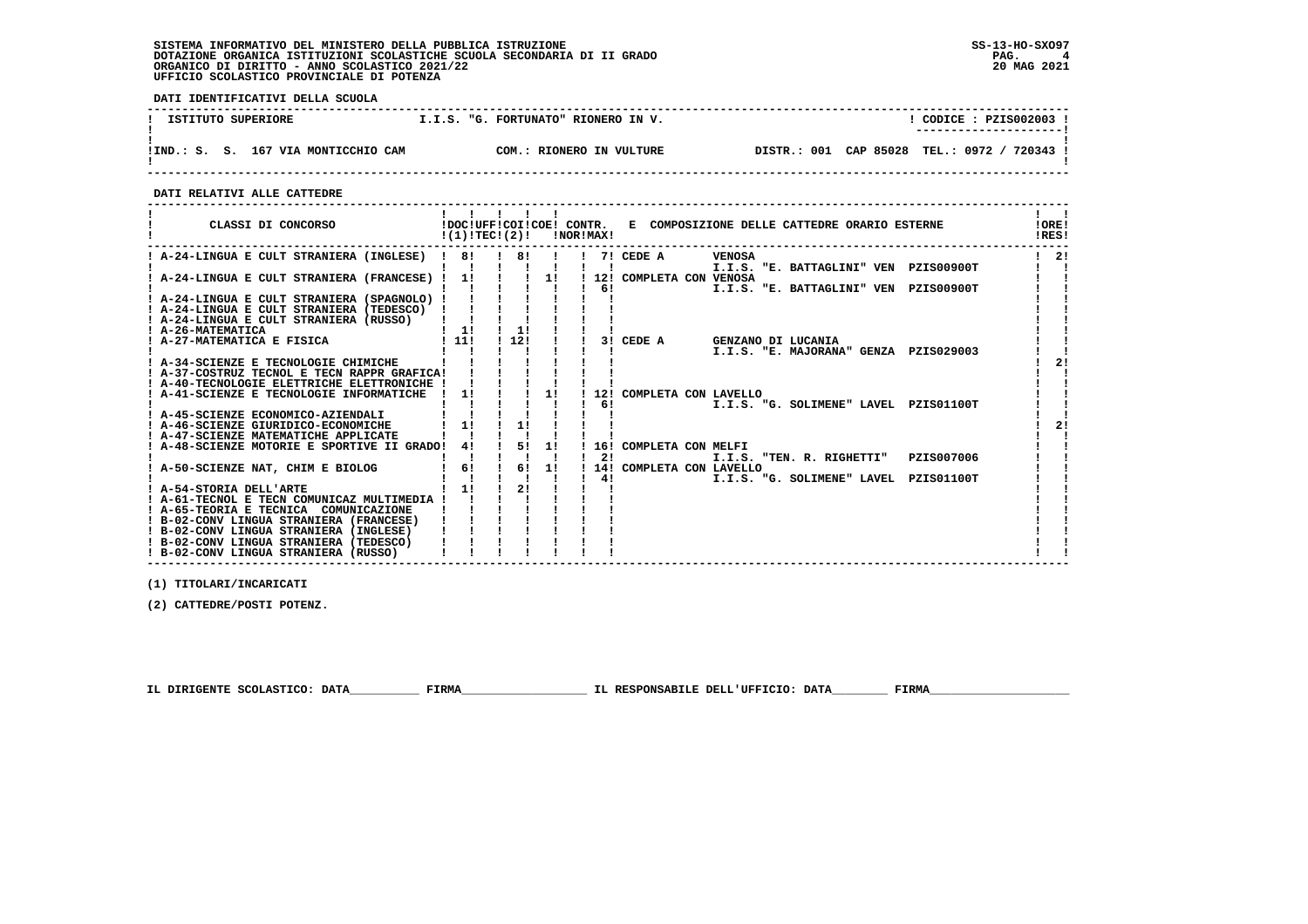**DATI IDENTIFICATIVI DELLA SCUOLA**

| ISTITUTO SUPERIORE |                                     |  | I.I.S. "G. FORTUNATO" RIONERO IN V. |                |           | CODICE : PZIS002003 !<br>---------------------- |          |  |
|--------------------|-------------------------------------|--|-------------------------------------|----------------|-----------|-------------------------------------------------|----------|--|
|                    |                                     |  |                                     |                |           |                                                 |          |  |
|                    | !IND.: S. S. 167 VIA MONTICCHIO CAM |  | COM.: RIONERO IN VULTURE            | 001<br>DISTR.: | CAP 85028 | TEL.: 0972 /                                    | 720343 ! |  |

 **------------------------------------------------------------------------------------------------------------------------------------**

 **DATI RELATIVI ALLE CATTEDRE**

| CLASSI DI CONCORSO                                                                                                                 | .<br>$!(1)!TEC!(2)!$ $ NORIMAX $ |                                |    |    | !DOC!UFF!COI!COE! CONTR. E COMPOSIZIONE DELLE CATTEDRE ORARIO ESTERNE | $\mathbf{1}$ $\mathbf{1}$<br>10RE!<br>!RES! |
|------------------------------------------------------------------------------------------------------------------------------------|----------------------------------|--------------------------------|----|----|-----------------------------------------------------------------------|---------------------------------------------|
| ! A-24-LINGUA E CULT STRANIERA (INGLESE) ! 8!                                                                                      |                                  | $\frac{1}{1}$ 8! $\frac{1}{1}$ |    |    | 7! CEDE A<br><b>VENOSA</b><br>I.I.S. "E. BATTAGLINI" VEN PZIS00900T   | $1 \quad 21$                                |
| ! A-24-LINGUA E CULT STRANIERA (FRANCESE) ! 1! ! ! 1! ! 12! COMPLETA CON VENOSA                                                    |                                  |                                |    |    | $\frac{1}{2}$ 6!<br>I.I.S. "E. BATTAGLINI" VEN PZIS00900T             |                                             |
| ! A-24-LINGUA E CULT STRANIERA (SPAGNOLO) !<br>! A-24-LINGUA E CULT STRANIERA (TEDESCO)<br>! A-24-LINGUA E CULT STRANIERA (RUSSO)  |                                  |                                |    |    |                                                                       |                                             |
| ! A-26-MATEMATICA<br>! A-26-MATEMATICA<br>! A-27-MATEMATICA E FISICA                                                               | $\frac{1}{2}$<br>! 11!           | 11<br>! 12!                    |    |    | 3! CEDE A GENZANO DI LUCANIA<br>I.I.S. "E. MAJORANA" GENZA PZIS029003 |                                             |
| ! A-34-SCIENZE E TECNOLOGIE CHIMICHE<br>! A-37-COSTRUZ TECNOL E TECN RAPPR GRAFICA!<br>! A-40-TECNOLOGIE ELETTRICHE ELETTRONICHE ! |                                  |                                |    |    |                                                                       |                                             |
| ! A-41-SCIENZE E TECNOLOGIE INFORMATICHE                                                                                           | 11                               |                                | 11 | 61 | 12! COMPLETA CON LAVELLO<br>I.I.S. "G. SOLIMENE" LAVEL PZIS01100T     |                                             |
| ! A-45-SCIENZE ECONOMICO-AZIENDALI<br>! A-46-SCIENZE GIURIDICO-ECONOMICHE<br>! A-47-SCIENZE MATEMATICHE APPLICATE                  | $1 - 11$                         | 11                             |    |    |                                                                       |                                             |
| A-48-SCIENZE MOTORIE E SPORTIVE II GRADO!                                                                                          | 41                               | 1 51 11                        |    | 21 | ! 16! COMPLETA CON MELFI<br>I.I.S. "TEN. R. RIGHETTI"<br>PZIS007006   |                                             |
| ! A-50-SCIENZE NAT, CHIM E BIOLOG                                                                                                  | 6!<br>11                         | $\frac{1}{6}$<br>21            | 1! | 41 | 14! COMPLETA CON LAVELLO<br>I.I.S. "G. SOLIMENE" LAVEL PZIS01100T     |                                             |
| ! A-54-STORIA DELL'ARTE<br>! A-61-TECNOL E TECN COMUNICAZ MULTIMEDIA !<br>! A-65-TEORIA E TECNICA COMUNICAZIONE                    |                                  |                                |    |    |                                                                       |                                             |
| ! B-02-CONV LINGUA STRANIERA (FRANCESE)<br>! B-02-CONV LINGUA STRANIERA (INGLESE)                                                  |                                  |                                |    |    |                                                                       |                                             |
| ! B-02-CONV LINGUA STRANIERA (TEDESCO)<br>! B-02-CONV LINGUA STRANIERA (RUSSO)                                                     |                                  |                                |    |    |                                                                       |                                             |

 **(1) TITOLARI/INCARICATI**

 **(2) CATTEDRE/POSTI POTENZ.**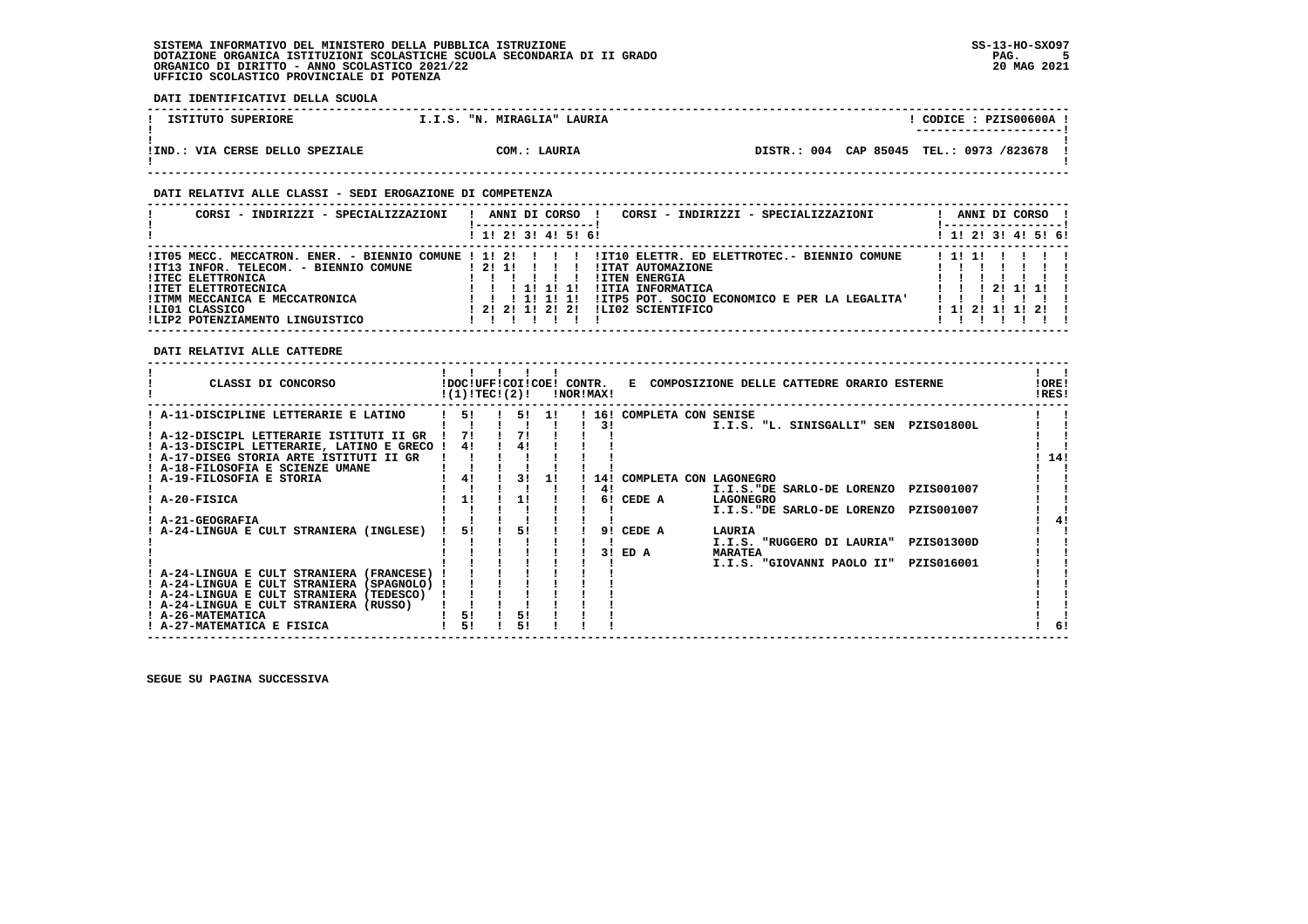**DATI IDENTIFICATIVI DELLA SCUOLA**

| ISTITUTO SUPERIORE              | I.I.S. "N. MIRAGLIA" LAURIA | CODICE: PZIS00600A !<br>----------------------- |
|---------------------------------|-----------------------------|-------------------------------------------------|
| !IND.: VIA CERSE DELLO SPEZIALE | COM.: LAURIA                | DISTR.: 004 CAP 85045 TEL.: 0973 /823678 !      |

## **DATI RELATIVI ALLE CLASSI - SEDI EROGAZIONE DI COMPETENZA**

| CORSI - INDIRIZZI - SPECIALIZZAZIONI                                                                                                                                                                                                               | CORSI - INDIRIZZI - SPECIALIZZAZIONI<br>ANNI DI CORSO                                                                                                                                                                      | ANNI DI CORSO              |
|----------------------------------------------------------------------------------------------------------------------------------------------------------------------------------------------------------------------------------------------------|----------------------------------------------------------------------------------------------------------------------------------------------------------------------------------------------------------------------------|----------------------------|
|                                                                                                                                                                                                                                                    | ! 1! 2! 3! 4! 5! 6!                                                                                                                                                                                                        | ! 1! 2! 3! 4! 5! 6!        |
| !IT05 MECC. MECCATRON. ENER. - BIENNIO COMUNE ! 1! 2!<br>!IT13 INFOR. TELECOM. - BIENNIO COMUNE<br><b>!ITEC ELETTRONICA</b><br><b>!ITET ELETTROTECNICA</b><br>! ITMM MECCANICA E MECCATRONICA<br>ILIO1 CLASSICO<br>!LIP2 POTENZIAMENTO LINGUISTICO | !IT10 ELETTR. ED ELETTROTEC.- BIENNIO COMUNE<br>! 2! 1!<br><b>!ITAT AUTOMAZIONE</b><br><b>!ITEN ENERGIA</b><br>!ITIA INFORMATICA<br>!ITP5 POT. SOCIO ECONOMICO E PER LA LEGALITA'<br>! 2! 2! 1! 2! 2!<br>ILI02 SCIENTIFICO | 211111<br>1 11 21 11 11 21 |

## **DATI RELATIVI ALLE CATTEDRE**

| CLASSI DI CONCORSO                                                                     | !DOC!UFF!COI!COE! CONTR.<br>!(1)!TECI(2)! |    |       | !NOR!MAX! |        | E COMPOSIZIONE DELLE CATTEDRE ORARIO ESTERNE    | !ORE!<br>!RES! |    |
|----------------------------------------------------------------------------------------|-------------------------------------------|----|-------|-----------|--------|-------------------------------------------------|----------------|----|
| A-11-DISCIPLINE LETTERARIE E LATINO                                                    | 51                                        |    | 5! 1! | 161       |        | COMPLETA CON SENISE                             |                |    |
|                                                                                        |                                           |    |       | 31        |        | I.I.S. "L. SINISGALLI" SEN<br><b>PZIS01800L</b> |                |    |
| ! A-12-DISCIPL LETTERARIE ISTITUTI II GR                                               | 71                                        | 71 |       |           |        |                                                 |                |    |
| ! A-13-DISCIPL LETTERARIE, LATINO E GRECO !                                            | 41                                        | 41 |       |           |        |                                                 |                |    |
| ! A-17-DISEG STORIA ARTE ISTITUTI II GR                                                |                                           |    |       |           |        |                                                 | 14!            |    |
| ! A-18-FILOSOFIA E SCIENZE UMANE                                                       |                                           |    |       |           |        |                                                 |                |    |
| ! A-19-FILOSOFIA E STORIA                                                              | 4!                                        | 31 |       | 14!       |        | COMPLETA CON LAGONEGRO                          |                |    |
|                                                                                        |                                           |    |       | 41        |        | PZIS001007<br>I.I.S."DE SARLO-DE LORENZO        |                |    |
| A-20-FISICA                                                                            | 1!                                        | 1! |       | 6!        | CEDE A | <b>LAGONEGRO</b>                                |                |    |
|                                                                                        |                                           |    |       |           |        | I.I.S."DE SARLO-DE LORENZO<br>PZIS001007        |                |    |
| <b>A-21-GEOGRAFIA</b>                                                                  |                                           |    |       |           |        |                                                 |                |    |
| A-24-LINGUA E CULT STRANIERA (INGLESE)                                                 | 51                                        | 51 |       | 91        | CEDE A | LAURIA                                          |                |    |
|                                                                                        |                                           |    |       | 3 I       |        | I.I.S. "RUGGERO DI LAURIA"<br>PZIS01300D        |                |    |
|                                                                                        |                                           |    |       |           | ED A   | <b>MARATEA</b>                                  |                |    |
|                                                                                        |                                           |    |       |           |        | I.I.S. "GIOVANNI PAOLO II"<br>PZIS016001        |                |    |
| ! A-24-LINGUA E CULT STRANIERA (FRANCESE)<br>! A-24-LINGUA E CULT STRANIERA (SPAGNOLO) |                                           |    |       |           |        |                                                 |                |    |
| ! A-24-LINGUA E CULT STRANIERA (TEDESCO)                                               |                                           |    |       |           |        |                                                 |                |    |
| ! A-24-LINGUA E CULT STRANIERA (RUSSO)                                                 |                                           |    |       |           |        |                                                 |                |    |
| <b>A-26-MATEMATICA</b>                                                                 | 51                                        | 51 |       |           |        |                                                 |                |    |
| ! A-27-MATEMATICA E FISICA                                                             | 51                                        |    |       |           |        |                                                 |                | 6! |
|                                                                                        |                                           |    |       |           |        |                                                 |                |    |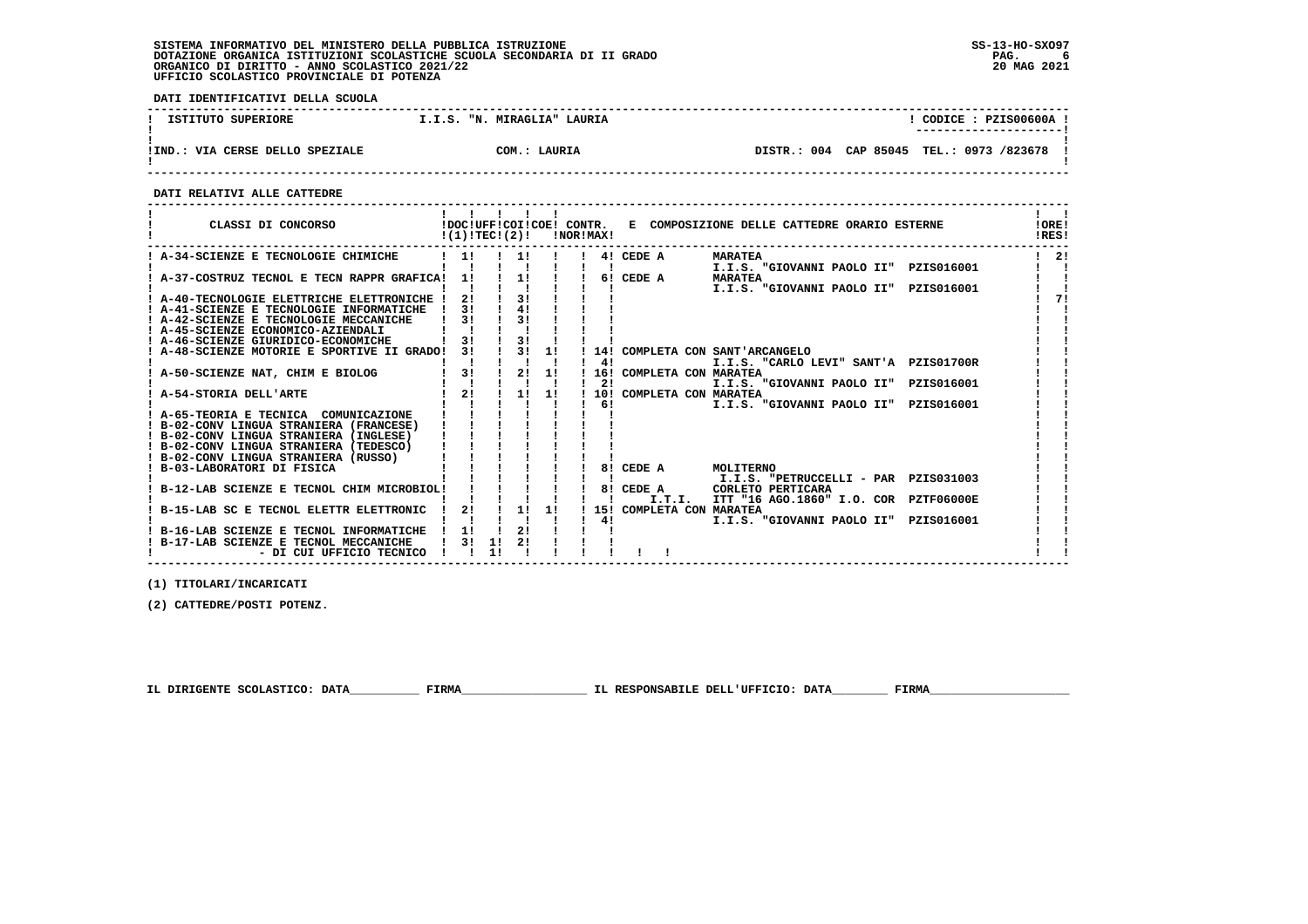**DATI IDENTIFICATIVI DELLA SCUOLA**

| ISTITUTO SUPERIORE                   | I.I.S. "N. MIRAGLIA" LAURIA | CODICE: PZIS00600A !                     |
|--------------------------------------|-----------------------------|------------------------------------------|
| .: VIA CERSE DELLO SPEZIALE<br>!IND. | COM.: LAURIA                | DISTR.: 004 CAP 85045 TEL.: 0973 /823678 |

 **------------------------------------------------------------------------------------------------------------------------------------**

 **DATI RELATIVI ALLE CATTEDRE**

| CLASSI DI CONCORSO                                                                                           | !DOC!UFF!COI!COE! CONTR.<br>$!(1)!TEC!(2)!$ $INORIMAX!$ |    |          |               |    |                                    | E COMPOSIZIONE DELLE CATTEDRE ORARIO ESTERNE               | !ORE!<br>IRES! |
|--------------------------------------------------------------------------------------------------------------|---------------------------------------------------------|----|----------|---------------|----|------------------------------------|------------------------------------------------------------|----------------|
| ! A-34-SCIENZE E TECNOLOGIE CHIMICHE                                                                         | 11                                                      |    |          |               |    | 4! CEDE A                          | <b>MARATEA</b><br>I.I.S. "GIOVANNI PAOLO II" PZIS016001    | 21             |
| ! A-37-COSTRUZ TECNOL E TECN RAPPR GRAFICA!                                                                  | 11                                                      |    | 11       |               |    | 6! CEDE A                          | <b>MARATEA</b><br>I.I.S. "GIOVANNI PAOLO II"<br>PZIS016001 |                |
| ! A-40-TECNOLOGIE ELETTRICHE ELETTRONICHE !<br>A-41-SCIENZE E TECNOLOGIE INFORMATICHE                        | 31                                                      |    | 31<br>41 |               |    |                                    |                                                            |                |
| A-42-SCIENZE E TECNOLOGIE MECCANICHE<br>! A-45-SCIENZE ECONOMICO-AZIENDALI                                   | 31                                                      |    | 31       |               |    |                                    |                                                            |                |
| ! A-46-SCIENZE GIURIDICO-ECONOMICHE<br>A-48-SCIENZE MOTORIE E SPORTIVE II GRADO!                             | 31<br>31                                                |    | 3!       | $3! \quad 1!$ |    |                                    | 14! COMPLETA CON SANT'ARCANGELO                            |                |
|                                                                                                              | 3 <sub>1</sub>                                          |    | 2!       |               | 41 | 16! COMPLETA CON MARATEA           | I.I.S. "CARLO LEVI" SANT'A PZIS01700R                      |                |
| A-50-SCIENZE NAT, CHIM E BIOLOG                                                                              |                                                         |    |          | 1!            | 21 |                                    | I.I.S. "GIOVANNI PAOLO II" PZIS016001                      |                |
| A-54-STORIA DELL'ARTE                                                                                        | 2!                                                      |    | 1!       | 1!            | 61 | 10! COMPLETA CON MARATEA           | I.I.S. "GIOVANNI PAOLO II"<br>PZIS016001                   |                |
| ! A-65-TEORIA E TECNICA COMUNICAZIONE<br>B-02-CONV LINGUA STRANIERA (FRANCESE)                               |                                                         |    |          |               |    |                                    |                                                            |                |
| ! B-02-CONV LINGUA STRANIERA (INGLESE)<br>! B-02-CONV LINGUA STRANIERA (TEDESCO)                             |                                                         |    |          |               |    |                                    |                                                            |                |
| ! B-02-CONV LINGUA STRANIERA (RUSSO)<br>B-03-LABORATORI DI FISICA                                            |                                                         |    |          |               |    | 8! CEDE A                          | MOLITERNO                                                  |                |
| B-12-LAB SCIENZE E TECNOL CHIM MICROBIOL!                                                                    |                                                         |    |          |               |    | 8! CEDE A                          | I.I.S. "PETRUCCELLI - PAR PZISO31003<br>CORLETO PERTICARA  |                |
| B-15-LAB SC E TECNOL ELETTR ELETTRONIC                                                                       | 2!                                                      |    | 1!       | 1!            |    | I.T.I.<br>15! COMPLETA CON MARATEA | ITT "16 AGO.1860" I.O. COR PZTF06000E                      |                |
| B-16-LAB SCIENZE E TECNOL INFORMATICHE<br>! B-17-LAB SCIENZE E TECNOL MECCANICHE<br>- DI CUI UFFICIO TECNICO |                                                         | 1! |          |               | 41 |                                    | I.I.S. "GIOVANNI PAOLO II"<br>PZIS016001                   |                |

 **------------------------------------------------------------------------------------------------------------------------------------**

 **(1) TITOLARI/INCARICATI**

 **(2) CATTEDRE/POSTI POTENZ.**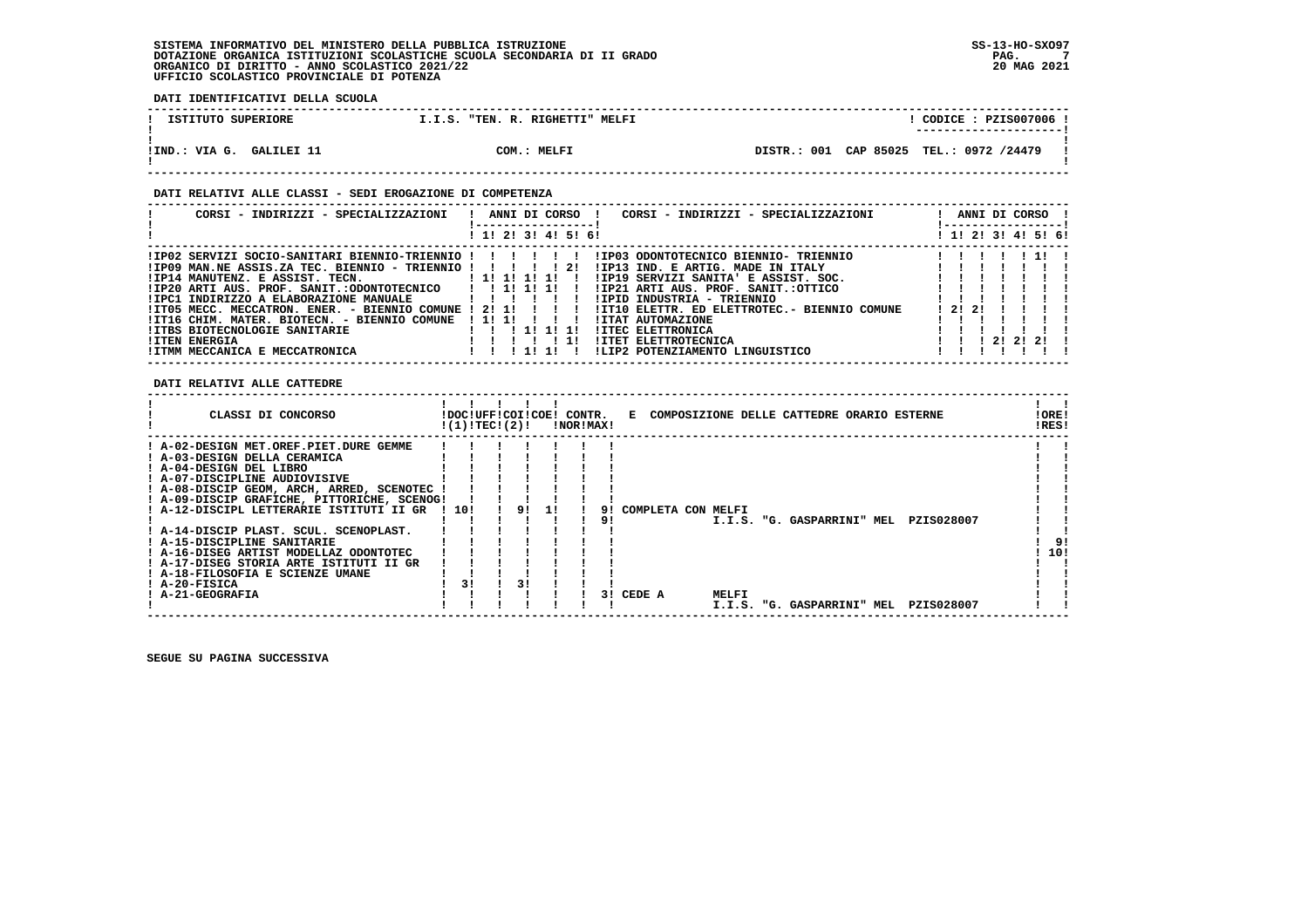**DATI IDENTIFICATIVI DELLA SCUOLA**

| ISTITUTO SUPERIORE          | "TEN. R. RIGHETTI" MELFI<br>I.I.S. |                                         | $\overline{CODICE}$ : PZIS007006 !<br>---------------------- |
|-----------------------------|------------------------------------|-----------------------------------------|--------------------------------------------------------------|
| GALILEI 11<br>!IND.: VIA G. | COM.: MELFI                        | DISTR.: 001 CAP 85025 TEL.: 0972 /24479 |                                                              |

### **DATI RELATIVI ALLE CLASSI - SEDI EROGAZIONE DI COMPETENZA**

| CORSI - INDIRIZZI - SPECIALIZZAZIONI                       | ANNI DI CORSO !<br>CORSI - INDIRIZZI - SPECIALIZZAZIONI |       |  | ANNI DI CORSO !<br>! ----------------- |              |  |
|------------------------------------------------------------|---------------------------------------------------------|-------|--|----------------------------------------|--------------|--|
|                                                            | 1 1 1 2 1 3 1 4 1 5 1 6 1                               |       |  | 1 1 1 2 1 3 1 4 1 5 1 6 1              |              |  |
| !IP02 SERVIZI SOCIO-SANITARI BIENNIO-TRIENNIO !!!!!!!      | IIP03 ODONTOTECNICO BIENNIO- TRIENNIO                   |       |  |                                        | $1 \quad 11$ |  |
| $1IP09$ MAN.NE ASSIS.ZA TEC. BIENNIO - TRIENNIO ! ! ! ! 2! | !IP13 IND. E ARTIG. MADE IN ITALY                       |       |  |                                        |              |  |
| !IP14 MANUTENZ. E ASSIST. TECN. [1! 1! 1! 1! 1!            | !IP19 SERVIZI SANITA' E ASSIST. SOC.                    |       |  |                                        |              |  |
| !IP20 ARTI AUS. PROF. SANIT.:ODONTOTECNICO     1   1   1   | IIP21 ARTI AUS. PROF. SANIT.:OTTICO                     |       |  |                                        |              |  |
| !IPC1 INDIRIZZO A ELABORAZIONE MANUALE                     | !IPID INDUSTRIA - TRIENNIO                              |       |  |                                        |              |  |
| !IT05 MECC. MECCATRON. ENER. - BIENNIO COMUNE ! 2! 1!      | !IT10 ELETTR. ED ELETTROTEC.- BIENNIO COMUNE            | 12121 |  |                                        |              |  |
| !IT16 CHIM, MATER, BIOTECN, - BIENNIO COMUNE               | 1111<br><b>!ITAT AUTOMAZIONE</b>                        |       |  |                                        |              |  |
| !ITBS BIOTECNOLOGIE SANITARIE                              | 111111<br><b>!ITEC ELETTRONICA</b>                      |       |  |                                        |              |  |
| <b>!ITEN ENERGIA</b>                                       | !ITET ELETTROTECNICA<br>1!                              |       |  | 212121                                 |              |  |
| !ITMM MECCANICA E MECCATRONICA                             | !LIP2 POTENZIAMENTO LINGUISTICO<br>1111                 |       |  |                                        |              |  |

## **DATI RELATIVI ALLE CATTEDRE**

| CLASSI DI CONCORSO                          |       | !DOC!UFF!COI!COE! CONTR.<br>!(1)!TEC!(2)! |    | !NOR!MAX! |    |                    |       | E COMPOSIZIONE DELLE CATTEDRE ORARIO ESTERNE |            | !ORE!<br>!RES! |  |
|---------------------------------------------|-------|-------------------------------------------|----|-----------|----|--------------------|-------|----------------------------------------------|------------|----------------|--|
| ! A-02-DESIGN MET.OREF.PIET.DURE GEMME      |       |                                           |    |           |    |                    |       |                                              |            |                |  |
| ! A-03-DESIGN DELLA CERAMICA                |       |                                           |    |           |    |                    |       |                                              |            |                |  |
| ! A-04-DESIGN DEL LIBRO                     |       |                                           |    |           |    |                    |       |                                              |            |                |  |
| ! A-07-DISCIPLINE AUDIOVISIVE               |       |                                           |    |           |    |                    |       |                                              |            |                |  |
| ! A-08-DISCIP GEOM, ARCH, ARRED, SCENOTEC   |       |                                           |    |           |    |                    |       |                                              |            |                |  |
| ! A-09-DISCIP GRAFICHE, PITTORICHE, SCENOG! |       |                                           |    |           |    |                    |       |                                              |            |                |  |
| ! A-12-DISCIPL LETTERARIE ISTITUTI II GR    | ! 10! |                                           | 91 |           |    | COMPLETA CON MELFI |       |                                              |            |                |  |
|                                             |       |                                           |    |           |    |                    |       | I.I.S. "G. GASPARRINI" MEL                   | PZIS028007 |                |  |
| ! A-14-DISCIP PLAST. SCUL. SCENOPLAST.      |       |                                           |    |           |    |                    |       |                                              |            |                |  |
| ! A-15-DISCIPLINE SANITARIE                 |       |                                           |    |           |    |                    |       |                                              |            | 91             |  |
| ! A-16-DISEG ARTIST MODELLAZ ODONTOTEC      |       |                                           |    |           |    |                    |       |                                              |            | 10!            |  |
| ! A-17-DISEG STORIA ARTE ISTITUTI II GR     |       |                                           |    |           |    |                    |       |                                              |            |                |  |
| ! A-18-FILOSOFIA E SCIENZE UMANE            |       |                                           |    |           |    |                    |       |                                              |            |                |  |
| ! A-20-FISICA                               |       | 3!                                        |    |           |    |                    |       |                                              |            |                |  |
| ! A-21-GEOGRAFIA                            |       |                                           |    |           | 31 | CEDE A             | MELFI |                                              |            |                |  |
|                                             |       |                                           |    |           |    |                    |       | I.I.S. "G. GASPARRINI" MEL                   | PZIS028007 |                |  |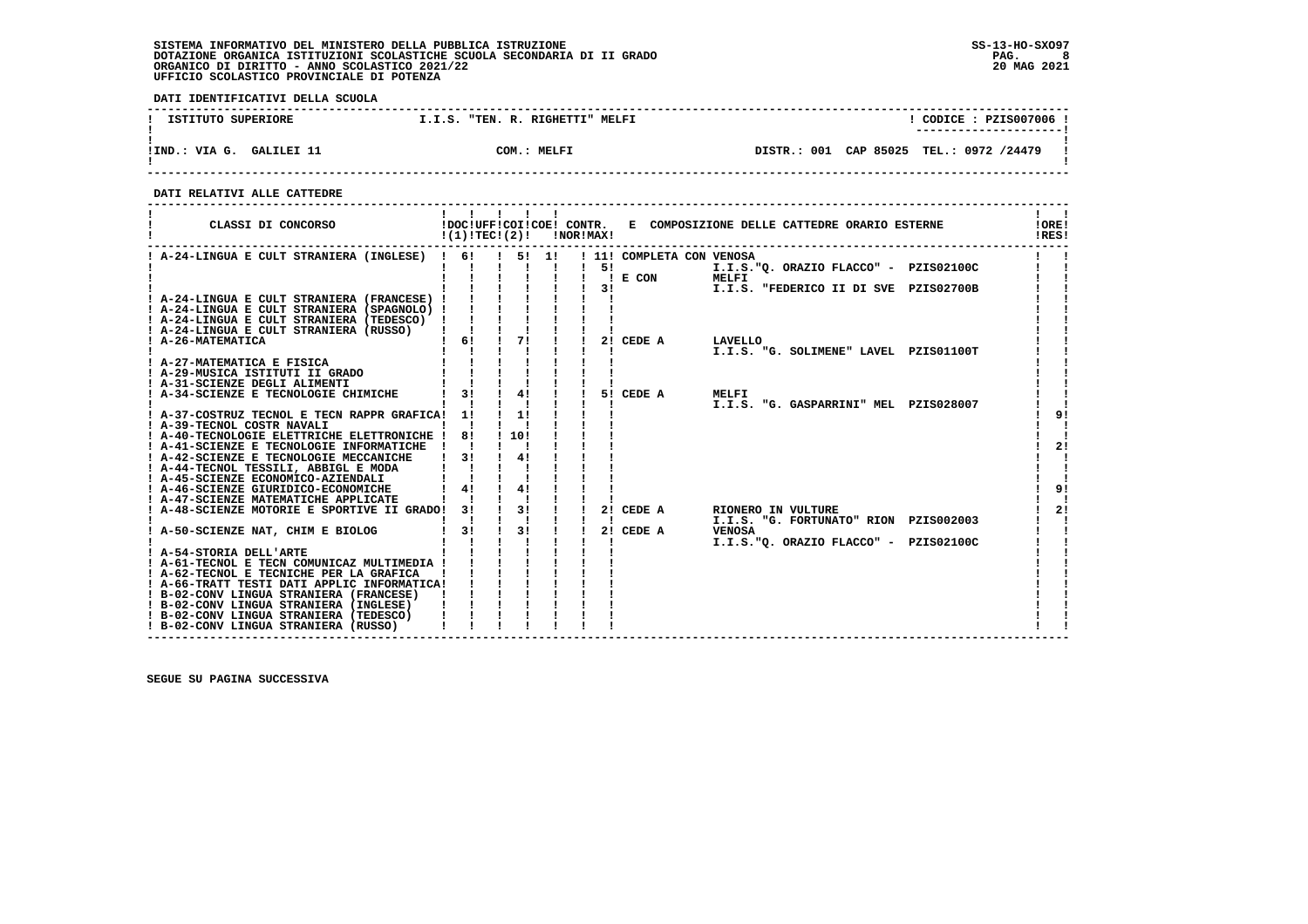**DATI IDENTIFICATIVI DELLA SCUOLA**

| ISTITUTO SUPERIORE          | "TEN. R. RIGHETTI"<br><b>MELFI</b><br>I.I.S. | CODICE: PZIS007006                      |  |
|-----------------------------|----------------------------------------------|-----------------------------------------|--|
|                             |                                              | ----------------------                  |  |
|                             |                                              |                                         |  |
| GALILEI 11<br>!IND.: VIA G. | MELFI<br>COM:                                | DISTR.: 001 CAP 85025 TEL.: 0972 /24479 |  |
|                             |                                              |                                         |  |

 **------------------------------------------------------------------------------------------------------------------------------------**

 **DATI RELATIVI ALLE CATTEDRE**

| CLASSI DI CONCORSO                                                                   | $!(1)!TEC!(2)!$ $INORIMAX!$ |               |                |                           | !DOC!UFF!COI!COE! CONTR. E COMPOSIZIONE DELLE CATTEDRE ORARIO ESTERNE | !ORE!<br>IRES! |
|--------------------------------------------------------------------------------------|-----------------------------|---------------|----------------|---------------------------|-----------------------------------------------------------------------|----------------|
| ! A-24-LINGUA E CULT STRANIERA (INGLESE) ! 6!                                        |                             | 1 51 11       |                | ! 11! COMPLETA CON VENOSA |                                                                       |                |
|                                                                                      |                             |               | 51             |                           | I.I.S."Q. ORAZIO FLACCO" - PZIS02100C                                 |                |
|                                                                                      |                             |               |                | $I$ E CON                 | MELFI                                                                 |                |
|                                                                                      |                             |               |                | 3!                        | I.I.S. "FEDERICO II DI SVE PZIS02700B                                 |                |
| ! A-24-LINGUA E CULT STRANIERA (FRANCESE) !                                          |                             |               |                |                           |                                                                       |                |
| ! A-24-LINGUA E CULT STRANIERA (SPAGNOLO) !                                          |                             |               |                |                           |                                                                       |                |
| ! A-24-LINGUA E CULT STRANIERA (TEDESCO) !<br>! A-24-LINGUA E CULT STRANIERA (RUSSO) |                             |               |                |                           |                                                                       |                |
| ! A-26-MATEMATICA                                                                    | 6!                          | 71            |                | 2! CEDE A                 | LAVELLO                                                               |                |
|                                                                                      |                             |               |                |                           | I.I.S. "G. SOLIMENE" LAVEL PZIS01100T                                 |                |
| A-27-MATEMATICA E FISICA                                                             |                             |               |                |                           |                                                                       |                |
| ! A-29-MUSICA ISTITUTI II GRADO                                                      |                             |               |                |                           |                                                                       |                |
| ! A-31-SCIENZE DEGLI ALIMENTI                                                        |                             |               |                |                           |                                                                       |                |
| ! A-34-SCIENZE E TECNOLOGIE CHIMICHE                                                 | 31                          | 4!            |                | 5! CEDE A                 | MELFI                                                                 |                |
|                                                                                      |                             |               |                |                           | I.I.S. "G. GASPARRINI" MEL PZIS028007                                 |                |
| ! A-37-COSTRUZ TECNOL E TECN RAPPR GRAFICA!                                          | 11                          | 11            |                |                           |                                                                       | 9!             |
| ! A-39-TECNOL COSTR NAVALI                                                           |                             |               |                |                           |                                                                       |                |
| ! A-40-TECNOLOGIE ELETTRICHE ELETTRONICHE !                                          | 81                          | 1101          |                |                           |                                                                       |                |
| ! A-41-SCIENZE E TECNOLOGIE INFORMATICHE !                                           |                             |               |                |                           |                                                                       | 2!             |
| ! A-42-SCIENZE E TECNOLOGIE MECCANICHE                                               | 3!                          | 41            |                |                           |                                                                       |                |
| ! A-44-TECNOL TESSILI, ABBIGL E MODA                                                 |                             |               |                |                           |                                                                       |                |
| ! A-45-SCIENZE ECONOMICO-AZIENDALI                                                   |                             |               |                |                           |                                                                       |                |
| ! A-46-SCIENZE GIURIDICO-ECONOMICHE<br>! A-47-SCIENZE MATEMATICHE APPLICATE          | 4!                          | 41            |                |                           |                                                                       | 9 <sub>1</sub> |
| ! A-48-SCIENZE MOTORIE E SPORTIVE II GRADO! 3!                                       |                             | 3!            |                | 2! CEDE A                 | RIONERO IN VULTURE                                                    | 21             |
|                                                                                      |                             |               | $\blacksquare$ |                           | I.I.S. "G. FORTUNATO" RION PZIS002003                                 |                |
| ! A-50-SCIENZE NAT, CHIM E BIOLOG                                                    | 31                          | $\frac{1}{3}$ |                | 2! CEDE A                 | <b>VENOSA</b>                                                         |                |
|                                                                                      |                             |               |                |                           | I.I.S."O. ORAZIO FLACCO" - PZIS02100C                                 |                |
| ! A-54-STORIA DELL'ARTE                                                              |                             |               |                |                           |                                                                       |                |
| ! A-61-TECNOL E TECN COMUNICAZ MULTIMEDIA !                                          |                             |               |                |                           |                                                                       |                |
| ! A-62-TECNOL E TECNICHE PER LA GRAFICA                                              |                             |               |                |                           |                                                                       |                |
| ! A-66-TRATT TESTI DATI APPLIC INFORMATICA!                                          |                             |               |                |                           |                                                                       |                |
| ! B-02-CONV LINGUA STRANIERA (FRANCESE)                                              |                             |               |                |                           |                                                                       |                |
| ! B-02-CONV LINGUA STRANIERA (INGLESE)                                               |                             |               |                |                           |                                                                       |                |
| ! B-02-CONV LINGUA STRANIERA (TEDESCO)                                               |                             |               |                |                           |                                                                       |                |
| ! B-02-CONV LINGUA STRANIERA (RUSSO)                                                 |                             |               |                |                           |                                                                       |                |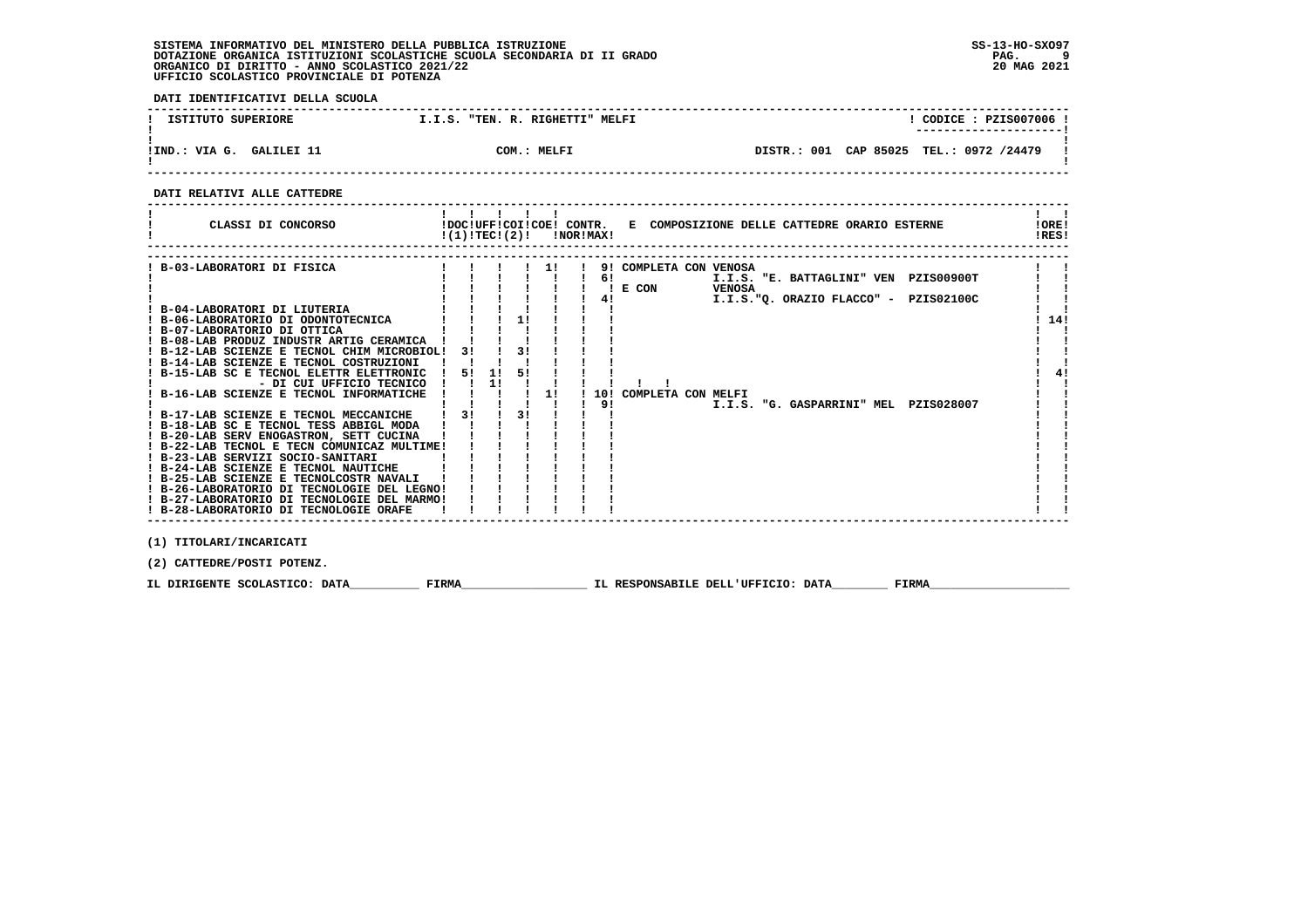**DATI IDENTIFICATIVI DELLA SCUOLA**

| ISTITUTO SUPERIORE            | "TEN. R. RIGHETTI" MELFI<br>T.I.S. | CODICE: PZIS007006<br>----------------------     |
|-------------------------------|------------------------------------|--------------------------------------------------|
| GALILET 11<br>VIA G.<br>!IND. | COM.: MELFI                        | TEL.: 0972 /24479<br>CAP 85025<br>001<br>DISTR.: |

 **------------------------------------------------------------------------------------------------------------------------------------**

 **DATI RELATIVI ALLE CATTEDRE**

| CLASSI DI CONCORSO                                                                                                                                                                                                                                                                                                                                                                                                                                                                                                                                                                                                                                                                                                                                                                                                                           | $!(1)!TEC!(2)!$ $INORIMAX!$ |          |                      |          |                |                                                                 |        | !DOC!UFF!COI!COE! CONTR. E COMPOSIZIONE DELLE CATTEDRE ORARIO ESTERNE                                                   | !ORE!<br>!RES! |
|----------------------------------------------------------------------------------------------------------------------------------------------------------------------------------------------------------------------------------------------------------------------------------------------------------------------------------------------------------------------------------------------------------------------------------------------------------------------------------------------------------------------------------------------------------------------------------------------------------------------------------------------------------------------------------------------------------------------------------------------------------------------------------------------------------------------------------------------|-----------------------------|----------|----------------------|----------|----------------|-----------------------------------------------------------------|--------|-------------------------------------------------------------------------------------------------------------------------|----------------|
| B-03-LABORATORI DI FISICA<br>! B-04-LABORATORI DI LIUTERIA<br>! B-06-LABORATORIO DI ODONTOTECNICA<br>! B-07-LABORATORIO DI OTTICA<br>! B-08-LAB PRODUZ INDUSTR ARTIG CERAMICA<br>! B-12-LAB SCIENZE E TECNOL CHIM MICROBIOL!<br>! B-14-LAB SCIENZE E TECNOL COSTRUZIONI<br>! B-15-LAB SC E TECNOL ELETTR ELETTRONIC<br>- DI CUI UFFICIO TECNICO<br>! B-16-LAB SCIENZE E TECNOL INFORMATICHE<br>! B-17-LAB SCIENZE E TECNOL MECCANICHE !<br>! B-18-LAB SC E TECNOL TESS ABBIGL MODA<br>! B-20-LAB SERV ENOGASTRON, SETT CUCINA<br>! B-22-LAB TECNOL E TECN COMUNICAZ MULTIME!<br>! B-23-LAB SERVIZI SOCIO-SANITARI<br>! B-24-LAB SCIENZE E TECNOL NAUTICHE<br>! B-25-LAB SCIENZE E TECNOLCOSTR NAVALI<br>! B-26-LABORATORIO DI TECNOLOGIE DEL LEGNO!<br>! B-27-LABORATORIO DI TECNOLOGIE DEL MARMO!<br>! B-28-LABORATORIO DI TECNOLOGIE ORAFE | 31<br>51<br>3!              | 11<br>11 | 1!<br>31<br>51<br>3! | 11<br>11 | 6!<br>4!<br>9! | 9! COMPLETA CON VENOSA<br>$! \tE$ CON<br>10! COMPLETA CON MELFI | VENOSA | I.I.S. "E. BATTAGLINI" VEN PZIS00900T<br>I.I.S."O. ORAZIO FLACCO" - PZIS02100C<br>I.I.S. "G. GASPARRINI" MEL PZIS028007 | 14!            |
| (1) TITOLARI/INCARICATI                                                                                                                                                                                                                                                                                                                                                                                                                                                                                                                                                                                                                                                                                                                                                                                                                      |                             |          |                      |          |                |                                                                 |        |                                                                                                                         |                |

 **(2) CATTEDRE/POSTI POTENZ.**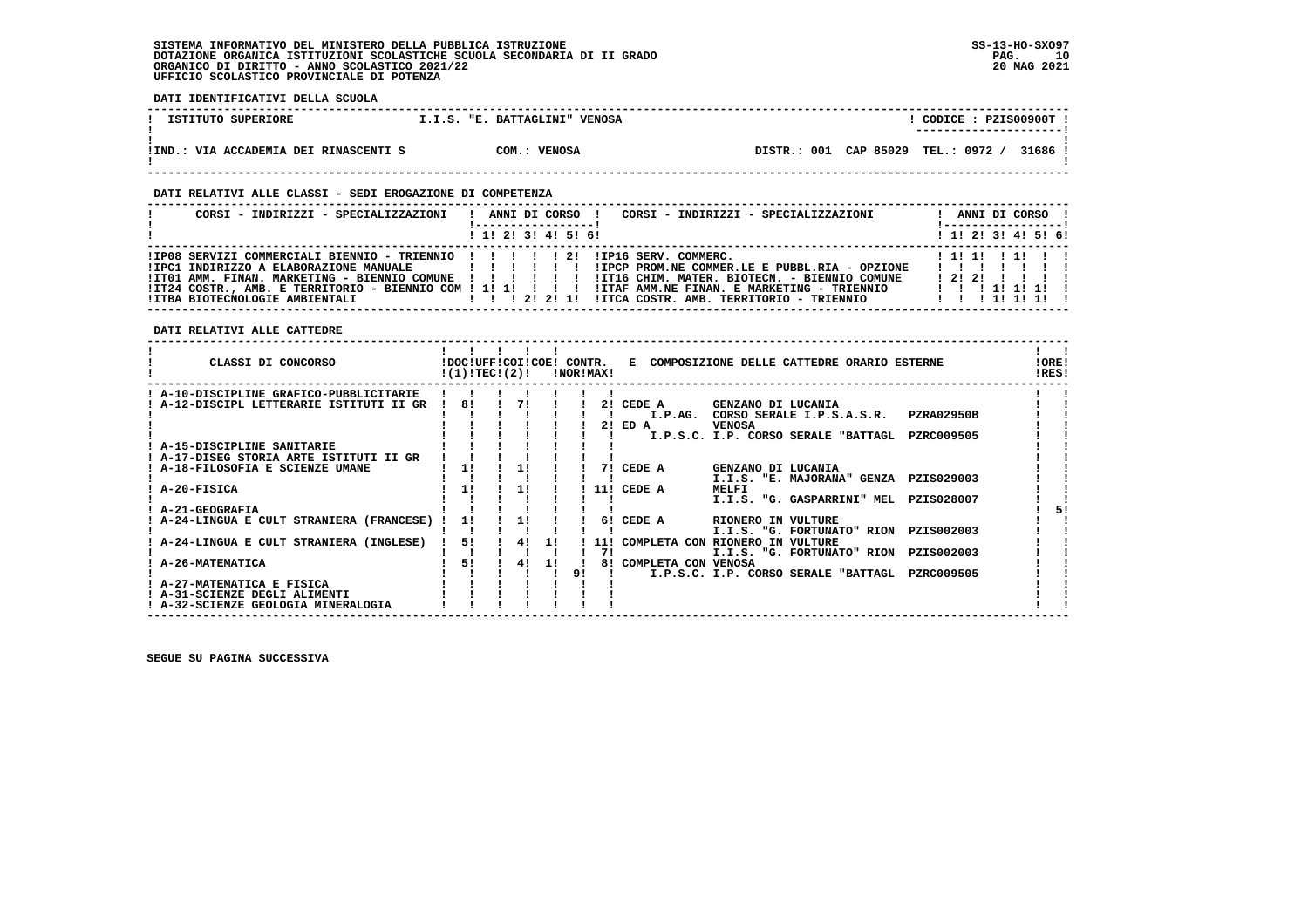**DATI IDENTIFICATIVI DELLA SCUOLA ------------------------------------------------------------------------------------------------------------------------------------** $1$  CODICE : PZISO0900T I  **! ISTITUTO SUPERIORE 1.1.S. "E. BATTAGLINI" VENOSA ! ---------------------! ! ! !IND.: VIA ACCADEMIA DEI RINASCENTI S COM.: VENOSA DISTR.: 001 CAP 85029 TEL.: 0972 / 31686 !**DISTR.: 001 CAP 85029 TEL.: 0972 / 31686 ! - 1  **! ! ------------------------------------------------------------------------------------------------------------------------------------ DATI RELATIVI ALLE CLASSI - SEDI EROGAZIONE DI COMPETENZA ------------------------------------------------------------------------------------------------------------------------------------**! ANNI DI CORSO !  **! CORSI - INDIRIZZI - SPECIALIZZAZIONI ! ANNI DI CORSO ! CORSI - INDIRIZZI - SPECIALIZZAZIONI ! ANNI DI CORSO !**\_\_\_\_\_\_\_\_\_\_\_\_\_\_\_\_\_\_\_\_\_\_  **! !-----------------! !-----------------!**1 1 2 3 3 4 5 6  **! ! 1! 2! 3! 4! 5! 6! ! 1! 2! 3! 4! 5! 6! ------------------------------------------------------------------------------------------------------------------------------------** $111111111$  **!IP08 SERVIZI COMMERCIALI BIENNIO - TRIENNIO ! ! ! ! ! 2! !IP16 SERV. COMMERC. ! 1! 1! ! 1! ! !**IPC1 INDIRIZZO A ELABORAZIONE MANUALE | | | | | | | | IPCP PROM.NE COMMER.LE E PUBBL.RIA - OPZIONE | | | | | |<br>ITO1 AMM. FINAN. MARKETING - BIENNIO COMUNE | | | | | | | IIT16 CHIM. MATER. BIOTECN. - BIENNIO COMUNE | 2| 2|<br>  **DATI RELATIVI ALLE CATTEDRE ------------------------------------------------------------------------------------------------------------------------------------** $\mathbf{I}$  and  $\mathbf{I}$  **! ! ! ! ! ! ! ! ! CLASSI DI CONCORSO !DOC!UFF!COI!COE! CONTR. E COMPOSIZIONE DELLE CATTEDRE ORARIO ESTERNE !ORE! ! !(1)!TEC!(2)! !NOR!MAX! !RES!** $100F1$ **IRES! ------------------------------------------------------------------------------------------------------------------------------------ ! A-10-DISCIPLINE GRAFICO-PUBBLICITARIE ! ! ! ! ! ! ! ! ! ! A-12-DISCIPL LETTERARIE ISTITUTI II GR ! 8! ! 7! ! ! 2! CEDE A GENZANO DI LUCANIA ! !**ا ! ! ! ! ! ! ! ! ! I.P.AG. CORSO SERALE I.P.S.A.S.R. PZRA02950B ! !<br>! ! ! ! ! ! ! ! 2! ED A VENOSA . .<br>! ! ! ! ! ! ! ! I.P.S.C. I.P. CORSO SERALE "BATTAGL PZRC009505 ! !  $\mathbf{I}$  $\mathbf{I}$  $\mathbf{I}$  **! A-15-DISCIPLINE SANITARIE ! ! ! ! ! ! ! ! ! ! A-17-DISEG STORIA ARTE ISTITUTI II GR ! ! ! ! ! ! ! ! ! ! A-18-FILOSOFIA E SCIENZE UMANE ! 1! ! 1! ! ! 7! CEDE A GENZANO DI LUCANIA ! ! ! ! ! ! ! ! ! ! I.I.S. "E. MAJORANA" GENZA PZIS029003 ! ! ! A-20-FISICA ! 1! ! 1! ! ! 11! CEDE A MELFI ! !** $\mathbf{I}$  $\mathbf{r}$  $\blacksquare$  $\blacksquare$  **! ! ! ! ! ! ! ! I.I.S. "G. GASPARRINI" MEL PZIS028007 ! ! ! A-21-GEOGRAFIA ! ! ! ! ! ! ! ! 5!**51  $\mathbf{I}$  **! A-24-LINGUA E CULT STRANIERA (FRANCESE) ! 1! ! 1! ! ! 6! CEDE A RIONERO IN VULTURE ! ! ! ! ! ! ! ! ! ! I.I.S. "G. FORTUNATO" RION PZIS002003 ! !** $\blacksquare$  $\blacksquare$  **! A-24-LINGUA E CULT STRANIERA (INGLESE) ! 5! ! 4! 1! ! 11! COMPLETA CON RIONERO IN VULTURE ! ! ! ! ! ! ! ! ! 7! I.I.S. "G. FORTUNATO" RION PZIS002003 ! !** $\blacksquare$  **! A-26-MATEMATICA ! 5! ! 4! 1! ! 8! COMPLETA CON VENOSA ! !** $\blacksquare$  **! ! ! ! ! ! 9! ! I.P.S.C. I.P. CORSO SERALE "BATTAGL PZRC009505 ! ! ! A-27-MATEMATICA E FISICA ! ! ! ! ! ! ! ! !** $\mathbf{I}$  $\mathbf{I}$  **! A-31-SCIENZE DEGLI ALIMENTI ! ! ! ! ! ! ! ! !** $\mathbf{I}$  and  $\mathbf{I}$  **! A-32-SCIENZE GEOLOGIA MINERALOGIA ! ! ! ! ! ! ! ! !**

 **------------------------------------------------------------------------------------------------------------------------------------**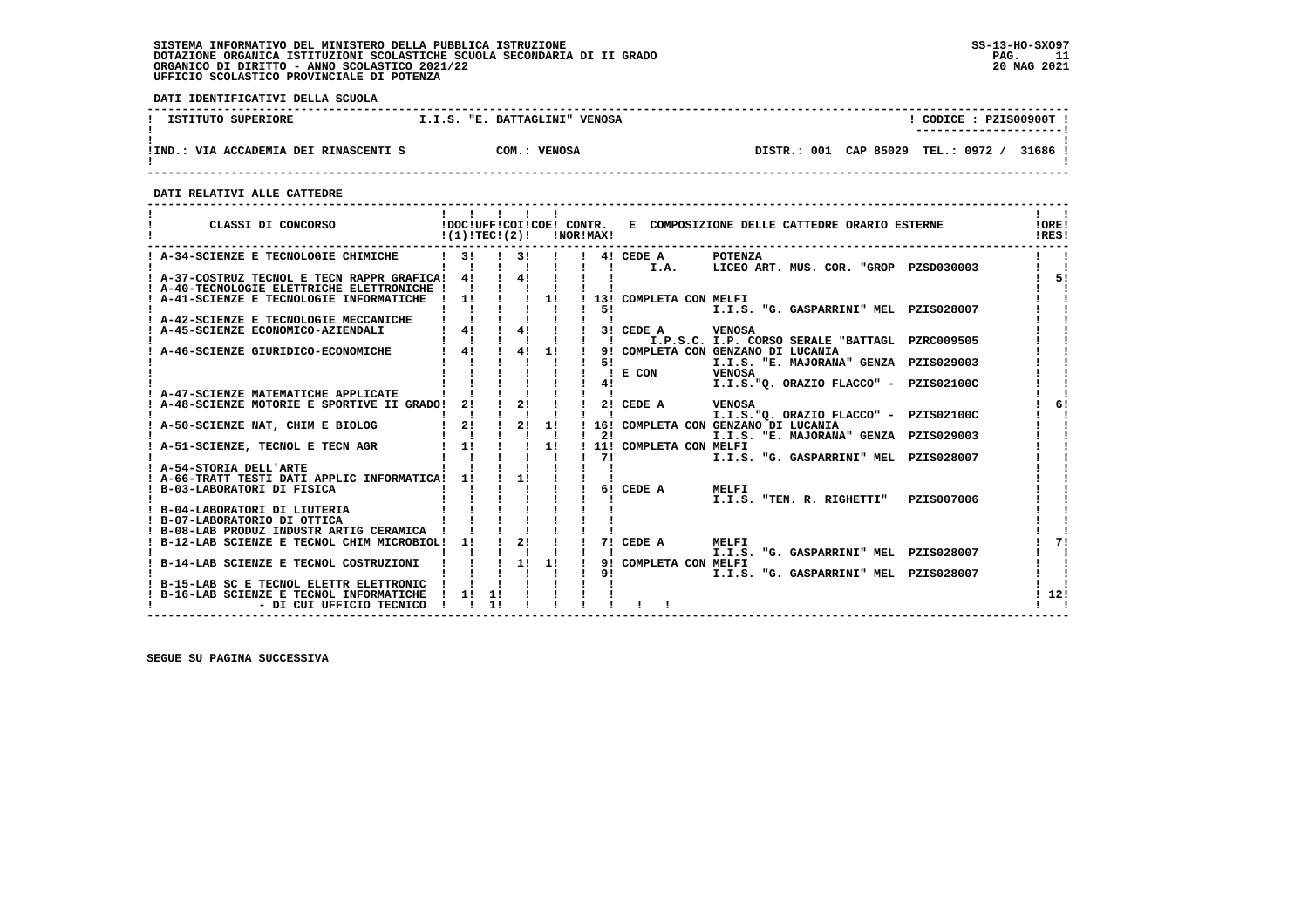**DATI IDENTIFICATIVI DELLA SCUOLA**

| ISTITUTO SUPERIORE                    | I.I.S. "E. BATTAGLINI"<br><b>VENOSA</b> | CODICE: PZIS00900T!<br>----------------------- |
|---------------------------------------|-----------------------------------------|------------------------------------------------|
| !IND.: VIA ACCADEMIA DEI RINASCENTI S | COM.: VENOSA                            | DISTR.: 001 CAP 85029 TEL.: 0972 /<br>31686 !  |

 **------------------------------------------------------------------------------------------------------------------------------------**

 **DATI RELATIVI ALLE CATTEDRE**

| CLASSI DI CONCORSO                                                                              | $!(1)!TEC!(2)!$ $INORIMAX!$                                                  |    |                                        |  |                           | !DOC!UFF!COI!COE! CONTR. E COMPOSIZIONE DELLE CATTEDRE ORARIO ESTERNE              | 10RE!<br>!RES! |
|-------------------------------------------------------------------------------------------------|------------------------------------------------------------------------------|----|----------------------------------------|--|---------------------------|------------------------------------------------------------------------------------|----------------|
| ! A-34-SCIENZE E TECNOLOGIE CHIMICHE                                                            | $1 \quad 3! \quad 1 \quad 3! \quad 1$<br>$\mathbf{I}$                        |    | $\mathbf{1}$ $\mathbf{1}$              |  |                           | ! 4! CEDE A POTENZA<br>! ! I.A. LICEO ART. MUS. COR. "GROP PZSD030003              |                |
| ! A-37-COSTRUZ TECNOL E TECN RAPPR GRAFICA! 4! ! 4! !                                           |                                                                              |    |                                        |  |                           |                                                                                    | 51             |
| ! A-40-TECNOLOGIE ELETTRICHE ELETTRONICHE !                                                     |                                                                              |    |                                        |  |                           |                                                                                    |                |
| ! A-41-SCIENZE E TECNOLOGIE INFORMATICHE ! 1! ! ! 1! ! 13! COMPLETA CON MELFI                   |                                                                              |    |                                        |  |                           |                                                                                    |                |
|                                                                                                 |                                                                              |    |                                        |  | 51                        | I.I.S. "G. GASPARRINI" MEL PZIS028007                                              |                |
| ! A-42-SCIENZE E TECNOLOGIE MECCANICHE                                                          |                                                                              |    |                                        |  |                           |                                                                                    |                |
| A-45-SCIENZE ECONOMICO-AZIENDALI                                                                | ! 4! ! 4! !                                                                  |    |                                        |  |                           | ! 3! CEDE A VENOSA                                                                 |                |
|                                                                                                 |                                                                              |    | $\mathbf{1}$ $\mathbf{1}$ $\mathbf{1}$ |  | $1 \quad 1 \quad$         | I.P.S.C. I.P. CORSO SERALE "BATTAGL PZRC009505                                     |                |
| ! A-46-SCIENZE GIURIDICO-ECONOMICHE                                                             | ! 4! ! 4! 1!                                                                 |    |                                        |  | 51                        | 9! COMPLETA CON GENZANO DI LUCANIA<br>I.I.S. "E. MAJORANA" GENZA PZIS029003        |                |
|                                                                                                 |                                                                              |    |                                        |  |                           | $! \tE$ CON<br><b>VENOSA</b>                                                       |                |
|                                                                                                 |                                                                              |    |                                        |  |                           | I.I.S."O. ORAZIO FLACCO" - PZIS02100C<br>41 — 1                                    |                |
| ! A-47-SCIENZE MATEMATICHE APPLICATE                                                            |                                                                              |    |                                        |  |                           |                                                                                    |                |
| A-48-SCIENZE MOTORIE E SPORTIVE II GRADO! 2! ! 2! !                                             |                                                                              |    |                                        |  |                           | $121$ CEDE A<br><b>VENOSA</b>                                                      |                |
|                                                                                                 |                                                                              |    |                                        |  | $\mathbf{1}$ $\mathbf{1}$ | I.I.S."Q. ORAZIO FLACCO" - PZIS02100C                                              |                |
| A-50-SCIENZE NAT, CHIM E BIOLOG 1 2 1 2 1 1 1 1 1 16! COMPLETA CON GENZANO DI LUCANIA           |                                                                              |    |                                        |  |                           |                                                                                    |                |
| ! A-51-SCIENZE, TECNOL E TECN AGR   1!                                                          |                                                                              |    | $\frac{1}{1}$ $\frac{1}{1}$            |  |                           | $\frac{1}{2}$<br>I.I.S. "E. MAJORANA" GENZA PZIS029003<br>! 11! COMPLETA CON MELFI |                |
|                                                                                                 |                                                                              |    |                                        |  | $1 \quad 71$              | I.I.S. "G. GASPARRINI" MEL PZIS028007                                              |                |
| ! A-54-STORIA DELL'ARTE                                                                         |                                                                              |    |                                        |  |                           |                                                                                    |                |
| ! A-66-TRATT TESTI DATI APPLIC INFORMATICA! 1!                                                  |                                                                              |    | $\frac{1}{2}$ 11                       |  |                           |                                                                                    |                |
| ! B-03-LABORATORI DI FISICA                                                                     |                                                                              |    |                                        |  |                           | 6! CEDE A<br>MELFI                                                                 |                |
|                                                                                                 |                                                                              |    |                                        |  |                           | I.I.S. "TEN. R. RIGHETTI" PZIS007006                                               |                |
| B-04-LABORATORI DI LIUTERIA                                                                     |                                                                              |    |                                        |  |                           |                                                                                    |                |
| ! B-07-LABORATORIO DI OTTICA                                                                    |                                                                              |    |                                        |  |                           |                                                                                    |                |
| ! B-08-LAB PRODUZ INDUSTR ARTIG CERAMICA !<br>B-12-LAB SCIENZE E TECNOL CHIM MICROBIOL! 1! ! 2! |                                                                              |    |                                        |  |                           | $1$ 7! CEDE A<br>MELFI                                                             |                |
|                                                                                                 |                                                                              |    |                                        |  |                           | I.I.S. "G. GASPARRINI" MEL PZIS028007                                              |                |
| ! B-14-LAB SCIENZE E TECNOL COSTRUZIONI ! ! ! 1! 1!                                             |                                                                              |    |                                        |  |                           | 9! COMPLETA CON MELFI                                                              |                |
|                                                                                                 |                                                                              |    |                                        |  | 91                        | I.I.S. "G. GASPARRINI" MEL PZIS028007                                              |                |
| ! B-15-LAB SC E TECNOL ELETTR ELETTRONIC                                                        | $\begin{array}{cccc} \vdots & \vdots & \vdots \\ \vdots & 1 & 1 \end{array}$ |    |                                        |  |                           |                                                                                    |                |
| ! B-16-LAB SCIENZE E TECNOL INFORMATICHE                                                        |                                                                              |    |                                        |  |                           |                                                                                    | 12!            |
| - DI CUI UFFICIO TECNICO                                                                        |                                                                              | 11 |                                        |  |                           |                                                                                    |                |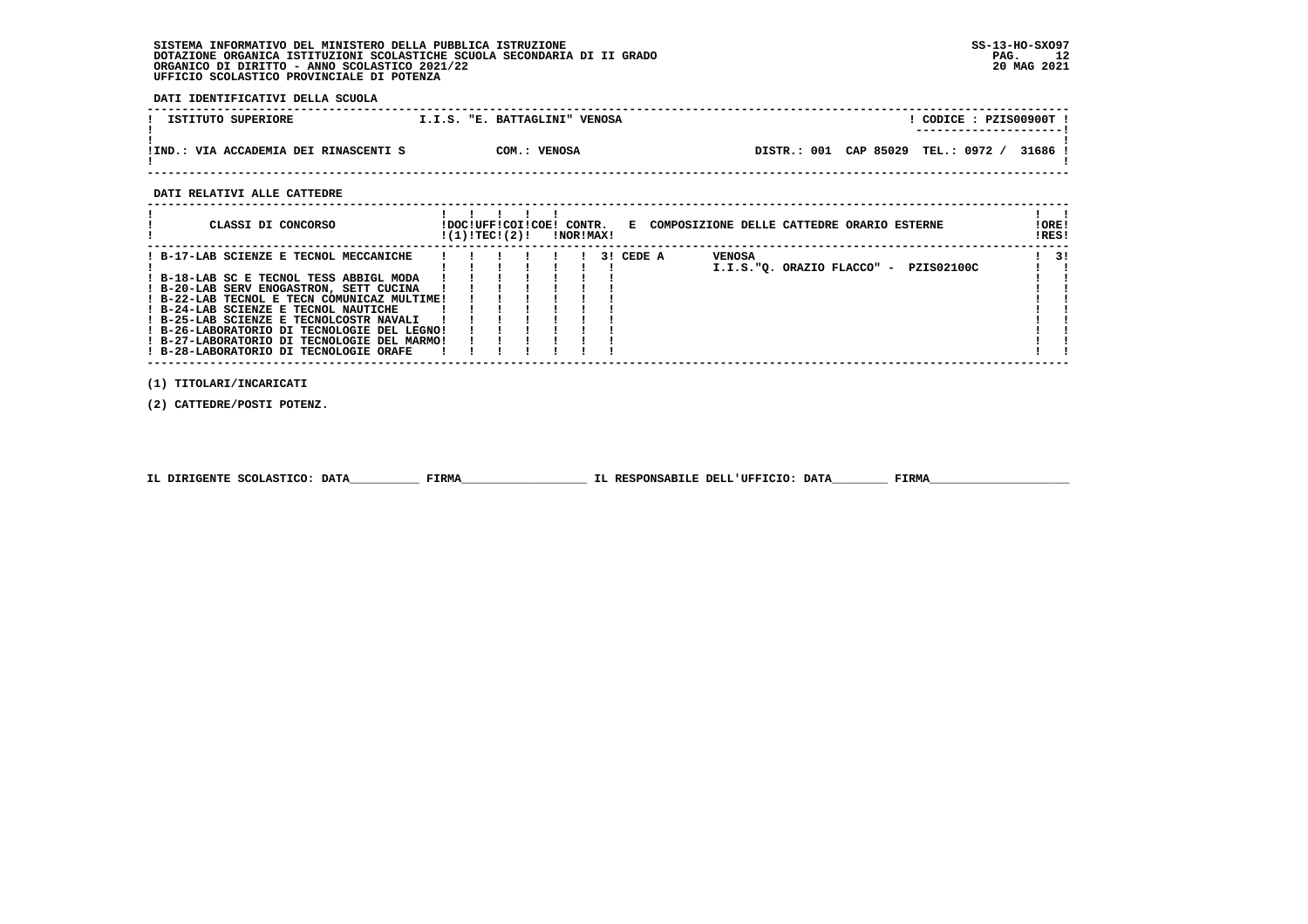**DATI IDENTIFICATIVI DELLA SCUOLA**

| ISTITUTO SUPERIORE                        | I.I.S. "E. BATTAGLINI" VENOSA |                       | CODICE: PZIS00900T !<br>----------------------- |
|-------------------------------------------|-------------------------------|-----------------------|-------------------------------------------------|
|                                           |                               |                       |                                                 |
|                                           |                               |                       |                                                 |
| : VIA ACCADEMIA DEI RINASCENTI S<br>IIND. | COM.: VENOSA                  | DISTR.: 001 CAP 85029 | TEL.: 0972<br>31686 !                           |
|                                           |                               |                       |                                                 |

 **------------------------------------------------------------------------------------------------------------------------------------**

 **DATI RELATIVI ALLE CATTEDRE**

| CLASSI DI CONCORSO                                                                                                                                                                                                                                                                                            | !DOC!UFF!COI!COE! CONTR.<br>!(1)!TEC!(2)! |  | !NOR!MAX! |           |        | E COMPOSIZIONE DELLE CATTEDRE ORARIO ESTERNE | !ORE!<br>IRES! |
|---------------------------------------------------------------------------------------------------------------------------------------------------------------------------------------------------------------------------------------------------------------------------------------------------------------|-------------------------------------------|--|-----------|-----------|--------|----------------------------------------------|----------------|
| ! B-17-LAB SCIENZE E TECNOL MECCANICHE<br>! B-18-LAB SC E TECNOL TESS ABBIGL MODA<br>! B-20-LAB SERV ENOGASTRON, SETT CUCINA<br>! B-22-LAB TECNOL E TECN COMUNICAZ MULTIME!<br>! B-24-LAB SCIENZE E TECNOL NAUTICHE<br>! B-25-LAB SCIENZE E TECNOLCOSTR NAVALI<br>! B-26-LABORATORIO DI TECNOLOGIE DEL LEGNO! |                                           |  |           | 3! CEDE A | VENOSA | PZIS02100C<br>I.I.S."O. ORAZIO FLACCO" -     | -31            |
| ! B-27-LABORATORIO DI TECNOLOGIE DEL MARMO!<br>! B-28-LABORATORIO DI TECNOLOGIE ORAFE                                                                                                                                                                                                                         |                                           |  |           |           |        |                                              |                |

 **(1) TITOLARI/INCARICATI**

 **(2) CATTEDRE/POSTI POTENZ.**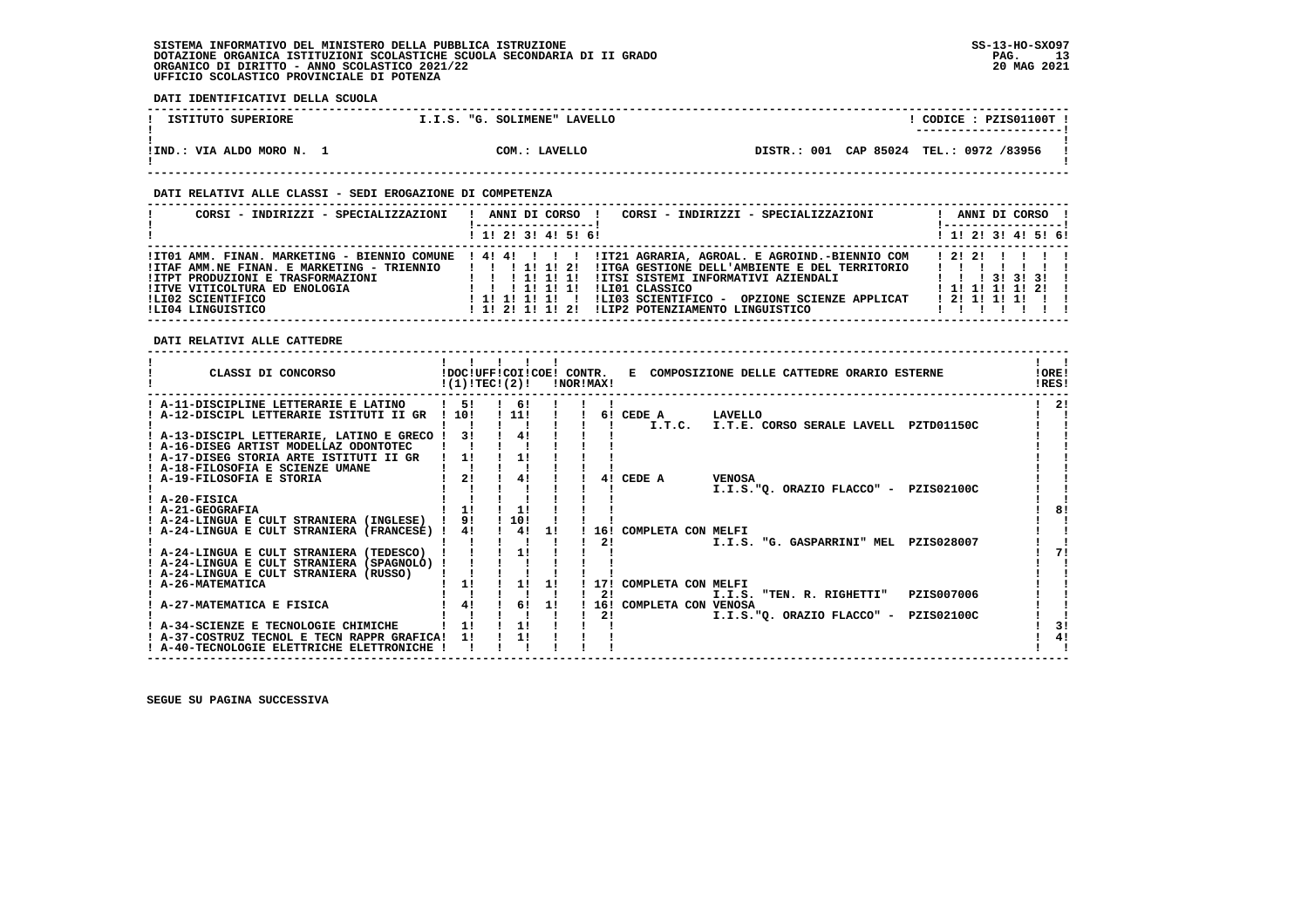**DATI IDENTIFICATIVI DELLA SCUOLA**

| ISTITUTO SUPERIORE        | I.I.S. "G. SOLIMENE" LAVELLO |                                         | CODICE: PZIS01100T !<br>---------------------- |
|---------------------------|------------------------------|-----------------------------------------|------------------------------------------------|
| !IND.: VIA ALDO MORO N. 1 | COM.: LAVELLO                | DISTR.: 001 CAP 85024 TEL.: 0972 /83956 |                                                |

## **DATI RELATIVI ALLE CLASSI - SEDI EROGAZIONE DI COMPETENZA**

| CORSI - INDIRIZZI - SPECIALIZZAZIONI                                                                                                                              | ANNI DI CORSO !<br>CORSI - INDIRIZZI - SPECIALIZZAZIONI<br>!-----------------                                                                                                                                                                                                                                                                                                               | ANNI DI CORSO !<br>! -----------------!                                      |
|-------------------------------------------------------------------------------------------------------------------------------------------------------------------|---------------------------------------------------------------------------------------------------------------------------------------------------------------------------------------------------------------------------------------------------------------------------------------------------------------------------------------------------------------------------------------------|------------------------------------------------------------------------------|
|                                                                                                                                                                   | $1$ , 1! 2! 3! 4! 5! 6!                                                                                                                                                                                                                                                                                                                                                                     | $1$ 1! 2! 3! 4! 5! 6!                                                        |
| !ITAF AMM.NE FINAN. E MARKETING - TRIENNIO<br><b>!ITPT PRODUZIONI E TRASFORMAZIONI</b><br>IITVE VITICOLTURA ED ENOLOGIA<br>ILI02 SCIENTIFICO<br>ILI04 LINGUISTICO | ITO1 AMM. FINAN. MARKETING - BIENNIO COMUNE   4! 4! !     IT21 AGRARIA, AGROAL. E AGROIND.-BIENNIO COM<br>1 1 1 1 1 1 2 1<br>IITGA GESTIONE DELL'AMBIENTE E DEL TERRITORIO<br>!!!!!!!<br>ITTSI SISTEMI INFORMATIVI AZIENDALI<br>ILIO1 CLASSICO<br>1 1 1 1 1 1 1 1<br>!LI03 SCIENTIFICO - OPZIONE SCIENZE APPLICAT<br>1 1 1 1 1 1 1 1<br>ILIP2 POTENZIAMENTO LINGUISTICO<br>! 1! 2! 1! 1! 2! | 12121 1111<br>.<br>1 1 1 3 1 3 1 3 1<br>1 1 1 1 1 1 1 2 1<br>1 2 1 1 1 1 1 1 |

 **DATI RELATIVI ALLE CATTEDRE**

| CLASSI DI CONCORSO                                                                                                                |                      | !(1)!TEC!(2)!         |    | INORIMAXI | !DOC!UFF!COI!COE! CONTR. E COMPOSIZIONE DELLE CATTEDRE ORARIO ESTERNE | !ORE!<br>IRES! |
|-----------------------------------------------------------------------------------------------------------------------------------|----------------------|-----------------------|----|-----------|-----------------------------------------------------------------------|----------------|
| ! A-11-DISCIPLINE LETTERARIE E LATINO<br>! A-12-DISCIPL LETTERARIE ISTITUTI II GR                                                 | $1 \quad 51$<br>1101 | $1 \quad 61$<br>! 11! |    |           | 6! CEDE A LAVELLO                                                     | 21             |
| ! A-13-DISCIPL LETTERARIE, LATINO E GRECO !<br>! A-16-DISEG ARTIST MODELLAZ ODONTOTEC                                             | 31                   | 41                    |    |           | I.T.C.<br>I.T.E. CORSO SERALE LAVELL PZTD01150C                       |                |
| ! A-17-DISEG STORIA ARTE ISTITUTI II GR<br>! A-18-FILOSOFIA E SCIENZE UMANE                                                       | 1!                   | 1!                    |    |           |                                                                       |                |
| ! A-19-FILOSOFIA E STORIA<br>$I$ A-20-FISICA                                                                                      | 21                   | 41                    |    | 41        | CEDE A<br><b>VENOSA</b><br>I.I.S."Q. ORAZIO FLACCO" - PZIS02100C      |                |
| ! A-21-GEOGRAFIA<br>! A-24-LINGUA E CULT STRANIERA (INGLESE) ! 9!                                                                 | 1!                   | 11<br>! 10!           |    |           |                                                                       |                |
| ! A-24-LINGUA E CULT STRANIERA (FRANCESE) !                                                                                       | 4!                   | 4!                    | 11 | 21        | 16! COMPLETA CON MELFI<br>I.I.S. "G. GASPARRINI" MEL PZIS028007       |                |
| ! A-24-LINGUA E CULT STRANIERA (TEDESCO)<br>! A-24-LINGUA E CULT STRANIERA (SPAGNOLO) !<br>! A-24-LINGUA E CULT STRANIERA (RUSSO) |                      | 11                    |    |           |                                                                       |                |
| A-26-MATEMATICA                                                                                                                   | 1!                   | 1!                    | 11 | 171<br>21 | COMPLETA CON MELFI<br>PZIS007006<br>I.I.S. "TEN. R. RIGHETTI"         |                |
| ! A-27-MATEMATICA E FISICA                                                                                                        | 4!                   | $1 \t6! \t1!$         |    | 21        | 16! COMPLETA CON VENOSA<br>I.I.S."Q. ORAZIO FLACCO" - PZIS02100C      |                |
| ! A-34-SCIENZE E TECNOLOGIE CHIMICHE<br>! A-37-COSTRUZ TECNOL E TECN RAPPR GRAFICA!<br>! A-40-TECNOLOGIE ELETTRICHE ELETTRONICHE  | 1!<br>11             | 11<br>11              |    |           |                                                                       | 31<br>41       |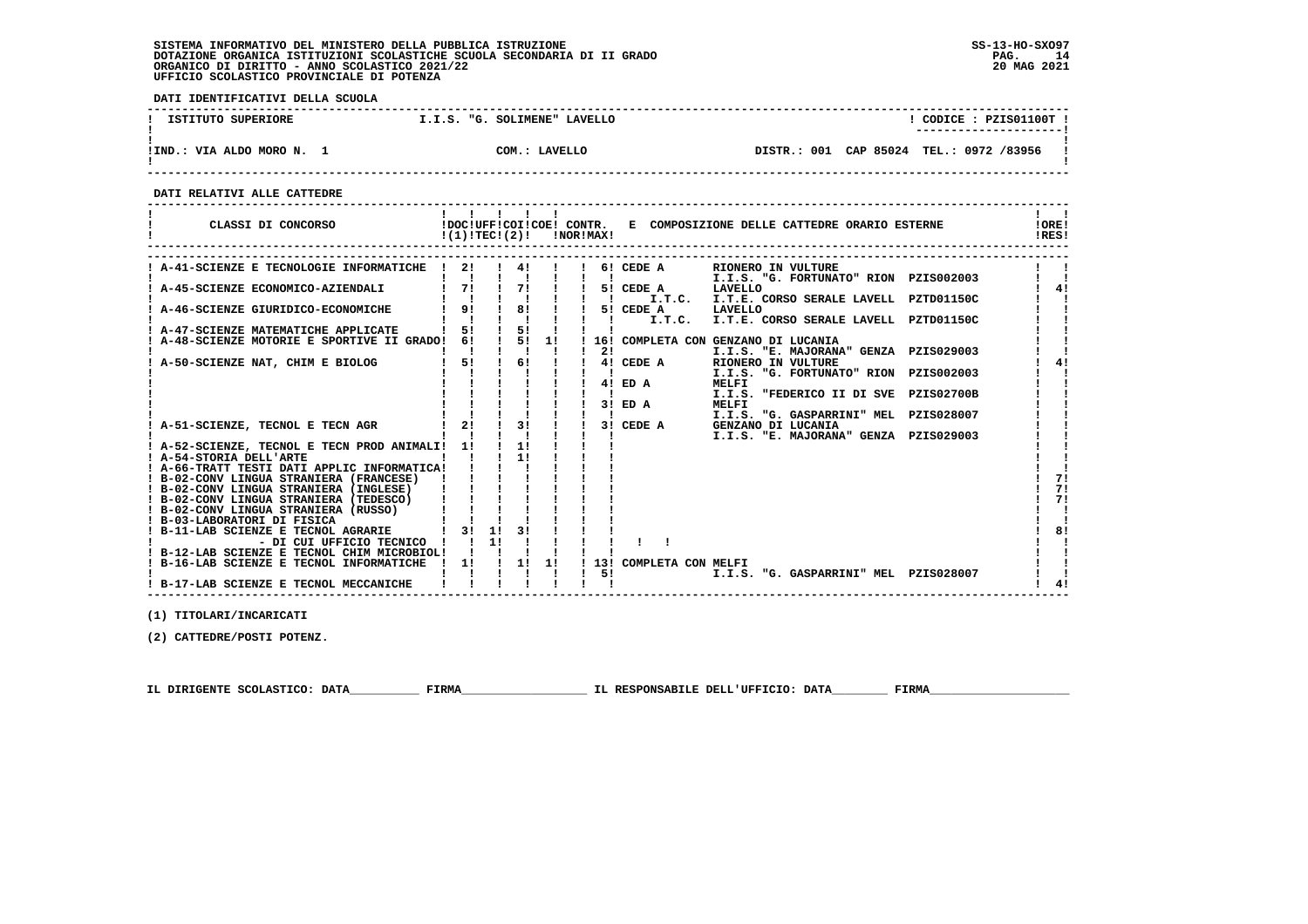**DATI IDENTIFICATIVI DELLA SCUOLA**

| ISTITUTO SUPERIORE        | I.I.S. "G. SOLIMENE" LAVELLO | CODICE: PZIS01100T !                    |
|---------------------------|------------------------------|-----------------------------------------|
| !IND.: VIA ALDO MORO N. 1 | COM.: LAVELLO                | DISTR.: 001 CAP 85024 TEL.: 0972 /83956 |

 **------------------------------------------------------------------------------------------------------------------------------------**

 **------------------------------------------------------------------------------------------------------------------------------------**

 **DATI RELATIVI ALLE CATTEDRE**

| CLASSI DI CONCORSO                                                                     | !(1)!TECI(2)! |    |    |    | !NOR!MAX! |              |                     | !DOC!UFF!COI!COE! CONTR. E COMPOSIZIONE DELLE CATTEDRE ORARIO ESTERNE        |                   | !ORE!<br>IRES! |
|----------------------------------------------------------------------------------------|---------------|----|----|----|-----------|--------------|---------------------|------------------------------------------------------------------------------|-------------------|----------------|
| A-41-SCIENZE E TECNOLOGIE INFORMATICHE                                                 | 2!            |    |    |    |           |              | 6! CEDE A           | RIONERO IN VULTURE                                                           |                   |                |
| A-45-SCIENZE ECONOMICO-AZIENDALI                                                       | 71            |    | 71 |    |           |              | 5! CEDE A           | I.I.S. "G. FORTUNATO" RION PZIS002003<br>LAVELLO                             |                   | 4!             |
| A-46-SCIENZE GIURIDICO-ECONOMICHE                                                      | 9!            |    | 8! |    |           | $\mathbf{I}$ | I.T.C.<br>5! CEDE A | I.T.E. CORSO SERALE LAVELL PZTD01150C<br>LAVELLO                             |                   |                |
| ! A-47-SCIENZE MATEMATICHE APPLICATE                                                   | 5!            |    | 5! |    |           |              | I.T.C.              | I.T.E. CORSO SERALE LAVELL PZTD01150C                                        |                   |                |
| A-48-SCIENZE MOTORIE E SPORTIVE II GRADO!                                              | 61            |    | 5! | 11 |           | 21           |                     | 16! COMPLETA CON GENZANO DI LUCANIA<br>I.I.S. "E. MAJORANA" GENZA PZIS029003 |                   |                |
| A-50-SCIENZE NAT, CHIM E BIOLOG                                                        | 5!            |    | 6! |    |           |              | 4! CEDE A           | RIONERO IN VULTURE<br>I.I.S. "G. FORTUNATO" RION                             | PZIS002003        |                |
|                                                                                        |               |    |    |    |           | 41           | ED A                | <b>MELFI</b><br>I.I.S. "FEDERICO II DI SVE                                   | <b>PZIS02700B</b> |                |
|                                                                                        |               |    |    |    |           | 31           | ED A                | <b>MELFI</b><br>I.I.S. "G. GASPARRINI" MEL                                   | PZIS028007        |                |
| A-51-SCIENZE, TECNOL E TECN AGR                                                        | 21            |    | 3! |    |           |              | 3! CEDE A           | GENZANO DI LUCANIA<br>I.I.S. "E. MAJORANA" GENZA PZIS029003                  |                   |                |
| A-52-SCIENZE, TECNOL E TECN PROD ANIMALI!<br>! A-54-STORIA DELL'ARTE                   | 11            |    | 11 |    |           |              |                     |                                                                              |                   |                |
| ! A-66-TRATT TESTI DATI APPLIC INFORMATICA!<br>! B-02-CONV LINGUA STRANIERA (FRANCESE) |               |    |    |    |           |              |                     |                                                                              |                   | 71             |
| ! B-02-CONV LINGUA STRANIERA (INGLESE)                                                 |               |    |    |    |           |              |                     |                                                                              |                   | 71             |
| ! B-02-CONV LINGUA STRANIERA (TEDESCO)<br>! B-02-CONV LINGUA STRANIERA (RUSSO)         |               |    |    |    |           |              |                     |                                                                              |                   | 71             |
| ! B-03-LABORATORI DI FISICA<br>B-11-LAB SCIENZE E TECNOL AGRARIE                       | 31            | 1! | २। |    |           |              |                     |                                                                              |                   | 81             |
| - DI CUI UFFICIO TECNICO<br>! B-12-LAB SCIENZE E TECNOL CHIM MICROBIOL!                |               | 11 |    |    |           |              |                     |                                                                              |                   |                |
| ! B-16-LAB SCIENZE E TECNOL INFORMATICHE                                               | 1!            |    | 11 | 1! |           | 131<br>5!    | COMPLETA CON MELFI  | I.I.S. "G. GASPARRINI" MEL                                                   | PZIS028007        |                |
| ! B-17-LAB SCIENZE E TECNOL MECCANICHE                                                 |               |    |    |    |           |              |                     |                                                                              |                   |                |

 **------------------------------------------------------------------------------------------------------------------------------------**

 **(1) TITOLARI/INCARICATI**

 **(2) CATTEDRE/POSTI POTENZ.**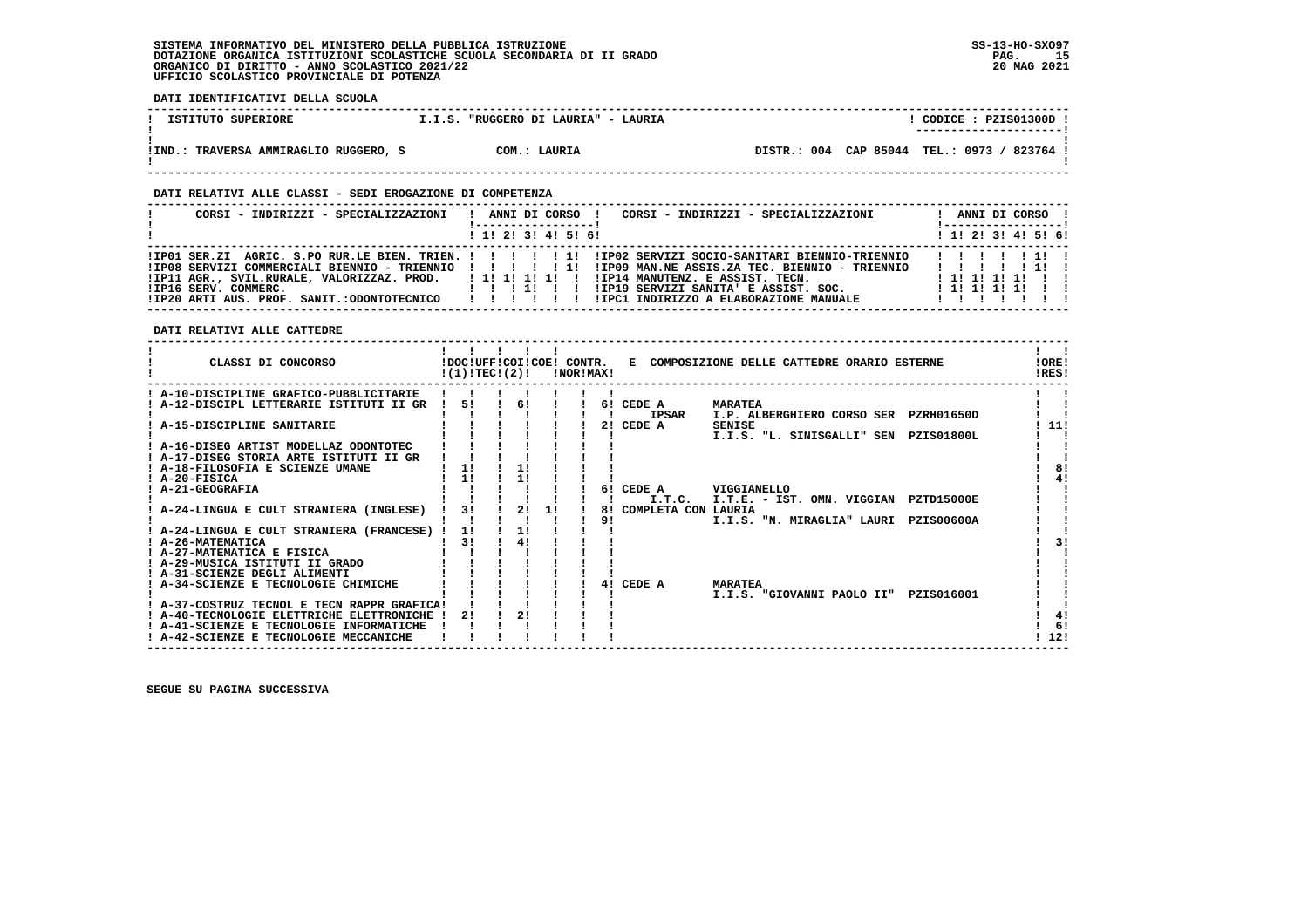**DATI IDENTIFICATIVI DELLA SCUOLA ------------------------------------------------------------------------------------------------------------------------------------**L CODICE : PZIS01300D L **1 ISTITUTO SUPERIORE 1.1.S. "RUGGERO DI LAURIA" - LAURIA ! ---------------------! ! ! !IND.: TRAVERSA AMMIRAGLIO RUGGERO, S COM.: LAURIA DISTR.: 004 CAP 85044 TEL.: 0973 / 823764 !**DISTR.: 004 CAP 85044 TEL.: 0973 / 823764 ! - 1  **! ! ------------------------------------------------------------------------------------------------------------------------------------ DATI RELATIVI ALLE CLASSI - SEDI EROGAZIONE DI COMPETENZA ------------------------------------------------------------------------------------------------------------------------------------ ! CORSI - INDIRIZZI - SPECIALIZZAZIONI ! ANNI DI CORSO ! CORSI - INDIRIZZI - SPECIALIZZAZIONI ! ANNI DI CORSO !**\_\_\_\_\_\_\_\_\_\_\_\_\_\_\_\_\_\_\_\_\_\_  **! !-----------------! !-----------------!**1 1 2 3 3 4 5 6  **! ! 1! 2! 3! 4! 5! 6! ! 1! 2! 3! 4! 5! 6! ------------------------------------------------------------------------------------------------------------------------------------ !IP01 SER.ZI AGRIC. S.PO RUR.LE BIEN. TRIEN. ! ! ! ! ! 1! !IP02 SERVIZI SOCIO-SANITARI BIENNIO-TRIENNIO ! ! ! ! ! 1! ! !IP08 SERVIZI COMMERCIALI BIENNIO - TRIENNIO ! ! ! ! ! 1! !IP09 MAN.NE ASSIS.ZA TEC. BIENNIO - TRIENNIO ! ! ! ! ! 1! ! !IP11 AGR., SVIL.RURALE, VALORIZZAZ. PROD. ! 1! 1! 1! 1! ! !IP14 MANUTENZ. E ASSIST. TECN. ! 1! 1! 1! 1! ! ! !IP16 SERV. COMMERC. ! ! ! 1! ! ! !IP19 SERVIZI SANITA' E ASSIST. SOC. ! 1! 1! 1! 1! ! ! !IP20 ARTI AUS. PROF. SANIT.:ODONTOTECNICO ! ! ! ! ! ! !IPC1 INDIRIZZO A ELABORAZIONE MANUALE ! ! ! ! ! ! ! ------------------------------------------------------------------------------------------------------------------------------------ DATI RELATIVI ALLE CATTEDRE ------------------------------------------------------------------------------------------------------------------------------------Contract Contract Contract ! ! ! ! ! ! ! ! ! CLASSI DI CONCORSO !DOC!UFF!COI!COE! CONTR. E COMPOSIZIONE DELLE CATTEDRE ORARIO ESTERNE !ORE! ! !(1)!TEC!(2)! !NOR!MAX! !RES!** $100F1$  $IPICI$   **------------------------------------------------------------------------------------------------------------------------------------ ! A-10-DISCIPLINE GRAFICO-PUBBLICITARIE ! ! ! ! ! ! ! ! ! ! A-12-DISCIPL LETTERARIE ISTITUTI II GR ! 5! ! 6! ! ! 6! CEDE A MARATEA ! !**- 1 **Contract Contract Street ! ! ! ! ! ! ! ! IPSAR I.P. ALBERGHIERO CORSO SER PZRH01650D ! ! ! A-15-DISCIPLINE SANITARIE ! ! ! ! ! ! 2! CEDE A SENISE ! 11! ! ! ! ! ! ! ! ! I.I.S. "L. SINISGALLI" SEN PZIS01800L ! !111**  $\sim$  1  $\sim$  1  $\mathbf{I}$   $\mathbf{I}$  **! A-16-DISEG ARTIST MODELLAZ ODONTOTEC ! ! ! ! ! ! ! ! !** $\overline{\phantom{a}}$  **! A-17-DISEG STORIA ARTE ISTITUTI II GR ! ! ! ! ! ! ! ! ! ! A-18-FILOSOFIA E SCIENZE UMANE ! 1! ! 1! ! ! ! ! 8! ! A-20-FISICA ! 1! ! 1! ! ! ! ! 4!** $\overline{1}$  81  $\frac{1}{1}$  41  $\mathbf{I}$   $\mathbf{I}$  **! A-21-GEOGRAFIA ! ! ! ! ! ! 6! CEDE A VIGGIANELLO ! ! ! ! ! ! ! ! ! ! I.T.C. I.T.E. - IST. OMN. VIGGIAN PZTD15000E ! ! ! A-24-LINGUA E CULT STRANIERA (INGLESE) ! 3! ! 2! 1! ! 8! COMPLETA CON LAURIA ! !** $\blacksquare$ - 1  $\blacksquare$  **! ! ! ! ! ! ! 9! I.I.S. "N. MIRAGLIA" LAURI PZIS00600A ! !** $\blacksquare$  **! A-24-LINGUA E CULT STRANIERA (FRANCESE) ! 1! ! 1! ! ! ! ! ! ! A-26-MATEMATICA ! 3! ! 4! ! ! ! ! 3!** $1 - 31$  $\blacksquare$  **! A-27-MATEMATICA E FISICA ! ! ! ! ! ! ! ! ! ! A-29-MUSICA ISTITUTI II GRADO ! ! ! ! ! ! ! ! ! ! A-31-SCIENZE DEGLI ALIMENTI ! ! ! ! ! ! ! ! ! ! A-34-SCIENZE E TECNOLOGIE CHIMICHE ! ! ! ! ! ! 4! CEDE A MARATEA ! ! ! ! ! ! ! ! ! ! I.I.S. "GIOVANNI PAOLO II" PZIS016001 ! ! ! A-37-COSTRUZ TECNOL E TECN RAPPR GRAFICA! ! ! ! ! ! ! ! !**- 1  $\blacksquare$  $\mathbf{I}$  $\overline{\phantom{a}}$  $1 \quad 41$  **! A-40-TECNOLOGIE ELETTRICHE ELETTRONICHE ! 2! ! 2! ! ! ! ! 4!** $1 \quad 61$ **EXECUENZE E TECNOLOGIE INFORMATICHE ! ! ! ! ! ! ! ! ! !**  $1 \; 121$  **! A-42-SCIENZE E TECNOLOGIE MECCANICHE ! ! ! ! ! ! ! ! 12!**

 **------------------------------------------------------------------------------------------------------------------------------------**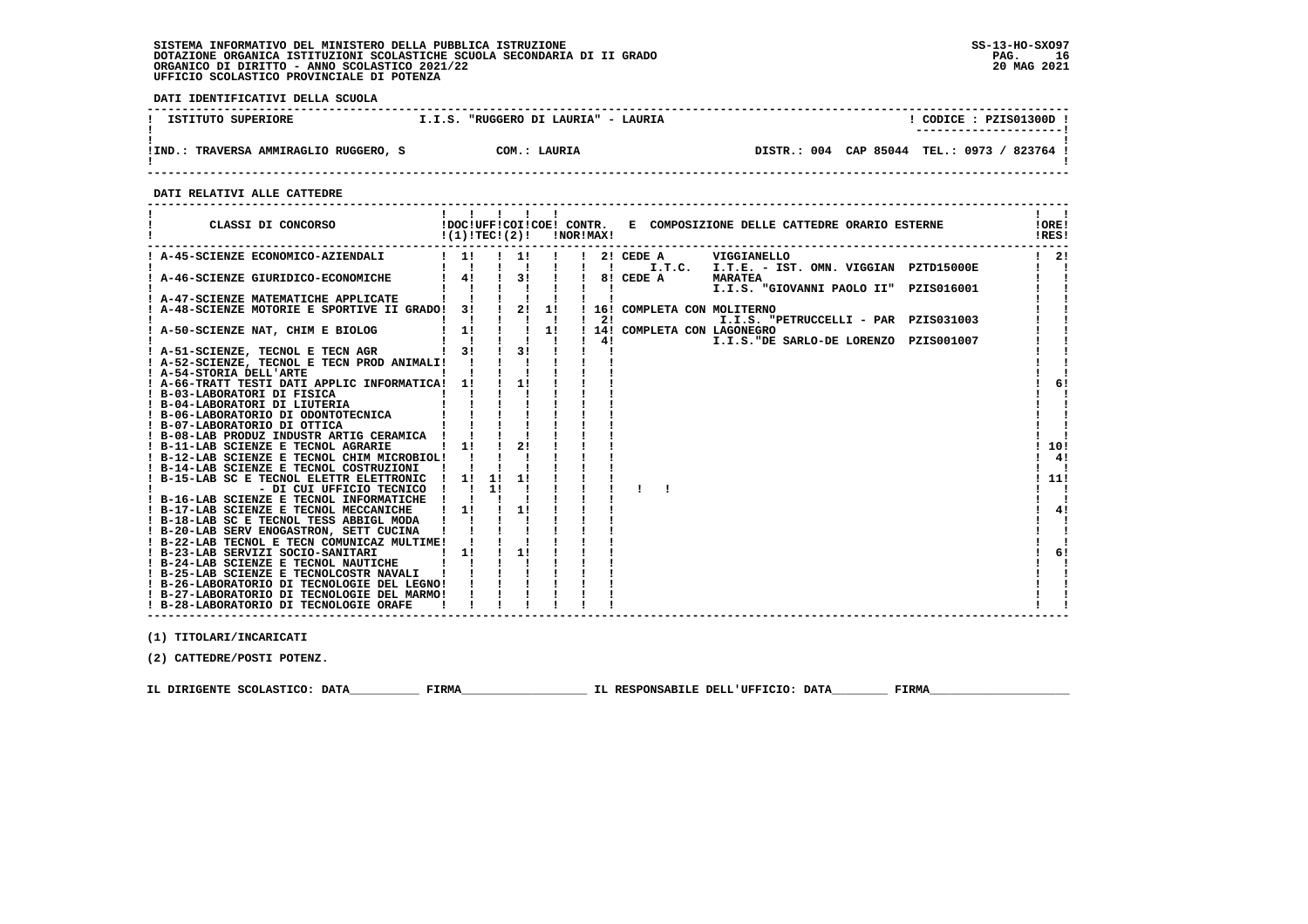**DATI IDENTIFICATIVI DELLA SCUOLA**

| ISTITUTO SUPERIORE                      | "RUGGERO DI LAURIA" - LAURIA<br>T.I.S. | CODICE: PZIS01300D<br>----------------------       |
|-----------------------------------------|----------------------------------------|----------------------------------------------------|
| TRAVERSA AMMIRAGLIO RUGGERO, S<br>!IND. | COM.: LAURIA                           | CAP 85044<br>DISTR.: 004<br>TEL.: 0973 /<br>823764 |

 **------------------------------------------------------------------------------------------------------------------------------------**

 **DATI RELATIVI ALLE CATTEDRE**

| CLASSI DI CONCORSO           IDOCIUFFICOIICOE! CONTR. E COMPOSIZIONE DELLE CATTEDRE ORARIO ESTERNE<br>$!(1)!TEC!(2)!$ $ NORIMAX!$ |                                                    |                           |                                       |  |                           |                                                                 |                                                                            | <b>IORE!</b><br>!RES! |
|-----------------------------------------------------------------------------------------------------------------------------------|----------------------------------------------------|---------------------------|---------------------------------------|--|---------------------------|-----------------------------------------------------------------|----------------------------------------------------------------------------|-----------------------|
| ! A-45-SCIENZE ECONOMICO-AZIENDALI   1! !! !! !! 2! CEDE A UIGGIANELLO                                                            |                                                    |                           |                                       |  |                           |                                                                 |                                                                            | $1 \quad 21$          |
| A-46-SCIENZE GIURIDICO-ECONOMICHE   41   31                                                                                       |                                                    |                           |                                       |  |                           | $181$ CEDE A                                                    | ! ! ! ! ! ! I.T.C. I.T.E. - IST. OMN. VIGGIAN PZTD15000E<br><b>MARATEA</b> |                       |
|                                                                                                                                   |                                                    |                           |                                       |  | $\mathbf{I}$ $\mathbf{I}$ | $\mathbf{I}$ and $\mathbf{I}$ and $\mathbf{I}$ and $\mathbf{I}$ | I.I.S. "GIOVANNI PAOLO II" PZIS016001                                      |                       |
|                                                                                                                                   |                                                    |                           |                                       |  |                           | ! 16! COMPLETA CON MOLITERNO                                    |                                                                            |                       |
|                                                                                                                                   |                                                    |                           |                                       |  |                           |                                                                 | I.I.S. "PETRUCCELLI - PAR PZIS031003                                       |                       |
| ! A-51-SCIENZE, TECNOL E TECN AGR                                                                                                 |                                                    |                           | $1 \quad 3! \quad 1 \quad 3! \quad 1$ |  | $\mathbf{I}$ $\mathbf{I}$ | $1 - 1 - 1 - 1 - 1 - 1 - 41$                                    | I.I.S. "DE SARLO-DE LORENZO PZIS001007                                     |                       |
| ! A-52-SCIENZE, TECNOL E TECN PROD ANIMALI! ! ! !                                                                                 |                                                    |                           |                                       |  |                           |                                                                 |                                                                            |                       |
| ! A-54-STORIA DELL'ARTE<br>! A-66-TRATT TESTI DATI APPLIC INFORMATICA! 1!                                                         |                                                    |                           | $\frac{1}{1}$                         |  |                           |                                                                 |                                                                            | 6!                    |
| ! B-03-LABORATORI DI FISICA                                                                                                       |                                                    |                           |                                       |  |                           |                                                                 |                                                                            |                       |
|                                                                                                                                   |                                                    |                           |                                       |  |                           |                                                                 |                                                                            |                       |
|                                                                                                                                   |                                                    |                           |                                       |  |                           |                                                                 |                                                                            |                       |
| ! B-08-LAB PRODUZ INDUSTR ARTIG CERAMICA !                                                                                        |                                                    | $\mathbf{1}$ $\mathbf{1}$ |                                       |  |                           |                                                                 |                                                                            |                       |
| ! B-11-LAB SCIENZE E TECNOL AGRARIE   1!<br>! B-12-LAB SCIENZE E TECNOL CHIM MICROBIOL! !                                         |                                                    |                           | $\frac{1}{2}$                         |  |                           |                                                                 |                                                                            | 10!<br>41             |
| ! B-14-LAB SCIENZE E TECNOL COSTRUZIONI ! !                                                                                       |                                                    |                           |                                       |  |                           |                                                                 |                                                                            |                       |
| ! B-15-LAB SC E TECNOL ELETTR ELETTRONIC<br>- DI CUI UFFICIO TECNICO                                                              | $1 \quad 11 \quad 11$<br>$\mathbf{1}$ $\mathbf{1}$ | 11                        |                                       |  |                           |                                                                 |                                                                            | ! 11!                 |
| ! B-16-LAB SCIENZE E TECNOL INFORMATICHE ! !                                                                                      |                                                    |                           |                                       |  |                           |                                                                 |                                                                            |                       |
| ! B-17-LAB SCIENZE E TECNOL MECCANICHE ! 1!                                                                                       |                                                    |                           | $\frac{1}{2}$                         |  |                           |                                                                 |                                                                            | 4!                    |
| ! B-18-LAB SC E TECNOL TESS ABBIGL MODA !<br>! B-20-LAB SERV ENOGASTRON, SETT CUCINA                                              |                                                    |                           |                                       |  |                           |                                                                 |                                                                            |                       |
| ! B-22-LAB TECNOL E TECN COMUNICAZ MULTIME!                                                                                       |                                                    |                           |                                       |  |                           |                                                                 |                                                                            |                       |
| ! B-23-LAB SERVIZI SOCIO-SANITARI<br>! B-24-LAB SCIENZE E TECNOL NAUTICHE   !                                                     | $\frac{1}{1}$                                      |                           | $\frac{1}{1}$ 11                      |  |                           |                                                                 |                                                                            | 61                    |
| ! B-25-LAB SCIENZE E TECNOLCOSTR NAVALI !                                                                                         |                                                    | $1 - 1$                   |                                       |  |                           |                                                                 |                                                                            |                       |
| ! B-26-LABORATORIO DI TECNOLOGIE DEL LEGNO!                                                                                       |                                                    |                           |                                       |  |                           |                                                                 |                                                                            |                       |
| ! B-27-LABORATORIO DI TECNOLOGIE DEL MARMO!<br>! B-28-LABORATORIO DI TECNOLOGIE ORAFE                                             |                                                    |                           |                                       |  |                           |                                                                 |                                                                            |                       |
|                                                                                                                                   |                                                    |                           |                                       |  |                           |                                                                 |                                                                            |                       |

 **(1) TITOLARI/INCARICATI**

 **(2) CATTEDRE/POSTI POTENZ.**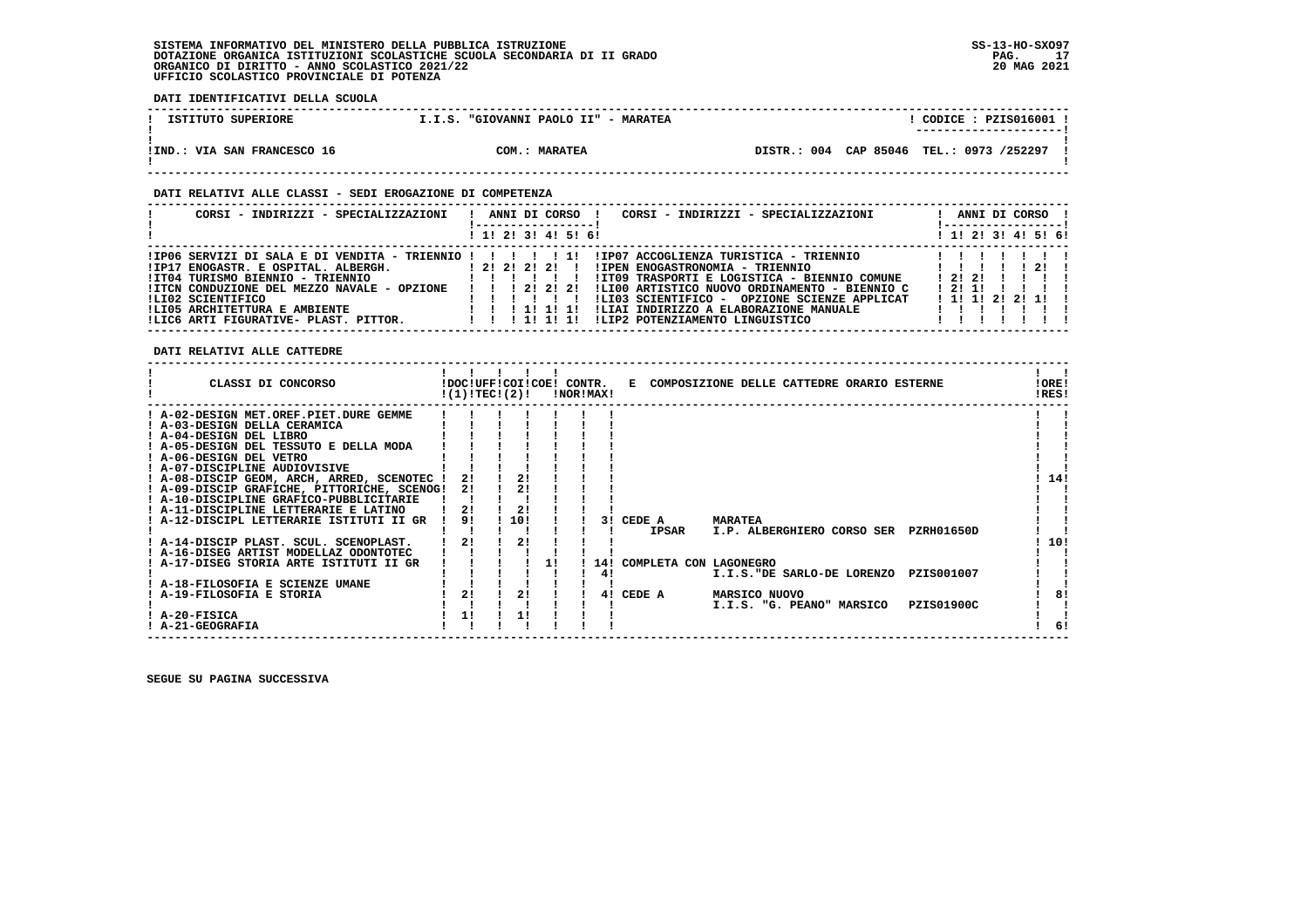**------------------------------------------------------------------------------------------------------------------------------------**! CODICE : PZIS016001 !  **! ISTITUTO SUPERIORE 1.1.S. "GIOVANNI PAOLO II" - MARATEA ! ---------------------!**:<br>!IND.: VIA SAN FRANCESCO 16 **1989** COM.: MARATEA  **!IND.: VIA SAN FRANCESCO 16 COM.: MARATEA DISTR.: 004 CAP 85046 TEL.: 0973 /252297 !** $\mathbf{I}$  **! !**

 **------------------------------------------------------------------------------------------------------------------------------------**

#### **DATI RELATIVI ALLE CLASSI - SEDI EROGAZIONE DI COMPETENZA**

| CORSI - INDIRIZZI - SPECIALIZZAZIONI                                                                                                                                                                                                                                                  | CORSI - INDIRIZZI - SPECIALIZZAZIONI<br>ANNI DI CORSO !<br>! 1! 2! 3! 4! 5! 6!                                                                                                                                                                                                                                                                                                                        | ANNI DI CORSO !<br>-----------------<br>! 1! 2! 3! 4! 5! 6! |
|---------------------------------------------------------------------------------------------------------------------------------------------------------------------------------------------------------------------------------------------------------------------------------------|-------------------------------------------------------------------------------------------------------------------------------------------------------------------------------------------------------------------------------------------------------------------------------------------------------------------------------------------------------------------------------------------------------|-------------------------------------------------------------|
| $IIP06$ SERVIZI DI SALA E DI VENDITA - TRIENNIO ! ! ! ! ! 1!<br>!IP17 ENOGASTR. E OSPITAL. ALBERGH.<br>!IT04 TURISMO BIENNIO - TRIENNIO<br>!ITCN CONDUZIONE DEL MEZZO NAVALE - OPZIONE<br>ILI02 SCIENTIFICO<br>!LI05 ARCHITETTURA E AMBIENTE<br>!LIC6 ARTI FIGURATIVE- PLAST. PITTOR. | !IP07 ACCOGLIENZA TURISTICA - TRIENNIO<br>1 2 1 2 1 2 1 1<br>!IPEN ENOGASTRONOMIA - TRIENNIO<br>!IT09 TRASPORTI E LOGISTICA - BIENNIO COMUNE<br>$\blacksquare$<br>1 2 1 2 1 2 1<br>!LI00 ARTISTICO NUOVO ORDINAMENTO - BIENNIO C<br>!LI03 SCIENTIFICO - OPZIONE SCIENZE APPLICAT<br>!LIAI INDIRIZZO A ELABORAZIONE MANUALE<br>1 1 1 1 1 1 1 1<br>ILIP2 POTENZIAMENTO LINGUISTICO<br>1 1 1 1 1 1 1 1 1 | -21<br>12121<br>1211<br>$1$ 1! 1! 2! 2! 1!!<br>.            |

### **DATI RELATIVI ALLE CATTEDRE**

 **DATI IDENTIFICATIVI DELLA SCUOLA**

| CLASSI DI CONCORSO                          | !DOC!UFF!COI!COE! CONTR.<br>!(1)!TECI(2)! |     |    | !NOR!MAX! |     |                        |                      | E COMPOSIZIONE DELLE CATTEDRE ORARIO ESTERNE |            | !ORE!<br>!RES! |  |
|---------------------------------------------|-------------------------------------------|-----|----|-----------|-----|------------------------|----------------------|----------------------------------------------|------------|----------------|--|
| ! A-02-DESIGN MET.OREF.PIET.DURE GEMME      |                                           |     |    |           |     |                        |                      |                                              |            |                |  |
| ! A-03-DESIGN DELLA CERAMICA                |                                           |     |    |           |     |                        |                      |                                              |            |                |  |
| ! A-04-DESIGN DEL LIBRO                     |                                           |     |    |           |     |                        |                      |                                              |            |                |  |
| ! A-05-DESIGN DEL TESSUTO E DELLA MODA      |                                           |     |    |           |     |                        |                      |                                              |            |                |  |
| ! A-06-DESIGN DEL VETRO                     |                                           |     |    |           |     |                        |                      |                                              |            |                |  |
| ! A-07-DISCIPLINE AUDIOVISIVE               |                                           |     |    |           |     |                        |                      |                                              |            |                |  |
| ! A-08-DISCIP GEOM, ARCH, ARRED, SCENOTEC ! | 21                                        |     |    |           |     |                        |                      |                                              |            | 14!            |  |
| ! A-09-DISCIP GRAFICHE, PITTORICHE, SCENOG! | 2!                                        | 2!  |    |           |     |                        |                      |                                              |            |                |  |
| ! A-10-DISCIPLINE GRAFICO-PUBBLICITARIE     |                                           |     |    |           |     |                        |                      |                                              |            |                |  |
| ! A-11-DISCIPLINE LETTERARIE E LATINO       | 21                                        | 21  |    |           |     |                        |                      |                                              |            |                |  |
| ! A-12-DISCIPL LETTERARIE ISTITUTI II GR    | 91                                        | 10! |    |           | 31  | CEDE A                 | <b>MARATEA</b>       |                                              |            |                |  |
|                                             |                                           |     |    |           |     | IPSAR                  |                      | I.P. ALBERGHIERO CORSO SER                   | PZRH01650D |                |  |
| ! A-14-DISCIP PLAST. SCUL. SCENOPLAST.      | 2!                                        | 21  |    |           |     |                        |                      |                                              |            | 10!            |  |
| ! A-16-DISEG ARTIST MODELLAZ ODONTOTEC      |                                           |     |    |           |     |                        |                      |                                              |            |                |  |
| A-17-DISEG STORIA ARTE ISTITUTI II GR       |                                           |     | 11 |           | 14! | COMPLETA CON LAGONEGRO |                      |                                              |            |                |  |
|                                             |                                           |     |    |           | 4!  |                        |                      | I.I.S."DE SARLO-DE LORENZO                   | PZIS001007 |                |  |
| ! A-18-FILOSOFIA E SCIENZE UMANE            |                                           |     |    |           |     |                        |                      |                                              |            |                |  |
| ! A-19-FILOSOFIA E STORIA                   | 2!                                        | 2!  |    |           | 41  | CEDE A                 | <b>MARSICO NUOVO</b> |                                              |            | 81             |  |
|                                             |                                           |     |    |           |     |                        |                      | I.I.S. "G. PEANO" MARSICO                    | PZIS01900C |                |  |
| ! A-20-FISICA                               | 11                                        |     |    |           |     |                        |                      |                                              |            |                |  |
| ! A-21-GEOGRAFIA                            |                                           |     |    |           |     |                        |                      |                                              |            | 6!             |  |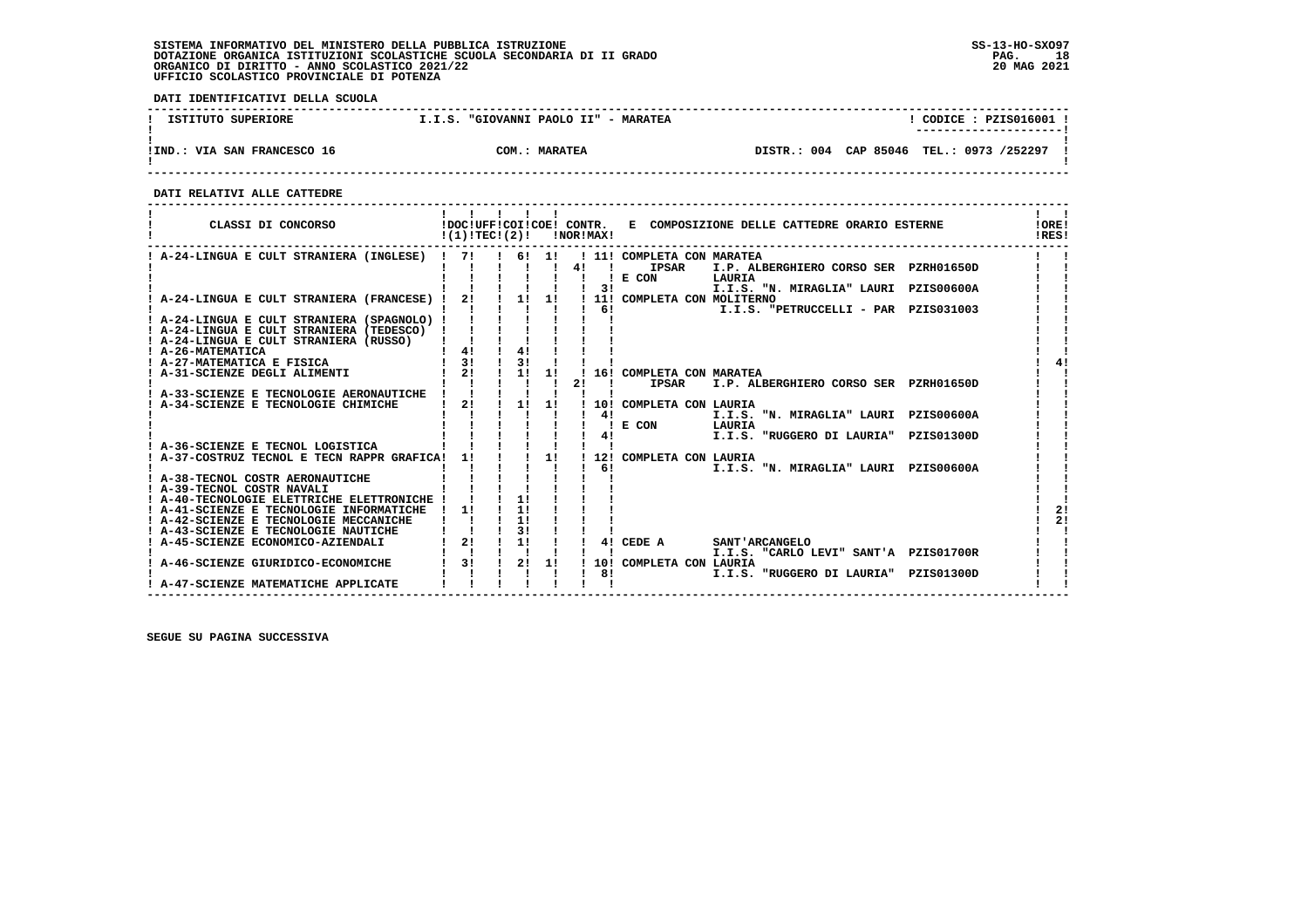**DATI IDENTIFICATIVI DELLA SCUOLA**

| ISTITUTO SUPERIORE          | "GIOVANNI PAOLO II" - MARATEA<br>I.I.S. | CODICE: PZIS016001                       |
|-----------------------------|-----------------------------------------|------------------------------------------|
|                             |                                         |                                          |
|                             |                                         |                                          |
| !IND.: VIA SAN FRANCESCO 16 | <b>MARATEA</b><br>$\sim$ $\sim$         | DISTR.: 004 CAP 85046 TEL.: 0973 /252297 |
|                             |                                         |                                          |

 **------------------------------------------------------------------------------------------------------------------------------------**

 **DATI RELATIVI ALLE CATTEDRE**

| CLASSI DI CONCORSO                                                                 | !DOC!UFF!COI!COE! CONTR.<br>!(1)!TECI(2)! |          |       | !NOR!MAX! |              | E COMPOSIZIONE DELLE CATTEDRE ORARIO ESTERNE                                                           | !ORE!<br>IRES! |
|------------------------------------------------------------------------------------|-------------------------------------------|----------|-------|-----------|--------------|--------------------------------------------------------------------------------------------------------|----------------|
| ! A-24-LINGUA E CULT STRANIERA (INGLESE) !                                         | 71                                        |          | 6! 1! | 41        | $\mathbf{I}$ | ! 11! COMPLETA CON MARATEA<br><b>IPSAR</b><br>I.P. ALBERGHIERO CORSO SER PZRH01650D<br>E CON<br>LAURIA |                |
| A-24-LINGUA E CULT STRANIERA (FRANCESE)                                            | 21                                        | 1!       | 11    |           | 3!           | I.I.S. "N. MIRAGLIA" LAURI PZIS00600A<br>! 11! COMPLETA CON MOLITERNO                                  |                |
|                                                                                    |                                           |          |       |           | 6 !          | I.I.S. "PETRUCCELLI - PAR PZIS031003                                                                   |                |
| ! A-24-LINGUA E CULT STRANIERA (SPAGNOLO) !                                        |                                           |          |       |           |              |                                                                                                        |                |
| ! A-24-LINGUA E CULT STRANIERA (TEDESCO)<br>! A-24-LINGUA E CULT STRANIERA (RUSSO) |                                           |          |       |           |              |                                                                                                        |                |
| ! A-26-MATEMATICA                                                                  | 4!                                        | 41       |       |           |              |                                                                                                        |                |
| ! A-27-MATEMATICA E FISICA                                                         | 31                                        | 31       |       |           |              |                                                                                                        |                |
| A-31-SCIENZE DEGLI ALIMENTI                                                        | 21                                        | 1!       | 11    |           |              | 16! COMPLETA CON MARATEA                                                                               |                |
| A-33-SCIENZE E TECNOLOGIE AERONAUTICHE                                             |                                           |          |       | 2!        |              | <b>IPSAR</b><br>I.P. ALBERGHIERO CORSO SER PZRH01650D                                                  |                |
| A-34-SCIENZE E TECNOLOGIE CHIMICHE                                                 | 21                                        | 1!       | 1!    |           |              | 10! COMPLETA CON LAURIA                                                                                |                |
|                                                                                    |                                           |          |       |           | 41           | I.I.S. "N. MIRAGLIA" LAURI<br><b>PZIS00600A</b>                                                        |                |
|                                                                                    |                                           |          |       |           |              | E CON<br>LAURIA                                                                                        |                |
|                                                                                    |                                           |          |       |           | 4!           | I.I.S. "RUGGERO DI LAURIA"<br>PZIS01300D                                                               |                |
| A-36-SCIENZE E TECNOL LOGISTICA                                                    | 11                                        |          | 1!    |           | 12!          |                                                                                                        |                |
| A-37-COSTRUZ TECNOL E TECN RAPPR GRAFICA!                                          |                                           |          |       |           | 61           | COMPLETA CON LAURIA<br>I.I.S. "N. MIRAGLIA" LAURI<br><b>PZIS00600A</b>                                 |                |
| ! A-38-TECNOL COSTR AERONAUTICHE                                                   |                                           |          |       |           |              |                                                                                                        |                |
| ! A-39-TECNOL COSTR NAVALI                                                         |                                           |          |       |           |              |                                                                                                        |                |
| ! A-40-TECNOLOGIE ELETTRICHE ELETTRONICHE                                          |                                           | 11       |       |           |              |                                                                                                        |                |
| ! A-41-SCIENZE E TECNOLOGIE INFORMATICHE                                           | 11                                        | 11       |       |           |              |                                                                                                        | 21             |
| ! A-42-SCIENZE E TECNOLOGIE MECCANICHE<br>! A-43-SCIENZE E TECNOLOGIE NAUTICHE     |                                           | 11<br>31 |       |           |              |                                                                                                        | 21             |
| ! A-45-SCIENZE ECONOMICO-AZIENDALI                                                 | 21                                        | 1!       |       |           | 41           | CEDE A<br>SANT 'ARCANGELO                                                                              |                |
|                                                                                    |                                           |          |       |           |              | I.I.S. "CARLO LEVI" SANT'A PZIS01700R                                                                  |                |
| A-46-SCIENZE GIURIDICO-ECONOMICHE                                                  | 3!                                        | 2!       | 1!    |           |              | 10! COMPLETA CON LAURIA                                                                                |                |
|                                                                                    |                                           |          |       |           | 81           | I.I.S. "RUGGERO DI LAURIA"<br>PZIS01300D                                                               |                |
| ! A-47-SCIENZE MATEMATICHE APPLICATE                                               |                                           |          |       |           |              |                                                                                                        |                |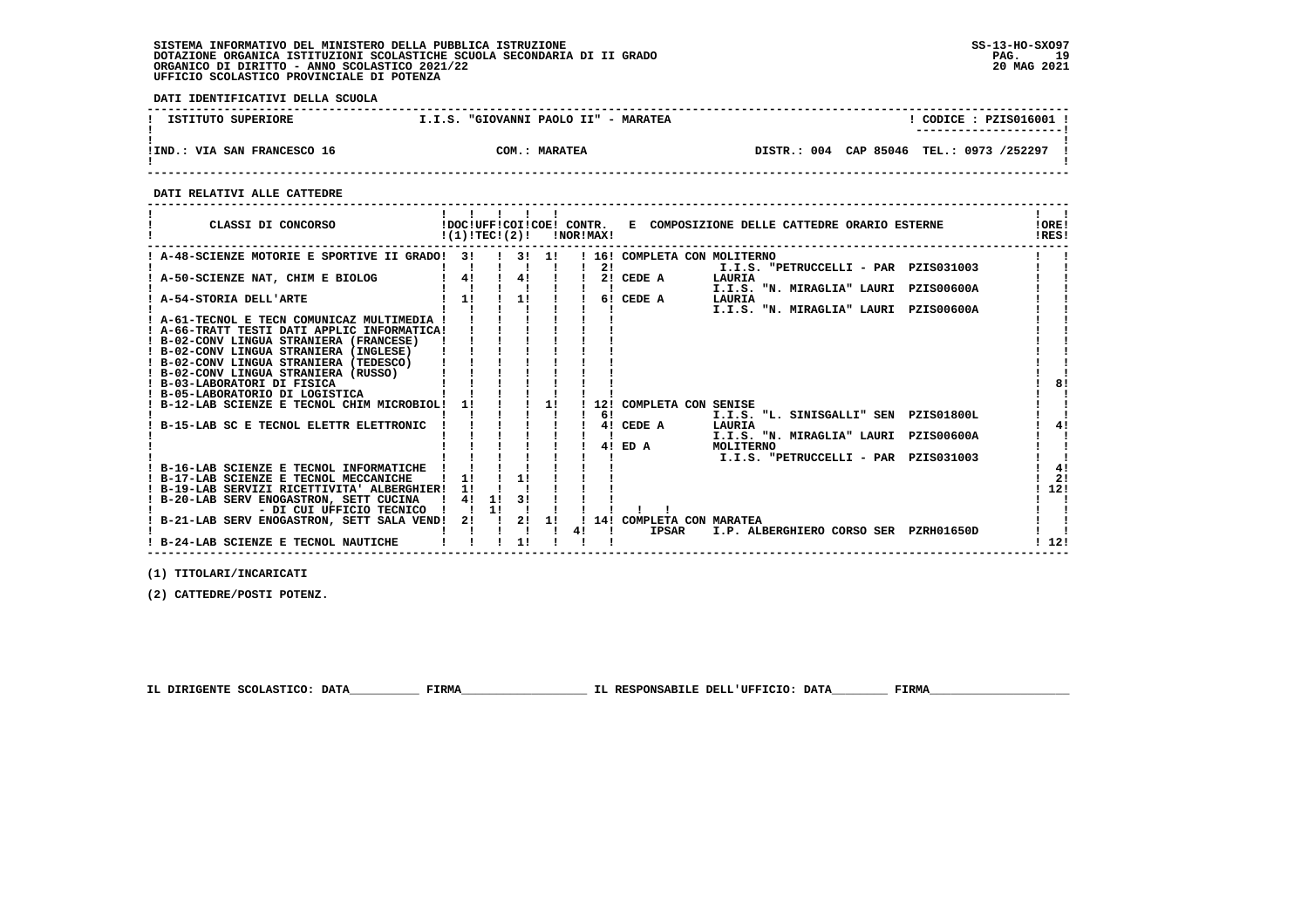**DATI IDENTIFICATIVI DELLA SCUOLA**

| ISTITUTO SUPERIORE          | "GIOVANNI PAOLO II" - MARATEA<br>I.I.S. | CODICE: PZIS016001                       |
|-----------------------------|-----------------------------------------|------------------------------------------|
|                             |                                         |                                          |
|                             |                                         |                                          |
| !IND.: VIA SAN FRANCESCO 16 | <b>MARATEA</b><br>$\sim$ $\sim$         | DISTR.: 004 CAP 85046 TEL.: 0973 /252297 |
|                             |                                         |                                          |

 **------------------------------------------------------------------------------------------------------------------------------------**

 **DATI RELATIVI ALLE CATTEDRE**

| CLASSI DI CONCORSO                             | $!(1)!TEC!(2)!$ $INORIMAX!$ |    |            |    |    |            |                              | !DOC!UFF!COI!COE! CONTR. E COMPOSIZIONE DELLE CATTEDRE ORARIO ESTERNE |                   | !ORE!<br>!RES! |
|------------------------------------------------|-----------------------------|----|------------|----|----|------------|------------------------------|-----------------------------------------------------------------------|-------------------|----------------|
| ! A-48-SCIENZE MOTORIE E SPORTIVE II GRADO! 3! |                             |    | . . 31. 11 |    |    |            | ! 16! COMPLETA CON MOLITERNO |                                                                       |                   |                |
|                                                |                             |    |            |    |    | 2!         |                              | I.I.S. "PETRUCCELLI - PAR PZIS031003                                  |                   |                |
| A-50-SCIENZE NAT, CHIM E BIOLOG                | 4!                          |    | 4!         |    |    |            | 2! CEDE A                    | LAURIA                                                                |                   |                |
|                                                |                             |    |            |    |    |            |                              | I.I.S. "N. MIRAGLIA" LAURI                                            | <b>PZIS00600A</b> |                |
| A-54-STORIA DELL'ARTE                          | 11                          |    | 1!         |    |    |            | 6! CEDE A                    | LAURIA                                                                |                   |                |
|                                                |                             |    |            |    |    |            |                              | I.I.S. "N. MIRAGLIA" LAURI PZIS00600A                                 |                   |                |
| ! A-61-TECNOL E TECN COMUNICAZ MULTIMEDIA !    |                             |    |            |    |    |            |                              |                                                                       |                   |                |
| ! A-66-TRATT TESTI DATI APPLIC INFORMATICA!    |                             |    |            |    |    |            |                              |                                                                       |                   |                |
| ! B-02-CONV LINGUA STRANIERA (FRANCESE)        |                             |    |            |    |    |            |                              |                                                                       |                   |                |
| ! B-02-CONV LINGUA STRANIERA (INGLESE)         |                             |    |            |    |    |            |                              |                                                                       |                   |                |
| ! B-02-CONV LINGUA STRANIERA (TEDESCO)         |                             |    |            |    |    |            |                              |                                                                       |                   |                |
| ! B-02-CONV LINGUA STRANIERA (RUSSO)           |                             |    |            |    |    |            |                              |                                                                       |                   |                |
| ! B-03-LABORATORI DI FISICA                    |                             |    |            |    |    |            |                              |                                                                       |                   | 81             |
| ! B-05-LABORATORIO DI LOGISTICA                |                             |    |            |    |    |            |                              |                                                                       |                   |                |
| ! B-12-LAB SCIENZE E TECNOL CHIM MICROBIOL!    |                             |    |            | 1! |    |            | 12! COMPLETA CON SENISE      |                                                                       |                   |                |
|                                                |                             |    |            |    |    | 6!         |                              | I.I.S. "L. SINISGALLI" SEN PZIS01800L                                 |                   |                |
| B-15-LAB SC E TECNOL ELETTR ELETTRONIC         |                             |    |            |    |    |            | 4! CEDE A                    | LAURIA                                                                |                   | 41             |
|                                                |                             |    |            |    |    |            |                              | I.I.S. "N. MIRAGLIA" LAURI                                            | <b>PZIS00600A</b> |                |
|                                                |                             |    |            |    |    | 41         | ED A                         | MOLITERNO                                                             |                   |                |
|                                                |                             |    |            |    |    |            |                              | I.I.S. "PETRUCCELLI - PAR PZIS031003                                  |                   |                |
| ! B-16-LAB SCIENZE E TECNOL INFORMATICHE       |                             |    |            |    |    |            |                              |                                                                       |                   | 41             |
| ! B-17-LAB SCIENZE E TECNOL MECCANICHE         |                             |    | 11         |    |    |            |                              |                                                                       |                   | 21             |
| ! B-19-LAB SERVIZI RICETTIVITA' ALBERGHIER!    |                             |    |            |    |    |            |                              |                                                                       |                   | 12!            |
| ! B-20-LAB SERV ENOGASTRON, SETT CUCINA        | 4!                          | 11 |            |    |    |            |                              |                                                                       |                   |                |
| - DI CUI UFFICIO TECNICO                       |                             | 1! |            |    |    |            |                              |                                                                       |                   |                |
| ! B-21-LAB SERV ENOGASTRON, SETT SALA VEND! 2! |                             |    | 2!         | 11 |    | $1 \; 14!$ | COMPLETA CON MARATEA         |                                                                       |                   |                |
|                                                |                             |    |            |    | 41 |            | IPSAR                        | I.P. ALBERGHIERO CORSO SER PZRH01650D                                 |                   |                |
| ! B-24-LAB SCIENZE E TECNOL NAUTICHE           |                             |    | 11         |    |    |            |                              |                                                                       |                   | 12!            |

 **------------------------------------------------------------------------------------------------------------------------------------**

 **(1) TITOLARI/INCARICATI**

 **(2) CATTEDRE/POSTI POTENZ.**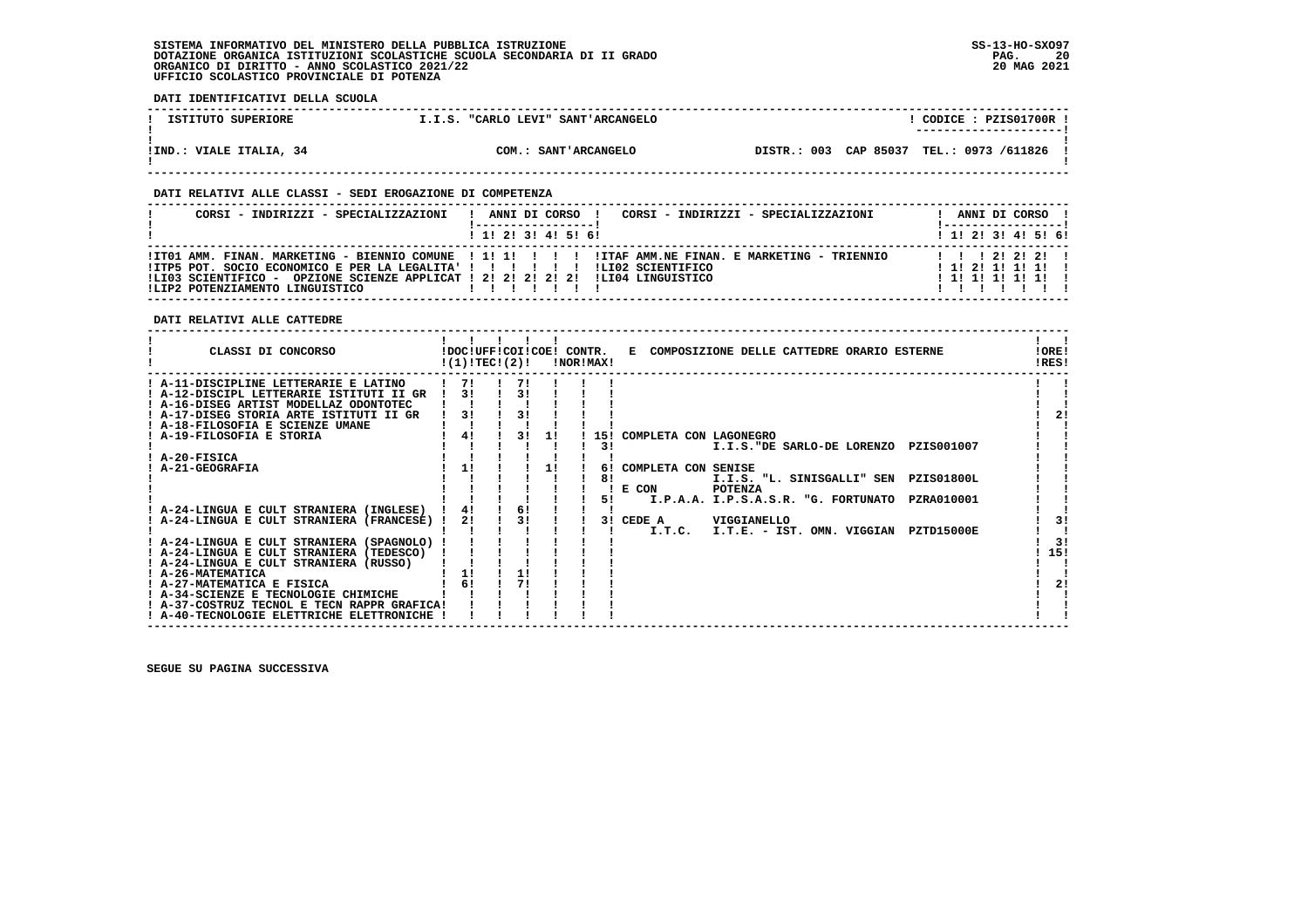**DATI IDENTIFICATIVI DELLA SCUOLA**

| ISTITUTO SUPERIORE      | I.I.S. "CARLO LEVI" SANT'ARCANGELO |                                          | CODICE: PZIS01700R !<br>--------------------- |
|-------------------------|------------------------------------|------------------------------------------|-----------------------------------------------|
| !IND.: VIALE ITALIA, 34 | COM.: SANT'ARCANGELO               | DISTR.: 003 CAP 85037 TEL.: 0973 /611826 |                                               |

 **DATI RELATIVI ALLE CLASSI - SEDI EROGAZIONE DI COMPETENZA**

| CORSI - INDIRIZZI - SPECIALIZZAZIONI                                                                                                                                              | CORSI - INDIRIZZI - SPECIALIZZAZIONI<br>ANNI DI CORSO !                                                                   | ANNI DI CORSO !                                           |
|-----------------------------------------------------------------------------------------------------------------------------------------------------------------------------------|---------------------------------------------------------------------------------------------------------------------------|-----------------------------------------------------------|
|                                                                                                                                                                                   | $1$ , 1! 2! 3! 4! 5! 6!                                                                                                   | ! 1! 2! 3! 4! 5! 6!                                       |
| !ITP5 POT. SOCIO ECONOMICO E PER LA LEGALITA' ! ! ! ! ! ! !<br>!LI03 SCIENTIFICO - OPZIONE SCIENZE APPLICAT ! 2! 2! 2! 2! 2! !LI04 LINGUISTICO<br>ILIP2 POTENZIAMENTO LINGUISTICO | ITO1 AMM. FINAN. MARKETING - BIENNIO COMUNE   1! 1! ! ! ! IITAF AMM.NE FINAN. E MARKETING - TRIENNIO<br>ILI02 SCIENTIFICO | 1 1 1 2 1 2 1 2 1<br>! 1! 2! 1! 1! 1!<br>! 1! 1! 1! 1! 1! |

 **DATI RELATIVI ALLE CATTEDRE**

| CLASSI DI CONCORSO                                                                    | !DOC!UFF!COI!COE! CONTR.<br>!(1)!TEC!(2)! |     |    | !NOR!MAX! | E COMPOSIZIONE DELLE CATTEDRE ORARIO ESTERNE      | !ORE!<br>!RES! |
|---------------------------------------------------------------------------------------|-------------------------------------------|-----|----|-----------|---------------------------------------------------|----------------|
| ! A-11-DISCIPLINE LETTERARIE E LATINO                                                 | 171                                       | -71 |    |           |                                                   |                |
| ! A-12-DISCIPL LETTERARIE ISTITUTI II GR                                              | 31                                        | 31  |    |           |                                                   |                |
| ! A-16-DISEG ARTIST MODELLAZ ODONTOTEC                                                |                                           |     |    |           |                                                   |                |
| ! A-17-DISEG STORIA ARTE ISTITUTI II GR                                               | 31                                        | 31  |    |           |                                                   | 21             |
| ! A-18-FILOSOFIA E SCIENZE UMANE                                                      |                                           |     |    |           |                                                   |                |
| <b>A-19-FILOSOFIA E STORIA</b>                                                        | 4!                                        | 31  | 11 | 151       | COMPLETA CON LAGONEGRO                            |                |
|                                                                                       |                                           |     |    | 31        | I.I.S. "DE SARLO-DE LORENZO PZIS001007            |                |
| ! A-20-FISICA                                                                         |                                           |     |    |           |                                                   |                |
| A-21-GEOGRAFIA                                                                        | 11                                        |     | 1! | 61        | COMPLETA CON SENISE                               |                |
|                                                                                       |                                           |     |    | 81        | I.I.S. "L. SINISGALLI" SEN PZIS01800L             |                |
|                                                                                       |                                           |     |    |           | E CON<br><b>POTENZA</b>                           |                |
|                                                                                       | 41                                        | 6!  |    | 51        | I.P.A.A. I.P.S.A.S.R. "G. FORTUNATO<br>PZRA010001 |                |
| ! A-24-LINGUA E CULT STRANIERA (INGLESE)<br>! A-24-LINGUA E CULT STRANIERA (FRANCESE) | 2!                                        | 31  |    | 3 I       | CEDE A<br>VIGGIANELLO                             | 3!             |
|                                                                                       |                                           |     |    |           | I.T.C.<br>I.T.E. - IST. OMN. VIGGIAN PZTD15000E   |                |
| ! A-24-LINGUA E CULT STRANIERA (SPAGNOLO)                                             |                                           |     |    |           |                                                   | 3!             |
| ! A-24-LINGUA E CULT STRANIERA (TEDESCO)                                              |                                           |     |    |           |                                                   | 15!            |
| ! A-24-LINGUA E CULT STRANIERA (RUSSO)                                                |                                           |     |    |           |                                                   |                |
| ! A-26-MATEMATICA                                                                     | 11                                        | 1!  |    |           |                                                   |                |
| ! A-27-MATEMATICA E FISICA                                                            | 6!                                        | 71  |    |           |                                                   | 2!             |
| ! A-34-SCIENZE E TECNOLOGIE CHIMICHE                                                  |                                           |     |    |           |                                                   |                |
| ! A-37-COSTRUZ TECNOL E TECN RAPPR GRAFICA!                                           |                                           |     |    |           |                                                   |                |
| ! A-40-TECNOLOGIE ELETTRICHE ELETTRONICHE                                             |                                           |     |    |           |                                                   |                |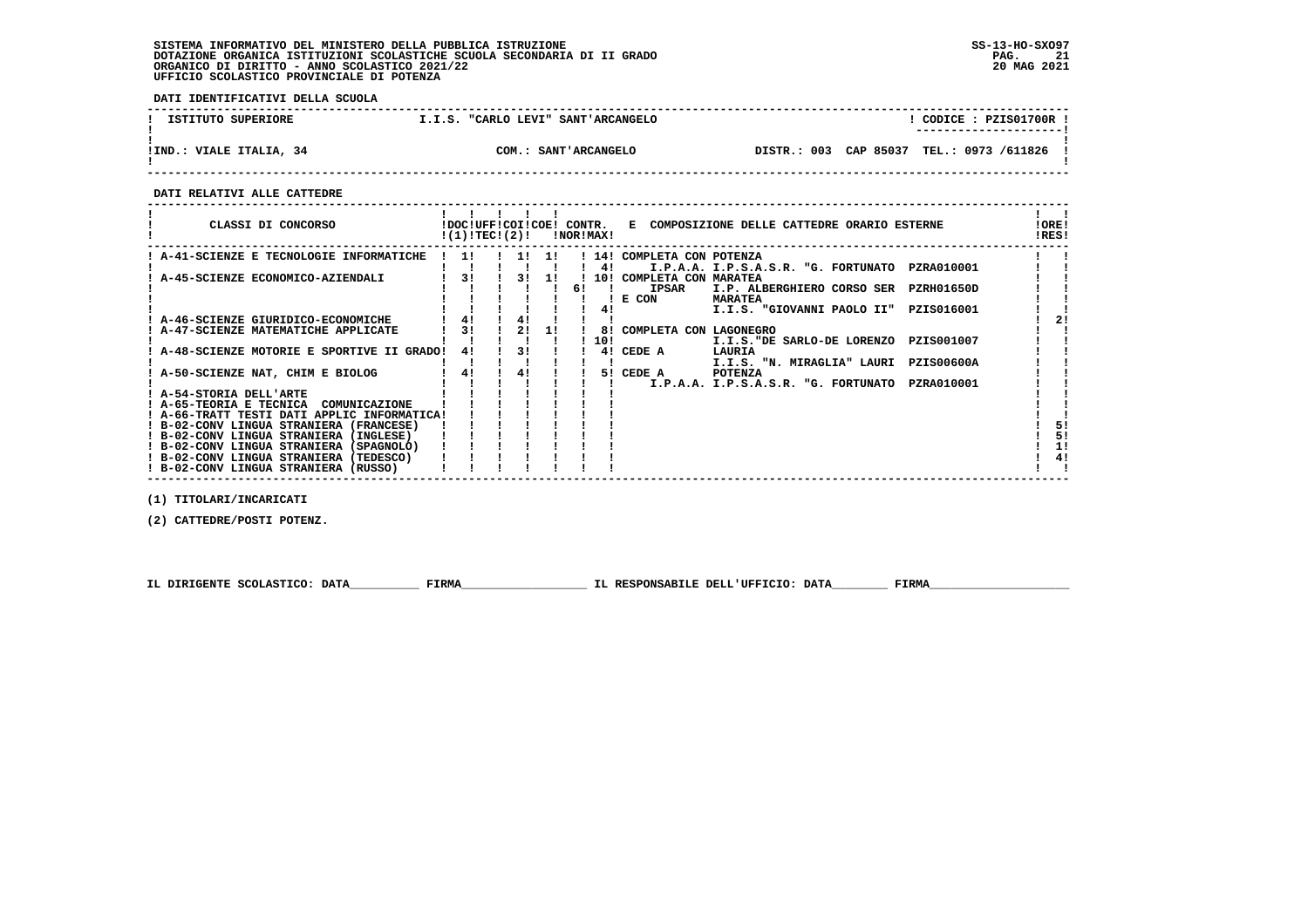**DATI IDENTIFICATIVI DELLA SCUOLA**

| ISTITUTO SUPERIORE      | "CARLO LEVI" SANT'ARCANGELO<br>T.I.S. |                                          | CODICE: PZIS01700R !<br>--------------------- |
|-------------------------|---------------------------------------|------------------------------------------|-----------------------------------------------|
| IIND.: VIALE ITALIA, 34 | COM.: SANT'ARCANGELO                  | DISTR.: 003 CAP 85037 TEL.: 0973 /611826 |                                               |

 **------------------------------------------------------------------------------------------------------------------------------------**

 **DATI RELATIVI ALLE CATTEDRE**

| CLASSI DI CONCORSO                          | !DOC!UFF!COI!COE! CONTR.<br>!(1)!TEC!(2)! |     |     |    | !NOR!MAX! | E COMPOSIZIONE DELLE CATTEDRE ORARIO ESTERNE             | !ORE!<br>!RES! |    |
|---------------------------------------------|-------------------------------------------|-----|-----|----|-----------|----------------------------------------------------------|----------------|----|
| : A-41-SCIENZE E TECNOLOGIE INFORMATICHE    | 11                                        | 11  | -11 |    |           | ! 14! COMPLETA CON POTENZA                               |                |    |
|                                             |                                           |     |     |    | 41        | I.P.A.A. I.P.S.A.S.R. "G. FORTUNATO<br>PZRA010001        |                |    |
| A-45-SCIENZE ECONOMICO-AZIENDALI            | 31                                        | 3 I | 11  |    |           | 10! COMPLETA CON MARATEA                                 |                |    |
|                                             |                                           |     |     | 61 |           | <b>IPSAR</b><br>I.P. ALBERGHIERO CORSO SER<br>PZRH01650D |                |    |
|                                             |                                           |     |     |    |           | ! E CON<br><b>MARATEA</b>                                |                |    |
|                                             |                                           |     |     |    | 41        | I.I.S. "GIOVANNI PAOLO II"<br>PZIS016001                 |                |    |
| A-46-SCIENZE GIURIDICO-ECONOMICHE           |                                           | 41  |     |    |           |                                                          |                |    |
| A-47-SCIENZE MATEMATICHE APPLICATE          | 31                                        | 2!  | 11  |    | 81        | COMPLETA CON LAGONEGRO                                   |                |    |
|                                             |                                           |     |     |    | 10!       | PZIS001007<br>I.I.S. "DE SARLO-DE LORENZO                |                |    |
| A-48-SCIENZE MOTORIE E SPORTIVE II GRADO!   | 41                                        | 31  |     |    | 4 !       | CEDE A<br>LAURIA                                         |                |    |
|                                             |                                           |     |     |    |           | I.I.S. "N. MIRAGLIA" LAURI<br><b>PZIS00600A</b>          |                |    |
| A-50-SCIENZE NAT, CHIM E BIOLOG             | 4!                                        | 41  |     |    |           | 5! CEDE A<br><b>POTENZA</b>                              |                |    |
|                                             |                                           |     |     |    |           | PZRA010001<br>I.P.A.A. I.P.S.A.S.R. "G. FORTUNATO        |                |    |
| ! A-54-STORIA DELL'ARTE                     |                                           |     |     |    |           |                                                          |                |    |
| ! A-65-TEORIA E TECNICA<br>COMUNICAZIONE    |                                           |     |     |    |           |                                                          |                |    |
| ! A-66-TRATT TESTI DATI APPLIC INFORMATICA! |                                           |     |     |    |           |                                                          |                |    |
| ! B-02-CONV LINGUA STRANIERA (FRANCESE)     |                                           |     |     |    |           |                                                          |                |    |
| ! B-02-CONV LINGUA STRANIERA (INGLESE)      |                                           |     |     |    |           |                                                          |                | 5! |
| ! B-02-CONV LINGUA STRANIERA (SPAGNOLO)     |                                           |     |     |    |           |                                                          |                | 1! |
| ! B-02-CONV LINGUA STRANIERA (TEDESCO)      |                                           |     |     |    |           |                                                          | 4!             |    |
| ! B-02-CONV LINGUA STRANIERA (RUSSO)        |                                           |     |     |    |           |                                                          |                |    |

 **(1) TITOLARI/INCARICATI**

 **(2) CATTEDRE/POSTI POTENZ.**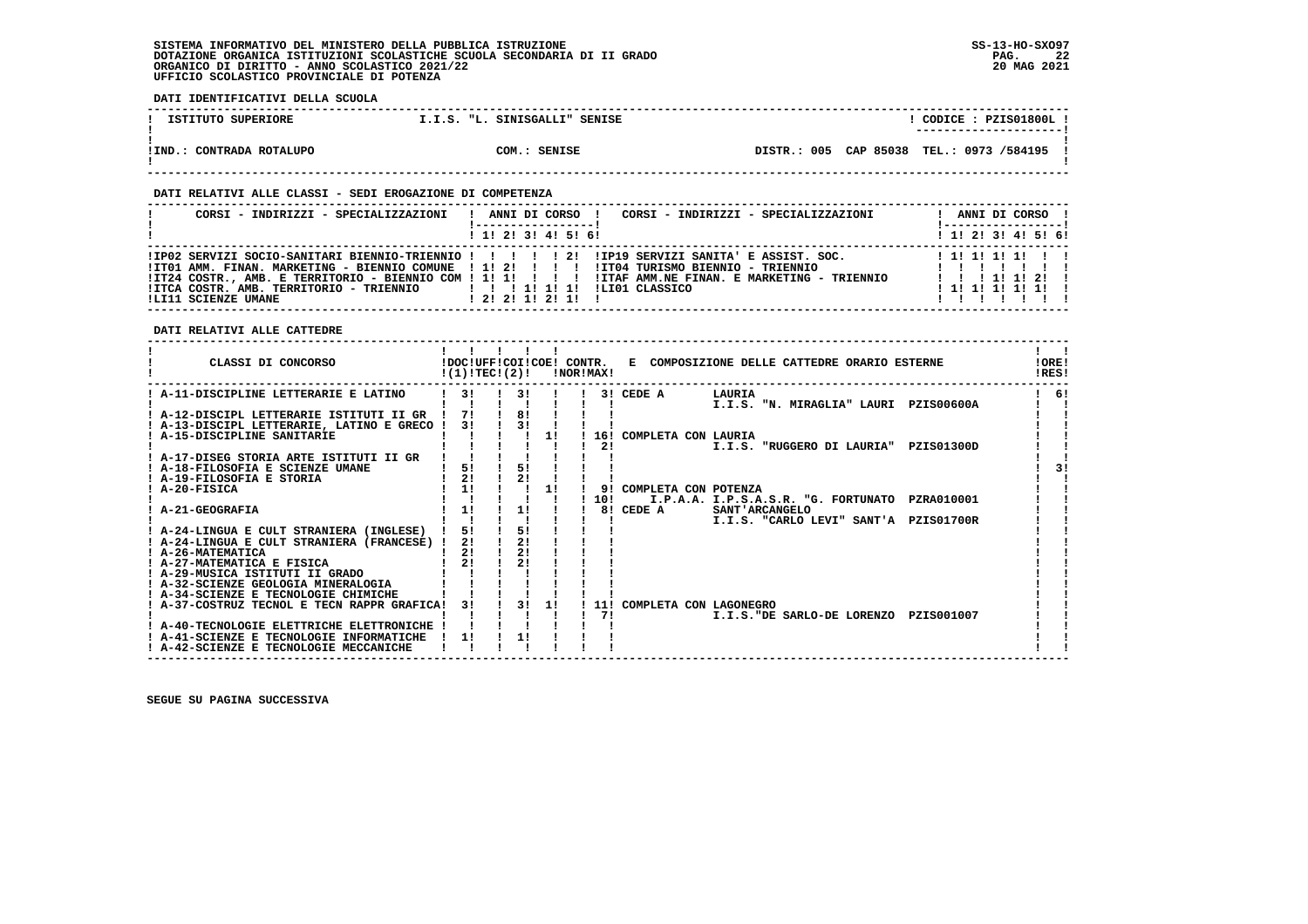**DATI IDENTIFICATIVI DELLA SCUOLA**

| ISTITUTO SUPERIORE       | I.I.S. "L. SINISGALLI" SENISE | CODICE: PZIS01800L<br>---------------------- |
|--------------------------|-------------------------------|----------------------------------------------|
| !IND.: CONTRADA ROTALUPO | COM.: SENISE                  | DISTR.: 005 CAP 85038 TEL.: 0973 /584195     |

### **DATI RELATIVI ALLE CLASSI - SEDI EROGAZIONE DI COMPETENZA**

| CORSI - INDIRIZZI - SPECIALIZZAZIONI                                      | CORSI - INDIRIZZI - SPECIALIZZAZIONI<br>ANNI DI CORSO !                                                                                                                                                                                                                                                                                               | ANNI DI CORSO !<br><u>!----------------- </u>                      |
|---------------------------------------------------------------------------|-------------------------------------------------------------------------------------------------------------------------------------------------------------------------------------------------------------------------------------------------------------------------------------------------------------------------------------------------------|--------------------------------------------------------------------|
|                                                                           | 1 1 2 3 3 4 5 6                                                                                                                                                                                                                                                                                                                                       | $1 \; 1 \; 2 \; 3 \; 1 \; 4 \; 5 \; 6 \; 6$                        |
| !ITCA COSTR. AMB. TERRITORIO - TRIENNIO   !!!!!!!!<br>!LI11 SCIENZE UMANE | IP02 SERVIZI SOCIO-SANITARI BIENNIO-TRIENNIO ! ! ! ! ! 2! IIP19 SERVIZI SANITA' E ASSIST. SOC.<br>ITO1 AMM. FINAN. MARKETING - BIENNIO COMUNE ! 1! 2! ! ! !! ITO4 TURISMO BIENNIO - TRIENNIO<br>ITZ4 COSTR., AMB. E TERRITORIO - BIENNIO COM ! 1! 1! ! ! ! ! !ITAF AMM.NE FINAN. E MARKETING - TRIENNIO<br>ILIO1 CLASSICO<br>1, 21, 21, 11, 21, 11, 1 | 1 1 1 1 1 1 1 1 1<br>.<br>1 1 1 1 1 1 2 1<br>$1$ 1 1 1 1 1 1 1 $1$ |

### **DATI RELATIVI ALLE CATTEDRE**

| CLASSI DI CONCORSO                          | !(1)!TEC!(2)! |    |          | !NOR!MAX! |                         | !DOC!UFF!COI!COE! CONTR. E COMPOSIZIONE DELLE CATTEDRE ORARIO ESTERNE | <b>IORE!</b><br>!RES! |
|---------------------------------------------|---------------|----|----------|-----------|-------------------------|-----------------------------------------------------------------------|-----------------------|
| ! A-11-DISCIPLINE LETTERARIE E LATINO       | 3!            |    | 31       |           | 3! CEDE A               | LAURIA                                                                | -61                   |
|                                             |               |    |          |           |                         | I.I.S. "N. MIRAGLIA" LAURI PZIS00600A                                 |                       |
| ! A-12-DISCIPL LETTERARIE ISTITUTI II GR    | 71            | 8! |          |           |                         |                                                                       |                       |
| ! A-13-DISCIPL LETTERARIE, LATINO E GRECO ! | 31            |    | 31       |           |                         |                                                                       |                       |
| A-15-DISCIPLINE SANITARIE                   |               |    | 11       |           | 16! COMPLETA CON LAURIA |                                                                       |                       |
|                                             |               |    |          | 2!        |                         | PZIS01300D<br>I.I.S. "RUGGERO DI LAURIA"                              |                       |
| ! A-17-DISEG STORIA ARTE ISTITUTI II GR     |               |    |          |           |                         |                                                                       |                       |
| ! A-18-FILOSOFIA E SCIENZE UMANE            | 5!            |    | 5!       |           |                         |                                                                       | 31                    |
| ! A-19-FILOSOFIA E STORIA                   | 21            |    | 21       |           |                         |                                                                       |                       |
| ! A-20-FISICA                               | 1!            |    | 1!       | 91        | COMPLETA CON POTENZA    |                                                                       |                       |
|                                             |               |    |          | 10!       |                         | I.P.A.A. I.P.S.A.S.R. "G. FORTUNATO PZRA010001                        |                       |
| <b>A-21-GEOGRAFIA</b>                       | 1!            |    | 1!       |           | 8! CEDE A               | <b>SANT' ARCANGELO</b>                                                |                       |
|                                             |               |    |          |           |                         | I.I.S. "CARLO LEVI" SANT'A PZISO1700R                                 |                       |
| ! A-24-LINGUA E CULT STRANIERA (INGLESE)    | 51            |    | 51       |           |                         |                                                                       |                       |
| ! A-24-LINGUA E CULT STRANIERA (FRANCESE) ! | 2!            | 2! |          |           |                         |                                                                       |                       |
| ! A-26-MATEMATICA                           | 21            |    | 21       |           |                         |                                                                       |                       |
| ! A-27-MATEMATICA E FISICA                  | 2!            |    | 21       |           |                         |                                                                       |                       |
| ! A-29-MUSICA ISTITUTI II GRADO             |               |    |          |           |                         |                                                                       |                       |
| ! A-32-SCIENZE GEOLOGIA MINERALOGIA         |               |    |          |           |                         |                                                                       |                       |
| ! A-34-SCIENZE E TECNOLOGIE CHIMICHE        |               |    |          |           |                         |                                                                       |                       |
| ! A-37-COSTRUZ TECNOL E TECN RAPPR GRAFICA! | 31            |    | 31<br>11 |           |                         | 11! COMPLETA CON LAGONEGRO                                            |                       |
|                                             |               |    |          | 71        |                         | I.I.S. "DE SARLO-DE LORENZO PZIS001007                                |                       |
| ! A-40-TECNOLOGIE ELETTRICHE ELETTRONICHE   |               |    |          |           |                         |                                                                       |                       |
| ! A-41-SCIENZE E TECNOLOGIE INFORMATICHE    | 11            | 1! |          |           |                         |                                                                       |                       |
| ! A-42-SCIENZE E TECNOLOGIE MECCANICHE      |               |    |          |           |                         |                                                                       |                       |
|                                             |               |    |          |           |                         |                                                                       |                       |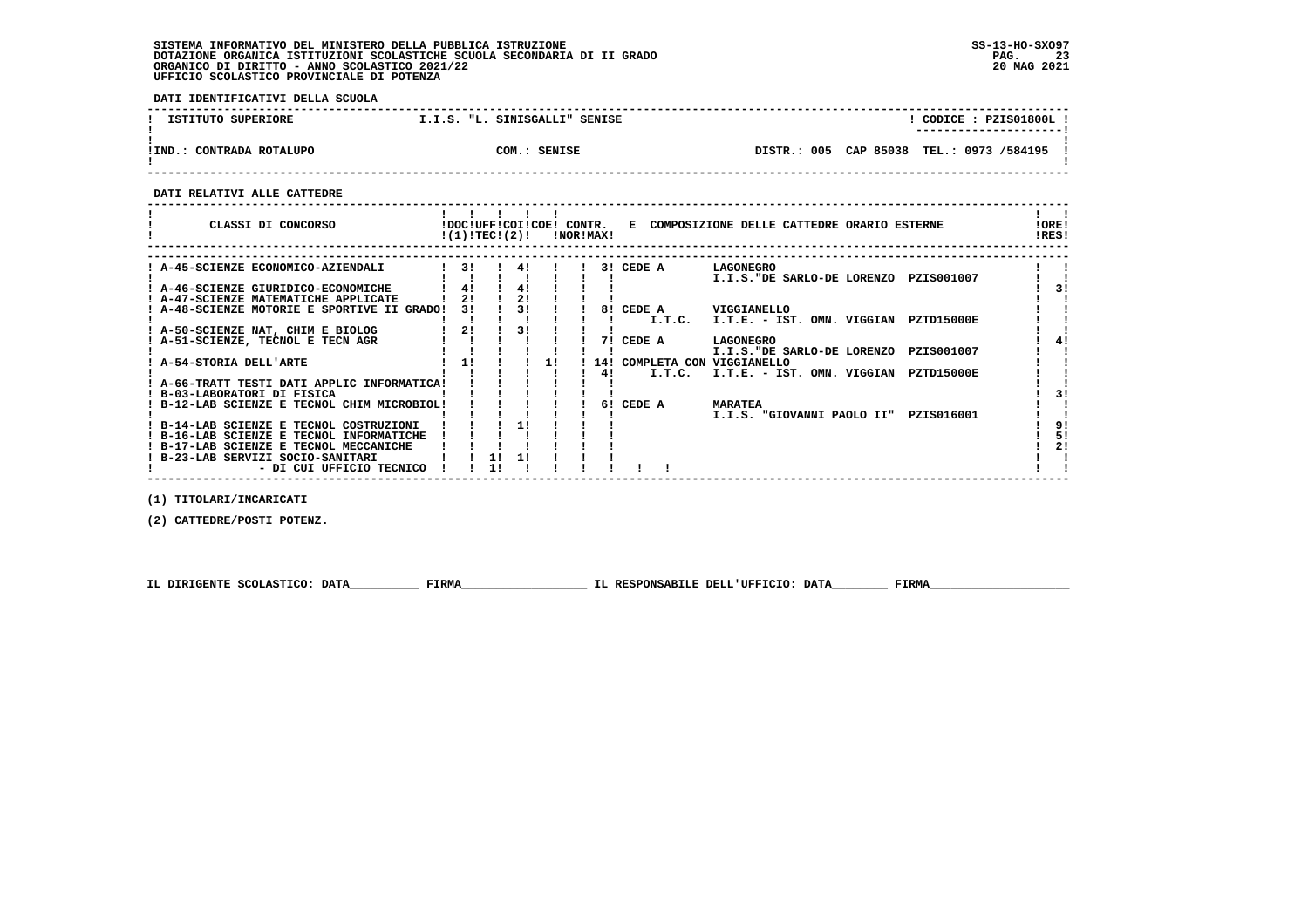**DATI IDENTIFICATIVI DELLA SCUOLA**

| ISTITUTO SUPERIORE         | I.I.S. "L. SINISGALLI" SENISE | CODICE: PZIS01800L !<br>---------------------- |
|----------------------------|-------------------------------|------------------------------------------------|
| IIND.<br>CONTRADA ROTALUPO | COM.: SENISE                  | DISTR.: 005 CAP 85038 TEL.: 0973 /584195       |

 **------------------------------------------------------------------------------------------------------------------------------------**

 **DATI RELATIVI ALLE CATTEDRE**

| CLASSI DI CONCORSO<br>!DOC!UFF!COI!COE! CONTR.<br>E COMPOSIZIONE DELLE CATTEDRE ORARIO ESTERNE<br>!(1)!TEC!(2)!<br>!NOR!MAX! | !RES!             | !ORE! |
|------------------------------------------------------------------------------------------------------------------------------|-------------------|-------|
|                                                                                                                              |                   |       |
| 31<br>41<br>3! CEDE A<br>LAGONEGRO<br>A-45-SCIENZE ECONOMICO-AZIENDALI                                                       |                   |       |
| I.I.S."DE SARLO-DE LORENZO                                                                                                   | PZIS001007        |       |
| 4!<br>4!<br>! A-46-SCIENZE GIURIDICO-ECONOMICHE                                                                              |                   |       |
| 21<br>21<br>! A-47-SCIENZE MATEMATICHE APPLICATE                                                                             |                   |       |
| 31<br>A-48-SCIENZE MOTORIE E SPORTIVE II GRADO!<br>31<br>8! CEDE A<br><b>VIGGIANELLO</b>                                     |                   |       |
| I.T.C.<br>I.T.E. - IST. OMN. VIGGIAN                                                                                         | <b>PZTD15000E</b> |       |
| 31<br>2!<br>! A-50-SCIENZE NAT, CHIM E BIOLOG                                                                                |                   |       |
| 71<br>CEDE A<br>! A-51-SCIENZE, TECNOL E TECN AGR<br>LAGONEGRO                                                               |                   |       |
| I.I.S."DE SARLO-DE LORENZO                                                                                                   | PZIS001007        |       |
| 1!<br>11<br>! A-54-STORIA DELL'ARTE<br>14! COMPLETA CON VIGGIANELLO                                                          |                   |       |
| I.T.C.<br>I.T.E. - IST. OMN. VIGGIAN PZTD15000E<br>41                                                                        |                   |       |
| A-66-TRATT TESTI DATI APPLIC INFORMATICA!                                                                                    |                   |       |
| ! B-03-LABORATORI DI FISICA                                                                                                  |                   | ו 3   |
| CEDE A<br>B-12-LAB SCIENZE E TECNOL CHIM MICROBIOL!<br>61<br><b>MARATEA</b>                                                  |                   |       |
| I.I.S. "GIOVANNI PAOLO II"                                                                                                   | PZIS016001        |       |
| 11<br>! B-14-LAB SCIENZE E TECNOL COSTRUZIONI                                                                                |                   | 91    |
| ! B-16-LAB SCIENZE E TECNOL INFORMATICHE                                                                                     |                   | 5!    |
| ! B-17-LAB SCIENZE E TECNOL MECCANICHE                                                                                       |                   | 21    |
| B-23-LAB SERVIZI SOCIO-SANITARI                                                                                              |                   |       |
| - DI CUI UFFICIO TECNICO                                                                                                     |                   |       |

 **(1) TITOLARI/INCARICATI**

 **(2) CATTEDRE/POSTI POTENZ.**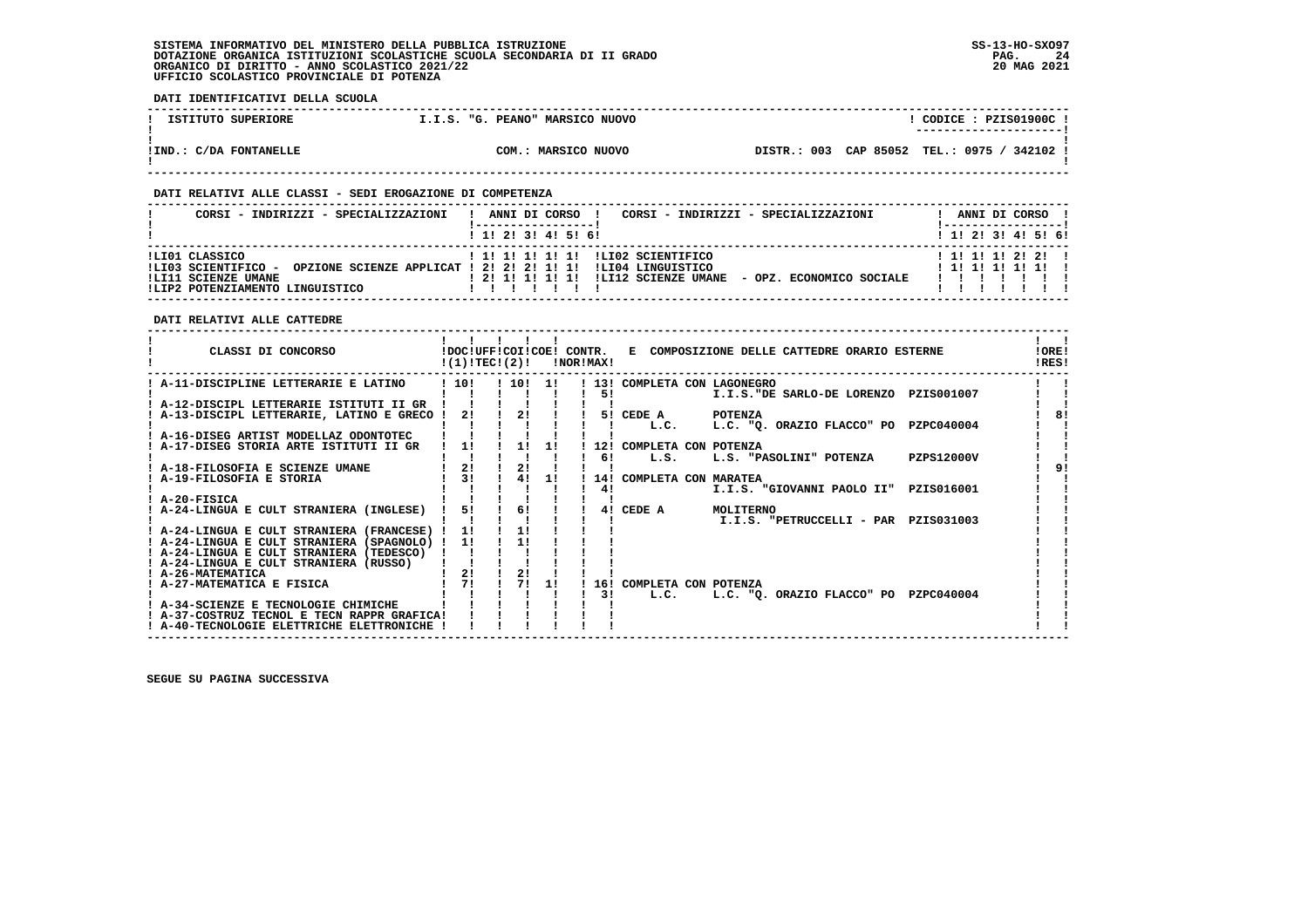**DATI IDENTIFICATIVI DELLA SCUOLA**

| ISTITUTO SUPERIORE     | I.I.S. "G. PEANO" MARSICO NUOVO | CODICE: PZIS01900C!<br>---------------------- |
|------------------------|---------------------------------|-----------------------------------------------|
| !IND.: C/DA FONTANELLE | COM.: MARSICO NUOVO             | DISTR.: 003 CAP 85052 TEL.: 0975 / 342102 !   |

### **DATI RELATIVI ALLE CLASSI - SEDI EROGAZIONE DI COMPETENZA**

| CORSI - INDIRIZZI - SPECIALIZZAZIONI                                                            | CORSI - INDIRIZZI - SPECIALIZZAZIONI<br>ANNI DI CORSO                                                                                                              | ANNI DI CORSO                              |
|-------------------------------------------------------------------------------------------------|--------------------------------------------------------------------------------------------------------------------------------------------------------------------|--------------------------------------------|
|                                                                                                 | $1$ , 1! 2! 3! 4! 5! 6!                                                                                                                                            | $1$ , 1!, 2!, 3!, 4!, 5!, 6!               |
| ILI01 CLASSICO<br>ILI03 SCIENTIFICO -<br>!LI11 SCIENZE UMANE<br>!LIP2 POTENZIAMENTO LINGUISTICO | ! 1! 1! 1! 1! 1! !LI02 SCIENTIFICO<br>OPZIONE SCIENZE APPLICAT ! 2! 2! 2! 1! 1! !LI04 LINGUISTICO<br>! 2! 1! 1! 1! 1! !LI12 SCIENZE UMANE - OPZ. ECONOMICO SOCIALE | 1 1! 1! 1! 2! 2! 1<br>$1$ 1! 1! 1! 1! 1! 1 |

 **DATI RELATIVI ALLE CATTEDRE**

| CLASSI DI CONCORSO                                                                    | !(1)!TECI(2)!  |       |     | !NOR!MAX! | !DOC!UFF!COI!COE! CONTR. E COMPOSIZIONE DELLE CATTEDRE ORARIO ESTERNE | !ORE!<br>IRES! |
|---------------------------------------------------------------------------------------|----------------|-------|-----|-----------|-----------------------------------------------------------------------|----------------|
| ! A-11-DISCIPLINE LETTERARIE E LATINO                                                 | 1101           | ! 10! | -11 | ! 13!     | COMPLETA CON LAGONEGRO                                                |                |
| ! A-12-DISCIPL LETTERARIE ISTITUTI II GR                                              |                |       |     | 51        | I.I.S. "DE SARLO-DE LORENZO PZIS001007                                |                |
| A-13-DISCIPL LETTERARIE, LATINO E GRECO !                                             | 2!             | 21    |     | 51        | CEDE A<br><b>POTENZA</b>                                              | 8!             |
| ! A-16-DISEG ARTIST MODELLAZ ODONTOTEC                                                |                |       |     |           | L.C. "Q. ORAZIO FLACCO" PO PZPC040004<br>L.C.                         |                |
| A-17-DISEG STORIA ARTE ISTITUTI II GR                                                 | 11             | 11    | 1!  | 12!       | COMPLETA CON POTENZA                                                  |                |
| ! A-18-FILOSOFIA E SCIENZE UMANE                                                      | 21             | 21    |     | 61        | <b>PZPS12000V</b><br>L.S.<br>L.S. "PASOLINI" POTENZA                  |                |
| ! A-19-FILOSOFIA E STORIA                                                             | 3 <sub>1</sub> | 41    | 11  | 141       | COMPLETA CON MARATEA                                                  |                |
| ! A-20-FISICA                                                                         |                |       |     | 41        | I.I.S. "GIOVANNI PAOLO II" PZISO16001                                 |                |
| ! A-24-LINGUA E CULT STRANIERA (INGLESE)                                              | 51             | 6!    |     | 41        | CEDE A<br>MOLITERNO                                                   |                |
| ! A-24-LINGUA E CULT STRANIERA (FRANCESE)                                             | 11             | 1!    |     |           | I.I.S. "PETRUCCELLI - PAR PZIS031003                                  |                |
| ! A-24-LINGUA E CULT STRANIERA (SPAGNOLO)<br>! A-24-LINGUA E CULT STRANIERA (TEDESCO) | 11             | 11    |     |           |                                                                       |                |
| ! A-24-LINGUA E CULT STRANIERA (RUSSO)                                                |                |       |     |           |                                                                       |                |
| ! A-26-MATEMATICA<br>! A-27-MATEMATICA E FISICA                                       | 2!<br>71       | 2!    | 11  | 16!       | COMPLETA CON POTENZA                                                  |                |
|                                                                                       |                |       |     | 31        | L.C.<br>L.C. "O. ORAZIO FLACCO" PO<br>PZPC040004                      |                |
| A-34-SCIENZE E TECNOLOGIE CHIMICHE<br>! A-37-COSTRUZ TECNOL E TECN RAPPR GRAFICA!     |                |       |     |           |                                                                       |                |
| ! A-40-TECNOLOGIE ELETTRICHE ELETTRONICHE                                             |                |       |     |           |                                                                       |                |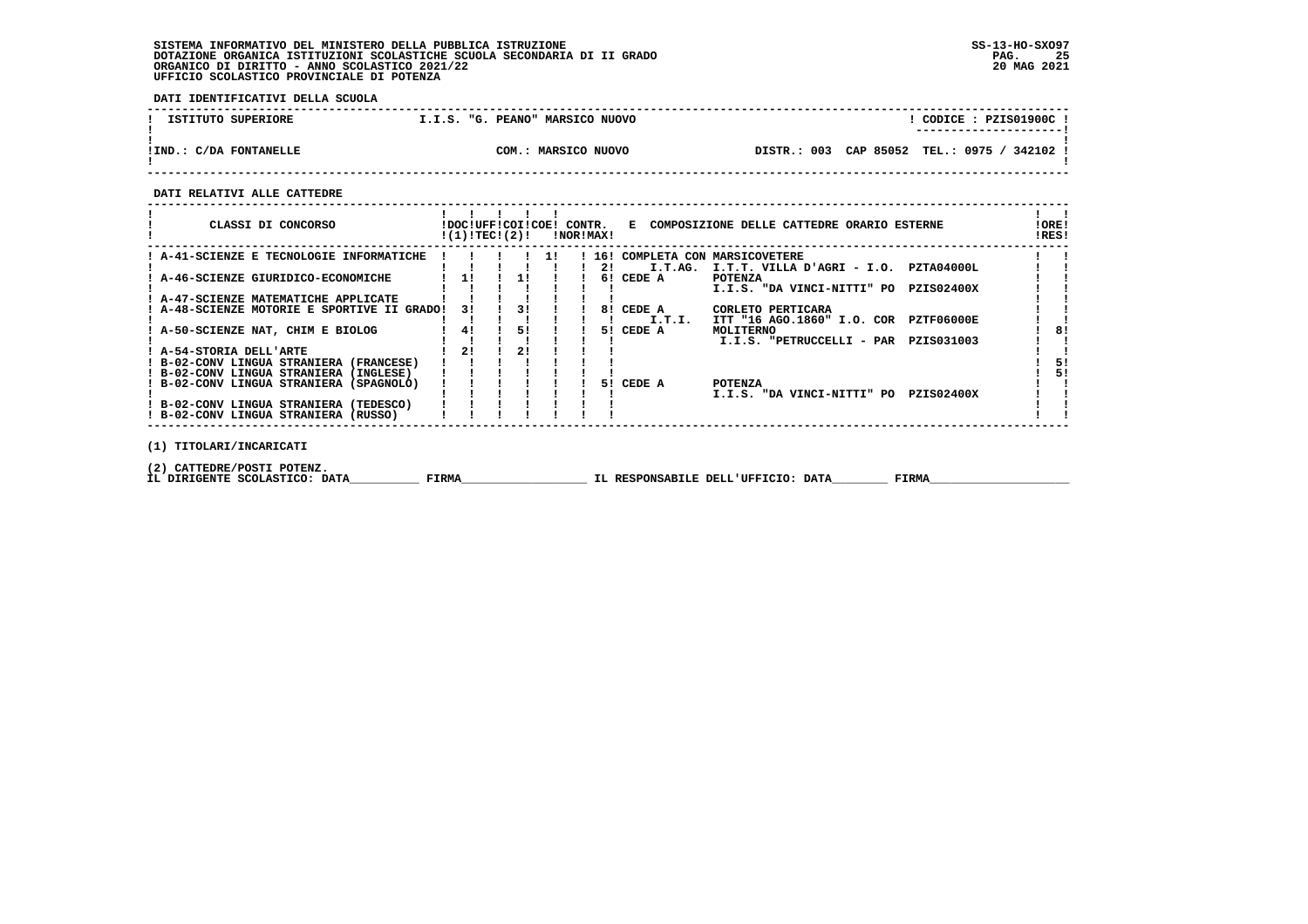**DATI IDENTIFICATIVI DELLA SCUOLA**

| ISTITUTO SUPERIORE     | I.I.S. "G. PEANO" MARSICO NUOVO | CODICE: PZIS01900C!<br>----------------------     |
|------------------------|---------------------------------|---------------------------------------------------|
| !IND.: C/DA FONTANELLE | COM.: MARSICO NUOVO             | TEL.: 0975 /<br>DISTR.: 003 CAP 85052<br>342102 ! |

 **------------------------------------------------------------------------------------------------------------------------------------**

 **DATI RELATIVI ALLE CATTEDRE**

| CLASSI DI CONCORSO                                                                  | !DOC!UFF!COI!COE! CONTR.<br>!(1)!TEC!(2)! |    |                                                                                           | !NOR!MAX! |     |                     | E COMPOSIZIONE DELLE CATTEDRE ORARIO ESTERNE                            | !ORE!<br>!RES! |
|-------------------------------------------------------------------------------------|-------------------------------------------|----|-------------------------------------------------------------------------------------------|-----------|-----|---------------------|-------------------------------------------------------------------------|----------------|
| ! A-41-SCIENZE E TECNOLOGIE INFORMATICHE                                            |                                           |    | $\blacksquare$ $\blacksquare$ $\blacksquare$ $\blacksquare$ $\blacksquare$ $\blacksquare$ |           | 2!  | I.T.AG.             | 16! COMPLETA CON MARSICOVETERE<br>I.T.T. VILLA D'AGRI - I.O. PZTA04000L |                |
| : A-46-SCIENZE GIURIDICO-ECONOMICHE                                                 | 11                                        | 11 |                                                                                           |           | 61  | CEDE A              | <b>POTENZA</b><br>I.I.S. "DA VINCI-NITTI" PO<br><b>PZIS02400X</b>       |                |
| ! A-47-SCIENZE MATEMATICHE APPLICATE<br>! A-48-SCIENZE MOTORIE E SPORTIVE II GRADO! | 31                                        | 31 |                                                                                           |           |     | 8! CEDE A           | CORLETO PERTICARA                                                       |                |
| ! A-50-SCIENZE NAT, CHIM E BIOLOG                                                   | 41                                        | 5! |                                                                                           |           |     | I.T.I.<br>5! CEDE A | ITT "16 AGO.1860" I.O. COR PZTF06000E<br>MOLITERNO                      | 8!             |
| ! A-54-STORIA DELL'ARTE                                                             | 21                                        | 2! |                                                                                           |           |     |                     | I.I.S. "PETRUCCELLI - PAR PZIS031003                                    |                |
| ! B-02-CONV LINGUA STRANIERA (FRANCESE)<br>! B-02-CONV LINGUA STRANIERA (INGLESE)   |                                           |    |                                                                                           |           |     |                     |                                                                         | 51<br>51       |
| ! B-02-CONV LINGUA STRANIERA (SPAGNOLO)                                             |                                           |    |                                                                                           |           | 51. | CEDE A              | <b>POTENZA</b><br>I.I.S. "DA VINCI-NITTI" PO<br><b>PZIS02400X</b>       |                |
| ! B-02-CONV LINGUA STRANIERA (TEDESCO)<br>! B-02-CONV LINGUA STRANIERA (RUSSO)      |                                           |    |                                                                                           |           |     |                     |                                                                         |                |
| (1) TITOLARI/INCARICATI                                                             |                                           |    |                                                                                           |           |     |                     |                                                                         |                |

 **(2) CATTEDRE/POSTI POTENZ.**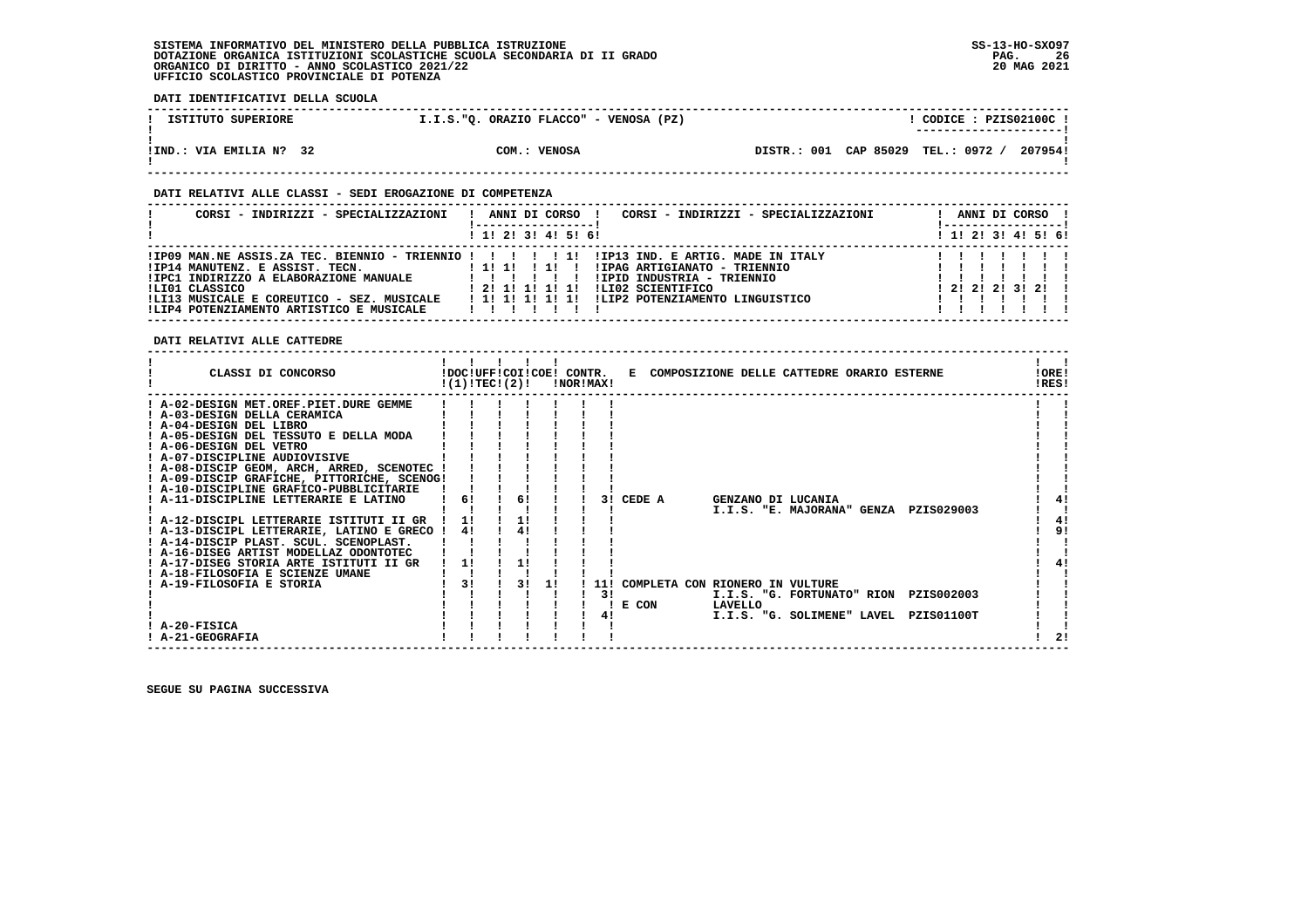**DATI IDENTIFICATIVI DELLA SCUOLA**

| ISTITUTO SUPERIORE      | I.I.S."Q. ORAZIO FLACCO" - VENOSA (PZ) | CODICE: PZIS02100C !<br>---------------------- |
|-------------------------|----------------------------------------|------------------------------------------------|
| !IND.: VIA EMILIA N? 32 | COM.: VENOSA                           | DISTR.: 001 CAP 85029 TEL.: 0972 /<br>207954!  |

### **DATI RELATIVI ALLE CLASSI - SEDI EROGAZIONE DI COMPETENZA**

| CORSI - INDIRIZZI - SPECIALIZZAZIONI                                                                                                                                                                                                                  | CORSI - INDIRIZZI - SPECIALIZZAZIONI<br>ANNI DI CORSO !                                                                                                                                                       | ANNI DI CORSO !<br>!----------------- |
|-------------------------------------------------------------------------------------------------------------------------------------------------------------------------------------------------------------------------------------------------------|---------------------------------------------------------------------------------------------------------------------------------------------------------------------------------------------------------------|---------------------------------------|
|                                                                                                                                                                                                                                                       | ! 1! 2! 3! 4! 5! 6!                                                                                                                                                                                           | ! 1! 2! 3! 4! 5! 6!                   |
| $1IP09$ MAN.NE ASSIS.ZA TEC. BIENNIO - TRIENNIO ! ! ! ! ! 1!<br>!IP14 MANUTENZ. E ASSIST. TECN.<br>!IPC1 INDIRIZZO A ELABORAZIONE MANUALE<br>!LI01 CLASSICO<br>!LI13 MUSICALE E COREUTICO - SEZ. MUSICALE<br>!LIP4 POTENZIAMENTO ARTISTICO E MUSICALE | !IP13 IND. E ARTIG. MADE IN ITALY<br>11111111<br>!IPAG ARTIGIANATO - TRIENNIO<br>!IPID INDUSTRIA - TRIENNIO<br>ILI02 SCIENTIFICO<br>1 2 1 1 1 1 1 1 1<br>ILIP2 POTENZIAMENTO LINGUISTICO<br>1 1 1 1 1 1 1 1 1 | 121212131211                          |

 **DATI RELATIVI ALLE CATTEDRE**

| CLASSI DI CONCORSO                          | !DOC!UFF!COI!COE! CONTR.<br>!(1)!TEC!(2)! |    |    | INORIMAXI |     |        | E COMPOSIZIONE DELLE CATTEDRE ORARIO ESTERNE |                                                  |                   | !ORE!<br>!RES! |
|---------------------------------------------|-------------------------------------------|----|----|-----------|-----|--------|----------------------------------------------|--------------------------------------------------|-------------------|----------------|
| ! A-02-DESIGN MET.OREF.PIET.DURE GEMME      |                                           |    |    |           |     |        |                                              |                                                  |                   |                |
| ! A-03-DESIGN DELLA CERAMICA                |                                           |    |    |           |     |        |                                              |                                                  |                   |                |
| ! A-04-DESIGN DEL LIBRO                     |                                           |    |    |           |     |        |                                              |                                                  |                   |                |
| ! A-05-DESIGN DEL TESSUTO E DELLA MODA      |                                           |    |    |           |     |        |                                              |                                                  |                   |                |
| ! A-06-DESIGN DEL VETRO                     |                                           |    |    |           |     |        |                                              |                                                  |                   |                |
| ! A-07-DISCIPLINE AUDIOVISIVE               |                                           |    |    |           |     |        |                                              |                                                  |                   |                |
| ! A-08-DISCIP GEOM, ARCH, ARRED, SCENOTEC ! |                                           |    |    |           |     |        |                                              |                                                  |                   |                |
| ! A-09-DISCIP GRAFICHE, PITTORICHE, SCENOG! |                                           |    |    |           |     |        |                                              |                                                  |                   |                |
| ! A-10-DISCIPLINE GRAFICO-PUBBLICITARIE     |                                           |    |    |           |     |        |                                              |                                                  |                   |                |
| ! A-11-DISCIPLINE LETTERARIE E LATINO       | 6!                                        | 6! |    |           | 3 I | CEDE A |                                              | GENZANO DI LUCANIA<br>I.I.S. "E. MAJORANA" GENZA | PZIS029003        |                |
| ! A-12-DISCIPL LETTERARIE ISTITUTI II GR    | 11                                        |    |    |           |     |        |                                              |                                                  |                   |                |
| ! A-13-DISCIPL LETTERARIE, LATINO E GRECO ! | 41                                        | 41 |    |           |     |        |                                              |                                                  |                   | 91             |
| ! A-14-DISCIP PLAST. SCUL. SCENOPLAST.      |                                           |    |    |           |     |        |                                              |                                                  |                   |                |
| ! A-16-DISEG ARTIST MODELLAZ ODONTOTEC      |                                           |    |    |           |     |        |                                              |                                                  |                   |                |
| ! A-17-DISEG STORIA ARTE ISTITUTI II GR     | 1!                                        | 1! |    |           |     |        |                                              |                                                  |                   |                |
| ! A-18-FILOSOFIA E SCIENZE UMANE            |                                           |    |    |           |     |        |                                              |                                                  |                   |                |
| A-19-FILOSOFIA E STORIA                     | 31                                        | 31 | 11 |           | 11! |        | COMPLETA CON RIONERO IN VULTURE              |                                                  |                   |                |
|                                             |                                           |    |    |           | 3!  |        |                                              | I.I.S. "G. FORTUNATO" RION                       | PZIS002003        |                |
|                                             |                                           |    |    |           |     | E CON  | LAVELLO                                      |                                                  |                   |                |
|                                             |                                           |    |    |           | 41  |        |                                              | I.I.S. "G. SOLIMENE" LAVEL                       | <b>PZIS01100T</b> |                |
| ! A-20-FISICA                               |                                           |    |    |           |     |        |                                              |                                                  |                   |                |
| ! A-21-GEOGRAFIA                            |                                           |    |    |           |     |        |                                              |                                                  |                   | 21             |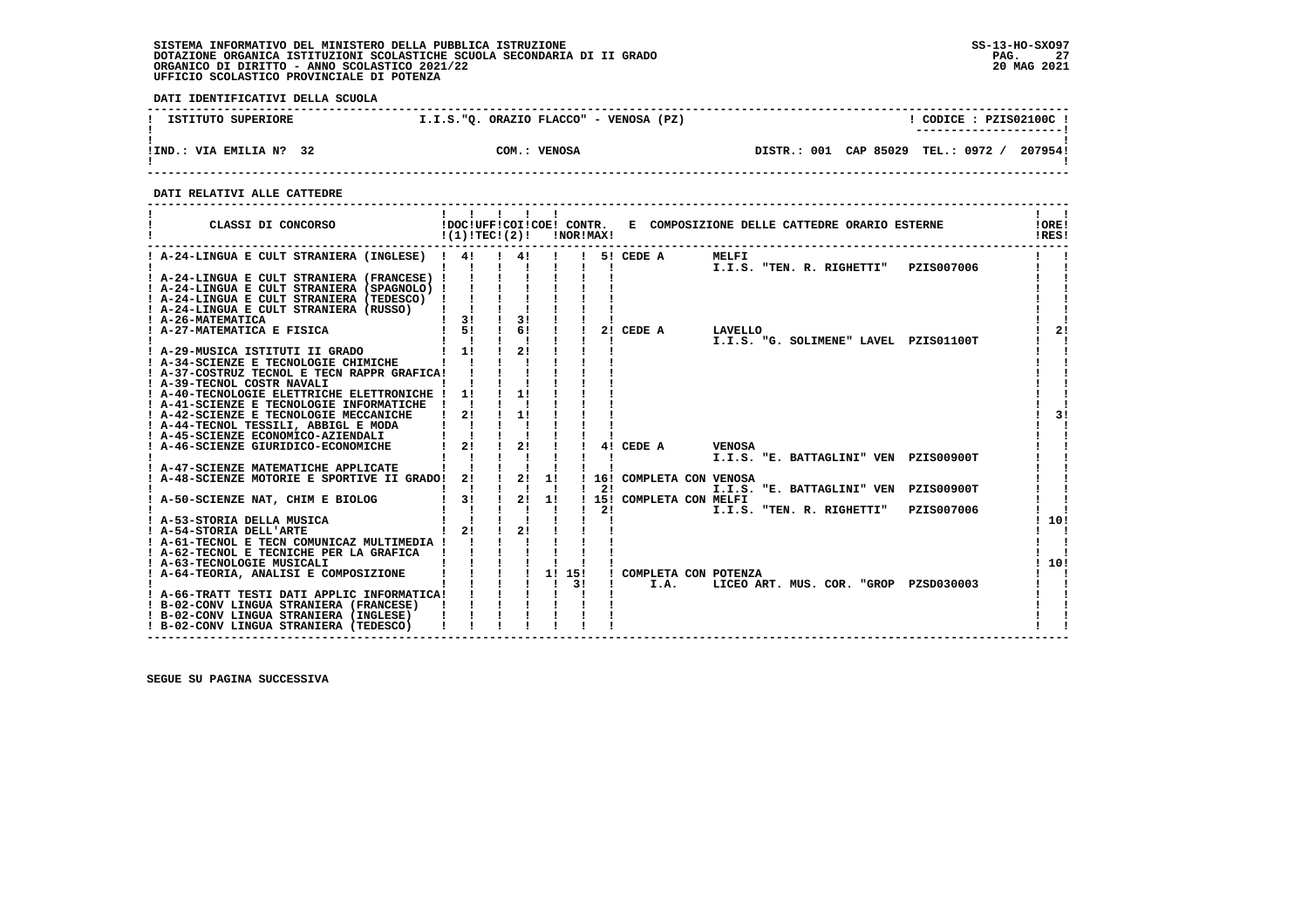**DATI IDENTIFICATIVI DELLA SCUOLA**

| ISTITUTO SUPERIORE           | I.I.S."Q. ORAZIO FLACCO" - VENOSA (PZ) | CODICE: PZIS02100C!                                                     |
|------------------------------|----------------------------------------|-------------------------------------------------------------------------|
| !IND.: VIA EMILIA N?<br>- 32 | COM.: VENOSA                           | ----------------------<br>DISTR.: 001 CAP 85029 TEL.: 0972 /<br>207954! |

 **------------------------------------------------------------------------------------------------------------------------------------**

 **DATI RELATIVI ALLE CATTEDRE**

| CLASSI DI CONCORSO                                                               | !(1)!TEC!(2)!                                                          |               |              | !NOR!MAX!      |                           | !DOC!UFF!COI!COE! CONTR. E COMPOSIZIONE DELLE CATTEDRE ORARIO ESTERNE | !ORE!<br>!RES! |                |
|----------------------------------------------------------------------------------|------------------------------------------------------------------------|---------------|--------------|----------------|---------------------------|-----------------------------------------------------------------------|----------------|----------------|
| ! A-24-LINGUA E CULT STRANIERA (INGLESE) ! 4! ! 4! !                             |                                                                        |               |              |                | 5! CEDE A                 | MELFI                                                                 |                |                |
|                                                                                  |                                                                        |               |              | $\blacksquare$ |                           | I.I.S. "TEN. R. RIGHETTI" PZIS007006                                  |                |                |
| ! A-24-LINGUA E CULT STRANIERA (FRANCESE) !                                      |                                                                        |               |              |                |                           |                                                                       |                |                |
| ! A-24-LINGUA E CULT STRANIERA (SPAGNOLO) !                                      |                                                                        |               |              |                |                           |                                                                       |                |                |
| ! A-24-LINGUA E CULT STRANIERA (TEDESCO) !                                       |                                                                        |               |              |                |                           |                                                                       |                |                |
| ! A-24-LINGUA E CULT STRANIERA (RUSSO)                                           | $\frac{1}{2}$ 31 $\frac{1}{2}$                                         | 3!            |              |                |                           |                                                                       |                |                |
| ! A-26-MATEMATICA<br>! A-27-MATEMATICA E FISICA                                  | 1 5! 1 6!                                                              |               |              |                | 2! CEDE A                 |                                                                       |                | 2 <sub>1</sub> |
|                                                                                  |                                                                        |               |              |                |                           | LAVELLO<br>I.I.S. "G. SOLIMENE" LAVEL PZIS01100T                      |                |                |
| ! A-29-MUSICA ISTITUTI II GRADO                                                  | $1 \quad 11$                                                           | 21            |              |                |                           |                                                                       |                |                |
| ! A-34-SCIENZE E TECNOLOGIE CHIMICHE                                             |                                                                        |               |              |                |                           |                                                                       |                |                |
| ! A-37-COSTRUZ TECNOL E TECN RAPPR GRAFICA!                                      |                                                                        |               |              |                |                           |                                                                       |                |                |
| ! A-39-TECNOL COSTR NAVALI                                                       |                                                                        |               |              |                |                           |                                                                       |                |                |
| ! A-40-TECNOLOGIE ELETTRICHE ELETTRONICHE !                                      | 11                                                                     | 11            |              |                |                           |                                                                       |                |                |
| ! A-41-SCIENZE E TECNOLOGIE INFORMATICHE ! !                                     |                                                                        |               |              |                |                           |                                                                       |                |                |
| ! A-42-SCIENZE E TECNOLOGIE MECCANICHE                                           | 2!                                                                     | $\frac{1}{1}$ |              |                |                           |                                                                       |                | 31             |
| ! A-44-TECNOL TESSILI, ABBIGL E MODA                                             |                                                                        |               |              |                |                           |                                                                       |                |                |
| ! A-45-SCIENZE ECONOMICO-AZIENDALI                                               |                                                                        |               |              |                |                           |                                                                       |                |                |
| ! A-46-SCIENZE GIURIDICO-ECONOMICHE                                              | $1 \quad 21$                                                           | $\frac{1}{2}$ |              |                | 4! CEDE A                 | <b>VENOSA</b>                                                         |                |                |
| ! A-47-SCIENZE MATEMATICHE APPLICATE                                             |                                                                        |               |              |                |                           | I.I.S. "E. BATTAGLINI" VEN PZIS00900T                                 |                |                |
| ! A-48-SCIENZE MOTORIE E SPORTIVE II GRADO! 2! ! 2! 1!                           |                                                                        |               |              |                | ! 16! COMPLETA CON VENOSA |                                                                       |                |                |
|                                                                                  |                                                                        |               |              | -21            |                           | I.I.S. "E. BATTAGLINI" VEN PZIS00900T                                 |                |                |
| ! A-50-SCIENZE NAT, CHIM E BIOLOG                                                | $\frac{1}{2}$ 3!                                                       | $\frac{1}{2}$ | 1!           |                | ! 15! COMPLETA CON MELFI  |                                                                       |                |                |
|                                                                                  |                                                                        |               |              | 21             |                           | I.I.S. "TEN. R. RIGHETTI"                                             | PZIS007006     |                |
| ! A-53-STORIA DELLA MUSICA                                                       | $\mathbf{i}$ $\mathbf{j}$ $\mathbf{k}$                                 |               |              |                |                           |                                                                       | 10!            |                |
| ! A-54-STORIA DELL'ARTE                                                          | $1 \quad 21 \quad 1$                                                   | 21            |              |                |                           |                                                                       |                |                |
| ! A-61-TECNOL E TECN COMUNICAZ MULTIMEDIA !                                      |                                                                        |               |              |                |                           |                                                                       |                |                |
| ! A-62-TECNOL E TECNICHE PER LA GRAFICA                                          |                                                                        |               |              |                |                           |                                                                       |                |                |
| ! A-63-TECNOLOGIE MUSICALI                                                       | $\frac{1}{1}$ $\frac{1}{1}$ $\frac{1}{1}$ $\frac{1}{1}$ $\frac{1}{15}$ |               |              |                |                           |                                                                       | 110!           |                |
| ! A-64-TEORIA, ANALISI E COMPOSIZIONE                                            |                                                                        |               |              |                | ! COMPLETA CON POTENZA    |                                                                       |                |                |
|                                                                                  |                                                                        |               | $\mathbf{I}$ | 31             | I.A.                      | LICEO ART. MUS. COR. "GROP PZSD030003                                 |                |                |
| ! A-66-TRATT TESTI DATI APPLIC INFORMATICA!                                      |                                                                        |               |              |                |                           |                                                                       |                |                |
| ! B-02-CONV LINGUA STRANIERA (FRANCESE)                                          |                                                                        |               |              |                |                           |                                                                       |                |                |
| ! B-02-CONV LINGUA STRANIERA (INGLESE)<br>! B-02-CONV LINGUA STRANIERA (TEDESCO) |                                                                        |               |              |                |                           |                                                                       |                |                |
|                                                                                  |                                                                        |               |              |                |                           |                                                                       |                |                |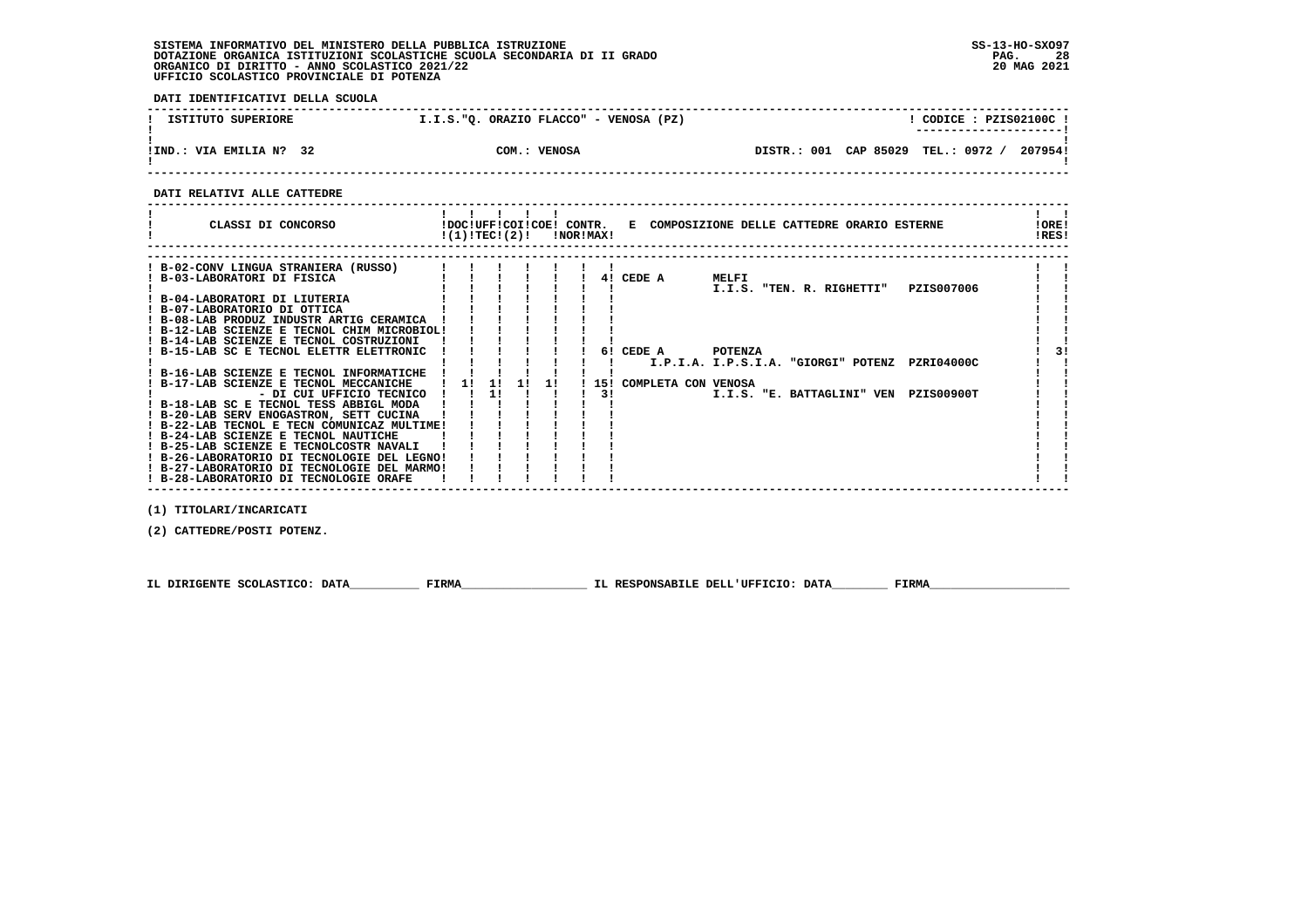**DATI IDENTIFICATIVI DELLA SCUOLA**

| ISTITUTO SUPERIORE      | I.I.S."O. ORAZIO FLACCO" - VENOSA (PZ) | CODICE: PZIS02100C !<br>--------------------- |
|-------------------------|----------------------------------------|-----------------------------------------------|
| !IND.: VIA EMILIA N? 32 | COM.: VENOSA                           | DISTR.: 001 CAP 85029 TEL.: 0972 /<br>2079541 |

 **------------------------------------------------------------------------------------------------------------------------------------**

 **DATI RELATIVI ALLE CATTEDRE**

| CLASSI DI CONCORSO                          |    |    |    | $!(1)!TEC!(2)!$ $INORIMAX!$ |    |           |  | !DOC!UFF!COI!COE! CONTR. E COMPOSIZIONE DELLE CATTEDRE ORARIO ESTERNE | !ORE!<br>!RES! |
|---------------------------------------------|----|----|----|-----------------------------|----|-----------|--|-----------------------------------------------------------------------|----------------|
|                                             |    |    |    |                             |    |           |  |                                                                       |                |
| ! B-02-CONV LINGUA STRANIERA (RUSSO)        |    |    |    |                             |    |           |  |                                                                       |                |
| ! B-03-LABORATORI DI FISICA                 |    |    |    |                             |    | 4! CEDE A |  | MELFI                                                                 |                |
|                                             |    |    |    |                             |    |           |  | PZIS007006<br>I.I.S. "TEN. R. RIGHETTI"                               |                |
| ! B-04-LABORATORI DI LIUTERIA               |    |    |    |                             |    |           |  |                                                                       |                |
| ! B-07-LABORATORIO DI OTTICA                |    |    |    |                             |    |           |  |                                                                       |                |
| ! B-08-LAB PRODUZ INDUSTR ARTIG CERAMICA    |    |    |    |                             |    |           |  |                                                                       |                |
| ! B-12-LAB SCIENZE E TECNOL CHIM MICROBIOL! |    |    |    |                             |    |           |  |                                                                       |                |
| ! B-14-LAB SCIENZE E TECNOL COSTRUZIONI     |    |    |    |                             |    |           |  |                                                                       |                |
| ! B-15-LAB SC E TECNOL ELETTR ELETTRONIC    |    |    |    |                             |    | 6! CEDE A |  | <b>POTENZA</b>                                                        |                |
|                                             |    |    |    |                             |    |           |  | I.P.I.A. I.P.S.I.A. "GIORGI" POTENZ<br>PZRI04000C                     |                |
| ! B-16-LAB SCIENZE E TECNOL INFORMATICHE    |    |    |    |                             |    |           |  |                                                                       |                |
| ! B-17-LAB SCIENZE E TECNOL MECCANICHE      | 11 | 11 | 11 | -11                         |    |           |  | 15! COMPLETA CON VENOSA                                               |                |
| - DI CUI UFFICIO TECNICO                    |    | 11 |    |                             | 31 |           |  | I.I.S. "E. BATTAGLINI" VEN<br>PZIS00900T                              |                |
| ! B-18-LAB SC E TECNOL TESS ABBIGL MODA     |    |    |    |                             |    |           |  |                                                                       |                |
| ! B-20-LAB SERV ENOGASTRON, SETT CUCINA     |    |    |    |                             |    |           |  |                                                                       |                |
| ! B-22-LAB TECNOL E TECN COMUNICAZ MULTIME! |    |    |    |                             |    |           |  |                                                                       |                |
| ! B-24-LAB SCIENZE E TECNOL NAUTICHE        |    |    |    |                             |    |           |  |                                                                       |                |
| ! B-25-LAB SCIENZE E TECNOLCOSTR NAVALI     |    |    |    |                             |    |           |  |                                                                       |                |
| ! B-26-LABORATORIO DI TECNOLOGIE DEL LEGNO! |    |    |    |                             |    |           |  |                                                                       |                |
| ! B-27-LABORATORIO DI TECNOLOGIE DEL MARMO! |    |    |    |                             |    |           |  |                                                                       |                |
| ! B-28-LABORATORIO DI TECNOLOGIE ORAFE      |    |    |    |                             |    |           |  |                                                                       |                |

 **(1) TITOLARI/INCARICATI**

 **(2) CATTEDRE/POSTI POTENZ.**

 **IL DIRIGENTE SCOLASTICO: DATA\_\_\_\_\_\_\_\_\_\_ FIRMA\_\_\_\_\_\_\_\_\_\_\_\_\_\_\_\_\_\_ IL RESPONSABILE DELL'UFFICIO: DATA\_\_\_\_\_\_\_\_ FIRMA\_\_\_\_\_\_\_\_\_\_\_\_\_\_\_\_\_\_\_\_**

 **------------------------------------------------------------------------------------------------------------------------------------**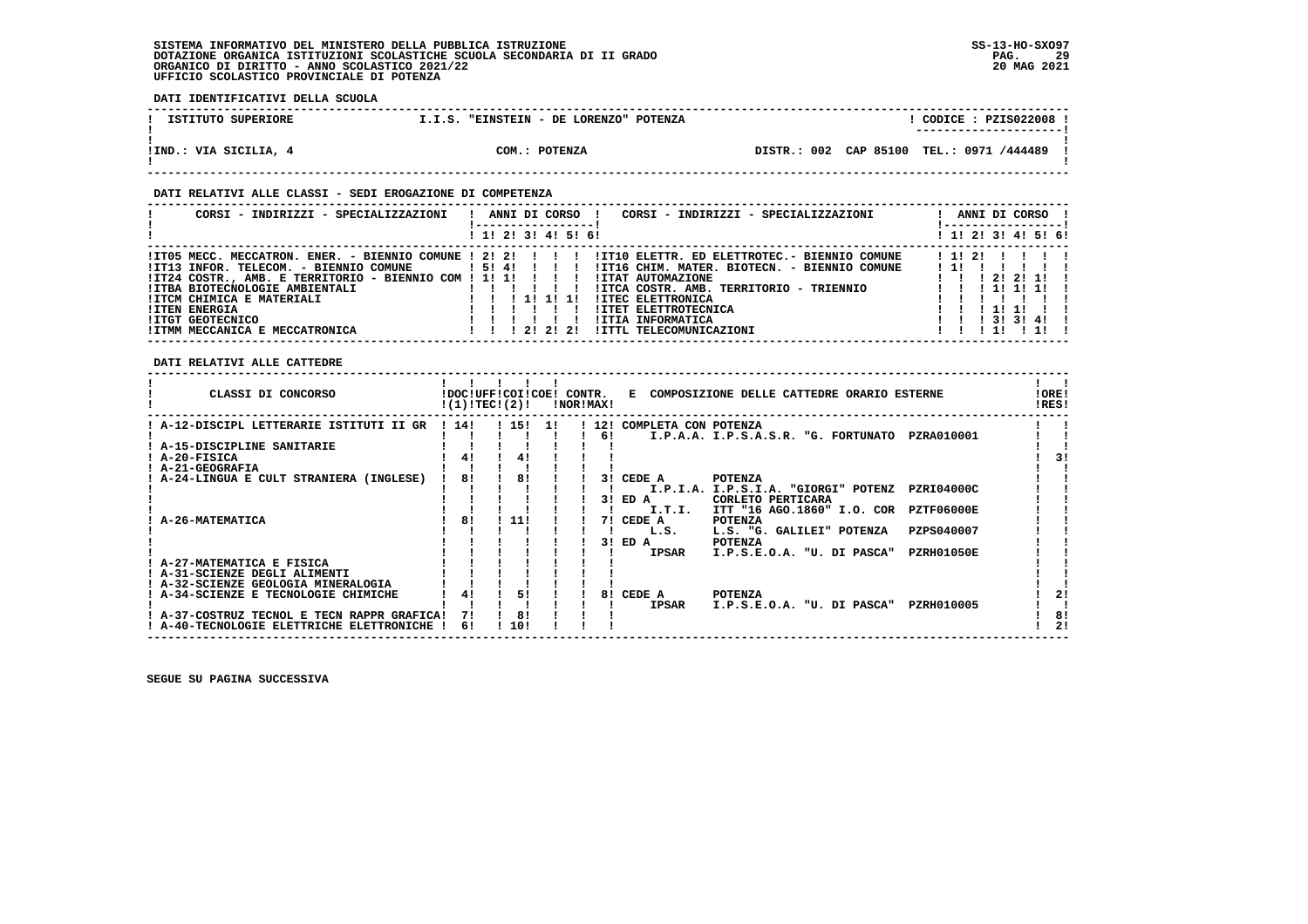**DATI IDENTIFICATIVI DELLA SCUOLA**

| ISTITUTO SUPERIORE    | I.I.S. "EINSTEIN - DE LORENZO" POTENZA | CODE: PZIS022008<br>---------------------- |
|-----------------------|----------------------------------------|--------------------------------------------|
| !IND.: VIA SICILIA, 4 | COM.: POTENZA                          | DISTR.: 002 CAP 85100 TEL.: 0971 /444489   |

### **DATI RELATIVI ALLE CLASSI - SEDI EROGAZIONE DI COMPETENZA**

| CORSI - INDIRIZZI - SPECIALIZZAZIONI                                                                                                                                                                                                                                                                                | ANNI DI CORSO !<br>CORSI - INDIRIZZI - SPECIALIZZAZIONI                                                                                                                                                                                                                                                            | ANNI DI CORSO !                                                                                             |
|---------------------------------------------------------------------------------------------------------------------------------------------------------------------------------------------------------------------------------------------------------------------------------------------------------------------|--------------------------------------------------------------------------------------------------------------------------------------------------------------------------------------------------------------------------------------------------------------------------------------------------------------------|-------------------------------------------------------------------------------------------------------------|
|                                                                                                                                                                                                                                                                                                                     | ! 1! 2! 3! 4! 5! 6!                                                                                                                                                                                                                                                                                                | ! 1! 2! 3! 4! 5! 6!                                                                                         |
| $!ITO5 MECC. MECCATRON. ENER. - BIENTO COMUNE 1 21 21 1 1 1$<br>!IT13 INFOR. TELECOM. - BIENNIO COMUNE<br>!IT24 COSTR., AMB. E TERRITORIO - BIENNIO COM ! 1! 1!<br>!ITBA BIOTECNOLOGIE AMBIENTALI<br>!ITCM CHIMICA E MATERIALI<br><b>!ITEN ENERGIA</b><br><b>!ITGT GEOTECNICO</b><br>!ITMM MECCANICA E MECCATRONICA | !IT10 ELETTR. ED ELETTROTEC.- BIENNIO COMUNE<br>15141111<br>!IT16 CHIM. MATER. BIOTECN. - BIENNIO COMUNE<br>!ITAT AUTOMAZIONE<br>!ITCA COSTR. AMB. TERRITORIO - TRIENNIO<br><b>!ITEC ELETTRONICA</b><br>1 11 11 11<br><b>!ITET ELETTROTECNICA</b><br>!ITIA INFORMATICA<br>1 2 1 2 1 2 1<br>!ITTL TELECOMUNICAZIONI | 1 1 1 2 1<br>212111<br>1 1 1 1 1 1 1 1<br>1 11 11<br>$1 \quad 1 \quad 1 \quad 31 \quad 31 \quad 41 \quad 1$ |

 **DATI RELATIVI ALLE CATTEDRE**

| CLASSI DI CONCORSO                                                                               |      | !DOC!UFF!COI!COE!<br>!(1)!TECI(2)! |     | CONTR.<br>!NOR!MAX! |       | Е                    | COMPOSIZIONE DELLE CATTEDRE ORARIO ESTERNE |            | !ORE!<br>!RES! |
|--------------------------------------------------------------------------------------------------|------|------------------------------------|-----|---------------------|-------|----------------------|--------------------------------------------|------------|----------------|
| A-12-DISCIPL LETTERARIE ISTITUTI II GR                                                           | 1141 | ! 15!                              | -11 |                     | ! 12! | COMPLETA CON POTENZA |                                            |            |                |
|                                                                                                  |      |                                    |     |                     | 6!    |                      | I.P.A.A. I.P.S.A.S.R. "G. FORTUNATO        | PZRA010001 |                |
| A-15-DISCIPLINE SANITARIE                                                                        |      |                                    |     |                     |       |                      |                                            |            |                |
| ! A-20-FISICA                                                                                    |      | 4!                                 |     |                     |       |                      |                                            |            |                |
| <b>A-21-GEOGRAFIA</b>                                                                            |      |                                    |     |                     |       |                      |                                            |            |                |
| A-24-LINGUA E CULT STRANIERA (INGLESE)                                                           | 81   | 81                                 |     |                     | 31    | CEDE A               | <b>POTENZA</b>                             |            |                |
|                                                                                                  |      |                                    |     |                     |       |                      | I.P.I.A. I.P.S.I.A. "GIORGI" POTENZ        | PZRI04000C |                |
|                                                                                                  |      |                                    |     |                     | 31    | ED A                 | CORLETO PERTICARA                          |            |                |
|                                                                                                  |      |                                    |     |                     |       | I.T.I.               | ITT "16 AGO.1860" I.O. COR                 | PZTF06000E |                |
| <b>A-26-MATEMATICA</b>                                                                           | 81   | 11!                                |     |                     | 71    | CEDE A               | <b>POTENZA</b>                             |            |                |
|                                                                                                  |      |                                    |     |                     |       | L.S.                 | L.S. "G. GALILEI" POTENZA                  | PZPS040007 |                |
|                                                                                                  |      |                                    |     |                     | 31    | ED A                 | <b>POTENZA</b>                             |            |                |
|                                                                                                  |      |                                    |     |                     |       | <b>IPSAR</b>         | I.P.S.E.O.A. "U. DI PASCA"                 | PZRH01050E |                |
| A-27-MATEMATICA E FISICA                                                                         |      |                                    |     |                     |       |                      |                                            |            |                |
| A-31-SCIENZE DEGLI ALIMENTI                                                                      |      |                                    |     |                     |       |                      |                                            |            |                |
| ! A-32-SCIENZE GEOLOGIA MINERALOGIA                                                              |      |                                    |     |                     |       |                      |                                            |            |                |
| A-34-SCIENZE E TECNOLOGIE CHIMICHE                                                               |      | 51                                 |     |                     | 81    | CEDE A               | <b>POTENZA</b>                             |            | 21             |
|                                                                                                  | 71   | 8!                                 |     |                     |       | <b>IPSAR</b>         | I.P.S.E.O.A. "U. DI PASCA"                 | PZRH010005 | 8!             |
| ! A-37-COSTRUZ TECNOL E TECN RAPPR GRAFICA!<br>A-40-TECNOLOGIE ELETTRICHE<br><b>ELETTRONICHE</b> | 6!   | 10!                                |     |                     |       |                      |                                            |            | 2!             |
|                                                                                                  |      |                                    |     |                     |       |                      |                                            |            |                |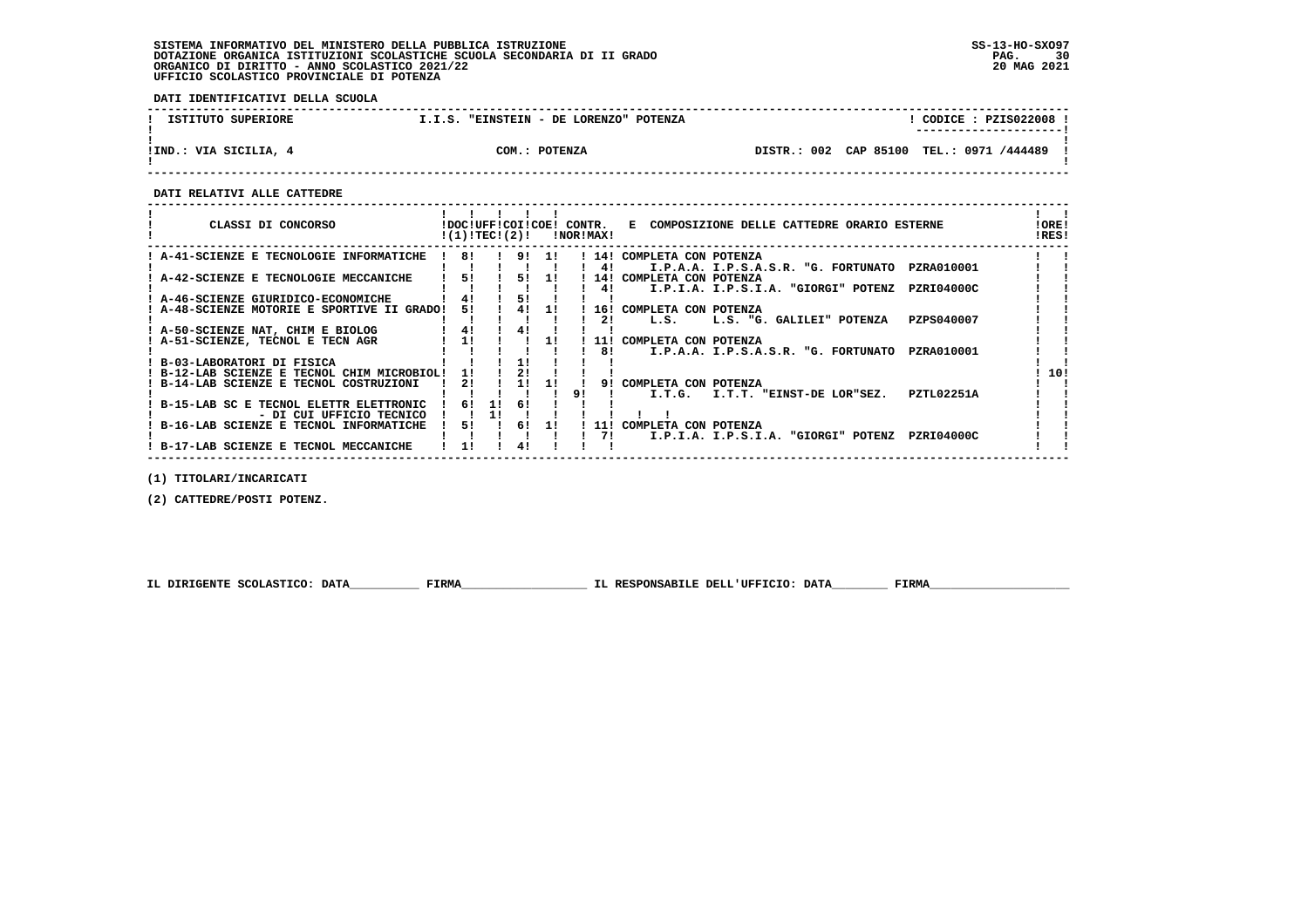**DATI IDENTIFICATIVI DELLA SCUOLA**

| ISTITUTO SUPERIORE    | "EINSTEIN - DE LORENZO" POTENZA<br>I.I.S. | CODICE: PZIS022008 !                        |
|-----------------------|-------------------------------------------|---------------------------------------------|
| !IND.: VIA SICILIA, 4 | COM.: POTENZA                             | TEL.: 0971 /444489<br>DISTR.: 002 CAP 85100 |

 **------------------------------------------------------------------------------------------------------------------------------------**

 **DATI RELATIVI ALLE CATTEDRE**

| CLASSI DI CONCORSO                                                                 | !DOC!UFF!COI!COE! CONTR.<br>!(1)!TEC!(2)! |    |           |       |    | !NOR!MAX!  | E COMPOSIZIONE DELLE CATTEDRE ORARIO ESTERNE                                  | !ORE!<br>!RES! |
|------------------------------------------------------------------------------------|-------------------------------------------|----|-----------|-------|----|------------|-------------------------------------------------------------------------------|----------------|
| A-41-SCIENZE E TECNOLOGIE INFORMATICHE                                             | 81                                        |    | . . 9. 1. |       |    |            | 14! COMPLETA CON POTENZA                                                      |                |
| A-42-SCIENZE E TECNOLOGIE MECCANICHE                                               | 51                                        |    |           | 5! 1! |    | 41         | PZRA010001<br>I.P.A.A. I.P.S.A.S.R. "G. FORTUNATO<br>14! COMPLETA CON POTENZA |                |
|                                                                                    |                                           |    |           |       |    | 41         | PZRI04000C<br>I.P.I.A. I.P.S.I.A. "GIORGI" POTENZ                             |                |
| : A-46-SCIENZE GIURIDICO-ECONOMICHE<br>! A-48-SCIENZE MOTORIE E SPORTIVE II GRADO! | 41<br>51                                  |    | 51<br>4!  | -11   |    | 16!        | COMPLETA CON POTENZA                                                          |                |
|                                                                                    |                                           |    |           |       |    | 21         | PZPS040007<br>L.S.<br>L.S. "G. GALILEI" POTENZA                               |                |
| ! A-50-SCIENZE NAT, CHIM E BIOLOG<br>! A-51-SCIENZE, TECNOL E TECN AGR             | 41<br>11                                  |    | 41        | 11    |    | 11!        | COMPLETA CON POTENZA                                                          |                |
|                                                                                    |                                           |    |           |       |    | 81         | PZRA010001<br>I.P.A.A. I.P.S.A.S.R. "G. FORTUNATO                             |                |
| ! B-03-LABORATORI DI FISICA<br>! B-12-LAB SCIENZE E TECNOL CHIM MICROBIOL!         | 11                                        |    | 2!        |       |    |            |                                                                               | 10!            |
| B-14-LAB SCIENZE E TECNOL COSTRUZIONI                                              | 21                                        |    | 11        | -11   |    | 91         | COMPLETA CON POTENZA                                                          |                |
| B-15-LAB SC E TECNOL ELETTR ELETTRONIC                                             | 61                                        | 11 | 6!        |       | 91 |            | PZTL02251A<br>I.T.G.<br>I.T.T. "EINST-DE LOR"SEZ.                             |                |
| - DI CUI UFFICIO TECNICO                                                           |                                           |    |           |       |    |            |                                                                               |                |
| ! B-16-LAB SCIENZE E TECNOL INFORMATICHE                                           | 51                                        |    | 61        | 11    |    | 11 !<br>71 | COMPLETA CON POTENZA<br>PZRI04000C<br>I.P.I.A. I.P.S.I.A. "GIORGI" POTENZ     |                |
| ! B-17-LAB SCIENZE E TECNOL MECCANICHE                                             | 11                                        |    | 41        |       |    |            |                                                                               |                |

 **(1) TITOLARI/INCARICATI**

 **(2) CATTEDRE/POSTI POTENZ.**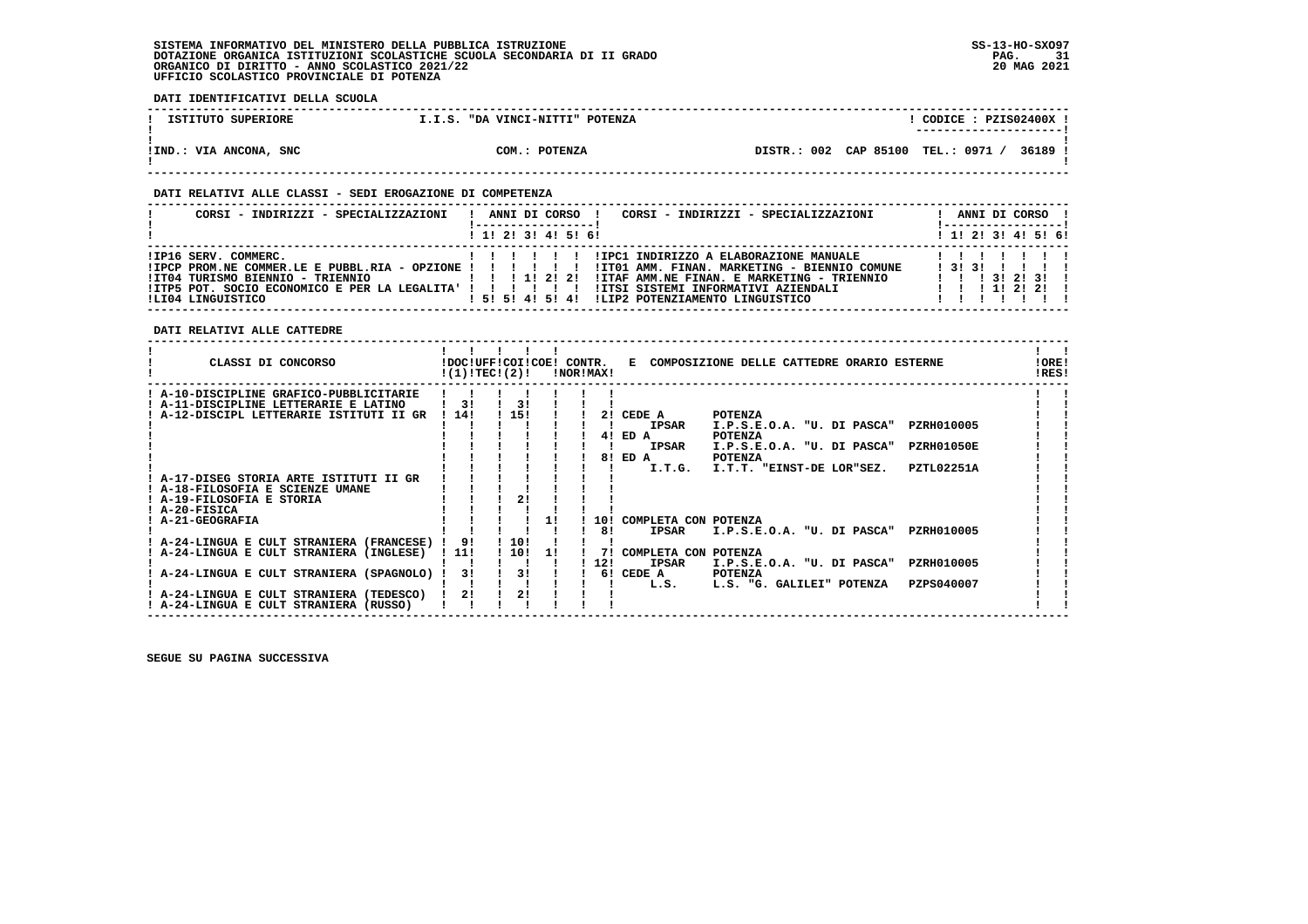**DATI IDENTIFICATIVI DELLA SCUOLA**

| ISTITUTO SUPERIORE     | I.I.S. "DA VINCI-NITTI" POTENZA | CODICE: PZIS02400X !<br>---------------------    |
|------------------------|---------------------------------|--------------------------------------------------|
| !IND.: VIA ANCONA, SNC | COM.: POTENZA                   | DISTR.: 002 CAP 85100 TEL.: 0971 /<br>$'$ 36189. |

### **DATI RELATIVI ALLE CLASSI - SEDI EROGAZIONE DI COMPETENZA**

| CORSI - INDIRIZZI - SPECIALIZZAZIONI      | CORSI - INDIRIZZI - SPECIALIZZAZIONI<br>ANNI DI CORSO !                                                                                                                                                                                             | ANNI DI CORSO !<br>!-----------------!   |
|-------------------------------------------|-----------------------------------------------------------------------------------------------------------------------------------------------------------------------------------------------------------------------------------------------------|------------------------------------------|
|                                           | $1$ , 1! 2! 3! 4! 5! 6!                                                                                                                                                                                                                             | $1$ , 1!, 2!, 3!, 4!, 5!, 6!             |
| IIP16 SERV. COMMERC.<br>ILI04 LINGUISTICO | IIPC1 INDIRIZZO A ELABORAZIONE MANUALE<br>IPCP PROM.NE COMMER.LE E PUBBL.RIA - OPZIONE ! ! ! ! ! ! ITTO1 AMM. FINAN. MARKETING - BIENNIO COMUNE!!<br>!ITAF AMM.NE FINAN. E MARKETING - TRIENNIO<br>! 5! 5! 4! 5! 4! ILIP2 POTENZIAMENTO LINGUISTICO | 1 3 1 3 1 1 1 1 1<br>1 1 1 3 1 2 1 3 1 1 |

### **DATI RELATIVI ALLE CATTEDRE**

| CLASSI DI CONCORSO                                                                                                       | !DOC!UFF!COI!COE! CONTR.<br>!(1)!TEC!(2)! |           |     | !NOR!MAX!       |                                                | E COMPOSIZIONE DELLE CATTEDRE ORARIO ESTERNE                                         |                                 | !ORE!<br>!RES! |
|--------------------------------------------------------------------------------------------------------------------------|-------------------------------------------|-----------|-----|-----------------|------------------------------------------------|--------------------------------------------------------------------------------------|---------------------------------|----------------|
| A-10-DISCIPLINE GRAFICO-PUBBLICITARIE<br>! A-11-DISCIPLINE LETTERARIE E LATINO<br>A-12-DISCIPL LETTERARIE ISTITUTI II GR | 31<br>14!                                 | 31<br>15! |     | 21              | CEDE A<br><b>IPSAR</b>                         | <b>POTENZA</b><br>I.P.S.E.O.A. "U. DI PASCA"                                         | PZRH010005                      |                |
|                                                                                                                          |                                           |           |     | 41<br>81        | ED A<br><b>IPSAR</b><br>ED A<br>I.T.G.         | <b>POTENZA</b><br>I.P.S.E.O.A. "U. DI PASCA"<br>POTENZA<br>I.T.T. "EINST-DE LOR"SEZ. | PZRH01050E<br><b>PZTL02251A</b> |                |
| A-17-DISEG STORIA ARTE ISTITUTI II GR<br>! A-18-FILOSOFIA E SCIENZE UMANE<br>! A-19-FILOSOFIA E STORIA                   |                                           | 21        |     |                 |                                                |                                                                                      |                                 |                |
| ! A-20-FISICA<br><b>A-21-GEOGRAFIA</b><br>A-24-LINGUA E CULT STRANIERA (FRANCESE)                                        | 91                                        | 10!       |     | 10!<br>81       | COMPLETA CON POTENZA<br><b>IPSAR</b>           | I.P.S.E.O.A. "U. DI PASCA"                                                           | PZRH010005                      |                |
| A-24-LINGUA E CULT STRANIERA (INGLESE)<br>! A-24-LINGUA E CULT STRANIERA (SPAGNOLO)                                      | ! 11!<br>31                               | 10!<br>31 | -11 | 71<br>12!<br>61 | COMPLETA CON POTENZA<br><b>IPSAR</b><br>CEDE A | I.P.S.E.O.A.<br>"U. DI PASCA"<br><b>POTENZA</b>                                      | PZRH010005                      |                |
| A-24-LINGUA E CULT STRANIERA (TEDESCO)<br>! A-24-LINGUA E CULT STRANIERA (RUSSO)                                         | 21                                        | 21        |     |                 | L.S.                                           | L.S. "G. GALILEI" POTENZA                                                            | PZPS040007                      |                |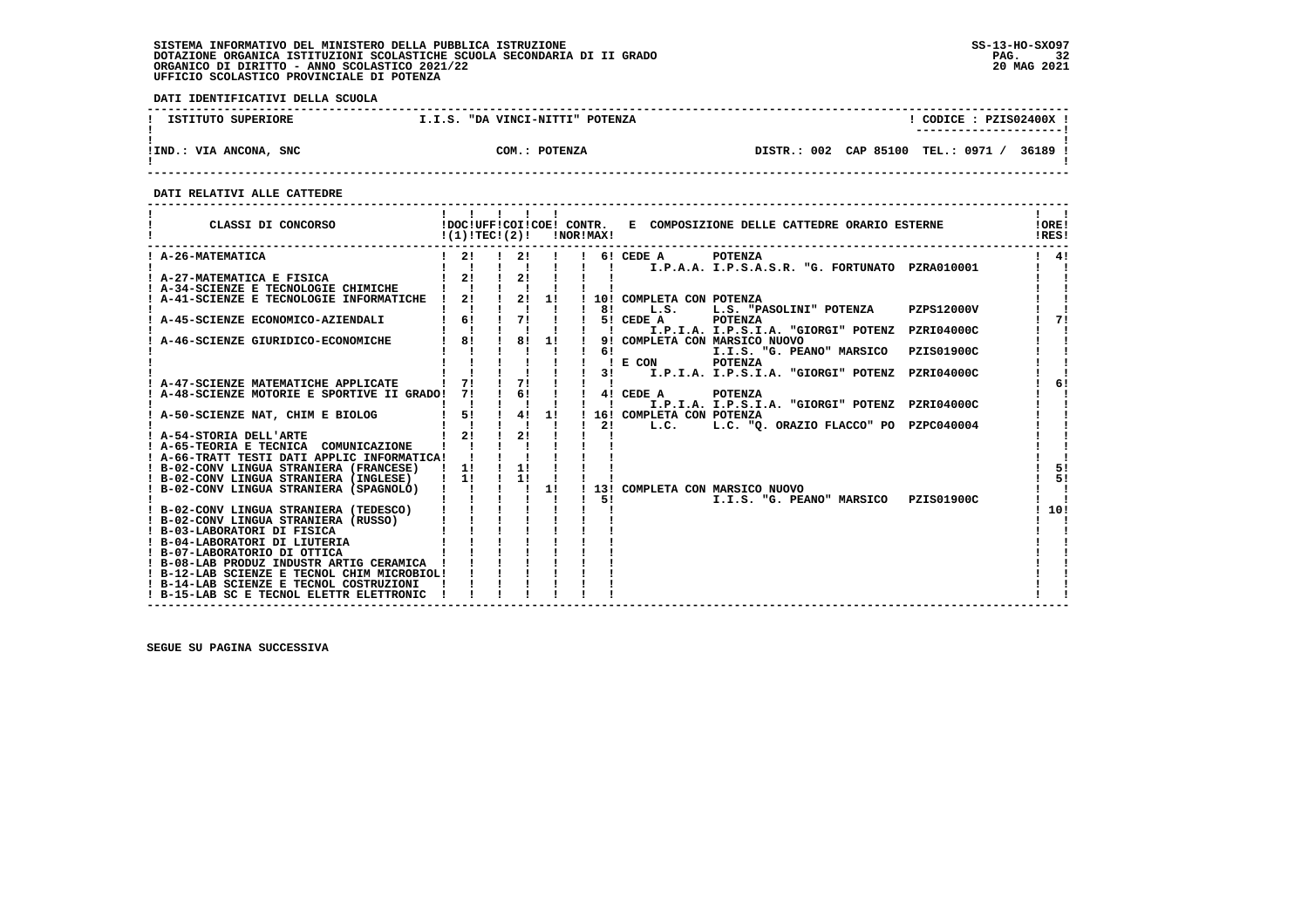**DATI IDENTIFICATIVI DELLA SCUOLA**

| ISTITUTO SUPERIORE     | I.I.S. "DA VINCI-NITTI" POTENZA | CODICE: PZIS02400X !                          |
|------------------------|---------------------------------|-----------------------------------------------|
| !IND.: VIA ANCONA, SNC | COM.: POTENZA                   | DISTR.: 002 CAP 85100 TEL.: 0971 /<br>36189 ! |

 **------------------------------------------------------------------------------------------------------------------------------------**

 **DATI RELATIVI ALLE CATTEDRE**

| CLASSI DI CONCORSO                                           | $!(1)!TEC!(2)!$ $INORIMAX!$                               |                                       |    |                           | !DOC!UFF!COI!COE! CONTR. E COMPOSIZIONE DELLE CATTEDRE ORARIO ESTERNE | !ORE!<br>!RES! |
|--------------------------------------------------------------|-----------------------------------------------------------|---------------------------------------|----|---------------------------|-----------------------------------------------------------------------|----------------|
| ! A-26-MATEMATICA                                            | $\frac{1}{2}$                                             | 21                                    |    |                           | 6! CEDE A POTENZA<br>I.P.A.A. I.P.S.A.S.R. "G. FORTUNATO PZRA010001   | $1 \quad 41$   |
| A-27-MATEMATICA E FISICA                                     | $1 \quad 21$                                              | 21                                    |    |                           |                                                                       |                |
| ! A-34-SCIENZE E TECNOLOGIE CHIMICHE                         |                                                           |                                       |    |                           |                                                                       |                |
| ! A-41-SCIENZE E TECNOLOGIE INFORMATICHE !                   |                                                           | $2!$ $1$ $2!$ $1!$                    |    |                           | 10! COMPLETA CON POTENZA                                              |                |
|                                                              |                                                           |                                       |    | 81                        | L.S.<br>L.S. "PASOLINI" POTENZA PZPS12000V                            |                |
| ! A-45-SCIENZE ECONOMICO-AZIENDALI                           | 6!<br>$\begin{matrix} 1 & 6 \\ 1 & 1 \end{matrix}$        | $\frac{1}{2}$                         |    |                           | 5! CEDE A<br>POTENZA                                                  | 71             |
|                                                              |                                                           |                                       |    | $\mathbf{I}$ $\mathbf{I}$ | I.P.I.A. I.P.S.I.A. "GIORGI" POTENZ PZRI04000C                        |                |
| A-46-SCIENZE GIURIDICO-ECONOMICHE                            | 8!                                                        |                                       |    |                           | 9! COMPLETA CON MARSICO NUOVO                                         |                |
|                                                              |                                                           |                                       |    | 61                        | I.I.S. "G. PEANO" MARSICO PZIS01900C                                  |                |
|                                                              |                                                           |                                       |    |                           | ! E CON POTENZA                                                       |                |
| A-47-SCIENZE MATEMATICHE APPLICATE                           | $\frac{1}{7!}$ $\frac{1}{1}$ $\frac{1}{7!}$ $\frac{1}{1}$ |                                       |    | 31                        | I.P.I.A. I.P.S.I.A. "GIORGI" POTENZ PZRI04000C                        | 6!             |
| A-48-SCIENZE MOTORIE E SPORTIVE II GRADO!                    | 71                                                        | $\begin{array}{ccc} & 6! \end{array}$ |    |                           | 4! CEDE A<br><b>POTENZA</b>                                           |                |
|                                                              |                                                           |                                       |    |                           | I.P.I.A. I.P.S.I.A. "GIORGI" POTENZ PZRI04000C                        |                |
| ! A-50-SCIENZE NAT, CHIM E BIOLOG                            | 5!                                                        | 4!                                    | 1! |                           | 16! COMPLETA CON POTENZA                                              |                |
|                                                              |                                                           |                                       |    | 21                        | L.C. "Q. ORAZIO FLACCO" PO PZPC040004<br>L.C.                         |                |
| ! A-54-STORIA DELL'ARTE                                      | 21                                                        | 21                                    |    |                           |                                                                       |                |
| ! A-65-TEORIA E TECNICA COMUNICAZIONE                        |                                                           |                                       |    |                           |                                                                       |                |
| ! A-66-TRATT TESTI DATI APPLIC INFORMATICA!                  |                                                           |                                       |    |                           |                                                                       |                |
| ! B-02-CONV LINGUA STRANIERA (FRANCESE)                      | $\frac{1}{2}$                                             | 1!                                    |    |                           |                                                                       | 5!             |
| ! B-02-CONV LINGUA STRANIERA (INGLESE)                       | $1 \quad 1!$                                              | 1!                                    |    |                           |                                                                       | 5!             |
| ! B-02-CONV LINGUA STRANIERA (SPAGNOLO)                      |                                                           | $1 - 1$                               | 1! |                           | ! 13! COMPLETA CON MARSICO NUOVO                                      |                |
|                                                              |                                                           |                                       |    | -51                       | I.I.S. "G. PEANO" MARSICO PZIS01900C                                  |                |
| ! B-02-CONV LINGUA STRANIERA (TEDESCO)                       |                                                           |                                       |    |                           |                                                                       | 10!            |
| ! B-02-CONV LINGUA STRANIERA (RUSSO)                         |                                                           |                                       |    |                           |                                                                       |                |
| ! B-03-LABORATORI DI FISICA<br>! B-04-LABORATORI DI LIUTERIA |                                                           |                                       |    |                           |                                                                       |                |
| ! B-07-LABORATORIO DI OTTICA                                 |                                                           |                                       |    |                           |                                                                       |                |
| ! B-08-LAB PRODUZ INDUSTR ARTIG CERAMICA !                   |                                                           |                                       |    |                           |                                                                       |                |
| ! B-12-LAB SCIENZE E TECNOL CHIM MICROBIOL!                  |                                                           |                                       |    |                           |                                                                       |                |
| ! B-14-LAB SCIENZE E TECNOL COSTRUZIONI                      |                                                           |                                       |    |                           |                                                                       |                |
| ! B-15-LAB SC E TECNOL ELETTR ELETTRONIC                     |                                                           |                                       |    |                           |                                                                       |                |
|                                                              |                                                           |                                       |    |                           |                                                                       |                |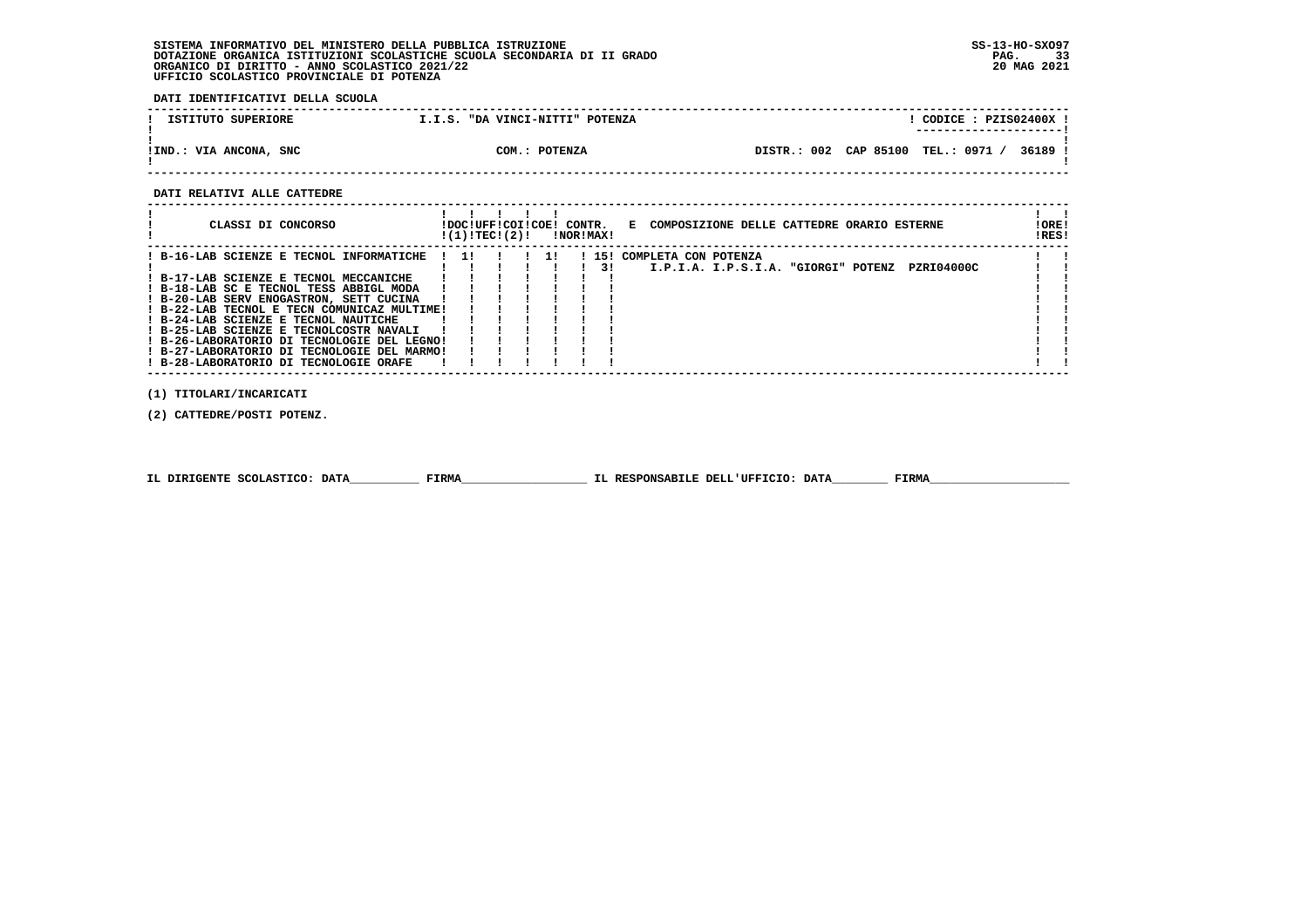**DATI IDENTIFICATIVI DELLA SCUOLA**

| ISTITUTO SUPERIORE     | "DA VINCI-NITTI" POTENZA<br>T.I.S. | CODICE: PZIS02400X<br>----------------------        |
|------------------------|------------------------------------|-----------------------------------------------------|
| !IND.: VIA ANCONA, SNC | COM.: POTENZA                      | <b>TEL.: 0971</b><br>36189<br>DISTR.: 002 CAP 85100 |

 **------------------------------------------------------------------------------------------------------------------------------------**

### **DATI RELATIVI ALLE CATTEDRE**

| CLASSI DI CONCORSO<br>E COMPOSIZIONE DELLE CATTEDRE ORARIO ESTERNE<br>!DOC!UFF!COI!COE! CONTR.<br>!(1)!TEC!(2)!<br><b>!NOR!MAX!</b>                                                                                                                                                                                                                                                                                                                                                                                                                                         | ! ORE!<br>!RES! |
|-----------------------------------------------------------------------------------------------------------------------------------------------------------------------------------------------------------------------------------------------------------------------------------------------------------------------------------------------------------------------------------------------------------------------------------------------------------------------------------------------------------------------------------------------------------------------------|-----------------|
| ! B-16-LAB SCIENZE E TECNOL INFORMATICHE<br>15! COMPLETA CON POTENZA<br>$\blacksquare$<br>$1 \quad 11$<br>PZRI04000C<br>I.P.I.A. I.P.S.I.A. "GIORGI" POTENZ<br>31<br>! B-17-LAB SCIENZE E TECNOL MECCANICHE<br>! B-18-LAB SC E TECNOL TESS ABBIGL MODA<br>! B-20-LAB SERV ENOGASTRON, SETT CUCINA<br>! B-22-LAB TECNOL E TECN COMUNICAZ MULTIME!<br>! B-24-LAB SCIENZE E TECNOL NAUTICHE<br>! B-25-LAB SCIENZE E TECNOLCOSTR NAVALI<br>! B-26-LABORATORIO DI TECNOLOGIE DEL LEGNO!<br>! B-27-LABORATORIO DI TECNOLOGIE DEL MARMO!<br>! B-28-LABORATORIO DI TECNOLOGIE ORAFE |                 |

 **(1) TITOLARI/INCARICATI**

 **(2) CATTEDRE/POSTI POTENZ.**

|  | IL DIRIGENTE SCOLASTICO: DATA | <b>FIRMA</b> | IL RESPONSABILE DELL'UFFICIO: DATA | FIRMZ |
|--|-------------------------------|--------------|------------------------------------|-------|
|--|-------------------------------|--------------|------------------------------------|-------|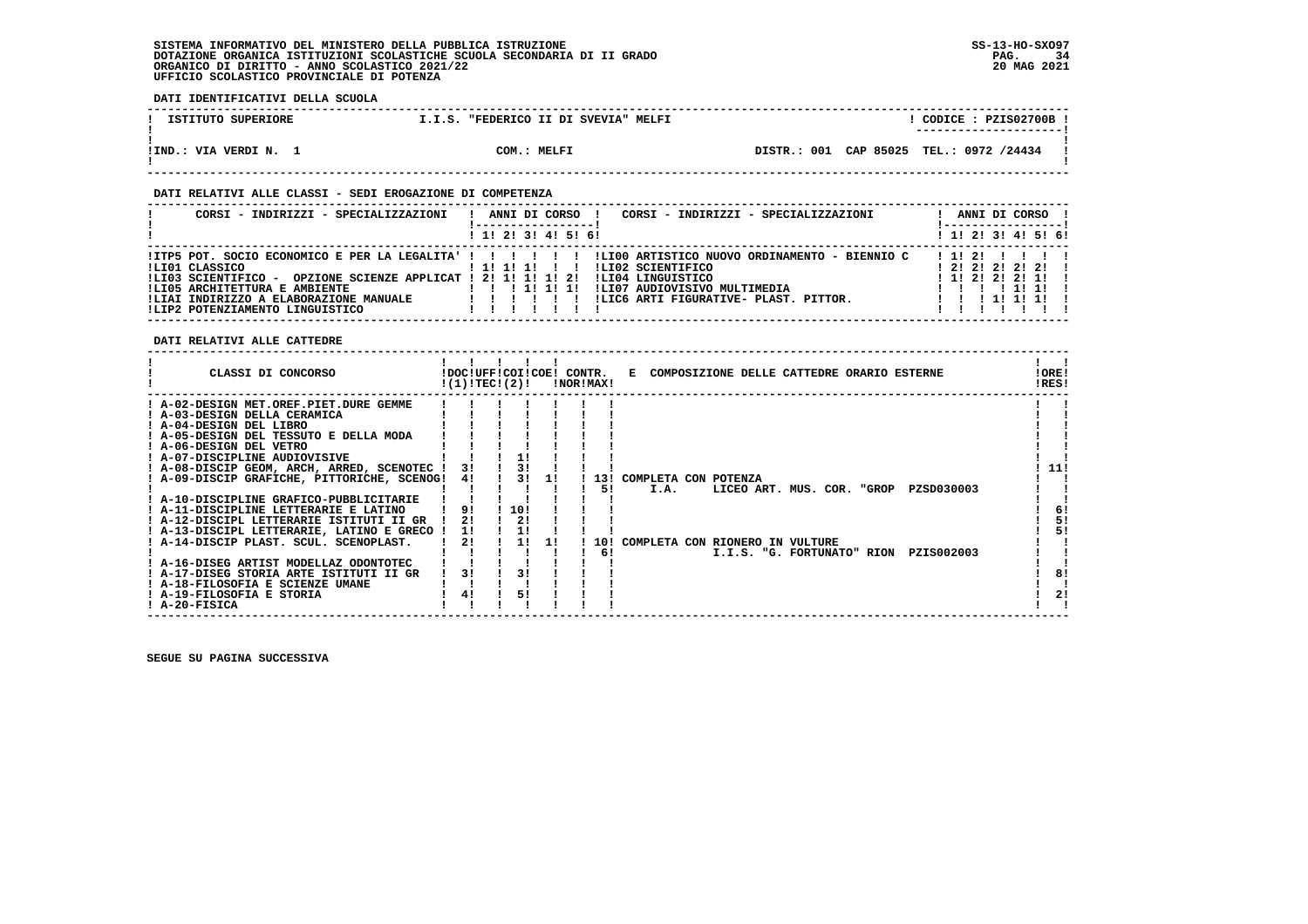**DATI IDENTIFICATIVI DELLA SCUOLA**

| ISTITUTO SUPERIORE  | "FEDERICO II DI SVEVIA" MELFI<br>T.I.S. | CODICE: PZIS02700B<br>---------------------- |
|---------------------|-----------------------------------------|----------------------------------------------|
|                     |                                         |                                              |
|                     |                                         |                                              |
| !IND.: VIA VERDI N. | COM.: MELFI                             | DISTR.: 001 CAP 85025 TEL.: 0972 /24434      |
|                     |                                         |                                              |

 **------------------------------------------------------------------------------------------------------------------------------------**

### **DATI RELATIVI ALLE CLASSI - SEDI EROGAZIONE DI COMPETENZA**

| CORSI - INDIRIZZI - SPECIALIZZAZIONI                                                                       | CORSI - INDIRIZZI - SPECIALIZZAZIONI<br>ANNI DI CORSO                                                                                                            | ANNI DI CORSO !                               |
|------------------------------------------------------------------------------------------------------------|------------------------------------------------------------------------------------------------------------------------------------------------------------------|-----------------------------------------------|
|                                                                                                            | ! 1! 2! 3! 4! 5! 6!                                                                                                                                              | ! 1! 2! 3! 4! 5! 6!                           |
| ILI01 CLASSICO<br>!LI03 SCIENTIFICO - OPZIONE SCIENZE APPLICAT ! 2! 1! 1! 1! 2!                            | ITP5 POT. SOCIO ECONOMICO E PER LA LEGALITA' ! ! !!!!!! ILI00 ARTISTICO NUOVO ORDINAMENTO - BIENNIO C<br>ILI02 SCIENTIFICO<br>1 1 1 1 1 1 1<br>ILI04 LINGUISTICO | 1121 111<br>1212121211<br>$1$ 1! 2! 2! 2! 1!! |
| !LI05 ARCHITETTURA E AMBIENTE<br>!LIAI INDIRIZZO A ELABORAZIONE MANUALE<br>!LIP2 POTENZIAMENTO LINGUISTICO | !LI07 AUDIOVISIVO MULTIMEDIA<br>1 1 1 1 1 1 1 1<br>!LIC6 ARTI FIGURATIVE- PLAST. PITTOR.                                                                         | 1111<br>1 1 1 1 1 1 1 1                       |

 **DATI RELATIVI ALLE CATTEDRE**

| CLASSI DI CONCORSO                                                                                                                                                                                                                                                                                                                                                                                                                                                                                                             | !(1)!TEC!(2)!                    | !DOC!UFF!COI!COE! CONTR. |                  | !NOR!MAX!              |                              |  | E COMPOSIZIONE DELLE CATTEDRE ORARIO ESTERNE                                                |  |                          | !ORE!<br>!RES! |                       |
|--------------------------------------------------------------------------------------------------------------------------------------------------------------------------------------------------------------------------------------------------------------------------------------------------------------------------------------------------------------------------------------------------------------------------------------------------------------------------------------------------------------------------------|----------------------------------|--------------------------|------------------|------------------------|------------------------------|--|---------------------------------------------------------------------------------------------|--|--------------------------|----------------|-----------------------|
| ! A-02-DESIGN MET.OREF.PIET.DURE GEMME<br>! A-03-DESIGN DELLA CERAMICA<br>! A-04-DESIGN DEL LIBRO<br>! A-05-DESIGN DEL TESSUTO E DELLA MODA<br>! A-06-DESIGN DEL VETRO<br>! A-07-DISCIPLINE AUDIOVISIVE<br>! A-08-DISCIP GEOM, ARCH, ARRED, SCENOTEC !<br>! A-09-DISCIP GRAFICHE, PITTORICHE, SCENOG!<br>! A-10-DISCIPLINE GRAFICO-PUBBLICITARIE<br>! A-11-DISCIPLINE LETTERARIE E LATINO<br>! A-12-DISCIPL LETTERARIE ISTITUTI II GR<br>! A-13-DISCIPL LETTERARIE, LATINO E GRECO !<br>! A-14-DISCIP PLAST. SCUL. SCENOPLAST. | 3!<br>4!<br>9!<br>21<br>11<br>2! | 10!<br>2!<br>11          | <b>11</b><br>-11 | 131<br>51<br>10!<br>61 | COMPLETA CON POTENZA<br>I.A. |  | LICEO ART. MUS. COR. "GROP<br>COMPLETA CON RIONERO IN VULTURE<br>I.I.S. "G. FORTUNATO" RION |  | PZSD030003<br>PZIS002003 |                | 11!<br>6!<br>5!<br>51 |
| ! A-16-DISEG ARTIST MODELLAZ ODONTOTEC<br>! A-17-DISEG STORIA ARTE ISTITUTI II GR<br>! A-18-FILOSOFIA E SCIENZE UMANE<br>! A-19-FILOSOFIA E STORIA<br>! A-20-FISICA                                                                                                                                                                                                                                                                                                                                                            | 31<br>4!                         | 51                       |                  |                        |                              |  |                                                                                             |  |                          |                | 81<br>21              |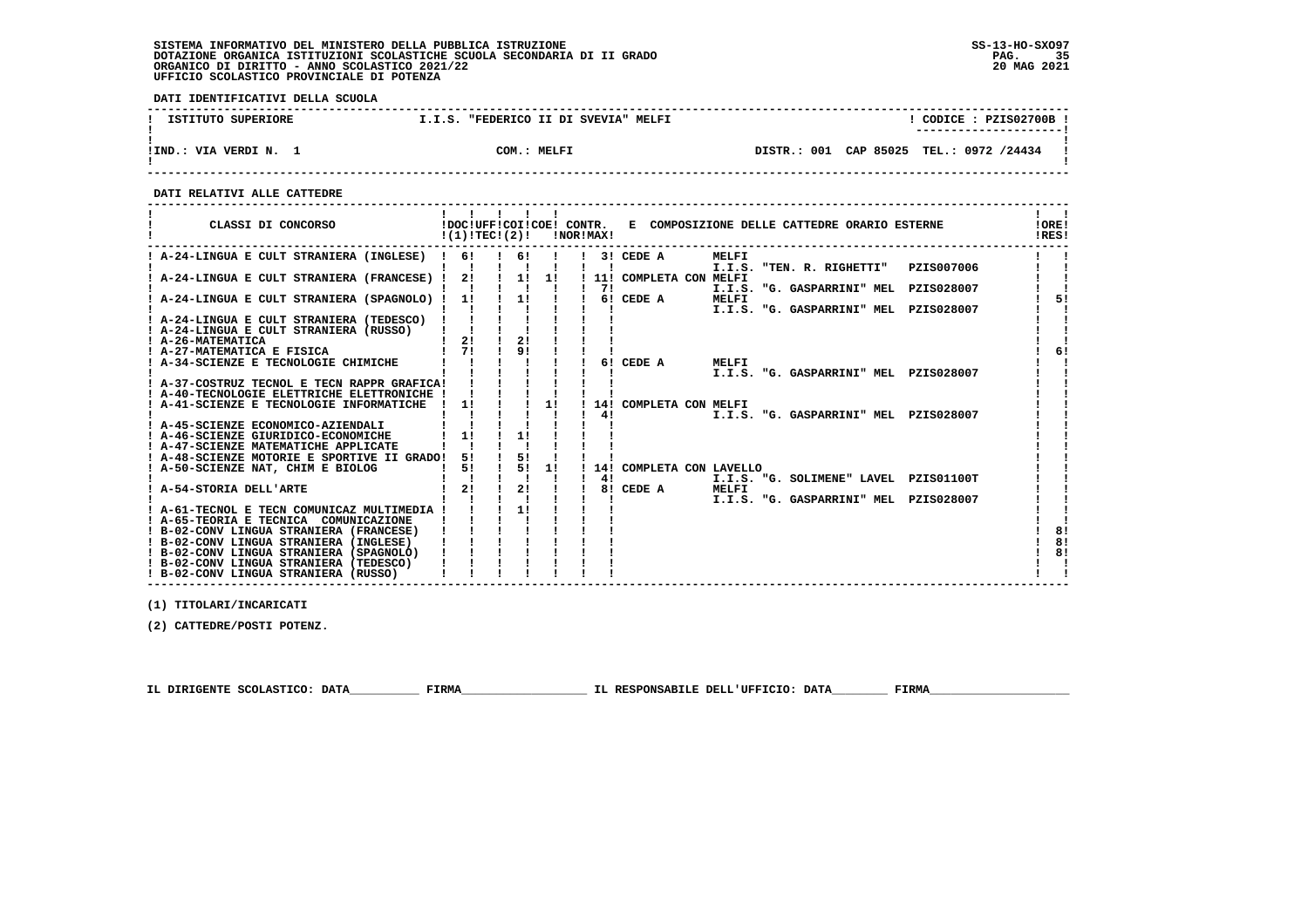**DATI IDENTIFICATIVI DELLA SCUOLA**

| ISTITUTO SUPERIORE  | "FEDERICO II DI SVEVIA" MELFI<br>I.I.S. | CODICE: PZIS02700B<br>---------------------- |
|---------------------|-----------------------------------------|----------------------------------------------|
| !IND.: VIA VERDI N. | COM.: MELFI                             | DISTR.: 001 CAP 85025 TEL.: 0972 /24434      |

 **------------------------------------------------------------------------------------------------------------------------------------**

 **DATI RELATIVI ALLE CATTEDRE**

| CLASSI DI CONCORSO                                                     | $!(1)!TEC!(2)!$ $ NOR MAX!$                  |              |                                |      |    |                          |              | !DOC!UFF!COI!COE! CONTR. E COMPOSIZIONE DELLE CATTEDRE ORARIO ESTERNE |            | !ORE!<br>IRES! |
|------------------------------------------------------------------------|----------------------------------------------|--------------|--------------------------------|------|----|--------------------------|--------------|-----------------------------------------------------------------------|------------|----------------|
| ! A-24-LINGUA E CULT STRANIERA (INGLESE) ! 6!                          |                                              |              | $\frac{1}{1}$ 6! $\frac{1}{1}$ |      |    | $13!$ CEDE A             | <b>MELFI</b> | I.I.S. "TEN. R. RIGHETTI"                                             | PZIS007006 |                |
| A-24-LINGUA E CULT STRANIERA (FRANCESE) !                              | 2!                                           | $\mathbf{I}$ |                                | 1!1! |    | ! 11! COMPLETA CON MELFI |              |                                                                       |            |                |
|                                                                        |                                              |              |                                |      | 71 |                          |              | I.I.S. "G. GASPARRINI" MEL PZIS028007                                 |            |                |
| ! A-24-LINGUA E CULT STRANIERA (SPAGNOLO) ! 1!                         |                                              |              | $\frac{1}{1}$                  |      |    | 6! CEDE A                | MELFI        |                                                                       |            | 51             |
|                                                                        |                                              |              |                                |      |    |                          |              | I.I.S. "G. GASPARRINI" MEL PZIS028007                                 |            |                |
| ! A-24-LINGUA E CULT STRANIERA (TEDESCO) !                             |                                              |              |                                |      |    |                          |              |                                                                       |            |                |
| ! A-24-LINGUA E CULT STRANIERA (RUSSO)      <br>! A-26-MATEMATICA   2! |                                              |              |                                |      |    |                          |              |                                                                       |            |                |
|                                                                        |                                              |              | 2!                             |      |    |                          |              |                                                                       |            |                |
| : A-27-MATEMATICA E FISICA                                             | $\overline{1}$ $\overline{7}$ $\overline{1}$ |              | 91                             |      |    |                          |              |                                                                       |            | 6!             |
| ! A-34-SCIENZE E TECNOLOGIE CHIMICHE                                   |                                              |              |                                |      |    | 6! CEDE A                | MELFI        |                                                                       |            |                |
|                                                                        |                                              |              |                                |      |    |                          |              | I.I.S. "G. GASPARRINI" MEL PZIS028007                                 |            |                |
| ! A-37-COSTRUZ TECNOL E TECN RAPPR GRAFICA!                            |                                              |              |                                |      |    |                          |              |                                                                       |            |                |
| ! A-40-TECNOLOGIE ELETTRICHE ELETTRONICHE !                            |                                              |              |                                |      |    |                          |              |                                                                       |            |                |
| ! A-41-SCIENZE E TECNOLOGIE INFORMATICHE                               | 1!<br>$\mathbf{I}$                           |              | $\mathbf{I}$                   | 1!   |    | ! 14! COMPLETA CON MELFI |              |                                                                       |            |                |
|                                                                        |                                              |              |                                |      | 4! |                          |              | I.I.S. "G. GASPARRINI" MEL PZIS028007                                 |            |                |
| ! A-45-SCIENZE ECONOMICO-AZIENDALI                                     |                                              |              |                                |      |    |                          |              |                                                                       |            |                |
| ! A-46-SCIENZE GIURIDICO-ECONOMICHE                                    | 11                                           |              | 11                             |      |    |                          |              |                                                                       |            |                |
| ! A-47-SCIENZE MATEMATICHE APPLICATE                                   |                                              |              |                                |      |    |                          |              |                                                                       |            |                |
| ! A-48-SCIENZE MOTORIE E SPORTIVE II GRADO!                            | 51                                           |              | 51                             |      |    |                          |              |                                                                       |            |                |
| ! A-50-SCIENZE NAT, CHIM E BIOLOG                                      | 5!                                           |              | ! 5! 1!                        |      |    | 14! COMPLETA CON LAVELLO |              |                                                                       |            |                |
|                                                                        |                                              |              |                                |      | 4! |                          |              | I.I.S. "G. SOLIMENE" LAVEL PZIS01100T                                 |            |                |
| ! A-54-STORIA DELL'ARTE                                                | 2!                                           |              | 2!                             |      |    | 8! CEDE A                | MELFI        |                                                                       |            |                |
|                                                                        |                                              |              |                                |      |    |                          |              | I.I.S. "G. GASPARRINI" MEL PZIS028007                                 |            |                |
| ! A-61-TECNOL E TECN COMUNICAZ MULTIMEDIA !                            |                                              |              | 11                             |      |    |                          |              |                                                                       |            |                |
| ! A-65-TEORIA E TECNICA COMUNICAZIONE                                  |                                              |              |                                |      |    |                          |              |                                                                       |            |                |
| ! B-02-CONV LINGUA STRANIERA (FRANCESE)                                |                                              |              |                                |      |    |                          |              |                                                                       |            | 8!             |
| ! B-02-CONV LINGUA STRANIERA (INGLESE)                                 |                                              |              |                                |      |    |                          |              |                                                                       |            | 8!             |
| ! B-02-CONV LINGUA STRANIERA (SPAGNOLO)                                |                                              |              |                                |      |    |                          |              |                                                                       |            | 8!             |
| ! B-02-CONV LINGUA STRANIERA (TEDESCO)                                 |                                              |              |                                |      |    |                          |              |                                                                       |            |                |
| ! B-02-CONV LINGUA STRANIERA (RUSSO)                                   |                                              |              |                                |      |    |                          |              |                                                                       |            |                |

 **------------------------------------------------------------------------------------------------------------------------------------**

 **(1) TITOLARI/INCARICATI**

 **(2) CATTEDRE/POSTI POTENZ.**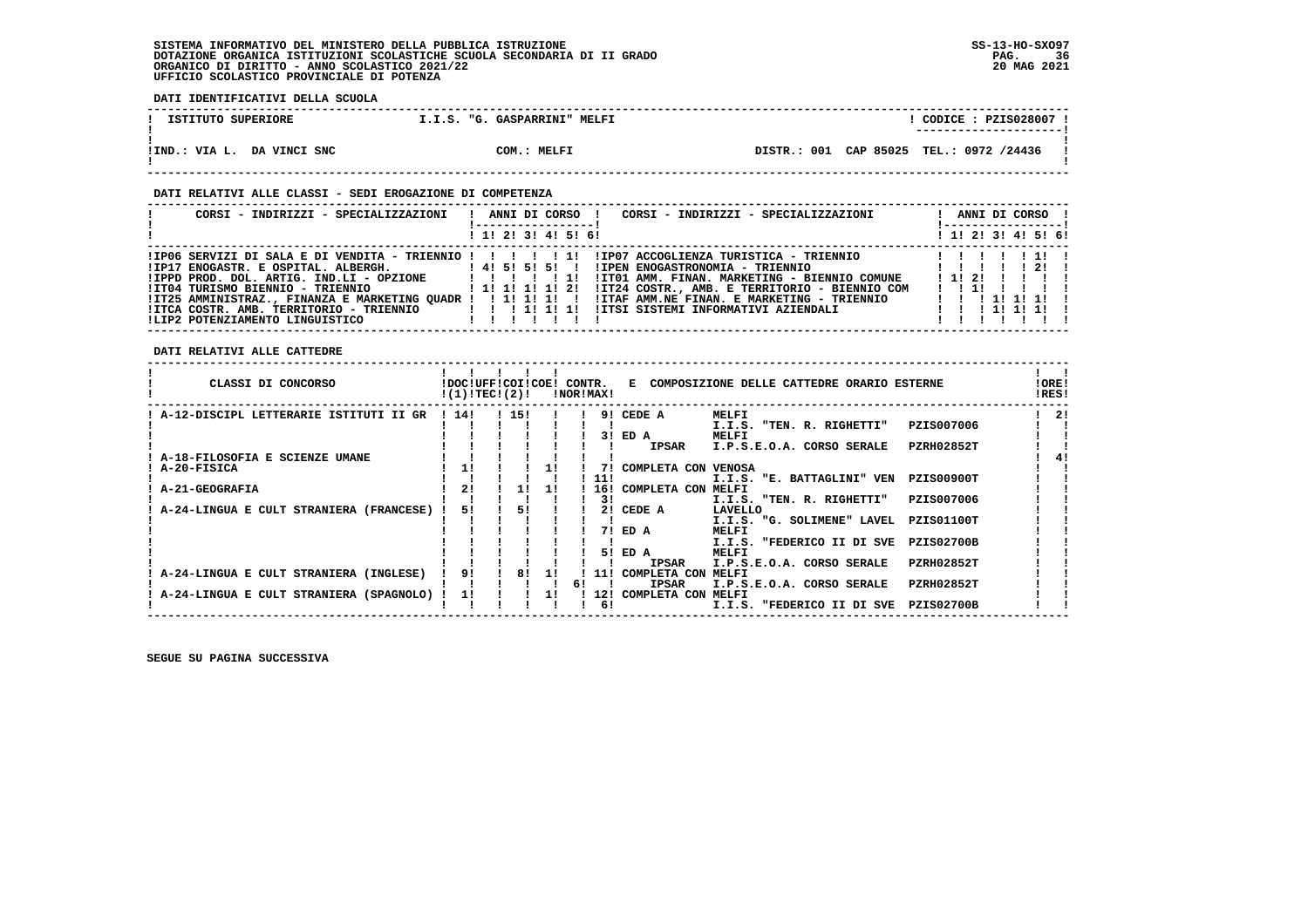**DATI IDENTIFICATIVI DELLA SCUOLA**

| ISTITUTO SUPERIORE         | I.I.S. "G. GASPARRINI" MELFI | CODICE: PZIS028007 !                    |
|----------------------------|------------------------------|-----------------------------------------|
| !IND.: VIA L. DA VINCI SNC | COM.: MELFI                  | DISTR.: 001 CAP 85025 TEL.: 0972 /24436 |

### **DATI RELATIVI ALLE CLASSI - SEDI EROGAZIONE DI COMPETENZA**

| CORSI - INDIRIZZI - SPECIALIZZAZIONI                                                                                                                                             | CORSI - INDIRIZZI - SPECIALIZZAZIONI<br>ANNI DI CORSO !                                                                                                                                                                                                                                                                                                                                                                          | ANNI DI CORSO !<br>! ------------------ !                  |
|----------------------------------------------------------------------------------------------------------------------------------------------------------------------------------|----------------------------------------------------------------------------------------------------------------------------------------------------------------------------------------------------------------------------------------------------------------------------------------------------------------------------------------------------------------------------------------------------------------------------------|------------------------------------------------------------|
|                                                                                                                                                                                  | 1 1! 2! 3! 4! 5! 6!                                                                                                                                                                                                                                                                                                                                                                                                              | $1 \; 1 \; 2 \; 3 \; 1 \; 4 \; 5 \; 6 \; 6$                |
| $IIPPD PROD. DOL. ARTIG. IND.LI - OPZIONE$ $I \quad I \quad I$<br>!IT04 TURISMO BIENNIO - TRIENNIO<br>!ITCA COSTR. AMB. TERRITORIO - TRIENNIO<br>ILIP2 POTENZIAMENTO LINGUISTICO | IPO6 SERVIZI DI SALA E DI VENDITA - TRIENNIO !!!!!!!!!!!PO7 ACCOGLIENZA TURISTICA - TRIENNIO!!!!!!!!<br>!IPEN ENOGASTRONOMIA - TRIENNIO<br>!IT01 AMM. FINAN. MARKETING - BIENNIO COMUNE<br>!IT24 COSTR., AMB. E TERRITORIO - BIENNIO COM<br>1 1 1 1 1 1 1 1 2 1<br>IIT25 AMMINISTRAZ., FINANZA E MARKETING OUADR !!!!!!!!!!!!ITAF AMM.NE FINAN. E MARKETING - TRIENNIO<br>1 1 1 1 1 1 1 1<br>IITSI SISTEMI INFORMATIVI AZIENDALI | - 2.1<br>1 1 1 2 1<br>1 1 1 1 1 1 1 1<br>1 1 1 1 1 1 1 1 1 |

### **DATI RELATIVI ALLE CATTEDRE**

| CLASSI DI CONCORSO                      | !DOC!UFF!COI!COE!<br>!(1)!TECI(2)! |       |    | CONTR.<br>!NOR!MAX! |     | к.                  | COMPOSIZIONE DELLE CATTEDRE ORARIO ESTERNE |                   | !ORE!<br>!RES! |
|-----------------------------------------|------------------------------------|-------|----|---------------------|-----|---------------------|--------------------------------------------|-------------------|----------------|
| A-12-DISCIPL LETTERARIE ISTITUTI II GR  | 114!                               | ! 15! |    |                     | 91  | CEDE A              | MELFI                                      |                   | -21            |
|                                         |                                    |       |    |                     |     |                     | I.I.S. "TEN. R. RIGHETTI"                  | PZIS007006        |                |
|                                         |                                    |       |    |                     | 31  | ED A                | MELFI                                      |                   |                |
|                                         |                                    |       |    |                     |     | <b>IPSAR</b>        | I.P.S.E.O.A. CORSO SERALE                  | PZRH02852T        |                |
| A-18-FILOSOFIA E SCIENZE UMANE          |                                    |       |    |                     |     |                     |                                            |                   |                |
| A-20-FISICA                             | 11                                 |       |    |                     |     | COMPLETA CON VENOSA |                                            |                   |                |
|                                         |                                    |       |    |                     | 11! |                     | I.I.S. "E. BATTAGLINI" VEN                 | <b>PZIS00900T</b> |                |
| <b>A-21-GEOGRAFIA</b>                   |                                    |       | 11 |                     | 16! | COMPLETA CON MELFI  |                                            |                   |                |
|                                         |                                    |       |    |                     | 31  |                     | I.I.S. "TEN. R. RIGHETTI"                  | PZIS007006        |                |
| A-24-LINGUA E CULT STRANIERA (FRANCESE) | 51                                 | 51    |    |                     | 21  | CEDE A              | LAVELLO                                    |                   |                |
|                                         |                                    |       |    |                     |     |                     | I.I.S. "G. SOLIMENE" LAVEL                 | <b>PZIS01100T</b> |                |
|                                         |                                    |       |    |                     | 71  | ED A                | MELFI                                      |                   |                |
|                                         |                                    |       |    |                     |     |                     | "FEDERICO II DI SVE<br>I.I.S.              | <b>PZIS02700B</b> |                |
|                                         |                                    |       |    |                     | 51  | ED A                | MELFI                                      |                   |                |
|                                         |                                    |       |    |                     |     | <b>IPSAR</b>        | I.P.S.E.O.A. CORSO SERALE                  | <b>PZRH02852T</b> |                |
| A-24-LINGUA E CULT STRANIERA (INGLESE)  | 91                                 | 8!    | 11 |                     | 11! | COMPLETA CON        | MELFI                                      |                   |                |
|                                         |                                    |       |    | 61                  |     | <b>IPSAR</b>        | I.P.S.E.O.A. CORSO SERALE                  | <b>PZRH02852T</b> |                |
| A-24-LINGUA E CULT STRANIERA (SPAGNOLO) | 11                                 |       |    |                     | 12! | COMPLETA CON        | MELFI                                      |                   |                |
|                                         |                                    |       |    |                     | 61  |                     | I.I.S. "FEDERICO II DI SVE                 | <b>PZIS02700B</b> |                |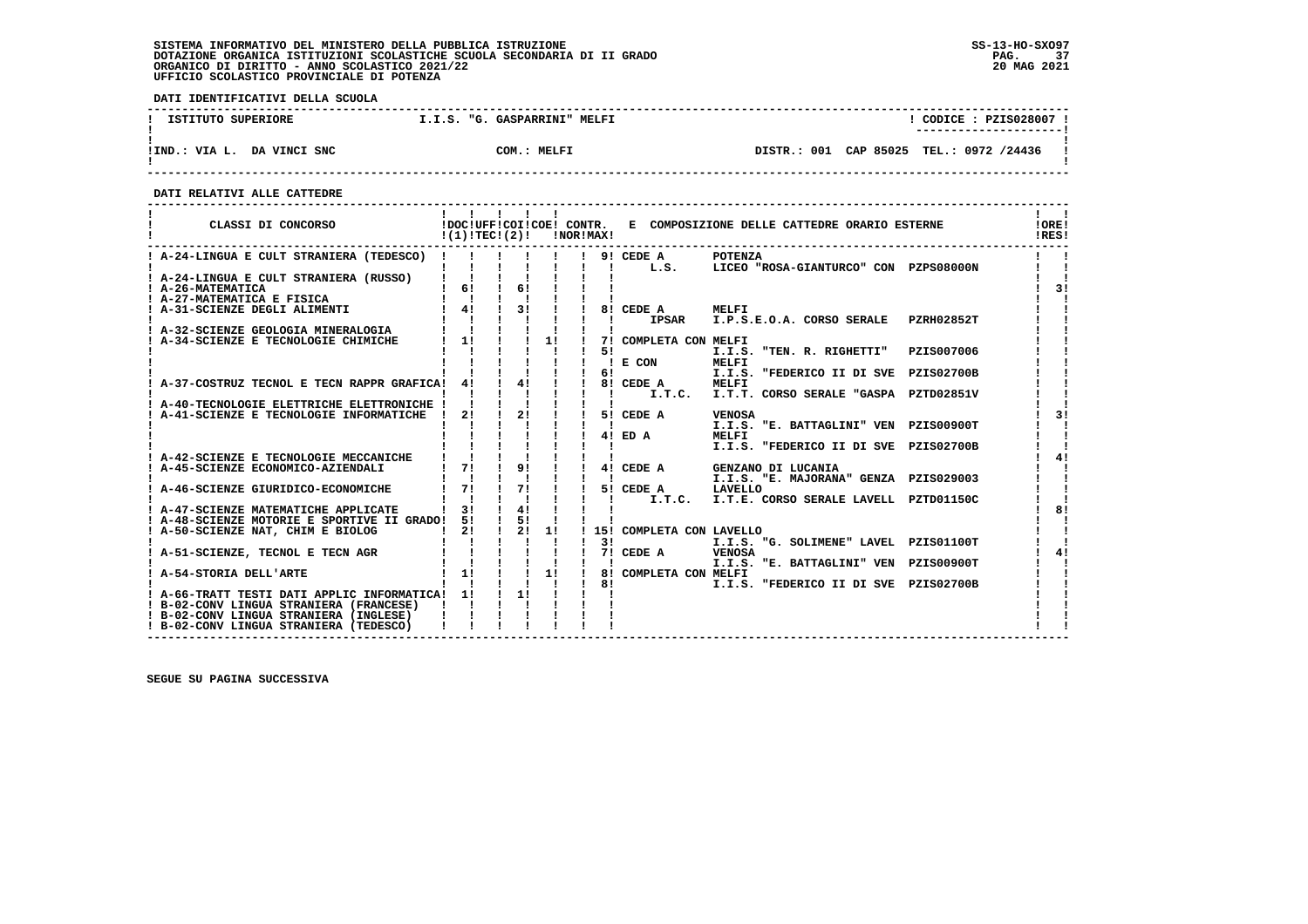# **SISTEMA INFORMATIVO DEL MINISTERO DELLA PUBBLICA ISTRUZIONE SS-13-HO-SXO97**DOTAZIONE ORGANICA ISTITUZIONI SCOLASTICHE SCUOLA SECONDARIA DI II GRADO<br>ORGANICO DI DIRITTO - ANNO SCOLASTICO 2021/22<br>UFFICIO SCOLASTICO PROVINCIALE DI POTENZA

 **DATI IDENTIFICATIVI DELLA SCUOLA**

| ISTITUTO SUPERIORE            | I.I.S. "G. GASPARRINI" MELFI | CODE: PZIS028007:                       |
|-------------------------------|------------------------------|-----------------------------------------|
| DA VINCI SNC<br>!IND.: VIA L. | COM.: MELFI                  | DISTR.: 001 CAP 85025 TEL.: 0972 /24436 |

 **------------------------------------------------------------------------------------------------------------------------------------**

 **DATI RELATIVI ALLE CATTEDRE**

| CLASSI DI CONCORSO                                                                | !(1)!TEC!(2)!                              |                                 |    | !NOR!MAX! |    |                          | !DOC!UFF!COI!COE! CONTR. E COMPOSIZIONE DELLE CATTEDRE ORARIO ESTERNE |            | . .<br>!ORE!<br>!RES! |
|-----------------------------------------------------------------------------------|--------------------------------------------|---------------------------------|----|-----------|----|--------------------------|-----------------------------------------------------------------------|------------|-----------------------|
| ! A-24-LINGUA E CULT STRANIERA (TEDESCO) !                                        |                                            |                                 |    |           |    | 9! CEDE A                | POTENZA<br>L.S. LICEO "ROSA-GIANTURCO" CON PZPS08000N                 |            |                       |
| ! A-24-LINGUA E CULT STRANIERA (RUSSO)<br>! A-26-MATEMATICA                       | 6!                                         | 6!                              |    |           |    |                          |                                                                       |            | 31                    |
| ! A-27-MATEMATICA E FISICA<br>! A-31-SCIENZE DEGLI ALIMENTI                       | $\mathbf{I}$ $\mathbf{I}$<br>$\frac{1}{4}$ | 3!                              |    |           |    | 8! CEDE A                | MELFI                                                                 |            |                       |
| ! A-32-SCIENZE GEOLOGIA MINERALOGIA                                               |                                            |                                 |    |           |    | <b>IPSAR</b>             | I.P.S.E.O.A. CORSO SERALE PZRH02852T                                  |            |                       |
| ! A-34-SCIENZE E TECNOLOGIE CHIMICHE                                              | 11                                         |                                 | 11 |           | 51 | 7! COMPLETA CON MELFI    | I.I.S. "TEN. R. RIGHETTI"                                             | PZIS007006 |                       |
|                                                                                   |                                            |                                 |    |           | 61 | E CON                    | <b>MELFI</b><br>I.I.S. "FEDERICO II DI SVE PZIS02700B                 |            |                       |
| ! A-37-COSTRUZ TECNOL E TECN RAPPR GRAFICA!                                       | 4!                                         | 41                              |    |           |    | 8! CEDE A<br>I.T.C.      | MELFI<br>I.T.T. CORSO SERALE "GASPA PZTD02851V                        |            |                       |
| A-40-TECNOLOGIE ELETTRICHE ELETTRONICHE !                                         |                                            |                                 |    |           |    |                          |                                                                       |            |                       |
| A-41-SCIENZE E TECNOLOGIE INFORMATICHE                                            | 2!                                         | 2!                              |    |           |    | 5! CEDE A                | <b>VENOSA</b><br>I.I.S. "E. BATTAGLINI" VEN PZIS00900T                |            | 31                    |
|                                                                                   |                                            |                                 |    |           |    | 4! ED A                  | MELFI<br>I.I.S. "FEDERICO II DI SVE PZIS02700B                        |            |                       |
| A-42-SCIENZE E TECNOLOGIE MECCANICHE<br>A-45-SCIENZE ECONOMICO-AZIENDALI          | 71                                         | 91                              |    |           |    | 4! CEDE A                | GENZANO DI LUCANIA                                                    |            | 41                    |
|                                                                                   |                                            |                                 |    |           |    |                          | I.I.S. "E. MAJORANA" GENZA PZIS029003                                 |            |                       |
| ! A-46-SCIENZE GIURIDICO-ECONOMICHE                                               | 71                                         | 71                              |    |           |    | 5! CEDE A                | LAVELLO<br>I.T.C. I.T.E. CORSO SERALE LAVELL PZTD01150C               |            |                       |
| ! A-47-SCIENZE MATEMATICHE APPLICATE                                              | 31                                         | 4!                              |    |           |    |                          |                                                                       |            | 81                    |
| ! A-48-SCIENZE MOTORIE E SPORTIVE II GRADO!<br>A-50-SCIENZE NAT, CHIM E BIOLOG    | 51<br>21                                   | $\frac{1}{5!}$<br>$\frac{1}{2}$ | 1! |           |    | 15! COMPLETA CON LAVELLO |                                                                       |            |                       |
|                                                                                   |                                            |                                 |    |           | 31 |                          | I.I.S. "G. SOLIMENE" LAVEL PZIS01100T                                 |            |                       |
| ! A-51-SCIENZE, TECNOL E TECN AGR                                                 |                                            |                                 |    |           |    | 7! CEDE A                | VENOSA<br>I.I.S. "E. BATTAGLINI" VEN PZIS00900T                       |            | 4!                    |
| ! A-54-STORIA DELL'ARTE                                                           | 11                                         |                                 | 11 |           | 8! | 8! COMPLETA CON MELFI    | I.I.S. "FEDERICO II DI SVE PZIS02700B                                 |            |                       |
| ! A-66-TRATT TESTI DATI APPLIC INFORMATICA!                                       | 11                                         | 11                              |    |           |    |                          |                                                                       |            |                       |
| ! B-02-CONV LINGUA STRANIERA (FRANCESE)<br>! B-02-CONV LINGUA STRANIERA (INGLESE) |                                            |                                 |    |           |    |                          |                                                                       |            |                       |
| ! B-02-CONV LINGUA STRANIERA (TEDESCO)                                            |                                            |                                 |    |           |    |                          |                                                                       |            |                       |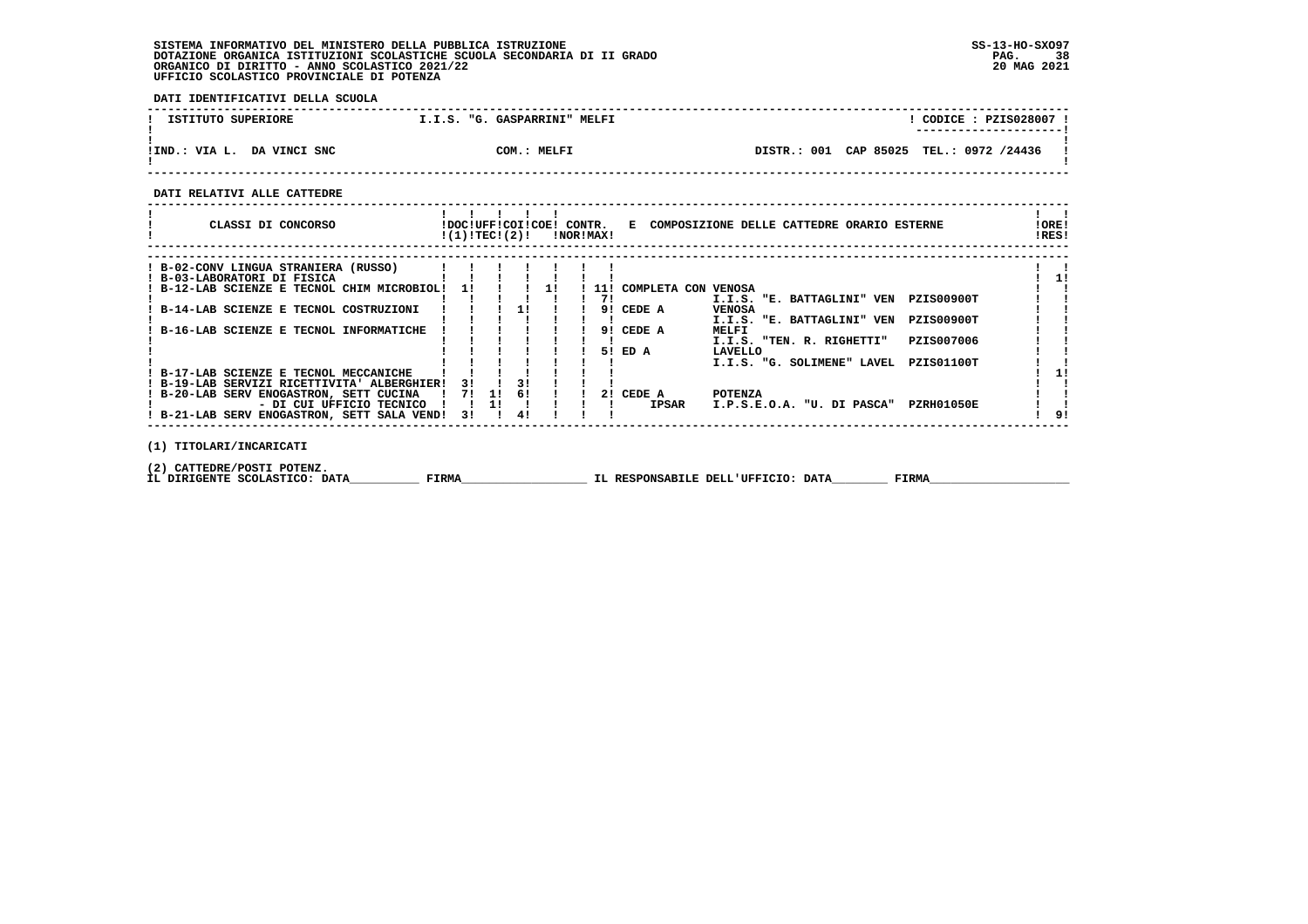# **SISTEMA INFORMATIVO DEL MINISTERO DELLA PUBBLICA ISTRUZIONE SS-13-HO-SXO97 DOTAZIONE ORGANICA ISTITUZIONI SCOLASTICHE SCUOLA SECONDARIA DI II GRADO PAG. 38 ORGANICO DI DIRITTO - ANNO SCOLASTICO 2021/22 20 MAG 2021 UFFICIO SCOLASTICO PROVINCIALE DI POTENZA**

 **DATI IDENTIFICATIVI DELLA SCUOLA**

| ISTITUTO SUPERIORE         | I.I.S. "G. GASPARRINI" MELFI | CODICE: PZIS028007 !<br>---------------------- |
|----------------------------|------------------------------|------------------------------------------------|
| !IND.: VIA L. DA VINCI SNC | COM.: MELFI                  | DISTR.: 001 CAP 85025 TEL.: 0972 /24436        |

 **------------------------------------------------------------------------------------------------------------------------------------**

 **DATI RELATIVI ALLE CATTEDRE**

|  | CLASSI DI CONCORSO                                                  |                          |     |    | !(1)!TECI(2)! | IDOCIUFFICOIICOEI CONTR. | !NOR!MAX! |                     | E COMPOSIZIONE DELLE CATTEDRE ORARIO ESTERNE    | !ORE!<br>!RES! |
|--|---------------------------------------------------------------------|--------------------------|-----|----|---------------|--------------------------|-----------|---------------------|-------------------------------------------------|----------------|
|  |                                                                     |                          |     |    |               |                          |           |                     |                                                 |                |
|  | ! B-02-CONV LINGUA STRANIERA (RUSSO)<br>! B-03-LABORATORI DI FISICA |                          |     |    |               |                          |           |                     |                                                 |                |
|  | ! B-12-LAB SCIENZE E TECNOL CHIM MICROBIOL!                         |                          | 11  |    |               | <b>11</b>                | 11 !      | COMPLETA CON VENOSA |                                                 |                |
|  |                                                                     |                          |     |    |               |                          | 71        |                     | I.I.S. "E. BATTAGLINI" VEN<br>PZIS00900T        |                |
|  | B-14-LAB SCIENZE E TECNOL COSTRUZIONI                               |                          |     |    | 11            |                          |           | 9! CEDE A           | <b>VENOSA</b>                                   |                |
|  |                                                                     |                          |     |    |               |                          |           |                     | PZIS00900T<br>I.I.S. "E. BATTAGLINI" VEN        |                |
|  | B-16-LAB SCIENZE E TECNOL INFORMATICHE                              |                          |     |    |               |                          |           | 9! CEDE A           | MELFI                                           |                |
|  |                                                                     |                          |     |    |               |                          |           |                     | I.I.S. "TEN. R. RIGHETTI"<br>PZIS007006         |                |
|  |                                                                     |                          |     |    |               |                          |           | 51 ED A             | LAVELLO                                         |                |
|  |                                                                     |                          |     |    |               |                          |           |                     | <b>PZIS01100T</b><br>I.I.S. "G. SOLIMENE" LAVEL |                |
|  | ! B-17-LAB SCIENZE E TECNOL MECCANICHE                              |                          |     |    |               |                          |           |                     |                                                 |                |
|  | ! B-19-LAB SERVIZI RICETTIVITA' ALBERGHIER!                         |                          | 3 I |    | 3 I           |                          |           |                     |                                                 |                |
|  | ! B-20-LAB SERV ENOGASTRON, SETT CUCINA                             |                          | 71  | 11 | 61            |                          |           | 2! CEDE A           | <b>POTENZA</b>                                  |                |
|  |                                                                     | - DI CUI UFFICIO TECNICO |     | 11 |               |                          |           | IPSAR               | I.P.S.E.O.A. "U. DI PASCA"<br>PZRH01050E        |                |
|  | ! B-21-LAB SERV ENOGASTRON, SETT SALA VEND!                         |                          | 31  |    | 41            |                          |           |                     |                                                 |                |
|  |                                                                     |                          |     |    |               |                          |           |                     |                                                 |                |
|  |                                                                     |                          |     |    |               |                          |           |                     |                                                 |                |

 **(1) TITOLARI/INCARICATI**

 **(2) CATTEDRE/POSTI POTENZ.**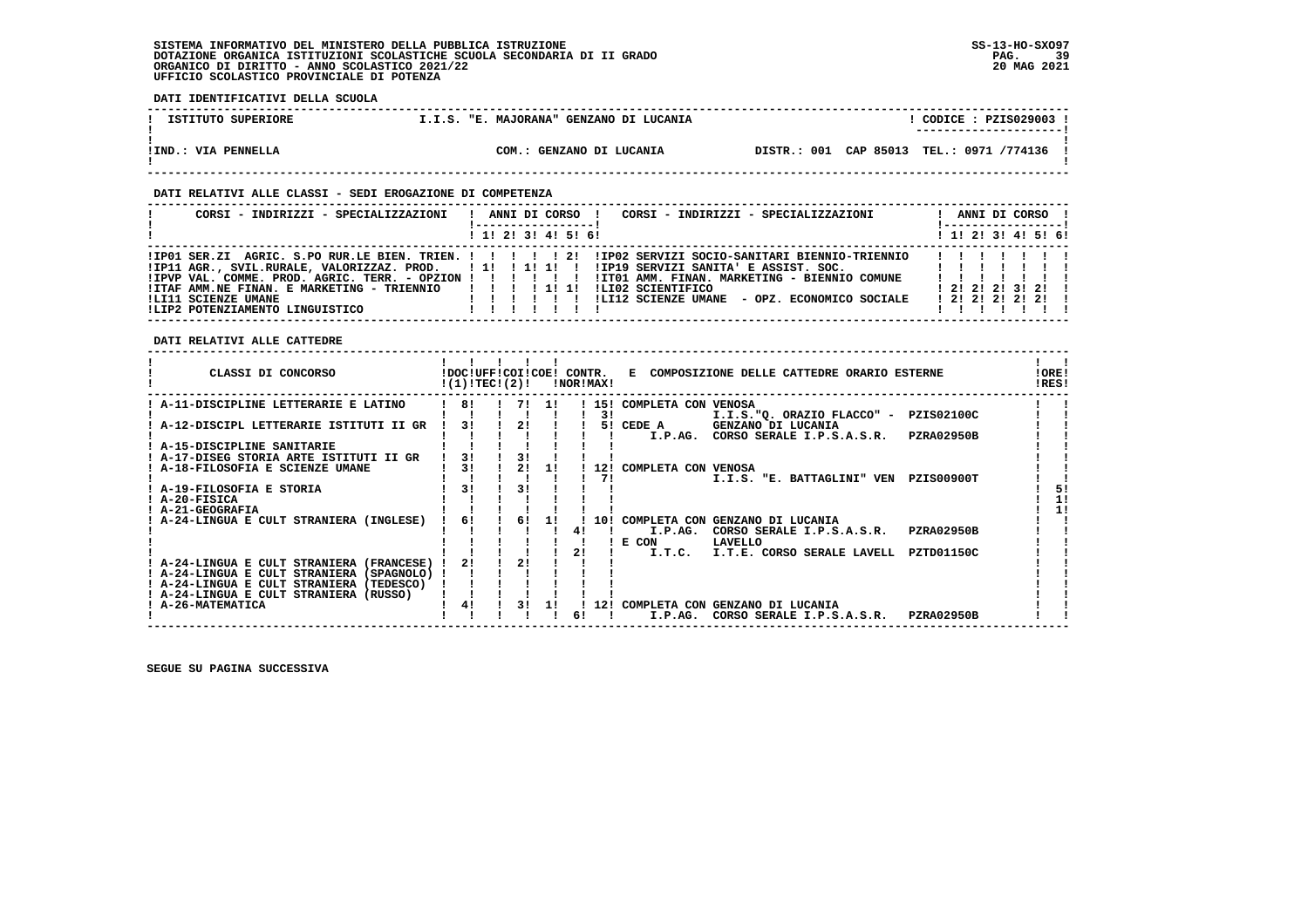# **SISTEMA INFORMATIVO DEL MINISTERO DELLA PUBBLICA ISTRUZIONE SS-13-HO-SXO97**DOTAZIONE ORGANICA ISTITUZIONI SCOLASTICHE SCUOLA SECONDARIA DI II GRADO<br>ORGANICO DI DIRITTO - ANNO SCOLASTICO 2021/22<br>UFFICIO SCOLASTICO PROVINCIALE DI POTENZA

 **DATI IDENTIFICATIVI DELLA SCUOLA**

| ISTITUTO SUPERIORE  | I.I.S. "E. MAJORANA" GENZANO DI LUCANIA | $CODICE: PZIS029003$ !<br>---------------------- |
|---------------------|-----------------------------------------|--------------------------------------------------|
| !IND.: VIA PENNELLA | COM.:<br>GENZANO DI LUCANIA             | DISTR.: 001 CAP 85013 TEL.: 0971 /774136         |

## **DATI RELATIVI ALLE CLASSI - SEDI EROGAZIONE DI COMPETENZA**

| CORSI - INDIRIZZI - SPECIALIZZAZIONI                                                                                                                                                                                                                                                                                                           | ANNI DI CORSO !         | CORSI - INDIRIZZI - SPECIALIZZAZIONI         |                            | ANNI DI CORSO !<br>!----------------- |  |
|------------------------------------------------------------------------------------------------------------------------------------------------------------------------------------------------------------------------------------------------------------------------------------------------------------------------------------------------|-------------------------|----------------------------------------------|----------------------------|---------------------------------------|--|
|                                                                                                                                                                                                                                                                                                                                                | $1$ , 1! 2! 3! 4! 5! 6! |                                              |                            | $1$ , 1!, 2!, 3!, 4!, 5!, 6!          |  |
| !IP11 AGR., SVIL.RURALE, VALORIZZAZ. PROD.    !!!!!!!!!!!!!!!!!!!!! SERVIZI SANITA' E ASSIST. SOC.            !!!!<br>IPVP VAL. COMME. PROD. AGRIC. TERR. - OPZION ! ! ! ! !! ! ITO1 AMM. FINAN. MARKETING - BIENNIO COMUNE!<br>!ITAF AMM.NE FINAN. E MARKETING - TRIENNIO   !!!!!!!<br>!LI11 SCIENZE UMANE<br>ILIP2 POTENZIAMENTO LINGUISTICO | ILI02 SCIENTIFICO       | !LI12 SCIENZE UMANE - OPZ. ECONOMICO SOCIALE | .<br>1 2 1 2 1 2 1 2 1 2 1 | 1, 21, 21, 21, 31, 21, 1              |  |

 **DATI RELATIVI ALLE CATTEDRE**

| CLASSI DI CONCORSO                        | !(1)!TEC!(2)!  |    | !DOC!UFF!COI!COE! CONTR. | !NOR!MAX! |     | E COMPOSIZIONE DELLE CATTEDRE ORARIO ESTERNE                                                 | !ORE!<br>IRES! |
|-------------------------------------------|----------------|----|--------------------------|-----------|-----|----------------------------------------------------------------------------------------------|----------------|
| A-11-DISCIPLINE LETTERARIE E LATINO       | 8!             |    | 71 11                    |           |     | 15! COMPLETA CON VENOSA                                                                      |                |
|                                           |                |    |                          |           | 31  | I.I.S."Q. ORAZIO FLACCO" - PZIS02100C                                                        |                |
| A-12-DISCIPL LETTERARIE ISTITUTI II GR    | 3!             | 21 |                          |           | 51  | GENZANO DI LUCANIA<br>CEDE A                                                                 |                |
|                                           |                |    |                          |           |     | CORSO SERALE I.P.S.A.S.R.<br><b>PZRA02950B</b><br>I.P.AG.                                    |                |
| ! A-15-DISCIPLINE SANITARIE               |                |    |                          |           |     |                                                                                              |                |
| ! A-17-DISEG STORIA ARTE ISTITUTI II GR   | 3!             | 31 |                          |           |     |                                                                                              |                |
| A-18-FILOSOFIA E SCIENZE UMANE            | 31             |    | 11                       |           | 12! | COMPLETA CON VENOSA                                                                          |                |
|                                           |                |    |                          |           | 71  | I.I.S. "E. BATTAGLINI" VEN<br>PZIS00900T                                                     |                |
| ! A-19-FILOSOFIA E STORIA                 | 3 <sub>1</sub> | 31 |                          |           |     |                                                                                              | 51             |
| ! A-20-FISICA                             |                |    |                          |           |     |                                                                                              |                |
| ! A-21-GEOGRAFIA                          |                |    |                          |           |     |                                                                                              |                |
| A-24-LINGUA E CULT STRANIERA (INGLESE)    | 61             | 6! | 11                       |           | 10! | COMPLETA CON GENZANO DI LUCANIA                                                              |                |
|                                           |                |    |                          |           |     | <b>PZRA02950B</b><br>I.P.AG.<br>CORSO SERALE I.P.S.A.S.R.                                    |                |
|                                           |                |    |                          |           |     | E CON<br>LAVELLO                                                                             |                |
|                                           |                |    |                          |           |     | I.T.C.<br>I.T.E. CORSO SERALE LAVELL<br>PZTD01150C                                           |                |
| A-24-LINGUA E CULT STRANIERA (FRANCESE)   | 21             | 21 |                          |           |     |                                                                                              |                |
| ! A-24-LINGUA E CULT STRANIERA (SPAGNOLO) |                |    |                          |           |     |                                                                                              |                |
| ! A-24-LINGUA E CULT STRANIERA (TEDESCO)  |                |    |                          |           |     |                                                                                              |                |
| ! A-24-LINGUA E CULT STRANIERA (RUSSO)    | 4!             | 31 |                          |           | 12! |                                                                                              |                |
| <b>A-26-MATEMATICA</b>                    |                |    |                          |           |     | COMPLETA CON GENZANO DI LUCANIA<br><b>PZRA02950B</b><br>I.P.AG.<br>CORSO SERALE I.P.S.A.S.R. |                |
|                                           |                |    |                          |           |     |                                                                                              |                |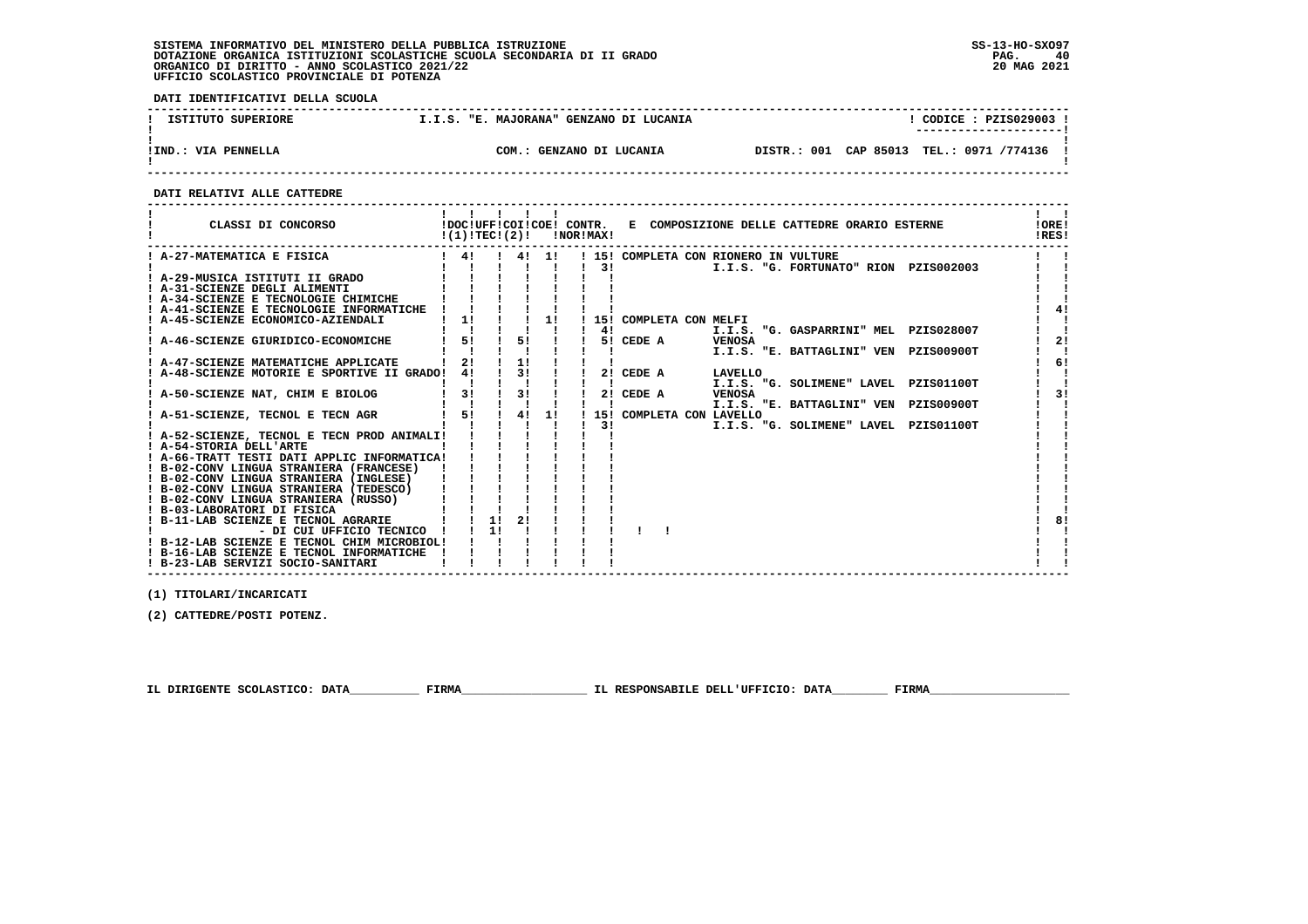# **SISTEMA INFORMATIVO DEL MINISTERO DELLA PUBBLICA ISTRUZIONE SS-13-HO-SXO97 DOTAZIONE ORGANICA ISTITUZIONI SCOLASTICHE SCUOLA SECONDARIA DI II GRADO PAG. 40 ORGANICO DI DIRITTO - ANNO SCOLASTICO 2021/22 20 MAG 2021 UFFICIO SCOLASTICO PROVINCIALE DI POTENZA**

 **DATI IDENTIFICATIVI DELLA SCUOLA**

| ISTITUTO SUPERIORE  | I.I.S. "E. MAJORANA" GENZANO DI LUCANIA | CODICE : PZIS029003 !<br>---------------------- |
|---------------------|-----------------------------------------|-------------------------------------------------|
| !IND.: VIA PENNELLA | COM.: GENZANO DI LUCANIA                | DISTR.: 001 CAP 85013 TEL.: 0971 /774136        |

 **------------------------------------------------------------------------------------------------------------------------------------**

#### **DATI RELATIVI ALLE CATTEDRE**

| CLASSI DI CONCORSO                          | .<br>$!(1)!TEC!(2)!$ $ NORIMAX $ |    |                              |                              |               |                            |                                                    | !DOC!UFF!COI!COE! CONTR. E COMPOSIZIONE DELLE CATTEDRE ORARIO ESTERNE | !ORE!<br>!RES! |
|---------------------------------------------|----------------------------------|----|------------------------------|------------------------------|---------------|----------------------------|----------------------------------------------------|-----------------------------------------------------------------------|----------------|
| ! A-27-MATEMATICA E FISICA                  |                                  |    |                              |                              |               |                            | ! 4! ! 4! 1! ! 15! COMPLETA CON RIONERO IN VULTURE |                                                                       |                |
|                                             |                                  |    |                              | $1 \quad 1 \quad 1 \quad 1$  | $\frac{1}{3}$ |                            |                                                    | I.I.S. "G. FORTUNATO" RION PZIS002003                                 |                |
| ! A-29-MUSICA ISTITUTI II GRADO             |                                  |    |                              |                              |               |                            |                                                    |                                                                       |                |
| ! A-31-SCIENZE DEGLI ALIMENTI               |                                  |    |                              |                              |               |                            |                                                    |                                                                       |                |
| ! A-34-SCIENZE E TECNOLOGIE CHIMICHE        |                                  |    |                              |                              |               |                            |                                                    |                                                                       |                |
| ! A-41-SCIENZE E TECNOLOGIE INFORMATICHE    |                                  |    |                              |                              |               |                            |                                                    |                                                                       |                |
| ! A-45-SCIENZE ECONOMICO-AZIENDALI          | $1 \quad 11$                     |    |                              | 1!                           |               | ! 15! COMPLETA CON MELFI   |                                                    |                                                                       |                |
|                                             |                                  |    |                              |                              | 4!            |                            |                                                    | I.I.S. "G. GASPARRINI" MEL PZIS028007                                 |                |
| A-46-SCIENZE GIURIDICO-ECONOMICHE           | 5!                               |    | 5!                           |                              |               | 5! CEDE A VENOSA           |                                                    |                                                                       | 21             |
|                                             |                                  |    |                              |                              |               |                            |                                                    | I.I.S. "E. BATTAGLINI" VEN PZIS00900T                                 |                |
| ! A-47-SCIENZE MATEMATICHE APPLICATE        | 21                               |    | 1!                           |                              |               |                            |                                                    |                                                                       | 61             |
| ! A-48-SCIENZE MOTORIE E SPORTIVE II GRADO! | 4!                               |    |                              | $\frac{1}{3!}$ $\frac{1}{1}$ |               | 2! CEDE A                  | LAVELLO                                            |                                                                       |                |
|                                             |                                  |    |                              |                              |               |                            |                                                    | I.I.S. "G. SOLIMENE" LAVEL PZIS01100T                                 |                |
| A-50-SCIENZE NAT, CHIM E BIOLOG             | 3!                               |    | $\frac{1}{3!}$ $\frac{1}{1}$ |                              |               | 2! CEDE A                  | <b>VENOSA</b>                                      |                                                                       | 31             |
|                                             |                                  |    |                              |                              |               |                            |                                                    | I.I.S. "E. BATTAGLINI" VEN PZIS00900T                                 |                |
| ! A-51-SCIENZE, TECNOL E TECN AGR           | 1 5! 1 4! 1!                     |    |                              |                              |               | ! 15! COMPLETA CON LAVELLO |                                                    |                                                                       |                |
|                                             |                                  |    |                              |                              | $\frac{1}{3}$ |                            |                                                    | I.I.S. "G. SOLIMENE" LAVEL PZIS01100T                                 |                |
| ! A-52-SCIENZE, TECNOL E TECN PROD ANIMALI! |                                  |    |                              |                              |               |                            |                                                    |                                                                       |                |
| ! A-54-STORIA DELL'ARTE                     |                                  |    |                              |                              |               |                            |                                                    |                                                                       |                |
| ! A-66-TRATT TESTI DATI APPLIC INFORMATICA! |                                  |    |                              |                              |               |                            |                                                    |                                                                       |                |
| ! B-02-CONV LINGUA STRANIERA (FRANCESE)     |                                  |    |                              |                              |               |                            |                                                    |                                                                       |                |
| ! B-02-CONV LINGUA STRANIERA (INGLESE)      |                                  |    |                              |                              |               |                            |                                                    |                                                                       |                |
| ! B-02-CONV LINGUA STRANIERA (TEDESCO)      |                                  |    |                              |                              |               |                            |                                                    |                                                                       |                |
| ! B-02-CONV LINGUA STRANIERA (RUSSO)        |                                  |    |                              |                              |               |                            |                                                    |                                                                       |                |
| ! B-03-LABORATORI DI FISICA                 |                                  |    |                              |                              |               |                            |                                                    |                                                                       |                |
| ! B-11-LAB SCIENZE E TECNOL AGRARIE         | $1 \quad 1 \quad 11$             |    | 21                           |                              |               |                            |                                                    |                                                                       | 8!             |
| - DI CUI UFFICIO TECNICO !                  |                                  | 11 |                              |                              |               |                            |                                                    |                                                                       |                |
| ! B-12-LAB SCIENZE E TECNOL CHIM MICROBIOL! |                                  |    |                              |                              |               |                            |                                                    |                                                                       |                |
| ! B-16-LAB SCIENZE E TECNOL INFORMATICHE    |                                  |    |                              |                              |               |                            |                                                    |                                                                       |                |
| ! B-23-LAB SERVIZI SOCIO-SANITARI           |                                  |    |                              |                              |               |                            |                                                    |                                                                       |                |

 **------------------------------------------------------------------------------------------------------------------------------------**

 **(1) TITOLARI/INCARICATI**

 **(2) CATTEDRE/POSTI POTENZ.**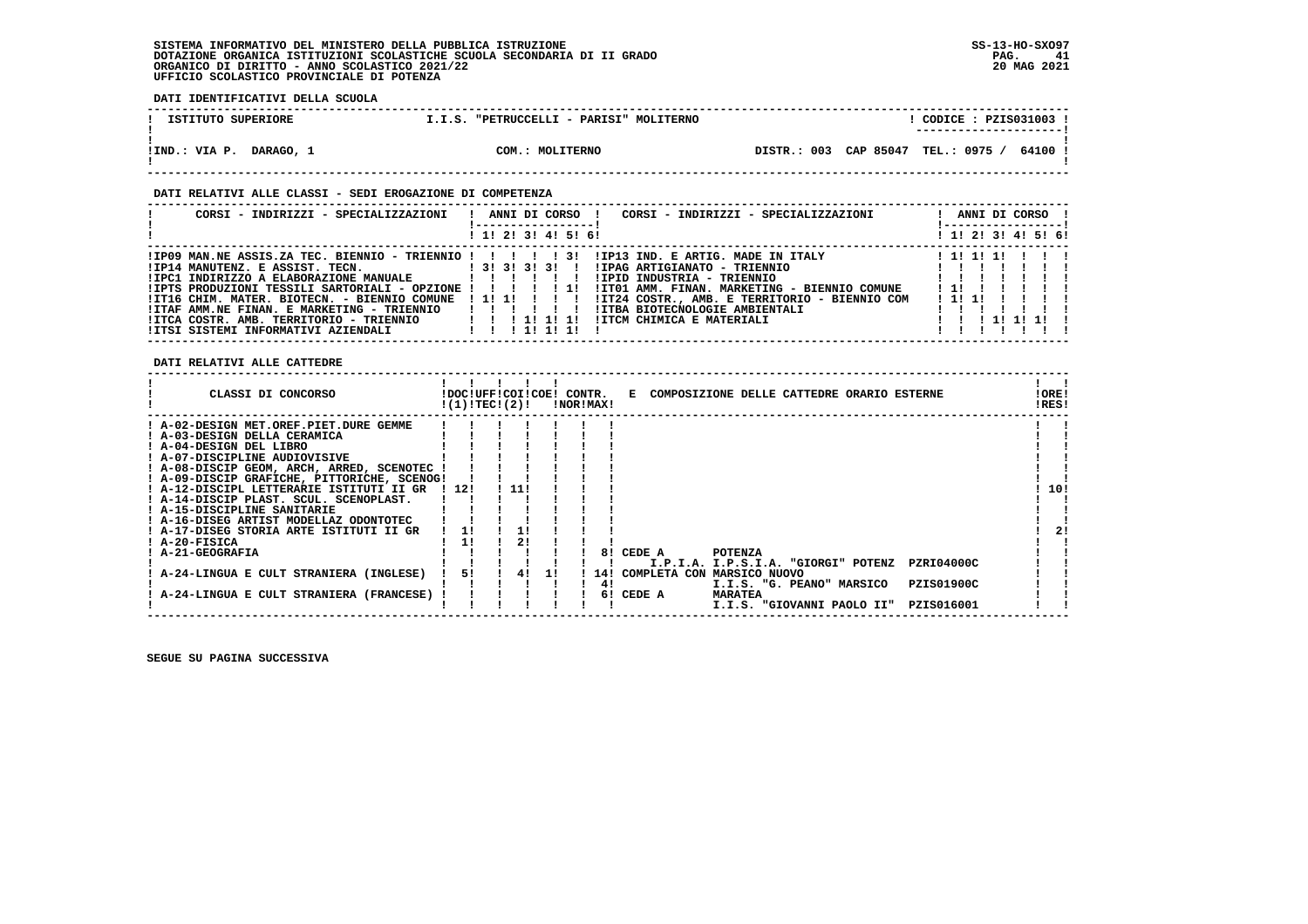# **SISTEMA INFORMATIVO DEL MINISTERO DELLA PUBBLICA ISTRUZIONE SS-13-HO-SXO97 DOTAZIONE ORGANICA ISTITUZIONI SCOLASTICHE SCUOLA SECONDARIA DI II GRADO PAG. 41 ORGANICO DI DIRITTO - ANNO SCOLASTICO 2021/22 20 MAG 2021 UFFICIO SCOLASTICO PROVINCIALE DI POTENZA**

 **DATI IDENTIFICATIVI DELLA SCUOLA**

| ISTITUTO SUPERIORE         | I.I.S. "PETRUCCELLI - PARISI" MOLITERNO | CODICE: PZIS031003 !<br>---------------------- |
|----------------------------|-----------------------------------------|------------------------------------------------|
| DARAGO, 1<br>!IND.: VIA P. | COM.: MOLITERNO                         | DISTR.: 003 CAP 85047 TEL.: 0975 /<br>64100    |

#### **DATI RELATIVI ALLE CLASSI - SEDI EROGAZIONE DI COMPETENZA**

| CORSI - INDIRIZZI - SPECIALIZZAZIONI                                                                                                                                                                                                                                                                                              | ANNI DI CORSO !<br>CORSI - INDIRIZZI - SPECIALIZZAZIONI<br>! 1! 2! 3! 4! 5! 6!                                                                                                                                                                              | ANNI DI CORSO !<br>! 1! 2! 3! 4! 5! 6!                 |
|-----------------------------------------------------------------------------------------------------------------------------------------------------------------------------------------------------------------------------------------------------------------------------------------------------------------------------------|-------------------------------------------------------------------------------------------------------------------------------------------------------------------------------------------------------------------------------------------------------------|--------------------------------------------------------|
|                                                                                                                                                                                                                                                                                                                                   |                                                                                                                                                                                                                                                             |                                                        |
| !IP14 MANUTENZ. E ASSIST. TECN. [3! 3! 3! 3! 1]<br>!IPC1 INDIRIZZO A ELABORAZIONE MANUALE           !!!!<br>!IPTS PRODUZIONI TESSILI SARTORIALI - OPZIONE ! ! ! ! ! !!<br>!IT16 CHIM. MATER. BIOTECN. - BIENNIO COMUNE<br>!ITAF AMM.NE FINAN. E MARKETING - TRIENNIO<br>$IITCA COSTR. AMB. TERRITORIO - TRIENNIO$ $I I I I I I I$ | !IPAG ARTIGIANATO - TRIENNIO<br>!IPID INDUSTRIA - TRIENNIO<br>!IT01 AMM. FINAN. MARKETING - BIENNIO COMUNE<br>!!!!!!!!!<br>!IT24 COSTR., AMB. E TERRITORIO - BIENNIO COM<br>!ITBA BIOTECNOLOGIE AMBIENTALI<br>111111<br>!ITCM CHIMICA E MATERIALI<br>111111 | 1 11 11 11<br>$\frac{1}{2}$<br>1111<br>1 1 1 1 1 1 1 1 |

 **------------------------------------------------------------------------------------------------------------------------------------**

 **DATI RELATIVI ALLE CATTEDRE**

| CLASSI DI CONCORSO                          | !DOC!UFF!COI!COE!<br>!(1)!TEC!(2)! |       |    | CONTR. | !NOR!MAX! |                                  |                | E COMPOSIZIONE DELLE CATTEDRE ORARIO ESTERNE |                   | !ORE!<br>!RES! |     |
|---------------------------------------------|------------------------------------|-------|----|--------|-----------|----------------------------------|----------------|----------------------------------------------|-------------------|----------------|-----|
| ! A-02-DESIGN MET.OREF.PIET.DURE GEMME      |                                    |       |    |        |           |                                  |                |                                              |                   |                |     |
| ! A-03-DESIGN DELLA CERAMICA                |                                    |       |    |        |           |                                  |                |                                              |                   |                |     |
| ! A-04-DESIGN DEL LIBRO                     |                                    |       |    |        |           |                                  |                |                                              |                   |                |     |
| ! A-07-DISCIPLINE AUDIOVISIVE               |                                    |       |    |        |           |                                  |                |                                              |                   |                |     |
| ! A-08-DISCIP GEOM, ARCH, ARRED, SCENOTEC ! |                                    |       |    |        |           |                                  |                |                                              |                   |                |     |
| ! A-09-DISCIP GRAFICHE, PITTORICHE, SCENOG! |                                    |       |    |        |           |                                  |                |                                              |                   |                |     |
| ! A-12-DISCIPL LETTERARIE ISTITUTI II GR    | 1121                               | ! 11! |    |        |           |                                  |                |                                              |                   |                | 10! |
| ! A-14-DISCIP PLAST. SCUL. SCENOPLAST.      |                                    |       |    |        |           |                                  |                |                                              |                   |                |     |
| ! A-15-DISCIPLINE SANITARIE                 |                                    |       |    |        |           |                                  |                |                                              |                   |                |     |
| ! A-16-DISEG ARTIST MODELLAZ ODONTOTEC      |                                    |       |    |        |           |                                  |                |                                              |                   |                |     |
| ! A-17-DISEG STORIA ARTE ISTITUTI II GR     |                                    |       |    |        |           |                                  |                |                                              |                   |                | 21  |
| ! A-20-FISICA                               | 11                                 |       |    |        |           |                                  |                |                                              |                   |                |     |
| ! A-21-GEOGRAFIA                            |                                    |       |    |        | 81        | CEDE A                           | <b>POTENZA</b> |                                              |                   |                |     |
|                                             |                                    |       |    |        |           |                                  |                | I.P.I.A. I.P.S.I.A. "GIORGI" POTENZ          | <b>PZRI04000C</b> |                |     |
| A-24-LINGUA E CULT STRANIERA (INGLESE)      | 51                                 | 41    | 11 |        |           | ! 14! COMPLETA CON MARSICO NUOVO |                |                                              |                   |                |     |
|                                             |                                    |       |    |        | 41        |                                  |                | I.I.S. "G. PEANO" MARSICO                    | <b>PZIS01900C</b> |                |     |
| A-24-LINGUA E CULT STRANIERA (FRANCESE)     |                                    |       |    |        | 61        | CEDE A                           | <b>MARATEA</b> |                                              |                   |                |     |
|                                             |                                    |       |    |        |           |                                  |                | I.I.S. "GIOVANNI PAOLO II"                   | PZIS016001        |                |     |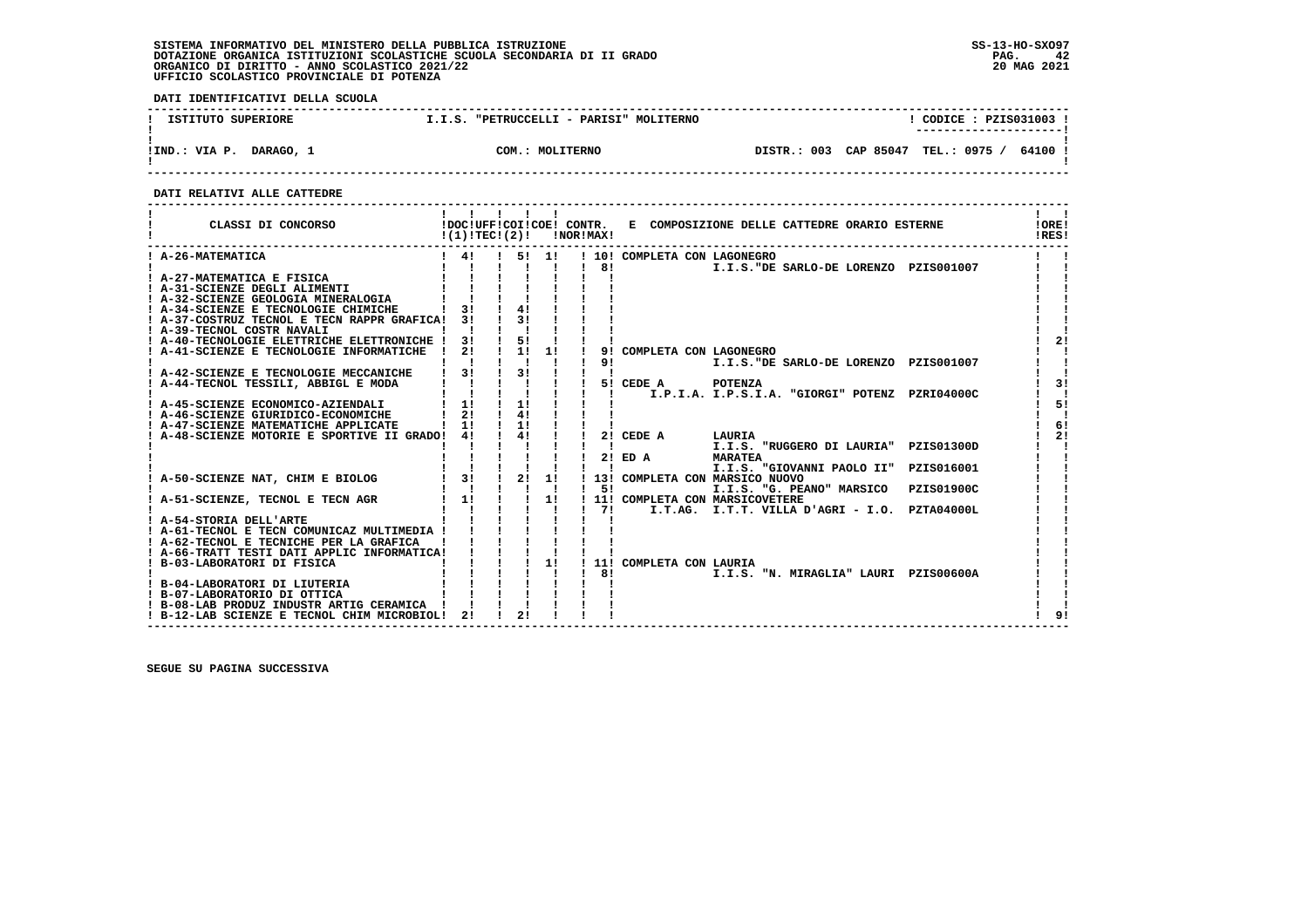# **SISTEMA INFORMATIVO DEL MINISTERO DELLA PUBBLICA ISTRUZIONE SS-13-HO-SXO97**DOTAZIONE ORGANICA ISTITUZIONI SCOLASTICHE SCUOLA SECONDARIA DI II GRADO<br>ORGANICO DI DIRITTO - ANNO SCOLASTICO 2021/22<br>UFFICIO SCOLASTICO PROVINCIALE DI POTENZA

 **DATI IDENTIFICATIVI DELLA SCUOLA**

| ISTITUTO SUPERIORE         | I.I.S. "PETRUCCELLI - PARISI" MOLITERNO | CODICE: PZIS031003                          |
|----------------------------|-----------------------------------------|---------------------------------------------|
| DARAGO, 1<br>!IND.: VIA P. | COM.: MOLITERNO                         | DISTR.: 003 CAP 85047 TEL.: 0975 /<br>64100 |

 **------------------------------------------------------------------------------------------------------------------------------------**

#### **DATI RELATIVI ALLE CATTEDRE**

| CLASSI DI CONCORSO                                                                     | !(1)!TECI(2)!                                                                    |                   |                | <b>!NOR!MAX!</b>                          |                |                                  |                | !DOC!UFF!COI!COE! CONTR. E COMPOSIZIONE DELLE CATTEDRE ORARIO ESTERNE | !ORE!<br>!RES! |
|----------------------------------------------------------------------------------------|----------------------------------------------------------------------------------|-------------------|----------------|-------------------------------------------|----------------|----------------------------------|----------------|-----------------------------------------------------------------------|----------------|
| ! A-26-MATEMATICA                                                                      | $\frac{1}{2}$ 41                                                                 |                   |                | 51 11                                     | 81             | ! 10! COMPLETA CON LAGONEGRO     |                | I.I.S. "DE SARLO-DE LORENZO PZIS001007                                |                |
| A-27-MATEMATICA E FISICA                                                               |                                                                                  |                   |                |                                           |                |                                  |                |                                                                       |                |
| ! A-31-SCIENZE DEGLI ALIMENTI                                                          |                                                                                  |                   |                |                                           |                |                                  |                |                                                                       |                |
| ! A-32-SCIENZE GEOLOGIA MINERALOGIA                                                    |                                                                                  |                   |                |                                           |                |                                  |                |                                                                       |                |
| ! A-34-SCIENZE E TECNOLOGIE CHIMICHE                                                   | 31                                                                               |                   | 41             |                                           |                |                                  |                |                                                                       |                |
| ! A-37-COSTRUZ TECNOL E TECN RAPPR GRAFICA! 3!                                         |                                                                                  |                   |                |                                           |                |                                  |                |                                                                       |                |
| ! A-39-TECNOL COSTR NAVALI                                                             |                                                                                  |                   |                |                                           |                |                                  |                |                                                                       |                |
| ! A-40-TECNOLOGIE ELETTRICHE ELETTRONICHE !                                            | 3 I                                                                              |                   | $\frac{1}{5!}$ |                                           |                |                                  |                |                                                                       | 21             |
| ! A-41-SCIENZE E TECNOLOGIE INFORMATICHE                                               | 2!                                                                               |                   | 1 1 1 1        |                                           | 91             | COMPLETA CON LAGONEGRO           |                |                                                                       |                |
|                                                                                        |                                                                                  |                   |                |                                           | 91             |                                  |                | I.I.S. "DE SARLO-DE LORENZO PZIS001007                                |                |
| ! A-42-SCIENZE E TECNOLOGIE MECCANICHE                                                 | $1 \quad 31$                                                                     |                   | $\frac{1}{3}$  |                                           |                |                                  |                |                                                                       |                |
| ! A-44-TECNOL TESSILI, ABBIGL E MODA                                                   | $\begin{array}{cccccc} 1 & 1 & 1 & 1 \\ 1 & 1 & 1 & 1 \end{array}$               |                   |                |                                           |                | 5! CEDE A POTENZA                |                |                                                                       | 31             |
|                                                                                        |                                                                                  |                   |                |                                           | $\mathbf{I}$   |                                  |                | I.P.I.A. I.P.S.I.A. "GIORGI" POTENZ PZRI04000C                        |                |
| ! A-45-SCIENZE ECONOMICO-AZIENDALI                                                     | 1 1! 1 11                                                                        |                   |                |                                           |                |                                  |                |                                                                       | 51             |
| ! A-46-SCIENZE GIURIDICO-ECONOMICHE                                                    | 21                                                                               |                   | 41             |                                           |                |                                  |                |                                                                       |                |
| ! A-47-SCIENZE MATEMATICHE APPLICATE                                                   | $1 \quad 11$                                                                     |                   | $\frac{1}{2}$  |                                           |                |                                  |                |                                                                       | 61             |
| A-48-SCIENZE MOTORIE E SPORTIVE II GRADO! 4!                                           |                                                                                  |                   | $\frac{1}{4}$  |                                           |                | 2! CEDE A                        | LAURIA         |                                                                       | 21             |
|                                                                                        |                                                                                  |                   |                |                                           |                |                                  |                | I.I.S. "RUGGERO DI LAURIA" PZIS01300D                                 |                |
|                                                                                        |                                                                                  |                   |                |                                           |                | $2!$ ED A                        | <b>MARATEA</b> |                                                                       |                |
|                                                                                        | $\begin{array}{ccccccc}\n1 & 1 & 1 & 1 & 1 \\ 1 & 31 & 1 & 21 & 11\n\end{array}$ |                   |                |                                           | $\blacksquare$ |                                  |                | I.I.S. "GIOVANNI PAOLO II" PZIS016001                                 |                |
| A-50-SCIENZE NAT, CHIM E BIOLOG                                                        |                                                                                  |                   |                |                                           |                | ! 13! COMPLETA CON MARSICO NUOVO |                |                                                                       |                |
|                                                                                        | $1 \quad 11 \quad 1$                                                             | $1 \quad 1 \quad$ |                | $\mathbf{I}$ $\mathbf{I}$<br>$1 \quad 11$ |                | $1 \quad 51$                     |                | I.I.S. "G. PEANO" MARSICO PZIS01900C                                  |                |
| ! A-51-SCIENZE, TECNOL E TECN AGR                                                      |                                                                                  |                   |                |                                           |                | ! 11! COMPLETA CON MARSICOVETERE |                |                                                                       |                |
| ! A-54-STORIA DELL'ARTE                                                                |                                                                                  |                   |                |                                           | $1 \quad 71$   |                                  |                | I.T.AG. I.T.T. VILLA D'AGRI - I.O. PZTA04000L                         |                |
|                                                                                        |                                                                                  |                   |                |                                           |                |                                  |                |                                                                       |                |
| ! A-61-TECNOL E TECN COMUNICAZ MULTIMEDIA !<br>! A-62-TECNOL E TECNICHE PER LA GRAFICA |                                                                                  |                   |                |                                           |                |                                  |                |                                                                       |                |
| ! A-66-TRATT TESTI DATI APPLIC INFORMATICA!                                            |                                                                                  |                   |                |                                           |                |                                  |                |                                                                       |                |
|                                                                                        |                                                                                  |                   |                | 11                                        |                |                                  |                |                                                                       |                |
| ! B-03-LABORATORI DI FISICA                                                            |                                                                                  |                   |                |                                           | 181            | ! 11! COMPLETA CON LAURIA        |                | I.I.S. "N. MIRAGLIA" LAURI PZIS00600A                                 |                |
| ! B-04-LABORATORI DI LIUTERIA                                                          |                                                                                  |                   |                |                                           |                |                                  |                |                                                                       |                |
| ! B-07-LABORATORIO DI OTTICA                                                           |                                                                                  |                   |                |                                           |                |                                  |                |                                                                       |                |
| ! B-08-LAB PRODUZ INDUSTR ARTIG CERAMICA                                               |                                                                                  |                   |                |                                           |                |                                  |                |                                                                       |                |
| ! B-12-LAB SCIENZE E TECNOL CHIM MICROBIOL!                                            | 2!                                                                               |                   | 2!             |                                           |                |                                  |                |                                                                       | 91             |
|                                                                                        |                                                                                  |                   |                |                                           |                |                                  |                |                                                                       |                |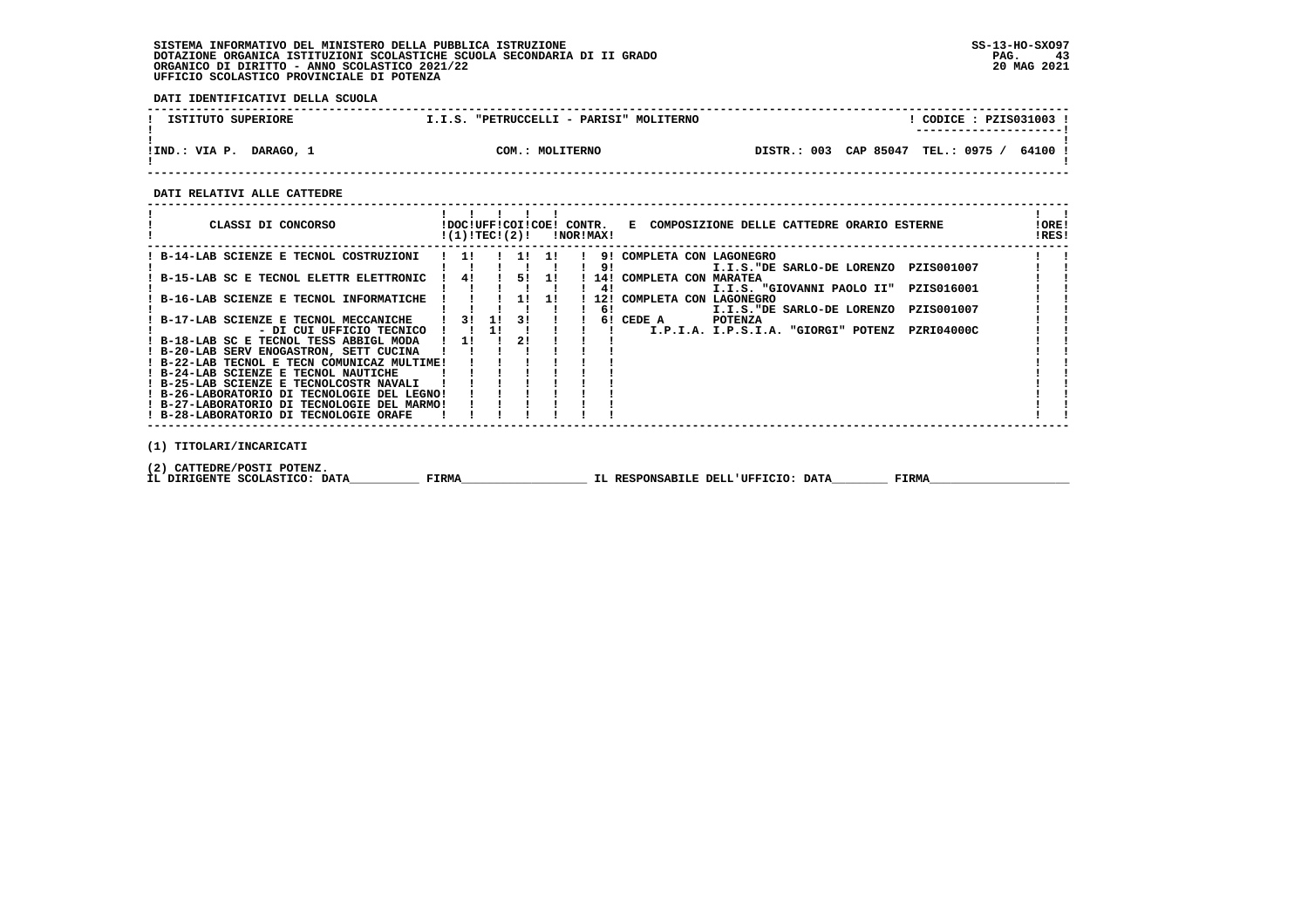# **SISTEMA INFORMATIVO DEL MINISTERO DELLA PUBBLICA ISTRUZIONE SS-13-HO-SXO97 DOTAZIONE ORGANICA ISTITUZIONI SCOLASTICHE SCUOLA SECONDARIA DI II GRADO PAG. 43 ORGANICO DI DIRITTO - ANNO SCOLASTICO 2021/22 20 MAG 2021 UFFICIO SCOLASTICO PROVINCIALE DI POTENZA**

 **DATI IDENTIFICATIVI DELLA SCUOLA**

| ISTITUTO SUPERIORE         | "PETRUCCELLI - PARISI" MOLITERNO<br>I.I.S. | CODICE: PZIS031003 !<br>----------------------  |
|----------------------------|--------------------------------------------|-------------------------------------------------|
| DARAGO, 1<br>!IND.: VIA P. | COM.: MOLITERNO                            | CAP 85047<br>TEL.: 0975<br>DISTR.: 003<br>64100 |

 **------------------------------------------------------------------------------------------------------------------------------------**

 **DATI RELATIVI ALLE CATTEDRE**

| CLASSI DI CONCORSO                          |     | !DOC!UFF!COI!COE!<br>!(1)!TEC!(2)! |       |    | CONTR.<br>!NOR!MAX! | E COMPOSIZIONE DELLE CATTEDRE ORARIO ESTERNE      | !ORE!<br>IRES! |  |
|---------------------------------------------|-----|------------------------------------|-------|----|---------------------|---------------------------------------------------|----------------|--|
| B-14-LAB SCIENZE E TECNOL COSTRUZIONI       | 11  |                                    | 11 11 |    |                     | 9! COMPLETA CON LAGONEGRO                         |                |  |
|                                             |     |                                    |       |    | 91                  | I.I.S. "DE SARLO-DE LORENZO<br>PZIS001007         |                |  |
| B-15-LAB SC E TECNOL ELETTR ELETTRONIC      | 41  |                                    | 51    | 11 |                     | 14! COMPLETA CON MARATEA                          |                |  |
|                                             |     |                                    |       |    | 41                  | PZIS016001<br>I.I.S. "GIOVANNI PAOLO II"          |                |  |
| B-16-LAB SCIENZE E TECNOL INFORMATICHE      |     |                                    | 11    | 11 | 121                 | COMPLETA CON LAGONEGRO                            |                |  |
|                                             |     |                                    |       |    | 61                  | PZIS001007<br>I.I.S. "DE SARLO-DE LORENZO         |                |  |
| B-17-LAB SCIENZE E TECNOL MECCANICHE        | 3 I | 11                                 | 3 I   |    |                     | <b>POTENZA</b><br>6! CEDE A                       |                |  |
| - DI CUI UFFICIO TECNICO                    |     | 11                                 |       |    |                     | PZRI04000C<br>I.P.I.A. I.P.S.I.A. "GIORGI" POTENZ |                |  |
| ! B-18-LAB SC E TECNOL TESS ABBIGL MODA     | 11  |                                    | 21    |    |                     |                                                   |                |  |
| ! B-20-LAB SERV ENOGASTRON, SETT CUCINA     |     |                                    |       |    |                     |                                                   |                |  |
| ! B-22-LAB TECNOL E TECN COMUNICAZ MULTIME! |     |                                    |       |    |                     |                                                   |                |  |
| ! B-24-LAB SCIENZE E TECNOL NAUTICHE        |     |                                    |       |    |                     |                                                   |                |  |
| ! B-25-LAB SCIENZE E TECNOLCOSTR NAVALI     |     |                                    |       |    |                     |                                                   |                |  |
| ! B-26-LABORATORIO DI TECNOLOGIE DEL LEGNO! |     |                                    |       |    |                     |                                                   |                |  |
| ! B-27-LABORATORIO DI TECNOLOGIE DEL MARMO! |     |                                    |       |    |                     |                                                   |                |  |
| ! B-28-LABORATORIO DI TECNOLOGIE ORAFE      |     |                                    |       |    |                     |                                                   |                |  |
|                                             |     |                                    |       |    |                     |                                                   |                |  |

 **(1) TITOLARI/INCARICATI**

 **(2) CATTEDRE/POSTI POTENZ.**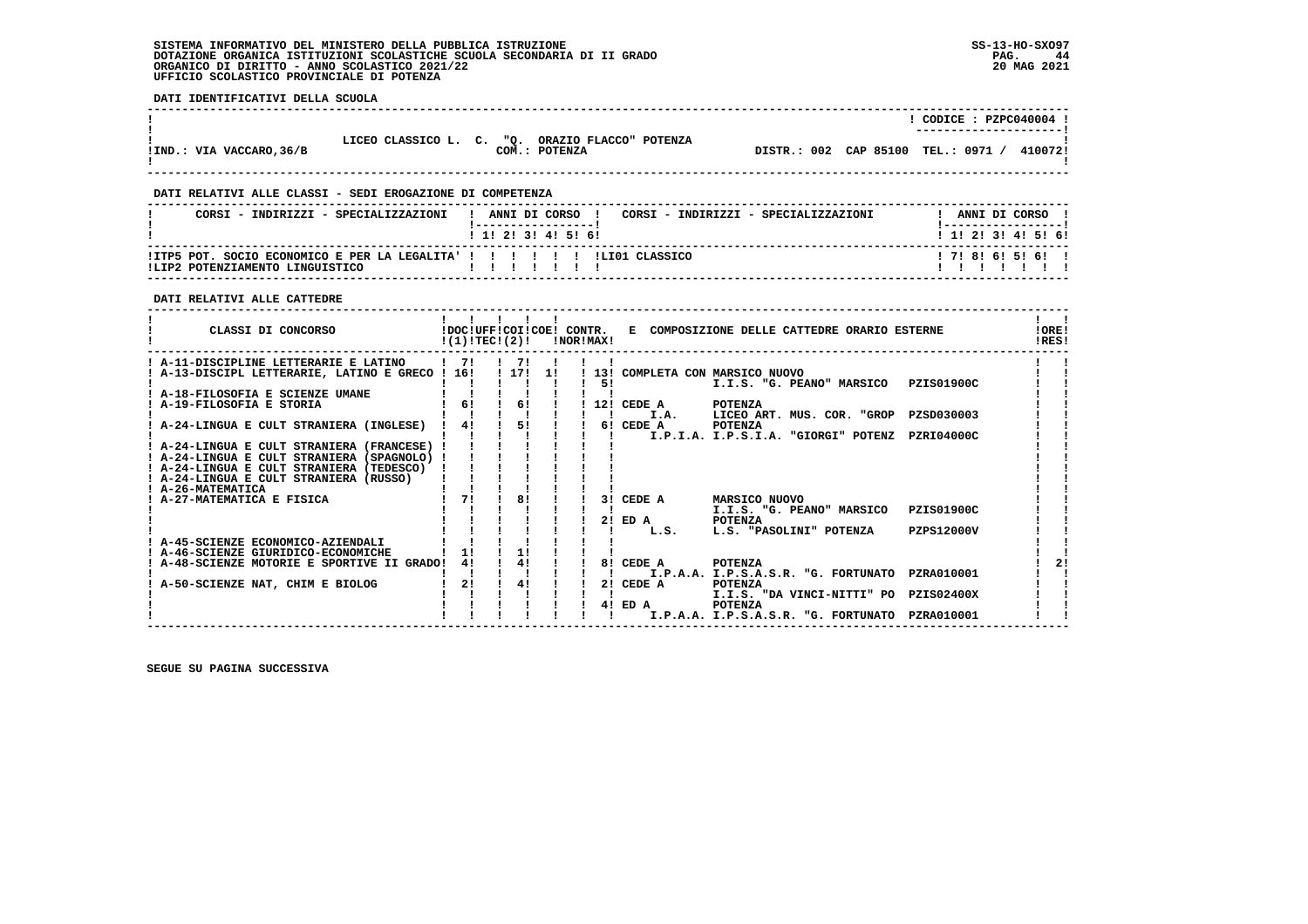#### **SISTEMA INFORMATIVO DEL MINISTERO DELLA PUBBLICA ISTRUZIONE SS-13-HO-SXO97 DOTAZIONE ORGANICA ISTITUZIONI SCOLASTICHE SCUOLA SECONDARIA DI II GRADO** ORGANICO DI DIRITTO - ANNO SCOLASTICO 2021/22  **UFFICIO SCOLASTICO PROVINCIALE DI POTENZA**

 **DATI IDENTIFICATIVI DELLA SCUOLA**

|                          |                                                 |               |                                    | CODICE: PZPC040004 !<br>---------------------- |         |
|--------------------------|-------------------------------------------------|---------------|------------------------------------|------------------------------------------------|---------|
| !IND.: VIA VACCARO, 36/B | LICEO CLASSICO L. C. "O. ORAZIO FLACCO" POTENZA | COM.: POTENZA | DISTR.: 002 CAP 85100 TEL.: 0971 / |                                                | 410072! |

 **------------------------------------------------------------------------------------------------------------------------------------**

#### **DATI RELATIVI ALLE CLASSI - SEDI EROGAZIONE DI COMPETENZA**

| CORSI - INDIRIZZI - SPECIALIZZAZIONI                                                                           | ANNI DI CORSO !           |  |  |  | CORSI - INDIRIZZI - SPECIALIZZAZIONI |                           |  | ANNI DI CORSO |  |
|----------------------------------------------------------------------------------------------------------------|---------------------------|--|--|--|--------------------------------------|---------------------------|--|---------------|--|
|                                                                                                                | 1 1 1 2 1 3 1 4 1 5 1 6 1 |  |  |  |                                      | 1 1 1 2 1 3 1 4 1 5 1 6 1 |  |               |  |
| !ITP5 POT. SOCIO ECONOMICO E PER LA LEGALITA' ! ! ! ! ! ! ! ! LIO1 CLASSICO<br>ILIP2 POTENZIAMENTO LINGUISTICO |                           |  |  |  |                                      | 171816151611              |  |               |  |

 **------------------------------------------------------------------------------------------------------------------------------------**

#### **DATI RELATIVI ALLE CATTEDRE**

| CLASSI DI CONCORSO                              | !(1)!TECI(2)! |          |              |  | !NOR!MAX! |                   | !DOC!UFF!COI!COE! CONTR. E COMPOSIZIONE DELLE CATTEDRE ORARIO ESTERNE |                   | !ORE!<br>!RES! |
|-------------------------------------------------|---------------|----------|--------------|--|-----------|-------------------|-----------------------------------------------------------------------|-------------------|----------------|
| ! A-11-DISCIPLINE LETTERARIE E LATINO           | 171           |          | $1 \quad 71$ |  |           |                   |                                                                       |                   |                |
| ! A-13-DISCIPL LETTERARIE, LATINO E GRECO ! 16! |               | ! 17! 1! |              |  |           |                   | ! 13! COMPLETA CON MARSICO NUOVO                                      |                   |                |
|                                                 |               |          |              |  | 51        |                   | I.I.S. "G. PEANO" MARSICO PZIS01900C                                  |                   |                |
| ! A-18-FILOSOFIA E SCIENZE UMANE                | 6!            |          | 61           |  |           |                   |                                                                       |                   |                |
| ! A-19-FILOSOFIA E STORIA                       |               |          |              |  |           | 12! CEDE A        | <b>POTENZA</b>                                                        |                   |                |
| ! A-24-LINGUA E CULT STRANIERA (INGLESE)        | 41            |          | 51           |  |           | I.A.<br>6! CEDE A | LICEO ART. MUS. COR. "GROP PZSD030003<br>POTENZA                      |                   |                |
|                                                 |               |          |              |  |           |                   | I.P.I.A. I.P.S.I.A. "GIORGI" POTENZ                                   | PZRI04000C        |                |
| ! A-24-LINGUA E CULT STRANIERA (FRANCESE)       |               |          |              |  |           |                   |                                                                       |                   |                |
| ! A-24-LINGUA E CULT STRANIERA (SPAGNOLO) !     |               |          |              |  |           |                   |                                                                       |                   |                |
| ! A-24-LINGUA E CULT STRANIERA (TEDESCO)        |               |          |              |  |           |                   |                                                                       |                   |                |
| ! A-24-LINGUA E CULT STRANIERA (RUSSO)          |               |          |              |  |           |                   |                                                                       |                   |                |
| ! A-26-MATEMATICA                               |               |          |              |  |           |                   |                                                                       |                   |                |
| ! A-27-MATEMATICA E FISICA                      | 71            |          | 81           |  |           | 3! CEDE A         | <b>MARSICO NUOVO</b>                                                  |                   |                |
|                                                 |               |          |              |  |           |                   | I.I.S. "G. PEANO" MARSICO                                             | <b>PZIS01900C</b> |                |
|                                                 |               |          |              |  | 21        | ED A              | POTENZA                                                               |                   |                |
| A-45-SCIENZE ECONOMICO-AZIENDALI                |               |          |              |  |           | L.S.              | L.S. "PASOLINI" POTENZA                                               | <b>PZPS12000V</b> |                |
| ! A-46-SCIENZE GIURIDICO-ECONOMICHE             | 11            |          | 11           |  |           |                   |                                                                       |                   |                |
| ! A-48-SCIENZE MOTORIE E SPORTIVE II GRADO!     | 41            |          | 4!           |  |           | 8! CEDE A         | <b>POTENZA</b>                                                        |                   | 21             |
|                                                 |               |          |              |  |           |                   | I.P.A.A. I.P.S.A.S.R. "G. FORTUNATO                                   | PZRA010001        |                |
| A-50-SCIENZE NAT, CHIM E BIOLOG                 | 21            |          | 41           |  |           | 2! CEDE A         | <b>POTENZA</b>                                                        |                   |                |
|                                                 |               |          |              |  |           |                   | I.I.S. "DA VINCI-NITTI" PO                                            | <b>PZIS02400X</b> |                |
|                                                 |               |          |              |  |           | 4! ED A           | <b>POTENZA</b>                                                        |                   |                |
|                                                 |               |          |              |  |           |                   | I.P.A.A. I.P.S.A.S.R. "G. FORTUNATO                                   | PZRA010001        |                |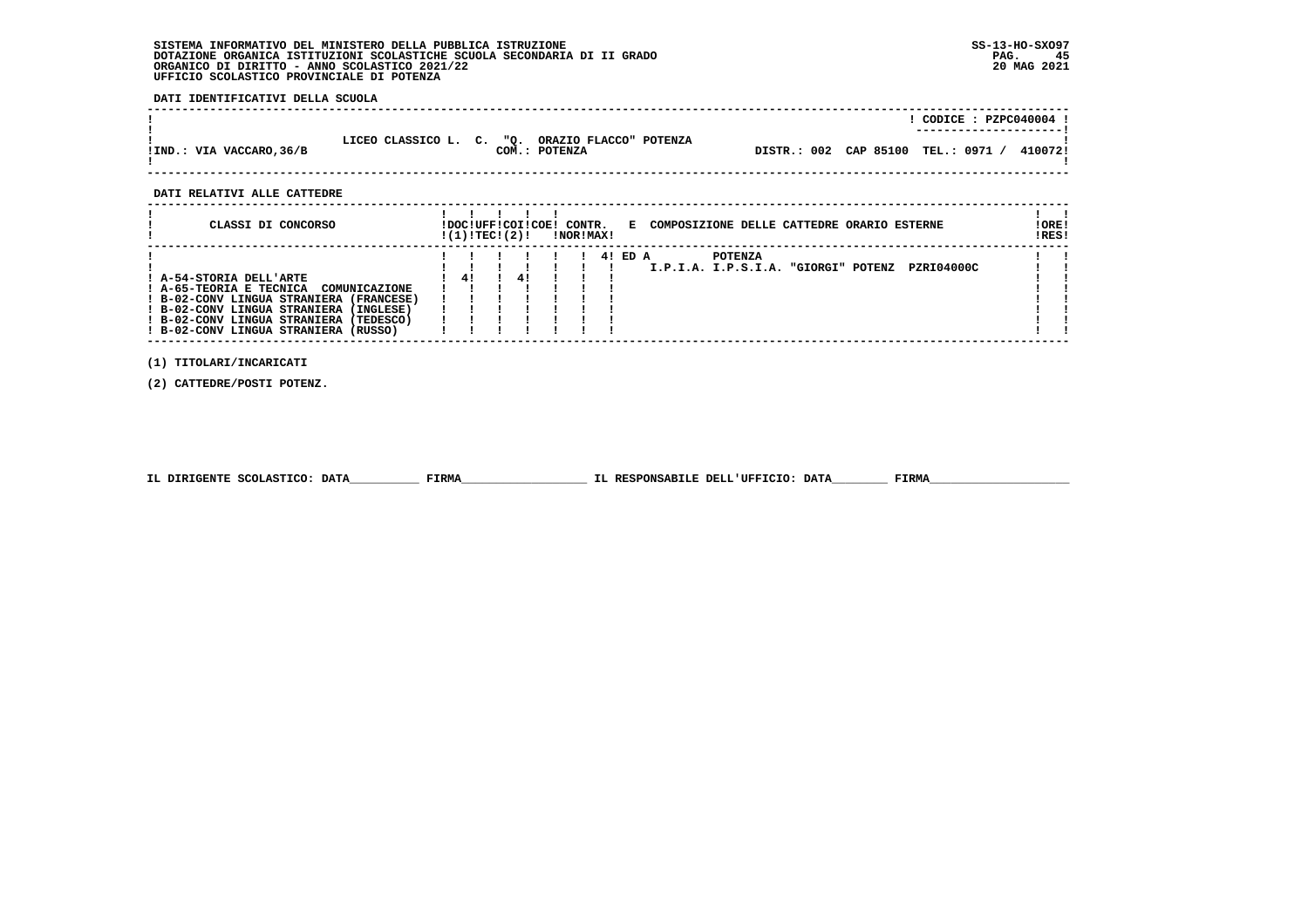#### **SISTEMA INFORMATIVO DEL MINISTERO DELLA PUBBLICA ISTRUZIONE SS-13-HO-SXO97 DOTAZIONE ORGANICA ISTITUZIONI SCOLASTICHE SCUOLA SECONDARIA DI II GRADO PAG. 45ORGANICO DI DIRITTO - ANNO SCOLASTICO 2021/22 UFFICIO SCOLASTICO PROVINCIALE DI POTENZA**

 **DATI IDENTIFICATIVI DELLA SCUOLA**

|                          |                                                 |               |                       | CODICE: PZPC040004 !<br>--------------------- |         |
|--------------------------|-------------------------------------------------|---------------|-----------------------|-----------------------------------------------|---------|
| !IND.: VIA VACCARO, 36/B | LICEO CLASSICO L. C. "O. ORAZIO FLACCO" POTENZA | COM.: POTENZA | DISTR.: 002 CAP 85100 | TEL.: 0971 /                                  | 410072! |

 **------------------------------------------------------------------------------------------------------------------------------------**

 **DATI RELATIVI ALLE CATTEDRE**

| CLASSI DI CONCORSO                                                                                                                                                                                                                         | !DOC!UFF!COI!COE! CONTR.<br>! (1) ! TEC! (2) ! |    |  | !NOR!MAX! | E COMPOSIZIONE DELLE CATTEDRE ORARIO ESTERNE                        | ! ORE!<br>IRES! |
|--------------------------------------------------------------------------------------------------------------------------------------------------------------------------------------------------------------------------------------------|------------------------------------------------|----|--|-----------|---------------------------------------------------------------------|-----------------|
| ! A-54-STORIA DELL'ARTE<br>! A-65-TEORIA E TECNICA<br>COMUNICAZIONE<br>! B-02-CONV LINGUA STRANIERA (FRANCESE)<br>! B-02-CONV LINGUA STRANIERA (INGLESE)<br>! B-02-CONV LINGUA STRANIERA (TEDESCO)<br>! B-02-CONV LINGUA STRANIERA (RUSSO) | 41                                             | 41 |  | 4! ED A   | <b>POTENZA</b><br>PZRI04000C<br>I.P.I.A. I.P.S.I.A. "GIORGI" POTENZ |                 |

 **(1) TITOLARI/INCARICATI**

 **(2) CATTEDRE/POSTI POTENZ.**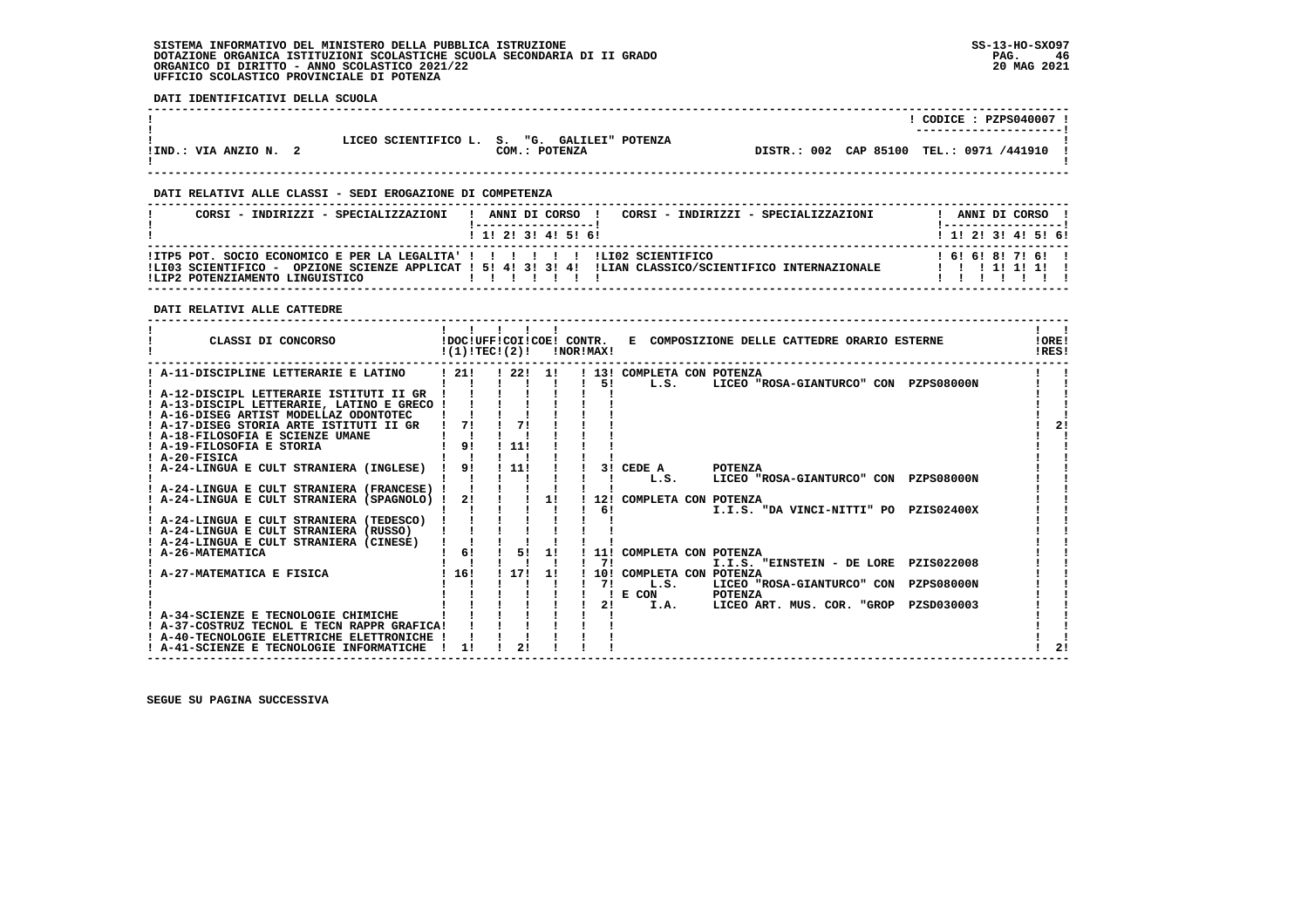#### **SISTEMA INFORMATIVO DEL MINISTERO DELLA PUBBLICA ISTRUZIONE SS-13-HO-SXO97 DOTAZIONE ORGANICA ISTITUZIONI SCOLASTICHE SCUOLA SECONDARIA DI II GRADO PAG. 46**ORGANICO DI DIRITTO - ANNO SCOLASTICO 2021/22  **UFFICIO SCOLASTICO PROVINCIALE DI POTENZA**

 **DATI IDENTIFICATIVI DELLA SCUOLA**

|                     |                                              |               |  | CODICE: PZPS040007 !<br>--------------------- |
|---------------------|----------------------------------------------|---------------|--|-----------------------------------------------|
| !IND.: VIA ANZIO N. | LICEO SCIENTIFICO L. S. "G. GALILEI" POTENZA | COM.: POTENZA |  | DISTR.: 002 CAP 85100 TEL.: 0971 /441910      |

 **------------------------------------------------------------------------------------------------------------------------------------**

 **------------------------------------------------------------------------------------------------------------------------------------**

#### **DATI RELATIVI ALLE CLASSI - SEDI EROGAZIONE DI COMPETENZA**

| CORSI - INDIRIZZI - SPECIALIZZAZIONI                                                                             | CORSI - INDIRIZZI - SPECIALIZZAZIONI<br>ANNI DI CORSO !                                                 | ANNI DI CORSO !          |
|------------------------------------------------------------------------------------------------------------------|---------------------------------------------------------------------------------------------------------|--------------------------|
|                                                                                                                  | 1 1 2 3 3 4 5 6 1                                                                                       | 1 1 2 3 3 4 5 5 6 1      |
| !ITP5 POT. SOCIO ECONOMICO E PER LA LEGALITA' ! ! ! ! ! ! ! !LIO2 SCIENTIFICO<br>!LIP2 POTENZIAMENTO LINGUISTICO | ILIO3 SCIENTIFICO - OPZIONE SCIENZE APPLICAT ! 5! 4! 3! 3! 4! ILIAN CLASSICO/SCIENTIFICO INTERNAZIONALE | 161618171611<br>11111111 |

#### **DATI RELATIVI ALLE CATTEDRE**

| CLASSI DI CONCORSO                                                              |                | $!(1)!TEC!(2)!$ $INORIMAX!$ |     |    |                            | !DOC!UFF!COI!COE! CONTR. E COMPOSIZIONE DELLE CATTEDRE ORARIO ESTERNE | !ORE!<br>IRES! |
|---------------------------------------------------------------------------------|----------------|-----------------------------|-----|----|----------------------------|-----------------------------------------------------------------------|----------------|
| ! A-11-DISCIPLINE LETTERARIE E LATINO                                           | 1211           | ! 22! 1!                    |     |    | ! 13! COMPLETA CON POTENZA |                                                                       |                |
|                                                                                 |                |                             |     | 51 | L.S.                       | LICEO "ROSA-GIANTURCO" CON PZPS08000N                                 |                |
| ! A-12-DISCIPL LETTERARIE ISTITUTI II GR                                        |                |                             |     |    |                            |                                                                       |                |
| ! A-13-DISCIPL LETTERARIE, LATINO E GRECO !                                     |                |                             |     |    |                            |                                                                       |                |
| ! A-16-DISEG ARTIST MODELLAZ ODONTOTEC                                          |                |                             |     |    |                            |                                                                       |                |
| ! A-17-DISEG STORIA ARTE ISTITUTI II GR                                         | 71             |                             |     |    |                            |                                                                       | 21             |
| ! A-18-FILOSOFIA E SCIENZE UMANE                                                |                |                             |     |    |                            |                                                                       |                |
| ! A-19-FILOSOFIA E STORIA                                                       | 9!             | ! 11!                       |     |    |                            |                                                                       |                |
| ! A-20-FISICA                                                                   |                |                             |     |    |                            |                                                                       |                |
| A-24-LINGUA E CULT STRANIERA (INGLESE)                                          | 9 <sub>1</sub> | 111                         |     |    | 3! CEDE A                  | <b>POTENZA</b>                                                        |                |
|                                                                                 |                |                             |     |    | L.S.                       | LICEO "ROSA-GIANTURCO" CON PZPS08000N                                 |                |
| ! A-24-LINGUA E CULT STRANIERA (FRANCESE) !                                     |                |                             |     |    |                            |                                                                       |                |
| ! A-24-LINGUA E CULT STRANIERA (SPAGNOLO) !                                     | 2!             |                             | 11  |    | 12! COMPLETA CON POTENZA   |                                                                       |                |
|                                                                                 |                |                             |     | 61 |                            | I.I.S. "DA VINCI-NITTI" PO PZIS02400X                                 |                |
| ! A-24-LINGUA E CULT STRANIERA (TEDESCO)                                        |                |                             |     |    |                            |                                                                       |                |
| A-24-LINGUA E CULT STRANIERA (RUSSO)<br>! A-24-LINGUA E CULT STRANIERA (CINESE) |                |                             |     |    |                            |                                                                       |                |
| ! A-26-MATEMATICA                                                               | 61             | 51                          | 11  |    | 11! COMPLETA CON POTENZA   |                                                                       |                |
|                                                                                 |                |                             |     | 71 |                            | I.I.S. "EINSTEIN - DE LORE PZIS022008                                 |                |
| A-27-MATEMATICA E FISICA                                                        | 116!           | 1171                        | -11 |    | 10! COMPLETA CON POTENZA   |                                                                       |                |
|                                                                                 |                |                             |     | 71 | L.S.                       | LICEO "ROSA-GIANTURCO" CON PZPS08000N                                 |                |
|                                                                                 |                |                             |     |    | E CON                      | <b>POTENZA</b>                                                        |                |
|                                                                                 |                |                             |     | 21 | I.A.                       | LICEO ART. MUS. COR. "GROP PZSD030003                                 |                |
| ! A-34-SCIENZE E TECNOLOGIE CHIMICHE                                            |                |                             |     |    |                            |                                                                       |                |
| ! A-37-COSTRUZ TECNOL E TECN RAPPR GRAFICA!                                     |                |                             |     |    |                            |                                                                       |                |
| ! A-40-TECNOLOGIE ELETTRICHE ELETTRONICHE                                       |                |                             |     |    |                            |                                                                       |                |
| ! A-41-SCIENZE E TECNOLOGIE INFORMATICHE                                        | 1!             | 2!                          |     |    |                            |                                                                       |                |
|                                                                                 |                |                             |     |    |                            |                                                                       |                |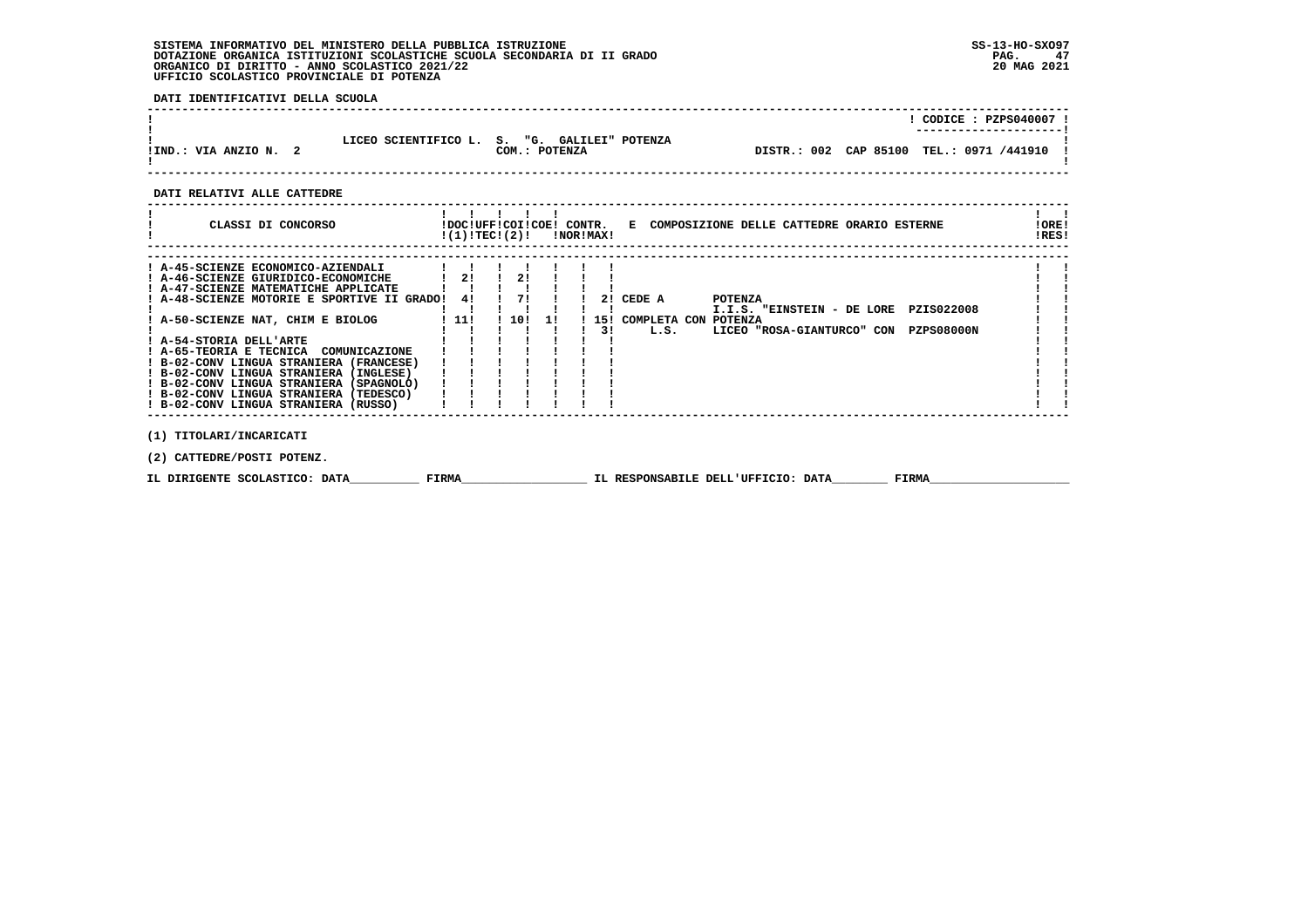# **SISTEMA INFORMATIVO DEL MINISTERO DELLA PUBBLICA ISTRUZIONE SS-13-HO-SXO97 DOTAZIONE ORGANICA ISTITUZIONI SCOLASTICHE SCUOLA SECONDARIA DI II GRADO PAG. 47 ORGANICO DI DIRITTO - ANNO SCOLASTICO 2021/22 20 MAG 2021 UFFICIO SCOLASTICO PROVINCIALE DI POTENZA**

 **DATI IDENTIFICATIVI DELLA SCUOLA**

|                       |                                                               |                                            | CODE: PZPS040007:<br>---------------------- |
|-----------------------|---------------------------------------------------------------|--------------------------------------------|---------------------------------------------|
| !IND.: VIA ANZIO N. 2 | LICEO SCIENTIFICO L. S. "G. GALILEI" POTENZA<br>COM.: POTENZA | DISTR.: 002 CAP 85100 TEL.: 0971 /441910 ! |                                             |

## **DATI RELATIVI ALLE CATTEDRE**

| CLASSI DI CONCORSO                                                                                                                                                                                                                                                                                                                                                                                                                                                                          | !DOC!UFF!COI!COE! CONTR.<br>!(1)!TEC!(2)! |                  |     | !NOR!MAX! | E COMPOSIZIONE DELLE CATTEDRE ORARIO ESTERNE                                                                                                                   | ! ORE!<br>!RES! |  |
|---------------------------------------------------------------------------------------------------------------------------------------------------------------------------------------------------------------------------------------------------------------------------------------------------------------------------------------------------------------------------------------------------------------------------------------------------------------------------------------------|-------------------------------------------|------------------|-----|-----------|----------------------------------------------------------------------------------------------------------------------------------------------------------------|-----------------|--|
| ! A-45-SCIENZE ECONOMICO-AZIENDALI<br>! A-46-SCIENZE GIURIDICO-ECONOMICHE<br>! A-47-SCIENZE MATEMATICHE APPLICATE<br>! A-48-SCIENZE MOTORIE E SPORTIVE II GRADO!<br>! A-50-SCIENZE NAT, CHIM E BIOLOG<br>! A-54-STORIA DELL'ARTE<br>! A-65-TEORIA E TECNICA COMUNICAZIONE<br>! B-02-CONV LINGUA STRANIERA (FRANCESE)<br>! B-02-CONV LINGUA STRANIERA (INGLESE)<br>! B-02-CONV LINGUA STRANIERA (SPAGNOLO)<br>! B-02-CONV LINGUA STRANIERA (TEDESCO)<br>! B-02-CONV LINGUA STRANIERA (RUSSO) | 21<br>41<br>. 11!                         | 21<br>71<br>1101 | -11 | 31        | 2! CEDE A<br><b>POTENZA</b><br>PZIS022008<br>I.I.S. "EINSTEIN - DE LORE<br>15! COMPLETA CON POTENZA<br><b>PZPS08000N</b><br>L.S.<br>LICEO "ROSA-GIANTURCO" CON |                 |  |
| (1) TITOLARI/INCARICATI                                                                                                                                                                                                                                                                                                                                                                                                                                                                     |                                           |                  |     |           |                                                                                                                                                                |                 |  |

 **(2) CATTEDRE/POSTI POTENZ.**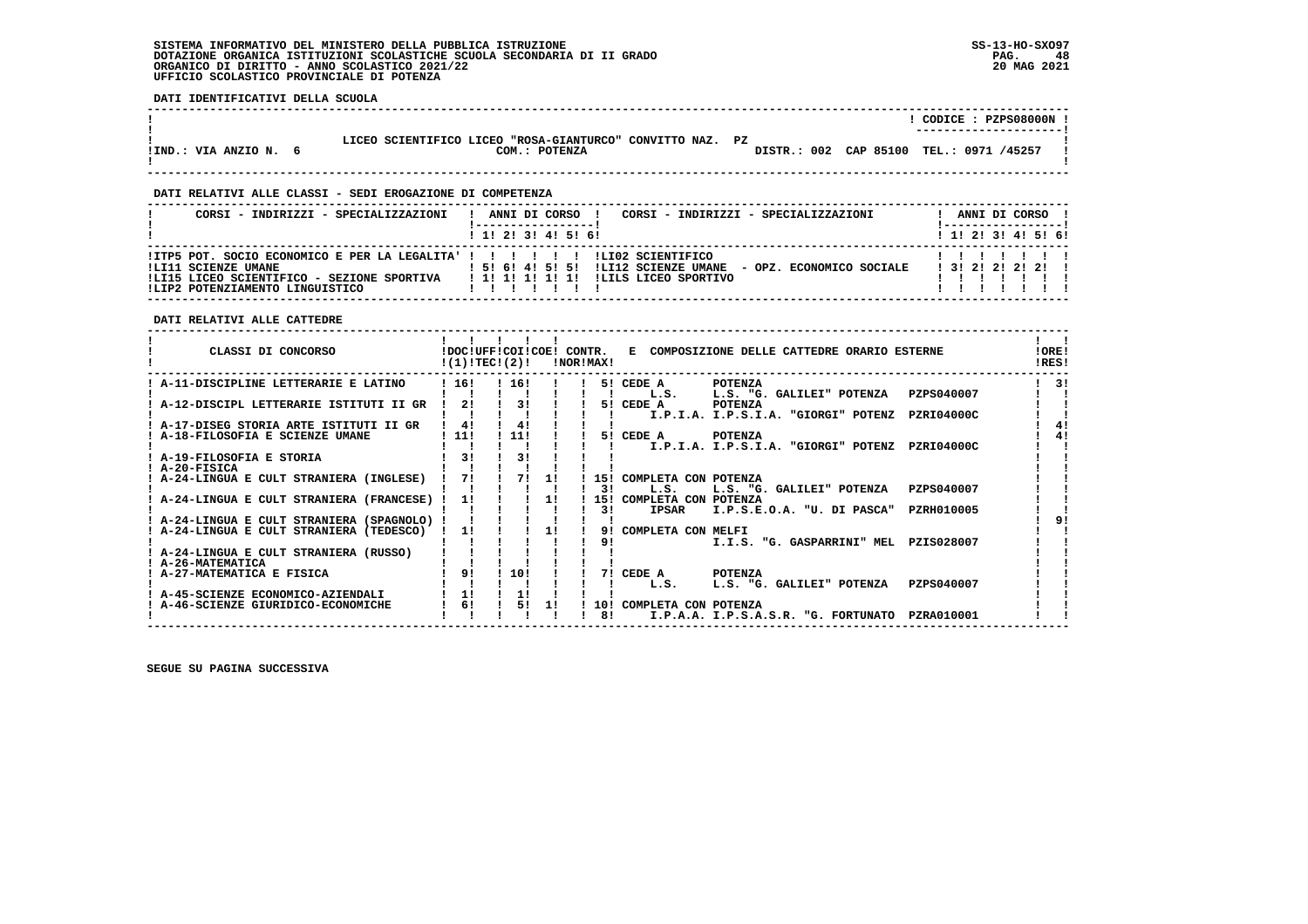#### **SISTEMA INFORMATIVO DEL MINISTERO DELLA PUBBLICA ISTRUZIONE SS-13-HO-SXO97 DOTAZIONE ORGANICA ISTITUZIONI SCOLASTICHE SCUOLA SECONDARIA DI II GRADO** ORGANICO DI DIRITTO - ANNO SCOLASTICO 2021/22  **UFFICIO SCOLASTICO PROVINCIALE DI POTENZA**

 **DATI IDENTIFICATIVI DELLA SCUOLA**

|                     |                                                                            |                       | CODICE: PZPS08000N ! |  |
|---------------------|----------------------------------------------------------------------------|-----------------------|----------------------|--|
| !IND.: VIA ANZIO N. | LICEO SCIENTIFICO LICEO "ROSA-GIANTURCO" CONVITTO NAZ. PZ<br>COM.: POTENZA | DISTR.: 002 CAP 85100 | TEL.: 0971 /45257    |  |

 **------------------------------------------------------------------------------------------------------------------------------------**

#### **DATI RELATIVI ALLE CLASSI - SEDI EROGAZIONE DI COMPETENZA**

| CORSI - INDIRIZZI - SPECIALIZZAZIONI                                                                                                                                                                                          | ANNI DI CORSO !<br>CORSI - INDIRIZZI - SPECIALIZZAZIONI       | ANNI DI CORSO !       |
|-------------------------------------------------------------------------------------------------------------------------------------------------------------------------------------------------------------------------------|---------------------------------------------------------------|-----------------------|
|                                                                                                                                                                                                                               | $1$ , 1! 2! 3! 4! 5! 6!                                       | $1$ 1! 2! 3! 4! 5! 6! |
| IITP5 POT. SOCIO ECONOMICO E PER LA LEGALITA' ! ! !!!!!!! ILIO2 SCIENTIFICO<br>!LI11 SCIENZE UMANE<br>!LI15 LICEO SCIENTIFICO - SEZIONE SPORTIVA     ! 1! 1! 1! 1! 1! ILILS LICEO SPORTIVO<br>!LIP2 POTENZIAMENTO LINGUISTICO | ! 5! 6! 4! 5! 5! !LI12 SCIENZE UMANE - OPZ. ECONOMICO SOCIALE | 1 3 1 2 1 2 1 2 1 2 1 |

 **DATI RELATIVI ALLE CATTEDRE**

| CLASSI DI CONCORSO                                                    |          | !DOC!UFF!COI!COE! CONTR.<br>!(1)!TECI(2)! |    | !NOR!MAX! | E COMPOSIZIONE DELLE CATTEDRE ORARIO ESTERNE                                        | 10RE!<br>IRES! |
|-----------------------------------------------------------------------|----------|-------------------------------------------|----|-----------|-------------------------------------------------------------------------------------|----------------|
| A-11-DISCIPLINE LETTERARIE E LATINO                                   | ! 16!    | 116!                                      |    |           | <b>POTENZA</b><br>5! CEDE A                                                         | 31             |
|                                                                       |          |                                           |    |           | PZPS040007<br>L.S. "G. GALILEI" POTENZA<br>L.S.                                     |                |
| A-12-DISCIPL LETTERARIE ISTITUTI II GR                                | 2!       | 31                                        |    | 51.       | CEDE A<br><b>POTENZA</b><br>I.P.I.A. I.P.S.I.A. "GIORGI" POTENZ<br>PZRI04000C       |                |
| A-17-DISEG STORIA ARTE ISTITUTI II GR                                 | 4!       | 4!                                        |    |           |                                                                                     | 41             |
| A-18-FILOSOFIA E SCIENZE UMANE                                        | 11!      | 11!                                       |    | 51        | CEDE A<br><b>POTENZA</b>                                                            |                |
|                                                                       |          |                                           |    |           | <b>PZRI04000C</b><br>I.P.I.A. I.P.S.I.A. "GIORGI" POTENZ                            |                |
| ! A-19-FILOSOFIA E STORIA                                             | 31       | 3!                                        |    |           |                                                                                     |                |
| ! A-20-FISICA                                                         |          |                                           |    |           |                                                                                     |                |
| : A-24-LINGUA E CULT STRANIERA (INGLESE)                              | 71       | 71                                        | 11 | 151       | COMPLETA CON POTENZA                                                                |                |
| A-24-LINGUA E CULT STRANIERA (FRANCESE)                               | 11       |                                           | 11 | 31<br>15! | PZPS040007<br>$T_{\rm t}$ . S.<br>L.S. "G. GALILEI" POTENZA<br>COMPLETA CON POTENZA |                |
|                                                                       |          |                                           |    | 31        | <b>IPSAR</b><br>I.P.S.E.O.A. "U. DI PASCA"<br>PZRH010005                            |                |
| A-24-LINGUA E CULT STRANIERA (SPAGNOLO)                               |          |                                           |    |           |                                                                                     |                |
| A-24-LINGUA E CULT STRANIERA (TEDESCO)                                | 11       |                                           | 11 | 91        | COMPLETA CON MELFI                                                                  |                |
|                                                                       |          |                                           |    | 91        | PZIS028007<br>I.I.S. "G. GASPARRINI" MEL                                            |                |
| A-24-LINGUA E CULT STRANIERA (RUSSO)                                  |          |                                           |    |           |                                                                                     |                |
| ! A-26-MATEMATICA                                                     |          |                                           |    |           |                                                                                     |                |
| ! A-27-MATEMATICA E FISICA                                            | 91       | 10!                                       |    | 71        | CEDE A<br><b>POTENZA</b>                                                            |                |
|                                                                       |          | 11                                        |    |           | L.S. "G. GALILEI" POTENZA<br>PZPS040007<br>L.S.                                     |                |
| A-45-SCIENZE ECONOMICO-AZIENDALI<br>A-46-SCIENZE GIURIDICO-ECONOMICHE | 11<br>6! | 51                                        | 11 | 10!       | COMPLETA CON POTENZA                                                                |                |
|                                                                       |          |                                           |    | 81        | I.P.A.A. I.P.S.A.S.R. "G. FORTUNATO<br>PZRA010001                                   |                |
|                                                                       |          |                                           |    |           |                                                                                     |                |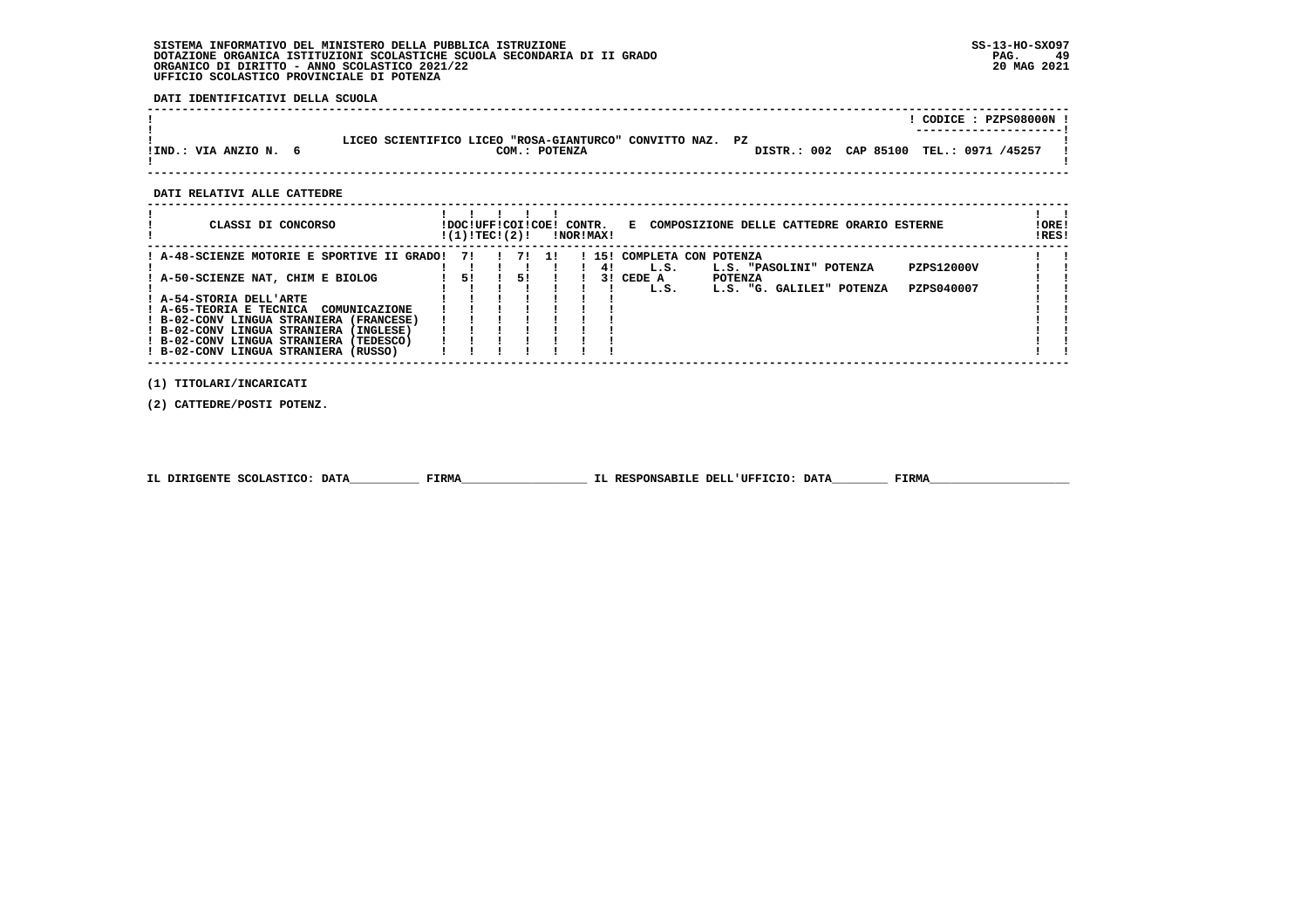#### **SISTEMA INFORMATIVO DEL MINISTERO DELLA PUBBLICA ISTRUZIONE SS-13-HO-SXO97 DOTAZIONE ORGANICA ISTITUZIONI SCOLASTICHE SCUOLA SECONDARIA DI II GRADO PAG. 49**ORGANICO DI DIRITTO - ANNO SCOLASTICO 2021/22  **UFFICIO SCOLASTICO PROVINCIALE DI POTENZA**

 **DATI IDENTIFICATIVI DELLA SCUOLA**

|                       |                                                                            | CODICE: PZPS08000N !<br>---------------------- |
|-----------------------|----------------------------------------------------------------------------|------------------------------------------------|
| IIND.: VIA ANZIO N. 6 | LICEO SCIENTIFICO LICEO "ROSA-GIANTURCO" CONVITTO NAZ. PZ<br>COM.: POTENZA | DISTR.: 002 CAP 85100 TEL.: 0971 /45257        |

 **------------------------------------------------------------------------------------------------------------------------------------**

#### **DATI RELATIVI ALLE CATTEDRE**

| CLASSI DI CONCORSO                          | !DOC!UFF!COI!COE!<br>!(1)!TECI(2)! |    |     | CONTR. | !NOR!MAX! | COMPOSIZIONE DELLE CATTEDRE ORARIO ESTERNE<br>к.                      | ! ORE!<br>IRES! |  |
|---------------------------------------------|------------------------------------|----|-----|--------|-----------|-----------------------------------------------------------------------|-----------------|--|
| ! A-48-SCIENZE MOTORIE E SPORTIVE II GRADO! | 71                                 |    | -11 |        | 151<br>41 | COMPLETA CON POTENZA<br>PZPS12000V<br>L.S.<br>L.S. "PASOLINI" POTENZA |                 |  |
| A-50-SCIENZE NAT, CHIM E BIOLOG             | 51                                 | 51 |     |        | 3 I       | CEDE A<br><b>POTENZA</b><br>PZPS040007                                |                 |  |
| ! A-54-STORIA DELL'ARTE                     |                                    |    |     |        |           | L.S.<br>L.S. "G. GALILEI" POTENZA                                     |                 |  |
| ! A-65-TEORIA E TECNICA<br>COMUNICAZIONE    |                                    |    |     |        |           |                                                                       |                 |  |
| ! B-02-CONV LINGUA STRANIERA (FRANCESE)     |                                    |    |     |        |           |                                                                       |                 |  |
| ! B-02-CONV LINGUA STRANIERA<br>(INGLESE)   |                                    |    |     |        |           |                                                                       |                 |  |
| ! B-02-CONV LINGUA STRANIERA<br>(TEDESCO)   |                                    |    |     |        |           |                                                                       |                 |  |
| ! B-02-CONV LINGUA STRANIERA<br>(RUSSO)     |                                    |    |     |        |           |                                                                       |                 |  |

 **(1) TITOLARI/INCARICATI**

 **(2) CATTEDRE/POSTI POTENZ.**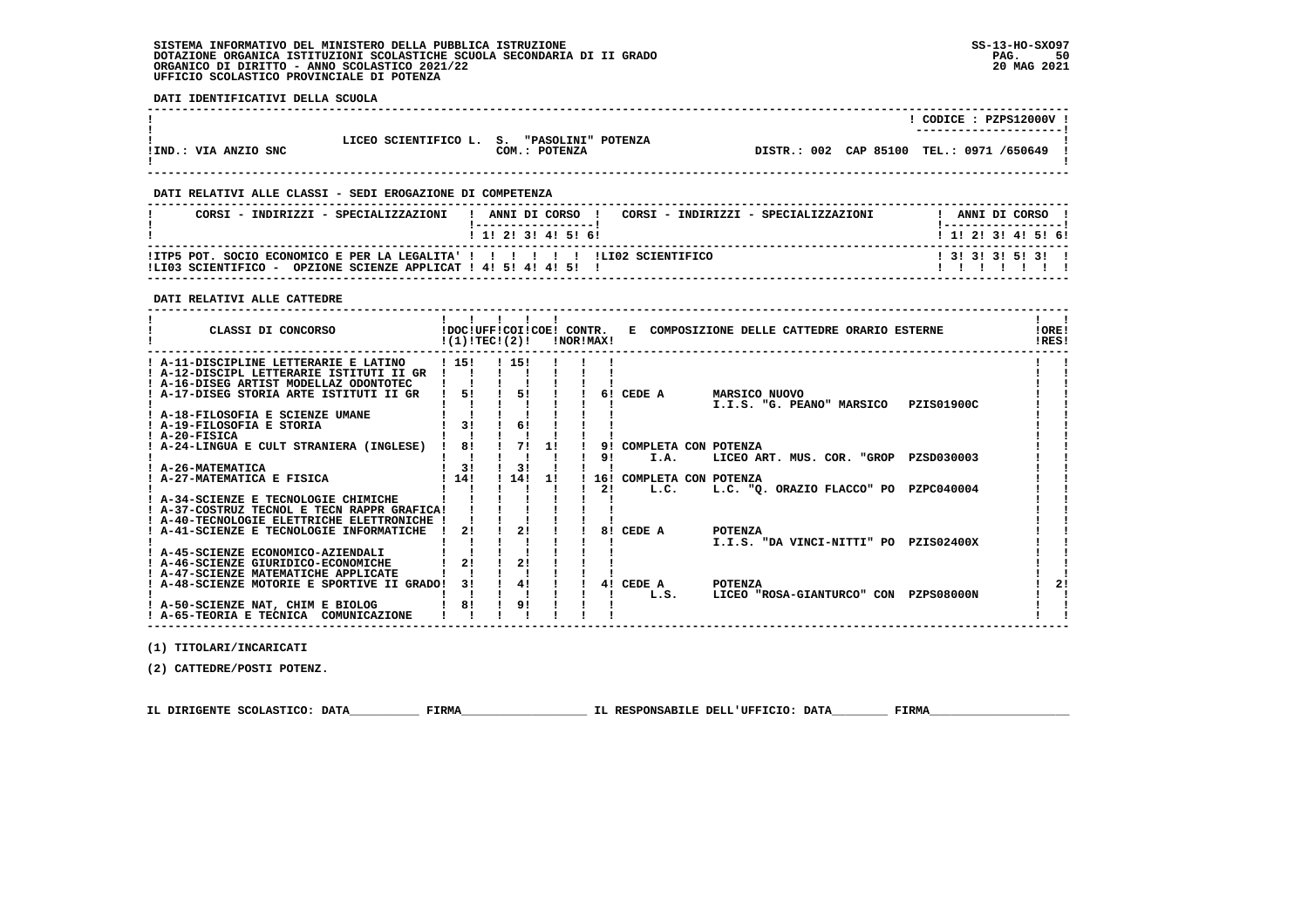**DATI IDENTIFICATIVI DELLA SCUOLA**

|                      |                         |                                     |  | CODICE: PZPS12000V !<br>--------------------- |  |
|----------------------|-------------------------|-------------------------------------|--|-----------------------------------------------|--|
| !IND.: VIA ANZIO SNC | LICEO SCIENTIFICO L. S. | "PASOLINI" POTENZA<br>COM.: POTENZA |  | DISTR.: 002 CAP 85100 TEL.: 0971 /650649      |  |

 **------------------------------------------------------------------------------------------------------------------------------------**

## **DATI RELATIVI ALLE CLASSI - SEDI EROGAZIONE DI COMPETENZA**

| CORSI - INDIRIZZI - SPECIALIZZAZIONI                                                                                                               | ANNI DI CORSO !<br>CORSI - INDIRIZZI - SPECIALIZZAZIONI | ANNI DI CORSO             |
|----------------------------------------------------------------------------------------------------------------------------------------------------|---------------------------------------------------------|---------------------------|
|                                                                                                                                                    | 1 1 1 2 1 3 1 4 1 5 1 6 1                               | 1 1 1 2 1 3 1 4 1 5 1 6 1 |
| TTP5 POT. SOCIO ECONOMICO E PER LA LEGALITA I I I I I I I IL ILILO SCIENTIFICO<br>OPZIONE SCIENZE APPLICAT ! 4! 5! 4! 4! 5!<br>ILIO3 SCIENTIFICO - |                                                         | $1$ 31 31 31 51 31 1      |

 **------------------------------------------------------------------------------------------------------------------------------------**

#### **DATI RELATIVI ALLE CATTEDRE**

| CLASSI DI CONCORSO                          | !DOC!UFF!COI!COE! CONTR.<br>!(1)!TECI(2)! |      |     | INOR IMAX! |                          | E COMPOSIZIONE DELLE CATTEDRE ORARIO ESTERNE               | ! ORE!<br>IRES! |
|---------------------------------------------|-------------------------------------------|------|-----|------------|--------------------------|------------------------------------------------------------|-----------------|
| ! A-11-DISCIPLINE LETTERARIE E LATINO       | 1151                                      | 115! |     |            |                          |                                                            |                 |
| ! A-12-DISCIPL LETTERARIE ISTITUTI II GR    |                                           |      |     |            |                          |                                                            |                 |
| ! A-16-DISEG ARTIST MODELLAZ ODONTOTEC      |                                           |      |     |            |                          |                                                            |                 |
| A-17-DISEG STORIA ARTE ISTITUTI II GR       | 51                                        | 51   |     | 61         | CEDE A                   | <b>MARSICO NUOVO</b>                                       |                 |
|                                             |                                           |      |     |            |                          | <b>PZIS01900C</b><br>I.I.S. "G. PEANO" MARSICO             |                 |
| ! A-18-FILOSOFIA E SCIENZE UMANE            |                                           |      |     |            |                          |                                                            |                 |
| ! A-19-FILOSOFIA E STORIA                   | 31                                        | 6!   |     |            |                          |                                                            |                 |
| ! A-20-FISICA                               |                                           |      |     |            |                          |                                                            |                 |
| A-24-LINGUA E CULT STRANIERA (INGLESE)      | 8!                                        | 71   | 1!  | 91         | COMPLETA CON POTENZA     |                                                            |                 |
|                                             |                                           |      |     | 91         | I.A.                     | LICEO ART. MUS. COR. "GROP PZSD030003                      |                 |
| ! A-26-MATEMATICA                           | 31                                        | 3!   |     |            |                          |                                                            |                 |
| A-27-MATEMATICA E FISICA                    | 14!                                       | 14!  | -11 |            | 16! COMPLETA CON POTENZA |                                                            |                 |
|                                             |                                           |      |     | 2!         | L.C.                     | L.C. "O. ORAZIO FLACCO" PO<br>PZPC040004                   |                 |
| ! A-34-SCIENZE E TECNOLOGIE CHIMICHE        |                                           |      |     |            |                          |                                                            |                 |
| ! A-37-COSTRUZ TECNOL E TECN RAPPR GRAFICA! |                                           |      |     |            |                          |                                                            |                 |
| A-40-TECNOLOGIE ELETTRICHE ELETTRONICHE     |                                           | 21   |     |            | CEDE A                   |                                                            |                 |
| A-41-SCIENZE E TECNOLOGIE INFORMATICHE      | 21                                        |      |     | 81         |                          | <b>POTENZA</b><br>I.I.S. "DA VINCI-NITTI" PO<br>PZIS02400X |                 |
| ! A-45-SCIENZE ECONOMICO-AZIENDALI          |                                           |      |     |            |                          |                                                            |                 |
| A-46-SCIENZE GIURIDICO-ECONOMICHE           | 21                                        | 21   |     |            |                          |                                                            |                 |
| A-47-SCIENZE MATEMATICHE APPLICATE          |                                           |      |     |            |                          |                                                            |                 |
| ! A-48-SCIENZE MOTORIE E SPORTIVE II GRADO! | 31                                        | 41   |     |            | 4! CEDE A                | POTENZA                                                    |                 |
|                                             |                                           |      |     |            | L.S.                     | LICEO "ROSA-GIANTURCO" CON PZPS08000N                      |                 |
| ! A-50-SCIENZE NAT, CHIM E BIOLOG           | 81                                        | 9!   |     |            |                          |                                                            |                 |
| ! A-65-TEORIA E TECNICA COMUNICAZIONE       |                                           |      |     |            |                          |                                                            |                 |

 **(1) TITOLARI/INCARICATI**

 **(2) CATTEDRE/POSTI POTENZ.**

 **IL DIRIGENTE SCOLASTICO: DATA\_\_\_\_\_\_\_\_\_\_ FIRMA\_\_\_\_\_\_\_\_\_\_\_\_\_\_\_\_\_\_ IL RESPONSABILE DELL'UFFICIO: DATA\_\_\_\_\_\_\_\_ FIRMA\_\_\_\_\_\_\_\_\_\_\_\_\_\_\_\_\_\_\_\_**

 **------------------------------------------------------------------------------------------------------------------------------------**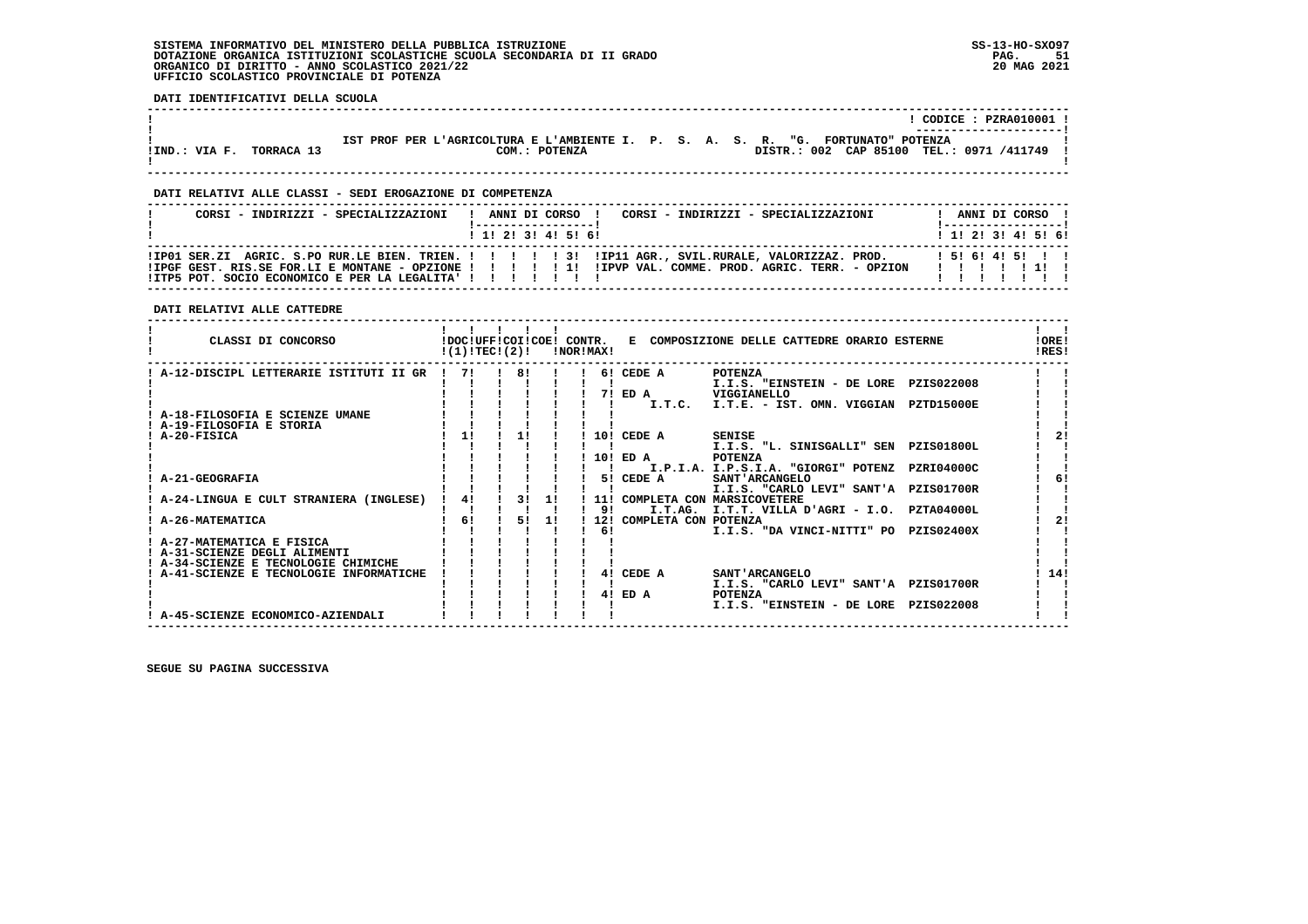#### **SISTEMA INFORMATIVO DEL MINISTERO DELLA PUBBLICA ISTRUZIONE SS-13-HO-SXO97 DOTAZIONE ORGANICA ISTITUZIONI SCOLASTICHE SCUOLA SECONDARIA DI II GRADO** ORGANICO DI DIRITTO - ANNO SCOLASTICO 2021/22  **UFFICIO SCOLASTICO PROVINCIALE DI POTENZA**

 **DATI IDENTIFICATIVI DELLA SCUOLA**

|                             |                                                                                                   |                                          | $CODE: PZRA010001$ . |
|-----------------------------|---------------------------------------------------------------------------------------------------|------------------------------------------|----------------------|
| !IND.: VIA F.<br>TORRACA 13 | IST PROF PER L'AGRICOLTURA E L'AMBIENTE I. P. S. A. S. R. "G. FORTUNATO" POTENZA<br>COM.: POTENZA | DISTR.: 002 CAP 85100 TEL.: 0971 /411749 |                      |

 **------------------------------------------------------------------------------------------------------------------------------------**

 **------------------------------------------------------------------------------------------------------------------------------------**

#### **DATI RELATIVI ALLE CLASSI - SEDI EROGAZIONE DI COMPETENZA**

| CORSI - INDIRIZZI - SPECIALIZZAZIONI                                                                          |  |  | ! ANNI DI CORSO !   |  | CORSI - INDIRIZZI - SPECIALIZZAZIONI |  | !-----------------!     |  | ANNI DI CORSO ! |  |
|---------------------------------------------------------------------------------------------------------------|--|--|---------------------|--|--------------------------------------|--|-------------------------|--|-----------------|--|
|                                                                                                               |  |  | 1 1! 2! 3! 4! 5! 6! |  |                                      |  | $1$ , 1! 2! 3! 4! 5! 6! |  |                 |  |
| !IPGF GEST. RIS.SE FOR.LI E MONTANE - OPZIONE !!!!!!!!!!!!!!!! . COMME. PROD. AGRIC. TERR. - OPZION !!!!!!!!! |  |  |                     |  |                                      |  |                         |  |                 |  |
| ! ITP5 POT. SOCIO ECONOMICO E PER LA LEGALITA' ! ! ! ! ! ! ! !                                                |  |  |                     |  |                                      |  |                         |  |                 |  |

### **DATI RELATIVI ALLE CATTEDRE**

| CLASSI DI CONCORSO                     | !DOC!UFF!COI!COE! CONTR.<br>!(1)!TEC!(2)! |    |    | INOR ! MAX! | E COMPOSIZIONE DELLE CATTEDRE ORARIO ESTERNE |                                              |                   |     |  |  |  |  |
|----------------------------------------|-------------------------------------------|----|----|-------------|----------------------------------------------|----------------------------------------------|-------------------|-----|--|--|--|--|
| A-12-DISCIPL LETTERARIE ISTITUTI II GR | 71                                        | 81 |    |             | 6! CEDE A                                    | <b>POTENZA</b>                               |                   |     |  |  |  |  |
|                                        |                                           |    |    |             |                                              | I.I.S. "EINSTEIN - DE LORE PZIS022008        |                   |     |  |  |  |  |
|                                        |                                           |    |    | 71          | ED A                                         | VIGGIANELLO                                  |                   |     |  |  |  |  |
|                                        |                                           |    |    |             | I.T.C.                                       | I.T.E. - IST. OMN. VIGGIAN                   | PZTD15000E        |     |  |  |  |  |
| A-18-FILOSOFIA E SCIENZE UMANE         |                                           |    |    |             |                                              |                                              |                   |     |  |  |  |  |
| A-19-FILOSOFIA E STORIA                | 11                                        |    |    |             |                                              |                                              |                   |     |  |  |  |  |
| A-20-FISICA                            |                                           |    |    | 10!         | CEDE A                                       | SENISE<br>I.I.S. "L. SINISGALLI" SEN         | <b>PZIS01800L</b> |     |  |  |  |  |
|                                        |                                           |    |    |             | 10! ED A                                     | <b>POTENZA</b>                               |                   |     |  |  |  |  |
|                                        |                                           |    |    |             |                                              | I.P.I.A. I.P.S.I.A. "GIORGI" POTENZ          | PZRI04000C        |     |  |  |  |  |
| A-21-GEOGRAFIA                         |                                           |    |    | 51          | CEDE A                                       | SANT 'ARCANGELO                              |                   |     |  |  |  |  |
|                                        |                                           |    |    |             |                                              | I.I.S. "CARLO LEVI" SANT'A PZIS01700R        |                   |     |  |  |  |  |
| A-24-LINGUA E CULT STRANIERA (INGLESE) | 41                                        | 31 | 1! | 11 !        |                                              | COMPLETA CON MARSICOVETERE                   |                   |     |  |  |  |  |
|                                        |                                           |    |    | 91          | I.T.AG.                                      | I.T.T. VILLA D'AGRI - I.O.                   | PZTA04000L        |     |  |  |  |  |
| A-26-MATEMATICA                        | 61                                        | 51 | 1! | 12!         | COMPLETA CON POTENZA                         |                                              |                   | 2!  |  |  |  |  |
|                                        |                                           |    |    | 6!          |                                              | I.I.S. "DA VINCI-NITTI" PO                   | <b>PZIS02400X</b> |     |  |  |  |  |
| ! A-27-MATEMATICA E FISICA             |                                           |    |    |             |                                              |                                              |                   |     |  |  |  |  |
| A-31-SCIENZE DEGLI ALIMENTI            |                                           |    |    |             |                                              |                                              |                   |     |  |  |  |  |
| ! A-34-SCIENZE E TECNOLOGIE CHIMICHE   |                                           |    |    |             |                                              |                                              |                   |     |  |  |  |  |
| A-41-SCIENZE E TECNOLOGIE INFORMATICHE |                                           |    |    | 41          | CEDE A                                       | SANT 'ARCANGELO                              |                   | 14! |  |  |  |  |
|                                        |                                           |    |    |             |                                              | I.I.S. "CARLO LEVI" SANT'A                   | <b>PZIS01700R</b> |     |  |  |  |  |
|                                        |                                           |    |    | 41          | ED A                                         | <b>POTENZA</b><br>I.I.S. "EINSTEIN - DE LORE | PZIS022008        |     |  |  |  |  |
| A-45-SCIENZE ECONOMICO-AZIENDALI       |                                           |    |    |             |                                              |                                              |                   |     |  |  |  |  |
|                                        |                                           |    |    |             |                                              |                                              |                   |     |  |  |  |  |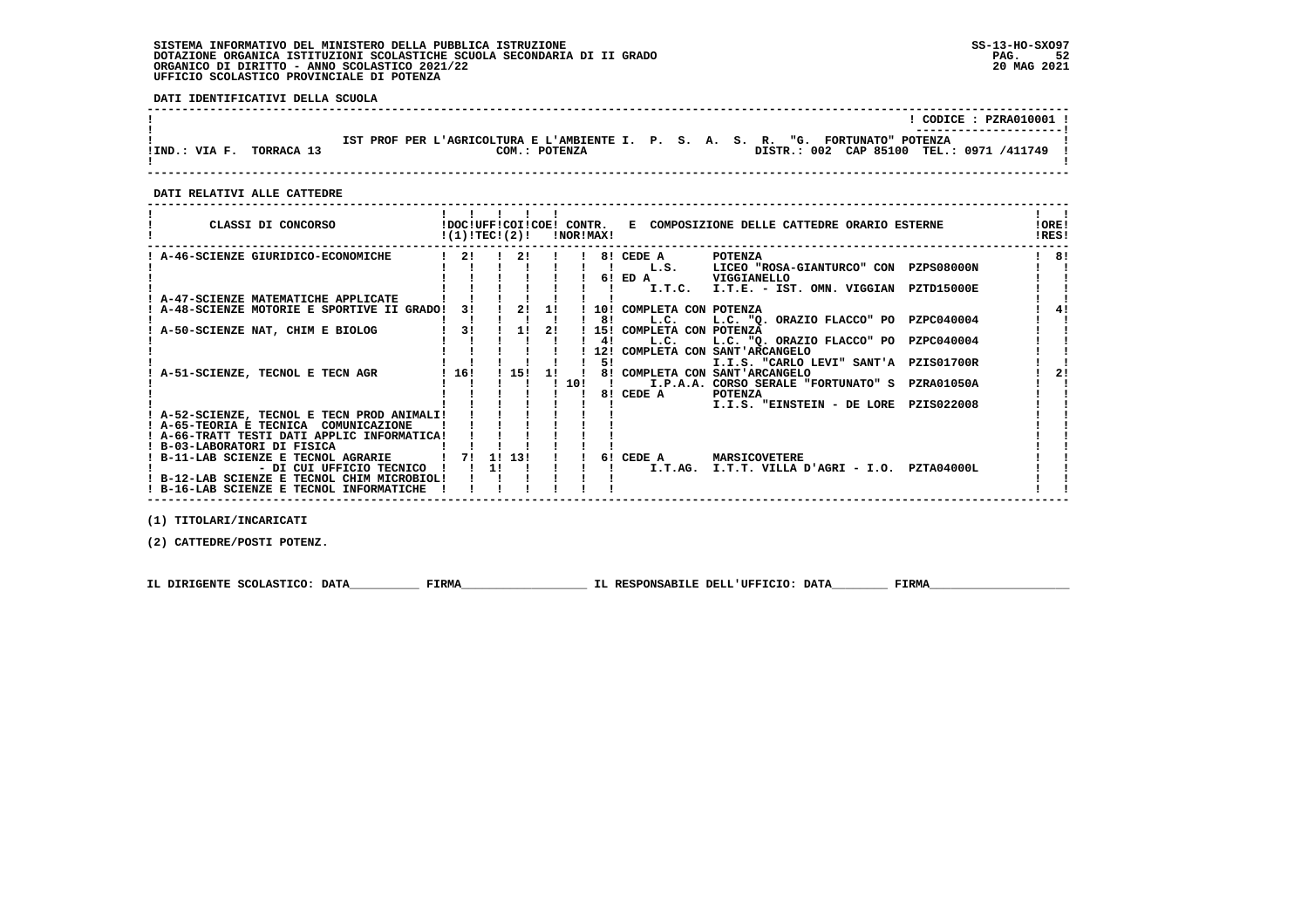#### **SISTEMA INFORMATIVO DEL MINISTERO DELLA PUBBLICA ISTRUZIONE SS-13-HO-SXO97 DOTAZIONE ORGANICA ISTITUZIONI SCOLASTICHE SCUOLA SECONDARIA DI II GRADO** ORGANICO DI DIRITTO - ANNO SCOLASTICO 2021/22  **UFFICIO SCOLASTICO PROVINCIALE DI POTENZA**

 **DATI IDENTIFICATIVI DELLA SCUOLA**

|               |            | $CODE: PZRA010001$ !                                                                                                                            |
|---------------|------------|-------------------------------------------------------------------------------------------------------------------------------------------------|
| !IND.: VIA F. | TORRACA 13 | IST PROF PER L'AGRICOLTURA E L'AMBIENTE I. P. S. A. S. R. "G. FORTUNATO" POTENZA<br>DISTR.: 002 CAP 85100 TEL.: 0971 /411749 !<br>COM.: POTENZA |

 **------------------------------------------------------------------------------------------------------------------------------------**

 **DATI RELATIVI ALLE CATTEDRE**

| CLASSI DI CONCORSO                          | !(1)!TEC!(2)! |    |        |    | INORIMAXI |    |                          | !DOC!UFF!COI!COE! CONTR. E COMPOSIZIONE DELLE CATTEDRE ORARIO ESTERNE    |                   | ! ORE!<br>IRES! |
|---------------------------------------------|---------------|----|--------|----|-----------|----|--------------------------|--------------------------------------------------------------------------|-------------------|-----------------|
| A-46-SCIENZE GIURIDICO-ECONOMICHE           | 21            |    | 21     |    |           |    | 8! CEDE A                | POTENZA                                                                  |                   | 81              |
|                                             |               |    |        |    |           |    |                          | L.S. LICEO "ROSA-GIANTURCO" CON PZPS08000N                               |                   |                 |
|                                             |               |    |        |    |           |    | $6!$ ED A                | VIGGIANELLO                                                              |                   |                 |
|                                             |               |    |        |    |           |    |                          | I.T.C. I.T.E. - IST. OMN. VIGGIAN                                        | <b>PZTD15000E</b> |                 |
| A-47-SCIENZE MATEMATICHE APPLICATE          |               |    |        |    |           |    |                          |                                                                          |                   |                 |
| A-48-SCIENZE MOTORIE E SPORTIVE II GRADO!   | 31            |    | 2!     | 1! |           |    | 10! COMPLETA CON POTENZA |                                                                          |                   |                 |
|                                             |               |    |        |    |           | 8! | L.C.                     | L.C. "Q. ORAZIO FLACCO" PO                                               | PZPC040004        |                 |
| A-50-SCIENZE NAT, CHIM E BIOLOG             | 3!            |    | 1!     | 21 |           |    | 15! COMPLETA CON POTENZA |                                                                          |                   |                 |
|                                             |               |    |        |    |           | 41 | L.C.                     | L.C. "Q. ORAZIO FLACCO" PO PZPC040004                                    |                   |                 |
|                                             |               |    |        |    |           | 5! |                          | 12! COMPLETA CON SANT'ARCANGELO<br>I.I.S. "CARLO LEVI" SANT'A PZIS01700R |                   |                 |
| A-51-SCIENZE, TECNOL E TECN AGR             | ! 16!         |    | 115!1  |    |           |    |                          | 8! COMPLETA CON SANT'ARCANGELO                                           |                   |                 |
|                                             |               |    |        |    | 1101      |    |                          | I I.P.A.A. CORSO SERALE "FORTUNATO" S PZRA01050A                         |                   |                 |
|                                             |               |    |        |    |           |    | 8! CEDE A                | POTENZA                                                                  |                   |                 |
|                                             |               |    |        |    |           |    |                          | I.I.S. "EINSTEIN - DE LORE PZIS022008                                    |                   |                 |
| ! A-52-SCIENZE, TECNOL E TECN PROD ANIMALI! |               |    |        |    |           |    |                          |                                                                          |                   |                 |
| ! A-65-TEORIA E TECNICA COMUNICAZIONE       |               |    |        |    |           |    |                          |                                                                          |                   |                 |
| ! A-66-TRATT TESTI DATI APPLIC INFORMATICA! |               |    |        |    |           |    |                          |                                                                          |                   |                 |
| ! B-03-LABORATORI DI FISICA                 |               |    |        |    |           |    |                          |                                                                          |                   |                 |
| ! B-11-LAB SCIENZE E TECNOL AGRARIE         | 71            |    | 1! 13! |    |           |    | 6! CEDE A                | MARSICOVETERE                                                            |                   |                 |
| - DI CUI UFFICIO TECNICO                    |               | 11 |        |    |           |    | I.T.AG.                  | I.T.T. VILLA D'AGRI - I.O. PZTA04000L                                    |                   |                 |
| ! B-12-LAB SCIENZE E TECNOL CHIM MICROBIOL! |               |    |        |    |           |    |                          |                                                                          |                   |                 |
| ! B-16-LAB SCIENZE E TECNOL INFORMATICHE    |               |    |        |    |           |    |                          |                                                                          |                   |                 |
|                                             |               |    |        |    |           |    |                          |                                                                          |                   |                 |

 **(1) TITOLARI/INCARICATI**

 **(2) CATTEDRE/POSTI POTENZ.**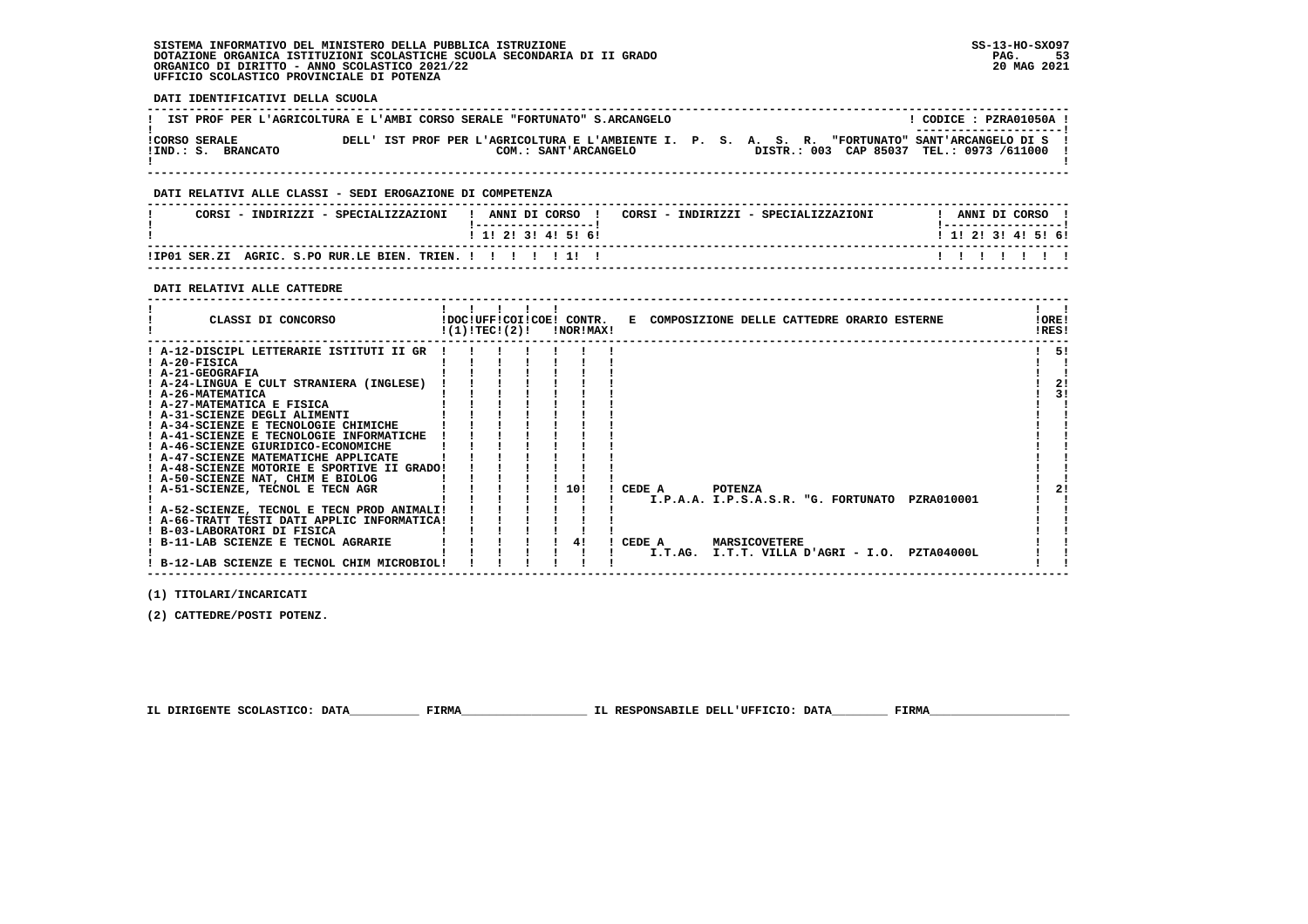#### **SISTEMA INFORMATIVO DEL MINISTERO DELLA PUBBLICA ISTRUZIONE SS-13-HO-SXO97 DOTAZIONE ORGANICA ISTITUZIONI SCOLASTICHE SCUOLA SECONDARIA DI II GRADO PAG. 53**ORGANICO DI DIRITTO - ANNO SCOLASTICO 2021/22  **UFFICIO SCOLASTICO PROVINCIALE DI POTENZA**

 **! B-12-LAB SCIENZE E TECNOL CHIM MICROBIOL! ! ! ! ! ! ! ! !**

 $\mathbf{I}$   $\mathbf{I}$ 

 **DATI IDENTIFICATIVI DELLA SCUOLA ------------------------------------------------------------------------------------------------------------------------------------**L CODICE : PZRA01050A L **! IST PROF PER L'AGRICOLTURA E L'AMBI CORSO SERALE "FORTUNATO" S.ARCANGELO ! ---------------------! !CORSO SERALE DELL' IST PROF PER L'AGRICOLTURA E L'AMBIENTE I. P. S. A. S. R. "FORTUNATO" SANT'ARCANGELO DI S ! !IND.: S. BRANCATO COM.: SANT'ARCANGELO DISTR.: 003 CAP 85037 TEL.: 0973 /611000 !**- 1  **! ! ------------------------------------------------------------------------------------------------------------------------------------ DATI RELATIVI ALLE CLASSI - SEDI EROGAZIONE DI COMPETENZA ------------------------------------------------------------------------------------------------------------------------------------**! ANNI DI CORSO !  **! CORSI - INDIRIZZI - SPECIALIZZAZIONI ! ANNI DI CORSO ! CORSI - INDIRIZZI - SPECIALIZZAZIONI ! ANNI DI CORSO !**\_\_\_\_\_\_\_\_\_\_\_\_\_\_\_\_\_\_\_\_\_\_  **! !-----------------! !-----------------!**1 1 2 3 3 4 5 6  **! ! 1! 2! 3! 4! 5! 6! ! 1! 2! 3! 4! 5! 6! ------------------------------------------------------------------------------------------------------------------------------------** $11111111$  **!IP01 SER.ZI AGRIC. S.PO RUR.LE BIEN. TRIEN. ! ! ! ! ! 1! ! ! ! ! ! ! ! ! ------------------------------------------------------------------------------------------------------------------------------------ DATI RELATIVI ALLE CATTEDRE ------------------------------------------------------------------------------------------------------------------------------------** $\mathbf{I}$  and  $\mathbf{I}$  **! ! ! ! ! ! ! !IORE!** CLASSI DI CONCORSO **82 IDOCIUFFICOIICOE!** CONTR. E COMPOSIZIONE DELLE CATTEDRE ORARIO ESTERNE  $RRSI$  **! !(1)!TEC!(2)! !NOR!MAX! !RES! ------------------------------------------------------------------------------------------------------------------------------------** $1 - 51$  **! A-12-DISCIPL LETTERARIE ISTITUTI II GR ! ! ! ! ! ! ! ! 5! ! A-20-FISICA ! ! ! ! ! ! ! ! ! ! A-21-GEOGRAFIA ! ! ! ! ! ! ! ! !** $\blacksquare$  $\blacksquare$  $2!$  **! A-24-LINGUA E CULT STRANIERA (INGLESE) ! ! ! ! ! ! ! ! 2! ! A-26-MATEMATICA ! ! ! ! ! ! ! ! 3! ! A-27-MATEMATICA E FISICA ! ! ! ! ! ! ! ! !** $1 \quad 31$  $\blacksquare$  **! A-31-SCIENZE DEGLI ALIMENTI ! ! ! ! ! ! ! ! ! ! A-34-SCIENZE E TECNOLOGIE CHIMICHE ! ! ! ! ! ! ! ! ! ! A-41-SCIENZE E TECNOLOGIE INFORMATICHE ! ! ! ! ! ! ! ! !** $\mathbf{I}$ | A-46-SCIENZE GIURIDICO-ECONOMICHE | | | | | | | |<br>| A-47-SCIENZE MATEMATICHE APPLICATE | | | | | | | | |<br>| A-58-CIENZE MOTORIE E SPORTIVE II GRADO! | | | | | | | |<br>| A-50-SCIENZE NAT, CHIM E BIOLOG | | | | | | | | | |<br>|  $2.1$ - 1 ا ! A-52-SCIENZE, TECNOL E TECN PROD ANIMALI! ! ! ! ! ! ! ! I.P.A.A. I.P.S.A.S.R. "G. FORTUNATO PZRA010001 ! !<br>! A-56-TRATT TESTI DATI APPLIC INFORMATICA! !!!!!!!<br>! A-66-TRATT TESTI DATI APPLIC INFORMATICA!!!!!!!!!!!!!!!! - 1  **! B-03-LABORATORI DI FISICA ! ! ! ! ! ! ! ! ! ! B-11-LAB SCIENZE E TECNOL AGRARIE ! ! ! ! ! 4! ! CEDE A MARSICOVETERE ! ! ! ! ! ! ! ! ! ! I.T.AG. I.T.T. VILLA D'AGRI - I.O. PZTA04000L ! !** $\blacksquare$  $\blacksquare$ 

 **(1) TITOLARI/INCARICATI**

 **(2) CATTEDRE/POSTI POTENZ.**

 **IL DIRIGENTE SCOLASTICO: DATA\_\_\_\_\_\_\_\_\_\_ FIRMA\_\_\_\_\_\_\_\_\_\_\_\_\_\_\_\_\_\_ IL RESPONSABILE DELL'UFFICIO: DATA\_\_\_\_\_\_\_\_ FIRMA\_\_\_\_\_\_\_\_\_\_\_\_\_\_\_\_\_\_\_\_**

 **------------------------------------------------------------------------------------------------------------------------------------**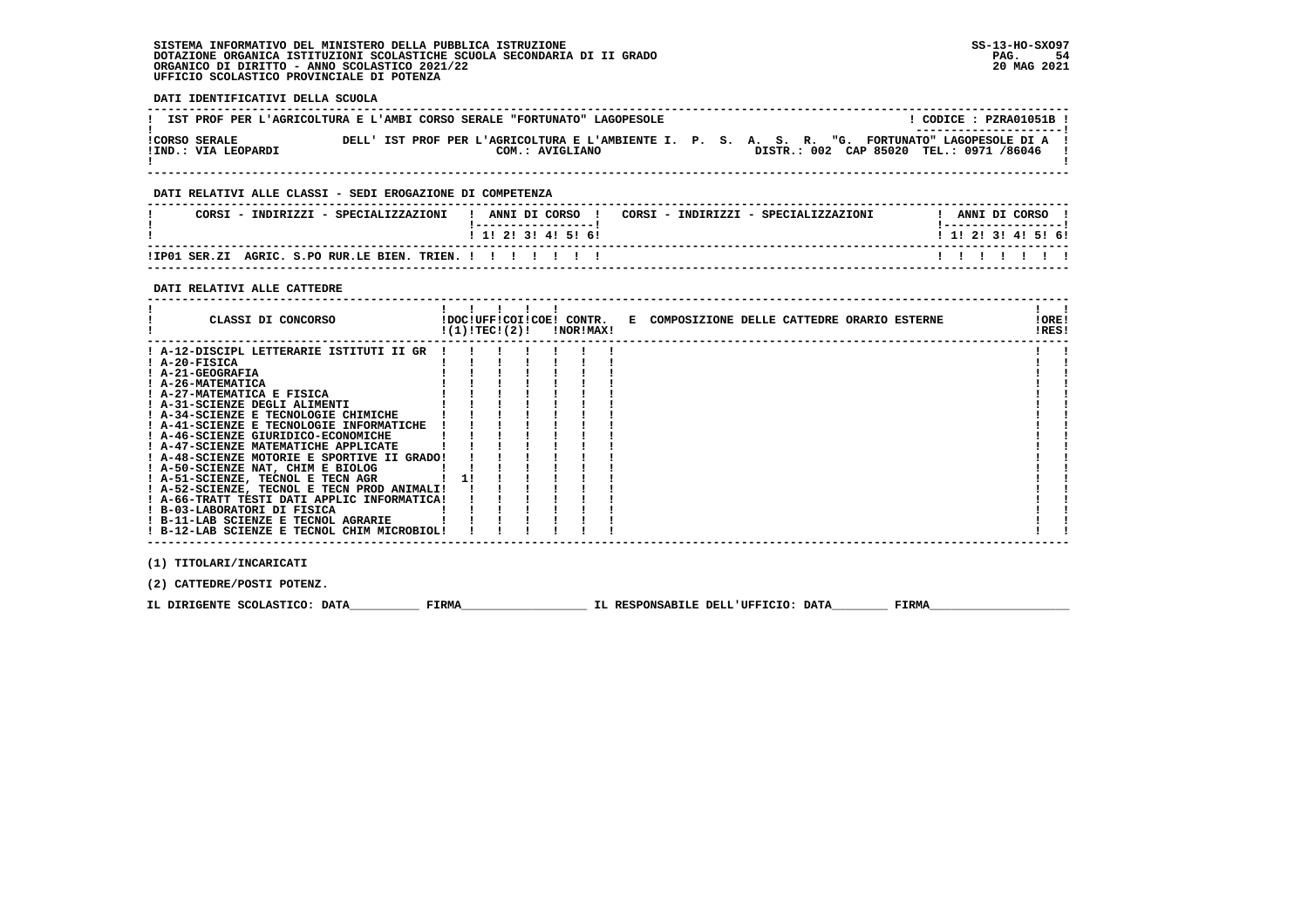#### **SISTEMA INFORMATIVO DEL MINISTERO DELLA PUBBLICA ISTRUZIONE SS-13-HO-SXO97 DOTAZIONE ORGANICA ISTITUZIONI SCOLASTICHE SCUOLA SECONDARIA DI II GRADO PAG. 54**ORGANICO DI DIRITTO - ANNO SCOLASTICO 2021/22  **UFFICIO SCOLASTICO PROVINCIALE DI POTENZA**

 **DATI IDENTIFICATIVI DELLA SCUOLA ------------------------------------------------------------------------------------------------------------------------------------**! CODICE: PZRA01051B ! **! IST PROF PER L'AGRICOLTURA E L'AMBI CORSO SERALE "FORTUNATO" LAGOPESOLE ! ---------------------! !CORSO SERALE DELL' IST PROF PER L'AGRICOLTURA E L'AMBIENTE I. P. S. A. S. R. "G. FORTUNATO" LAGOPESOLE DI A ! !IND.: VIA LEOPARDI COM.: AVIGLIANO DISTR.: 002 CAP 85020 TEL.: 0971 /86046 !** $\blacksquare$  **! ! ------------------------------------------------------------------------------------------------------------------------------------ DATI RELATIVI ALLE CLASSI - SEDI EROGAZIONE DI COMPETENZA ------------------------------------------------------------------------------------------------------------------------------------**! ANNI DI CORSO !  **! CORSI - INDIRIZZI - SPECIALIZZAZIONI ! ANNI DI CORSO ! CORSI - INDIRIZZI - SPECIALIZZAZIONI ! ANNI DI CORSO !**\_\_\_\_\_\_\_\_\_\_\_\_\_\_\_\_\_\_\_\_\_\_  **! !-----------------! !-----------------!**1 1 2 2 1 3 1 4 1 5 1 6 1  **! ! 1! 2! 3! 4! 5! 6! ! 1! 2! 3! 4! 5! 6! ------------------------------------------------------------------------------------------------------------------------------------** $11111111$  **!IP01 SER.ZI AGRIC. S.PO RUR.LE BIEN. TRIEN. ! ! ! ! ! ! ! ! ! ! ! ! ! ! ------------------------------------------------------------------------------------------------------------------------------------ DATI RELATIVI ALLE CATTEDRE ------------------------------------------------------------------------------------------------------------------------------------** $\mathbf{I}$  and  $\mathbf{I}$  **! ! ! ! ! ! ! ! ! CLASSI DI CONCORSO !DOC!UFF!COI!COE! CONTR. E COMPOSIZIONE DELLE CATTEDRE ORARIO ESTERNE !ORE! ! !(1)!TEC!(2)! !NOR!MAX! !RES!IORE!**  $1851$   **------------------------------------------------------------------------------------------------------------------------------------** $\mathbf{I}$  **! A-12-DISCIPL LETTERARIE ISTITUTI II GR ! ! ! ! ! ! ! ! ! ! A-20-FISICA ! ! ! ! ! ! ! ! ! ! A-21-GEOGRAFIA ! ! ! ! ! ! ! ! ! ! A-26-MATEMATICA ! ! ! ! ! ! ! ! ! ! A-27-MATEMATICA E FISICA ! ! ! ! ! ! ! ! !**1 A-31-SCIENZE DEGLI ALIMENTI<br>
1 A-44-SCIENZE E TECNOLOGIE INFORMATICHE<br>
1 A-44-SCIENZE E TECNOLOGIE INFORMATICHE<br>
1 A-46-SCIENZE GIURIDICO-ECONOMICHE<br>
1 A-46-SCIENZE MATEMATICHE APPLICATE<br>
1 A-47-SCIENZE MATEMATICHE APPLI  **! A-52-SCIENZE, TECNOL E TECN PROD ANIMALI! ! ! ! ! ! ! ! ! ! A-66-TRATT TESTI DATI APPLIC INFORMATICA! ! ! ! ! ! ! ! ! ! B-03-LABORATORI DI FISICA ! ! ! ! ! ! ! ! ! ! B-11-LAB SCIENZE E TECNOL AGRARIE ! ! ! ! ! ! ! ! !** $\blacksquare$  $\blacksquare$  **! B-12-LAB SCIENZE E TECNOL CHIM MICROBIOL! ! ! ! ! ! ! ! ! ------------------------------------------------------------------------------------------------------------------------------------ (1) TITOLARI/INCARICATI**

 **(2) CATTEDRE/POSTI POTENZ.**

**IL DIRIGENTE SCOLASTICO: DATA** FIRMA FIRMA TLE RESPONSABILE DELL'UFFICIO: DATA FIRMA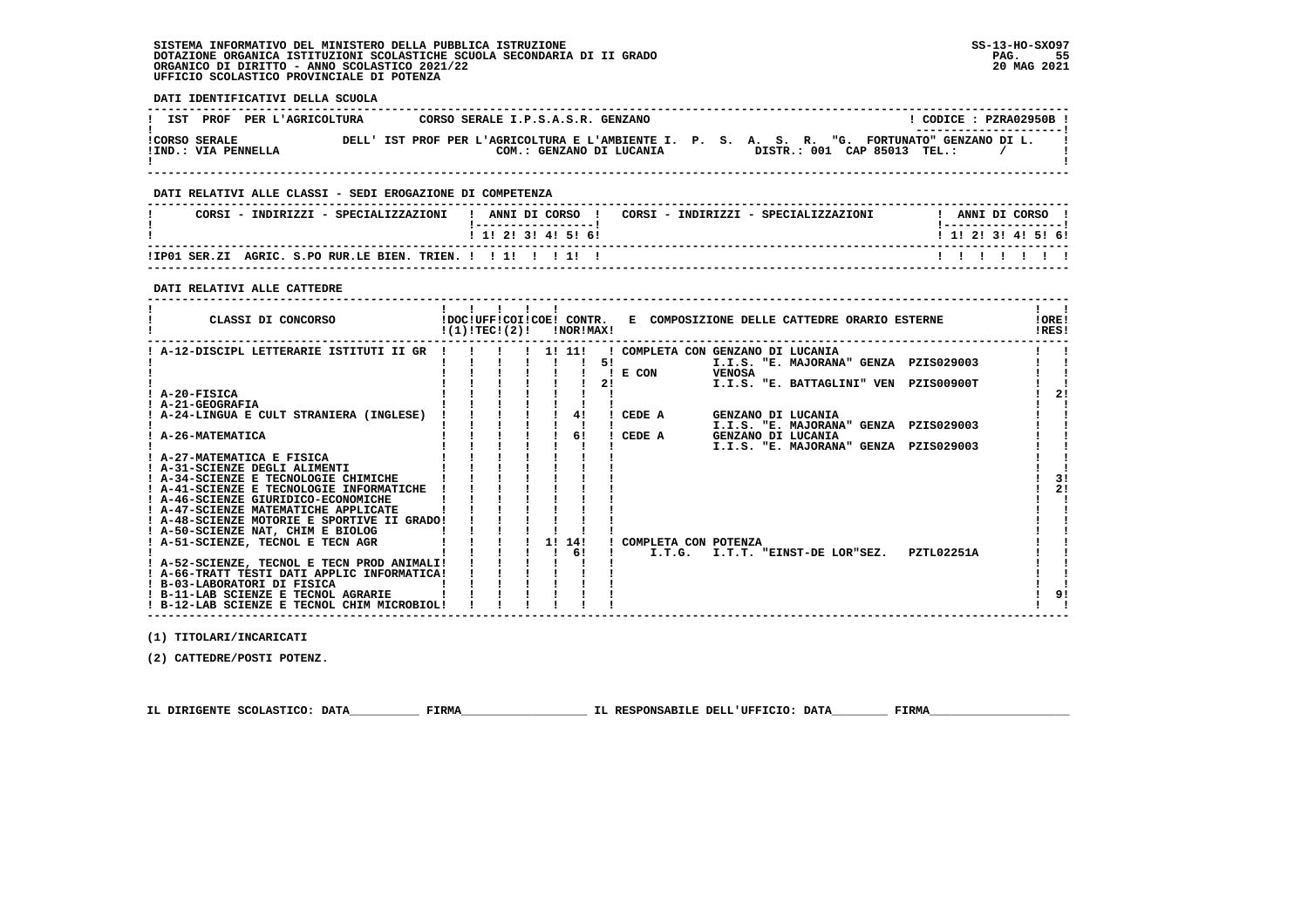#### **SISTEMA INFORMATIVO DEL MINISTERO DELLA PUBBLICA ISTRUZIONE SS-13-HO-SXO97 DOTAZIONE ORGANICA ISTITUZIONI SCOLASTICHE SCUOLA SECONDARIA DI II GRADO PAG. 55**ORGANICO DI DIRITTO - ANNO SCOLASTICO 2021/22  **UFFICIO SCOLASTICO PROVINCIALE DI POTENZA**

 **DATI IDENTIFICATIVI DELLA SCUOLA ------------------------------------------------------------------------------------------------------------------------------------** $1$  CODICE  $\cdot$  PZRA02950B I **! IST PROF PER L'AGRICOLTURA CORSO SERALE I.P.S.A.S.R. GENZANO ! ---------------------! !CORSO SERALE DELL' IST PROF PER L'AGRICOLTURA E L'AMBIENTE I. P. S. A. S. R. "G. FORTUNATO" GENZANO DI L. !** $\mathbf{I}$  **!IND.: VIA PENNELLA COM.: GENZANO DI LUCANIA DISTR.: 001 CAP 85013 TEL.: / !** $\blacksquare$  **! ! ------------------------------------------------------------------------------------------------------------------------------------ DATI RELATIVI ALLE CLASSI - SEDI EROGAZIONE DI COMPETENZA ------------------------------------------------------------------------------------------------------------------------------------**! ANNI DI CORSO !  **! CORSI - INDIRIZZI - SPECIALIZZAZIONI ! ANNI DI CORSO ! CORSI - INDIRIZZI - SPECIALIZZAZIONI ! ANNI DI CORSO !**\_\_\_\_\_\_\_\_\_\_\_\_\_\_\_\_\_\_\_\_\_\_  **! !-----------------! !-----------------!**1 1 2 3 3 4 5 6  **! ! 1! 2! 3! 4! 5! 6! ! 1! 2! 3! 4! 5! 6! ------------------------------------------------------------------------------------------------------------------------------------** $11111111$  **!IP01 SER.ZI AGRIC. S.PO RUR.LE BIEN. TRIEN. ! ! 1! ! ! 1! ! ! ! ! ! ! ! ! ------------------------------------------------------------------------------------------------------------------------------------ DATI RELATIVI ALLE CATTEDRE ------------------------------------------------------------------------------------------------------------------------------------** $\mathbf{I}$  and  $\mathbf{I}$  **! ! ! ! ! ! ! !LORE! ! CLASSI DI CONCORSO !DOC!UFF!COI!COE! CONTR. E COMPOSIZIONE DELLE CATTEDRE ORARIO ESTERNE !ORE!** $1851$  **! !(1)!TEC!(2)! !NOR!MAX! !RES! ------------------------------------------------------------------------------------------------------------------------------------** $\mathbf{I}$  and  $\mathbf{I}$  **! A-12-DISCIPL LETTERARIE ISTITUTI II GR ! ! ! ! 1! 11! ! COMPLETA CON GENZANO DI LUCANIA ! !** $\overline{\phantom{a}}$  **! ! ! ! ! ! ! 5! I.I.S. "E. MAJORANA" GENZA PZIS029003 ! ! ! ! ! ! ! ! ! ! E CON VENOSA ! !Contract District**  $\mathbf{I}$  and  $\mathbf{I}$  **! ! ! ! ! ! ! 2! I.I.S. "E. BATTAGLINI" VEN PZIS00900T ! ! ! A-20-FISICA ! ! ! ! ! ! ! ! 2! ! A-21-GEOGRAFIA ! ! ! ! ! ! ! ! !** $\frac{1}{2}$  $\blacksquare$  $\overline{\phantom{a}}$  **! A-24-LINGUA E CULT STRANIERA (INGLESE) ! ! ! ! ! 4! ! CEDE A GENZANO DI LUCANIA ! ! ! ! ! ! ! ! ! ! I.I.S. "E. MAJORANA" GENZA PZIS029003 ! ! ! A-26-MATEMATICA ! ! ! ! ! 6! ! CEDE A GENZANO DI LUCANIA ! ! ! ! ! ! ! ! ! ! I.I.S. "E. MAJORANA" GENZA PZIS029003 ! !** $\blacksquare$  $\mathbf{I}$  $\mathbf{I}$  $\mathbf{I}$  **! A-27-MATEMATICA E FISICA ! ! ! ! ! ! ! ! ! ! A-31-SCIENZE DEGLI ALIMENTI ! ! ! ! ! ! ! ! ! ! A-34-SCIENZE E TECNOLOGIE CHIMICHE ! ! ! ! ! ! ! ! 3!** $\frac{1}{1}$  31  $1 \t21$  **! A-41-SCIENZE E TECNOLOGIE INFORMATICHE ! ! ! ! ! ! ! ! 2!** $\blacksquare$  **! A-46-SCIENZE GIURIDICO-ECONOMICHE ! ! ! ! ! ! ! ! ! ! A-47-SCIENZE MATEMATICHE APPLICATE ! ! ! ! ! ! ! ! ! ! A-48-SCIENZE MOTORIE E SPORTIVE II GRADO! ! ! ! ! ! ! ! ! ! A-50-SCIENZE NAT, CHIM E BIOLOG ! ! ! ! ! ! ! ! ! ! A-51-SCIENZE, TECNOL E TECN AGR ! ! ! ! 1! 14! ! COMPLETA CON POTENZA ! ! ! ! ! ! ! ! 6! ! I.T.G. I.T.T. "EINST-DE LOR"SEZ. PZTL02251A ! ! ! A-52-SCIENZE, TECNOL E TECN PROD ANIMALI! ! ! ! ! ! ! ! ! ! A-66-TRATT TESTI DATI APPLIC INFORMATICA! ! ! ! ! ! ! ! ! ! B-03-LABORATORI DI FISICA ! ! ! ! ! ! ! ! ! ! B-11-LAB SCIENZE E TECNOL AGRARIE ! ! ! ! ! ! ! ! 9!**- 1  $\blacksquare$  $\overline{\phantom{a}}$  $\frac{1}{2}$  $\mathbf{I}$  and  $\mathbf{I}$  **! B-12-LAB SCIENZE E TECNOL CHIM MICROBIOL! ! ! ! ! ! ! ! !**

 **(1) TITOLARI/INCARICATI**

 **(2) CATTEDRE/POSTI POTENZ.**

 **IL DIRIGENTE SCOLASTICO: DATA\_\_\_\_\_\_\_\_\_\_ FIRMA\_\_\_\_\_\_\_\_\_\_\_\_\_\_\_\_\_\_ IL RESPONSABILE DELL'UFFICIO: DATA\_\_\_\_\_\_\_\_ FIRMA\_\_\_\_\_\_\_\_\_\_\_\_\_\_\_\_\_\_\_\_**

 **------------------------------------------------------------------------------------------------------------------------------------**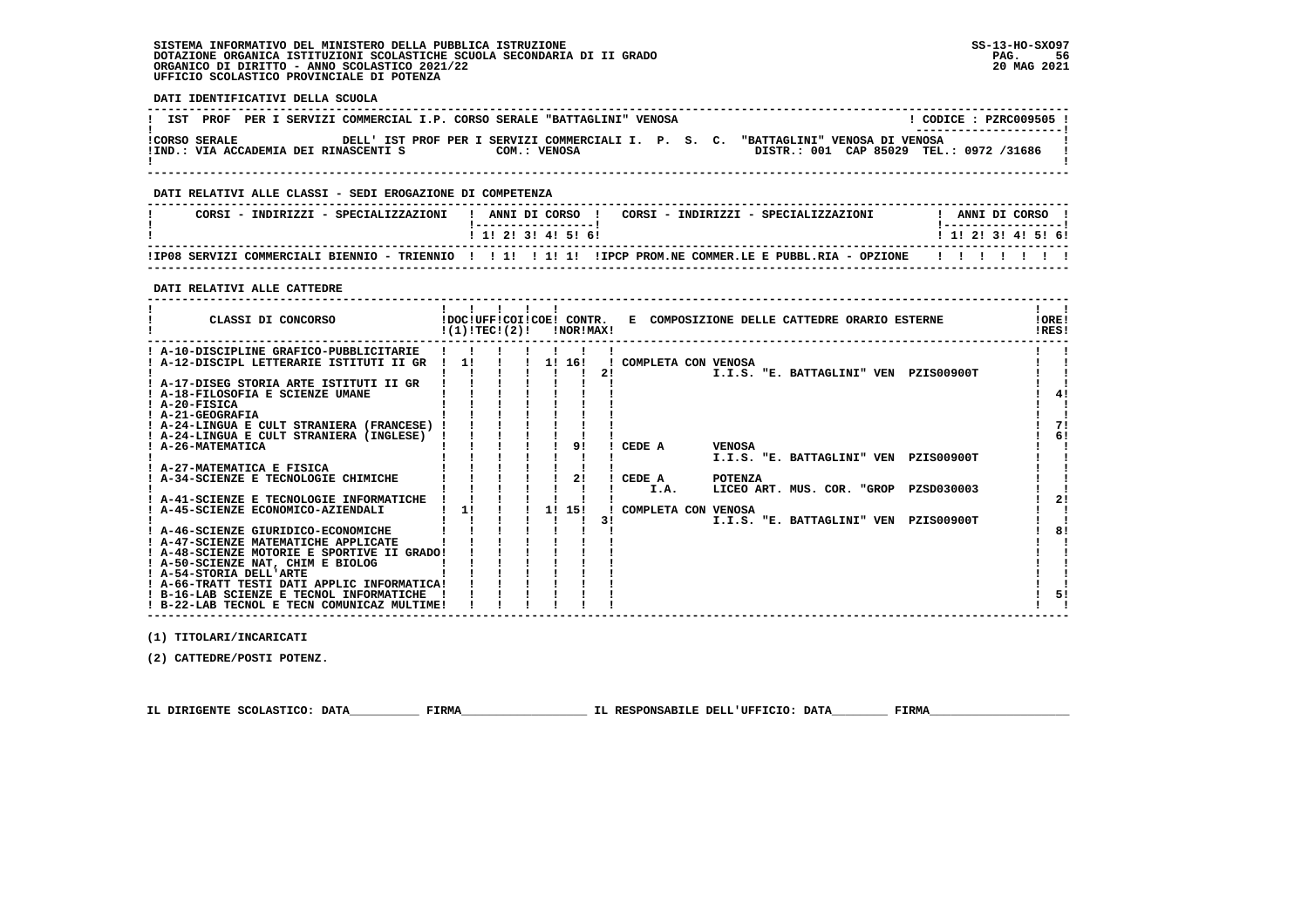#### **SISTEMA INFORMATIVO DEL MINISTERO DELLA PUBBLICA ISTRUZIONE SS-13-HO-SXO97 DOTAZIONE ORGANICA ISTITUZIONI SCOLASTICHE SCUOLA SECONDARIA DI II GRADO PAG. 56**ORGANICO DI DIRITTO - ANNO SCOLASTICO 2021/22  **UFFICIO SCOLASTICO PROVINCIALE DI POTENZA**

 $\blacksquare$  $\overline{\phantom{a}}$ 

 $\mathbf{I}$  $\mathbf{I}$  $1.51$ 

 $\mathbf{I}$  and  $\mathbf{I}$ 

 **DATI IDENTIFICATIVI DELLA SCUOLA ------------------------------------------------------------------------------------------------------------------------------------**! CODICE : PZRC009505 ! **! IST PROF PER I SERVIZI COMMERCIAL I.P. CORSO SERALE "BATTAGLINI" VENOSA ! ---------------------! !CORSO SERALE DELL' IST PROF PER I SERVIZI COMMERCIALI I. P. S. C. "BATTAGLINI" VENOSA DI VENOSA !**DISTR.: 001 CAP 85029 TEL.: 0972 /31686 1  **!IND.: VIA ACCADEMIA DEI RINASCENTI S COM.: VENOSA** - 1  **! ! ------------------------------------------------------------------------------------------------------------------------------------ DATI RELATIVI ALLE CLASSI - SEDI EROGAZIONE DI COMPETENZA ------------------------------------------------------------------------------------------------------------------------------------**! ANNI DI CORSO !  **! CORSI - INDIRIZZI - SPECIALIZZAZIONI ! ANNI DI CORSO ! CORSI - INDIRIZZI - SPECIALIZZAZIONI ! ANNI DI CORSO !**\_\_\_\_\_\_\_\_\_\_\_\_\_\_\_\_\_\_\_\_\_\_  **! !-----------------! !-----------------!**1 1 2 2 1 3 1 4 1 5 1 6 1  **! ! 1! 2! 3! 4! 5! 6! ! 1! 2! 3! 4! 5! 6! ------------------------------------------------------------------------------------------------------------------------------------ !IP08 SERVIZI COMMERCIALI BIENNIO - TRIENNIO ! ! 1! ! 1! 1! !IPCP PROM.NE COMMER.LE E PUBBL.RIA - OPZIONE ! ! ! ! ! ! ! ------------------------------------------------------------------------------------------------------------------------------------ DATI RELATIVI ALLE CATTEDRE ------------------------------------------------------------------------------------------------------------------------------------** $\mathbf{I}$  and  $\mathbf{I}$  **! ! ! ! ! ! ! !LORE! ! CLASSI DI CONCORSO !DOC!UFF!COI!COE! CONTR. E COMPOSIZIONE DELLE CATTEDRE ORARIO ESTERNE !ORE!** $1851$  **! !(1)!TEC!(2)! !NOR!MAX! !RES! ------------------------------------------------------------------------------------------------------------------------------------** $\mathbf{I}$  **! A-10-DISCIPLINE GRAFICO-PUBBLICITARIE ! ! ! ! ! ! ! ! ! ! A-12-DISCIPL LETTERARIE ISTITUTI II GR ! 1! ! ! 1! 16! ! COMPLETA CON VENOSA ! !** $\mathbf{I}$  **! ! ! ! ! ! ! 2! I.I.S. "E. BATTAGLINI" VEN PZIS00900T ! !** $\blacksquare$  **! A-17-DISEG STORIA ARTE ISTITUTI II GR ! ! ! ! ! ! ! ! ! ! A-18-FILOSOFIA E SCIENZE UMANE ! ! ! ! ! ! ! ! 4! ! A-20-FISICA ! ! ! ! ! ! ! ! !** $1 \quad 41$  $\blacksquare$  $\overline{\phantom{a}}$  **! A-21-GEOGRAFIA ! ! ! ! ! ! ! ! ! ! A-24-LINGUA E CULT STRANIERA (FRANCESE) ! ! ! ! ! ! ! ! 7! ! A-24-LINGUA E CULT STRANIERA (INGLESE) ! ! ! ! ! ! ! ! 6! ! A-26-MATEMATICA ! ! ! ! ! 9! ! CEDE A VENOSA ! !** $7i$  $1<sub>61</sub>$  $\mathbf{I}$   $\mathbf{I}$  $\overline{\phantom{a}}$  **! ! ! ! ! ! ! ! I.I.S. "E. BATTAGLINI" VEN PZIS00900T ! ! ! A-27-MATEMATICA E FISICA ! ! ! ! ! ! ! ! ! ! A-34-SCIENZE E TECNOLOGIE CHIMICHE ! ! ! ! ! 2! ! CEDE A POTENZA ! !** $\mathbf{r}$  and  $\mathbf{r}$ **Contract District ! ! ! ! ! ! ! ! I.A. LICEO ART. MUS. COR. "GROP PZSD030003 ! !** $2!$  **! A-41-SCIENZE E TECNOLOGIE INFORMATICHE ! ! ! ! ! ! ! ! 2! ! A-45-SCIENZE ECONOMICO-AZIENDALI ! 1! ! ! 1! 15! ! COMPLETA CON VENOSA ! ! ! ! ! ! ! ! ! 3! I.I.S. "E. BATTAGLINI" VEN PZIS00900T ! !** $\blacksquare$  $\overline{1}$  81  **! A-46-SCIENZE GIURIDICO-ECONOMICHE ! ! ! ! ! ! ! ! 8! ! A-47-SCIENZE MATEMATICHE APPLICATE ! ! ! ! ! ! ! ! ! ! A-48-SCIENZE MOTORIE E SPORTIVE II GRADO! ! ! ! ! ! ! ! !**- 1

 **(1) TITOLARI/INCARICATI**

 **(2) CATTEDRE/POSTI POTENZ.**

 **IL DIRIGENTE SCOLASTICO: DATA\_\_\_\_\_\_\_\_\_\_ FIRMA\_\_\_\_\_\_\_\_\_\_\_\_\_\_\_\_\_\_ IL RESPONSABILE DELL'UFFICIO: DATA\_\_\_\_\_\_\_\_ FIRMA\_\_\_\_\_\_\_\_\_\_\_\_\_\_\_\_\_\_\_\_**

 **! A-50-SCIENZE NAT, CHIM E BIOLOG ! ! ! ! ! ! ! ! ! ! A-54-STORIA DELL'ARTE ! ! ! ! ! ! ! ! ! ! A-66-TRATT TESTI DATI APPLIC INFORMATICA! ! ! ! ! ! ! ! !**

 **! B-16-LAB SCIENZE E TECNOL INFORMATICHE ! ! ! ! ! ! ! ! 5! ! B-22-LAB TECNOL E TECN COMUNICAZ MULTIME! ! ! ! ! ! ! ! !**

 **------------------------------------------------------------------------------------------------------------------------------------**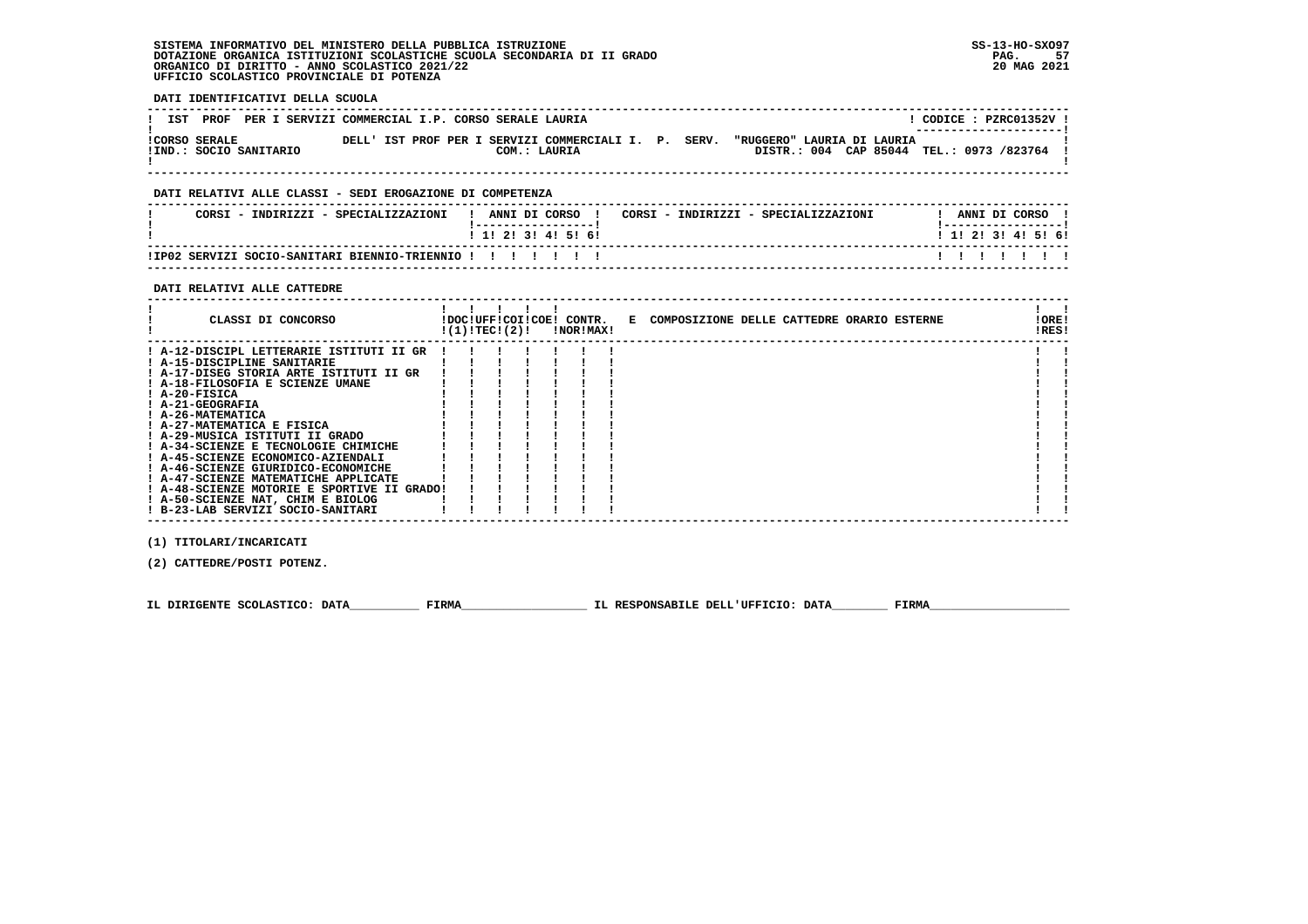#### **SISTEMA INFORMATIVO DEL MINISTERO DELLA PUBBLICA ISTRUZIONE SS-13-HO-SXO97 DOTAZIONE ORGANICA ISTITUZIONI SCOLASTICHE SCUOLA SECONDARIA DI II GRADO PAG. 57**ORGANICO DI DIRITTO - ANNO SCOLASTICO 2021/22  **UFFICIO SCOLASTICO PROVINCIALE DI POTENZA**

 **DATI IDENTIFICATIVI DELLA SCUOLA ------------------------------------------------------------------------------------------------------------------------------------**! CODICE : PZRC01352V ! **! IST PROF PER I SERVIZI COMMERCIAL I.P. CORSO SERALE LAURIA** \_\_\_\_\_\_\_\_\_\_\_\_\_\_\_\_\_\_\_\_\_\_\_  **! ---------------------! !CORSO SERALE DELL' IST PROF PER I SERVIZI COMMERCIALI I. P. SERV. "RUGGERO" LAURIA DI LAURIA ! !IND.: SOCIO SANITARIO COM.: LAURIA DISTR.: 004 CAP 85044 TEL.: 0973 /823764 !** $\blacksquare$  **! ! ------------------------------------------------------------------------------------------------------------------------------------ DATI RELATIVI ALLE CLASSI - SEDI EROGAZIONE DI COMPETENZA ------------------------------------------------------------------------------------------------------------------------------------**! ANNI DI CORSO !  **! CORSI - INDIRIZZI - SPECIALIZZAZIONI ! ANNI DI CORSO ! CORSI - INDIRIZZI - SPECIALIZZAZIONI ! ANNI DI CORSO !**\_\_\_\_\_\_\_\_\_\_\_\_\_\_\_\_\_\_\_\_\_\_  **! !-----------------! !-----------------!**1 1 1 2 1 3 1 4 1 5 1 6 1  **! ! 1! 2! 3! 4! 5! 6! ! 1! 2! 3! 4! 5! 6! ------------------------------------------------------------------------------------------------------------------------------------** $11111111$  **!IP02 SERVIZI SOCIO-SANITARI BIENNIO-TRIENNIO ! ! ! ! ! ! ! ! ! ! ! ! ! ! ------------------------------------------------------------------------------------------------------------------------------------ DATI RELATIVI ALLE CATTEDRE ------------------------------------------------------------------------------------------------------------------------------------** $\mathbf{I}$  and  $\mathbf{I}$  **! ! ! ! ! ! ! ! ! CLASSI DI CONCORSO !DOC!UFF!COI!COE! CONTR. E COMPOSIZIONE DELLE CATTEDRE ORARIO ESTERNE !ORE! ! !(1)!TEC!(2)! !NOR!MAX! !RES!IORE!**  $1851$   **------------------------------------------------------------------------------------------------------------------------------------** $\mathbf{I}$  **! A-12-DISCIPL LETTERARIE ISTITUTI II GR ! ! ! ! ! ! ! ! ! ! A-15-DISCIPLINE SANITARIE ! ! ! ! ! ! ! ! ! ! A-17-DISEG STORIA ARTE ISTITUTI II GR ! ! ! ! ! ! ! ! ! ! A-18-FILOSOFIA E SCIENZE UMANE ! ! ! ! ! ! ! ! ! ! A-20-FISICA ! ! ! ! ! ! ! ! ! ! A-21-GEOGRAFIA ! ! ! ! ! ! ! ! ! ! A-26-MATEMATICA ! ! ! ! ! ! ! ! ! ! A-27-MATEMATICA E FISICA ! ! ! ! ! ! ! ! ! ! A-29-MUSICA ISTITUTI II GRADO ! ! ! ! ! ! ! ! ! ! A-34-SCIENZE E TECNOLOGIE CHIMICHE ! ! ! ! ! ! ! ! ! ! A-45-SCIENZE ECONOMICO-AZIENDALI ! ! ! ! ! ! ! ! ! ! A-46-SCIENZE GIURIDICO-ECONOMICHE ! ! ! ! ! ! ! ! ! ! A-47-SCIENZE MATEMATICHE APPLICATE ! ! ! ! ! ! ! ! !**- 1  **! A-48-SCIENZE MOTORIE E SPORTIVE II GRADO! ! ! ! ! ! ! ! !**- 1  **! A-50-SCIENZE NAT, CHIM E BIOLOG ! ! ! ! ! ! ! ! ! ! B-23-LAB SERVIZI SOCIO-SANITARI ! ! ! ! ! ! ! ! !** $\blacksquare$  **------------------------------------------------------------------------------------------------------------------------------------ (1) TITOLARI/INCARICATI (2) CATTEDRE/POSTI POTENZ.**

**IL DIRIGENTE SCOLASTICO: DATA** FIRMA FIRMA TL RESPONSABILE DELL'UFFICIO: DATA FIRMA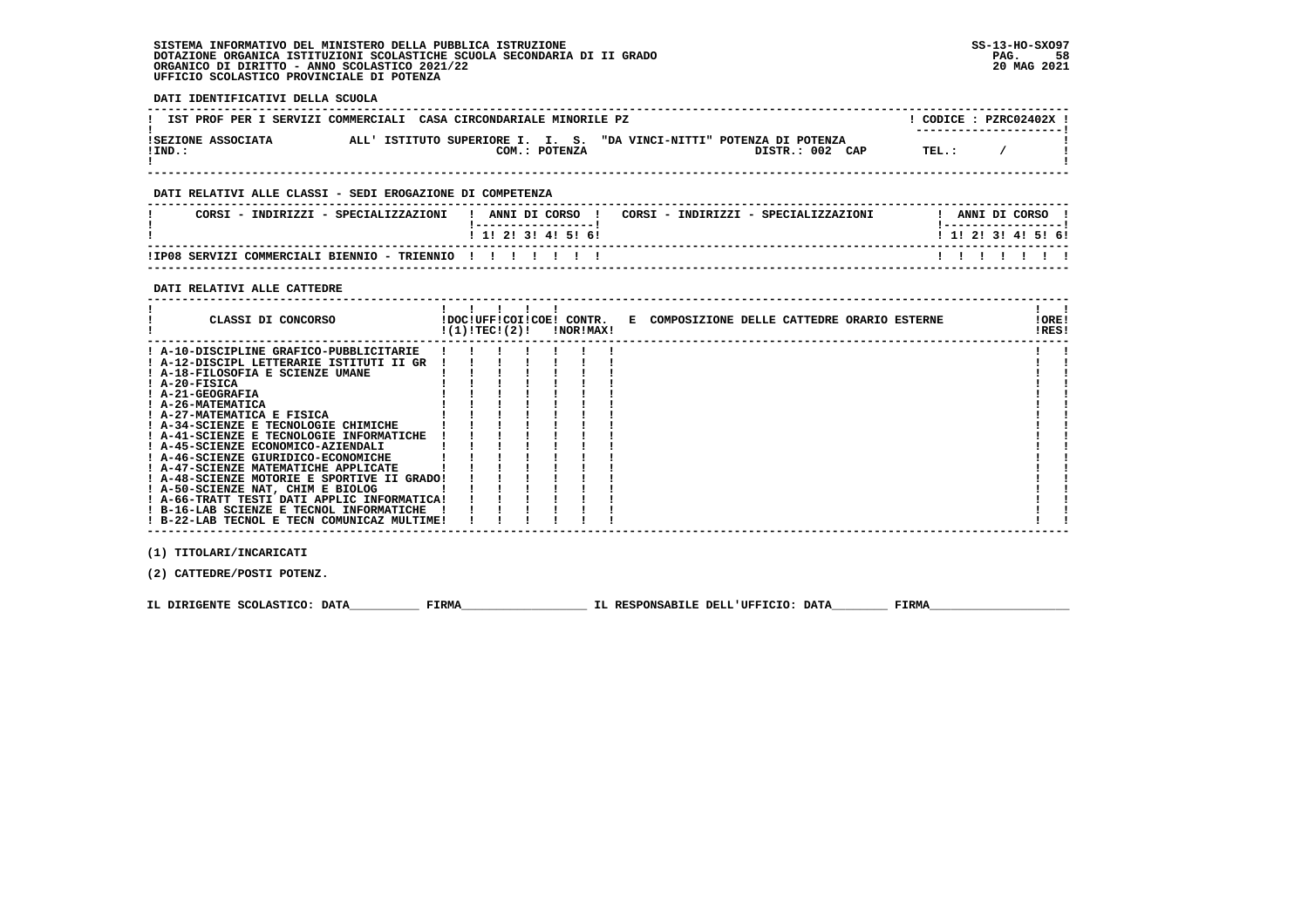# **SISTEMA INFORMATIVO DEL MINISTERO DELLA PUBBLICA ISTRUZIONE SS-13-HO-SXO97**DOTAZIONE ORGANICA ISTITUZIONI SCOLASTICHE SCUOLA SECONDARIA DI II GRADO<br>ORGANICO DI DIRITTO - ANNO SCOLASTICO 2021/22<br>UFFICIO SCOLASTICO PROVINCIALE DI POTENZA

| DATI IDENTIFICATIVI DELLA SCUOLA                                                                                                                                                                                                                                                                                                                                                                                                                        |                                                                                                                                                                      |                                               |
|---------------------------------------------------------------------------------------------------------------------------------------------------------------------------------------------------------------------------------------------------------------------------------------------------------------------------------------------------------------------------------------------------------------------------------------------------------|----------------------------------------------------------------------------------------------------------------------------------------------------------------------|-----------------------------------------------|
| IST PROF PER I SERVIZI COMMERCIALI CASA CIRCONDARIALE MINORILE PZ                                                                                                                                                                                                                                                                                                                                                                                       |                                                                                                                                                                      | $!$ CODICE : PZRC02402X                       |
| $INT.$ :                                                                                                                                                                                                                                                                                                                                                                                                                                                | ISEZIONE ASSOCIATA ALL'ISTITUTO SUPERIORE I. I. S. "DA VINCI-NITTI" POTENZA DI POTENZA<br>$COM.:$ POTENZA $O(M):$ DISTR.: 002 CAP TEL.: /                            |                                               |
| DATI RELATIVI ALLE CLASSI - SEDI EROGAZIONE DI COMPETENZA                                                                                                                                                                                                                                                                                                                                                                                               |                                                                                                                                                                      |                                               |
|                                                                                                                                                                                                                                                                                                                                                                                                                                                         | CORSI – INDIRIZZI – SPECIALIZZAZIONI (! ANNI DI CORSO) ! CORSI – INDIRIZZI – SPECIALIZZAZIONI   ! ANNI DI CORSO<br>!------------------!<br>1 1 1 2 1 3 1 4 1 5 1 6 1 | -------------------<br>! 1! 2! 3! 4! 5! 6!    |
| ! IP08 SERVIZI COMMERCIALI BIENNIO - TRIENNIO ! ! ! ! ! ! ! !                                                                                                                                                                                                                                                                                                                                                                                           |                                                                                                                                                                      | 1 1 1 1 1 1 1 1                               |
| DATI RELATIVI ALLE CATTEDRE<br>--------------------------------                                                                                                                                                                                                                                                                                                                                                                                         |                                                                                                                                                                      |                                               |
|                                                                                                                                                                                                                                                                                                                                                                                                                                                         |                                                                                                                                                                      | $\frac{1}{2}$ $\frac{1}{2}$<br>!ORE!<br>!RES! |
| ! A-10-DISCIPLINE GRAFICO-PUBBLICITARIE ! !<br>! A-12-DISCIPL LETTERARIE ISTITUTI II GR !! !!!!!!<br>! A-41-SCIENZE E TECNOLOGIE INFORMATICHE ! ! ! !<br>: A-47-SCIENZE MATEMATICHE APPLICATE : : : : :<br>! A-48-SCIENZE MOTORIE E SPORTIVE II GRADO!!!!!<br>! A-50-SCIENZE NAT, CHIM E BIOLOG<br>! A-66-TRATT TESTI DATI APPLIC INFORMATICA! ! ! !<br>! B-16-LAB SCIENZE E TECNOL INFORMATICHE ! ! ! !<br>! B-22-LAB TECNOL E TECN COMUNICAZ MULTIME! | $\mathbf{1}$ $\mathbf{1}$ $\mathbf{1}$ $\mathbf{1}$<br>$1 \quad 1 \quad 1 \quad 1$                                                                                   |                                               |
| (1) TITOLARI/INCARICATI<br>(2) CATTEDRE/POSTI POTENZ.                                                                                                                                                                                                                                                                                                                                                                                                   |                                                                                                                                                                      |                                               |
|                                                                                                                                                                                                                                                                                                                                                                                                                                                         |                                                                                                                                                                      |                                               |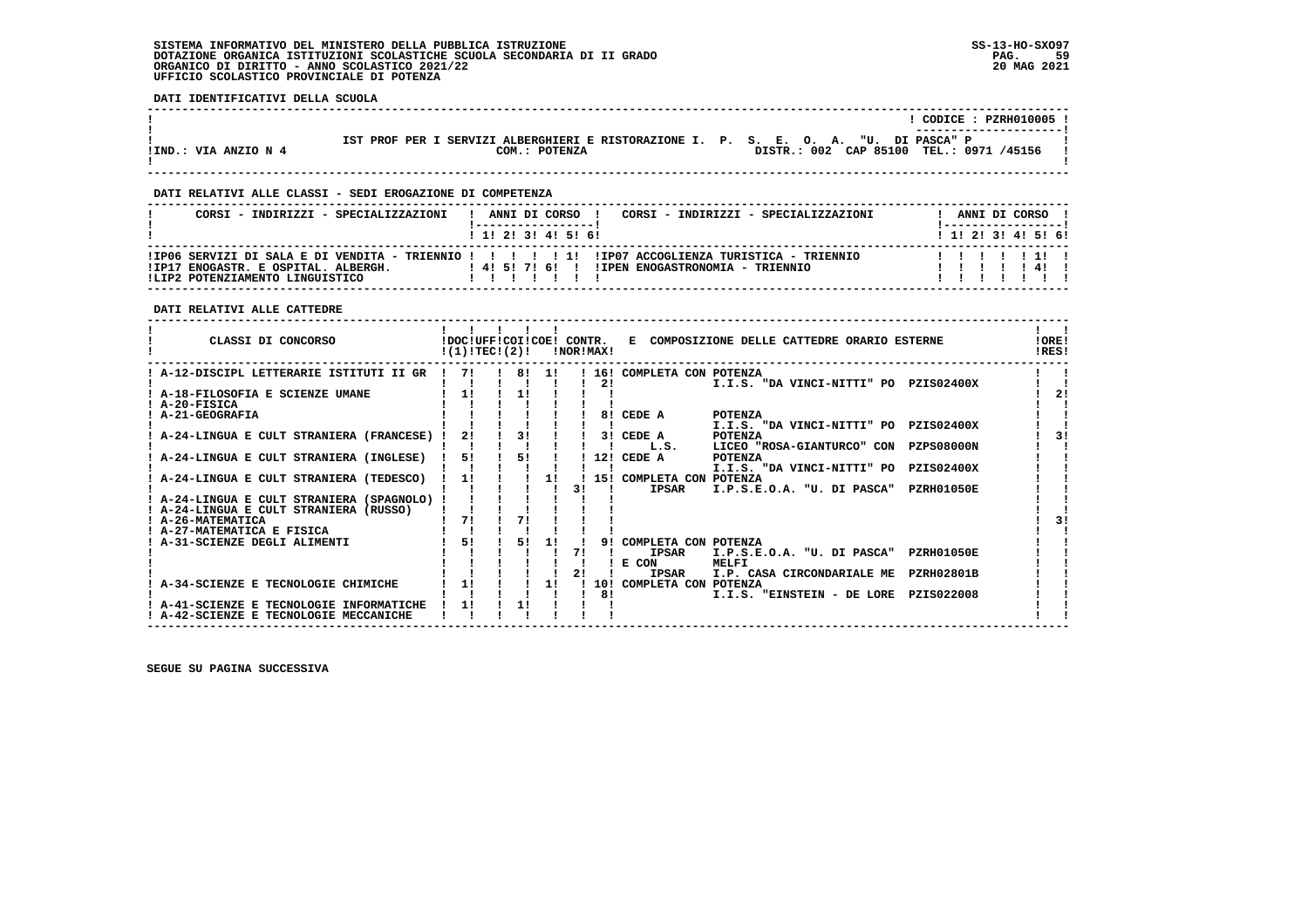#### **SISTEMA INFORMATIVO DEL MINISTERO DELLA PUBBLICA ISTRUZIONE SS-13-HO-SXO97 DOTAZIONE ORGANICA ISTITUZIONI SCOLASTICHE SCUOLA SECONDARIA DI II GRADO PAG. 59**ORGANICO DI DIRITTO - ANNO SCOLASTICO 2021/22  **UFFICIO SCOLASTICO PROVINCIALE DI POTENZA**

 **DATI IDENTIFICATIVI DELLA SCUOLA**

|                      |                                                                                     |  |  |  | CODICE: PZRH010005 !                    |  |  |
|----------------------|-------------------------------------------------------------------------------------|--|--|--|-----------------------------------------|--|--|
|                      |                                                                                     |  |  |  |                                         |  |  |
|                      | IST PROF PER I SERVIZI ALBERGHIERI E RISTORAZIONE I. P. S. E. O. A. "U. DI PASCA" P |  |  |  |                                         |  |  |
| !IND.: VIA ANZIO N 4 | COM.: POTENZA                                                                       |  |  |  | DISTR.: 002 CAP 85100 TEL.: 0971 /45156 |  |  |
|                      |                                                                                     |  |  |  |                                         |  |  |

 **------------------------------------------------------------------------------------------------------------------------------------**

 **------------------------------------------------------------------------------------------------------------------------------------**

#### **DATI RELATIVI ALLE CLASSI - SEDI EROGAZIONE DI COMPETENZA**

| CORSI - INDIRIZZI - SPECIALIZZAZIONI                                   | ANNI DI CORSO !<br>CORSI - INDIRIZZI - SPECIALIZZAZIONI |  | ANNI DI CORSO !           |  |
|------------------------------------------------------------------------|---------------------------------------------------------|--|---------------------------|--|
|                                                                        | 1 1 2 3 3 4 5 6 1                                       |  | 1 1 1 2 1 3 1 4 1 5 1 6 1 |  |
| !IP17 ENOGASTR. E OSPITAL. ALBERGH.<br>ILIP2 POTENZIAMENTO LINGUISTICO | ! 4! 5! 7! 6! ! !IPEN ENOGASTRONOMIA - TRIENNIO         |  |                           |  |

### **DATI RELATIVI ALLE CATTEDRE**

| CLASSI DI CONCORSO                       | !DOC!UFF!COI!COE! CONTR.<br>!(1)!TEC!(2)! |    |    | INORIMAXI |     |                                      | E COMPOSIZIONE DELLE CATTEDRE ORARIO ESTERNE |                   | <b>!ORE!</b><br>IRES! |
|------------------------------------------|-------------------------------------------|----|----|-----------|-----|--------------------------------------|----------------------------------------------|-------------------|-----------------------|
| ! A-12-DISCIPL LETTERARIE ISTITUTI II GR | 71                                        | 81 | 11 |           | 16! | COMPLETA CON POTENZA                 |                                              |                   |                       |
|                                          |                                           |    |    |           | 21  |                                      | I.I.S. "DA VINCI-NITTI" PO PZIS02400X        |                   |                       |
| A-18-FILOSOFIA E SCIENZE UMANE           |                                           |    |    |           |     |                                      |                                              |                   | 2 <sub>1</sub>        |
| ! A-20-FISICA                            |                                           |    |    |           |     |                                      |                                              |                   |                       |
| A-21-GEOGRAFIA                           |                                           |    |    |           | 81  | CEDE A                               | POTENZA                                      |                   |                       |
|                                          |                                           |    |    |           |     |                                      | I.I.S. "DA VINCI-NITTI" PO                   | <b>PZIS02400X</b> |                       |
| A-24-LINGUA E CULT STRANIERA (FRANCESE)  | 21                                        | 31 |    |           | 31  | CEDE A                               | <b>POTENZA</b>                               |                   | 31                    |
|                                          |                                           |    |    |           |     | L.S.                                 | LICEO "ROSA-GIANTURCO" CON                   | <b>PZPS08000N</b> |                       |
| A-24-LINGUA E CULT STRANIERA (INGLESE)   | 51                                        | 51 |    |           | 12! | CEDE A                               | POTENZA                                      |                   |                       |
|                                          |                                           |    |    |           |     |                                      | I.I.S. "DA VINCI-NITTI" PO                   | <b>PZIS02400X</b> |                       |
| A-24-LINGUA E CULT STRANIERA (TEDESCO)   |                                           |    | 1! |           | 151 | COMPLETA CON POTENZA                 |                                              |                   |                       |
|                                          |                                           |    |    | 31        |     | <b>IPSAR</b>                         | I.P.S.E.O.A. "U. DI PASCA"                   | <b>PZRH01050E</b> |                       |
| A-24-LINGUA E CULT STRANIERA (SPAGNOLO)  |                                           |    |    |           |     |                                      |                                              |                   |                       |
| A-24-LINGUA E CULT STRANIERA (RUSSO)     |                                           |    |    |           |     |                                      |                                              |                   |                       |
| ! A-26-MATEMATICA                        | 71                                        | 71 |    |           |     |                                      |                                              |                   | 31                    |
| ! A-27-MATEMATICA E FISICA               |                                           |    |    |           | 91  |                                      |                                              |                   |                       |
| A-31-SCIENZE DEGLI ALIMENTI              | 51                                        | 51 |    |           |     | COMPLETA CON POTENZA<br><b>IPSAR</b> |                                              | <b>PZRH01050E</b> |                       |
|                                          |                                           |    |    |           |     |                                      | I.P.S.E.O.A. "U. DI PASCA"                   |                   |                       |
|                                          |                                           |    |    |           |     | E CON<br><b>IPSAR</b>                | MELFI<br>I.P. CASA CIRCONDARIALE ME          | <b>PZRH02801B</b> |                       |
| A-34-SCIENZE E TECNOLOGIE CHIMICHE       |                                           |    | 11 |           | 10! | COMPLETA CON POTENZA                 |                                              |                   |                       |
|                                          |                                           |    |    |           | 81  |                                      | I.I.S. "EINSTEIN - DE LORE                   | PZIS022008        |                       |
| A-41-SCIENZE E TECNOLOGIE INFORMATICHE   |                                           |    |    |           |     |                                      |                                              |                   |                       |
| A-42-SCIENZE E TECNOLOGIE MECCANICHE     |                                           |    |    |           |     |                                      |                                              |                   |                       |
|                                          |                                           |    |    |           |     |                                      |                                              |                   |                       |

 **------------------------------------------------------------------------------------------------------------------------------------**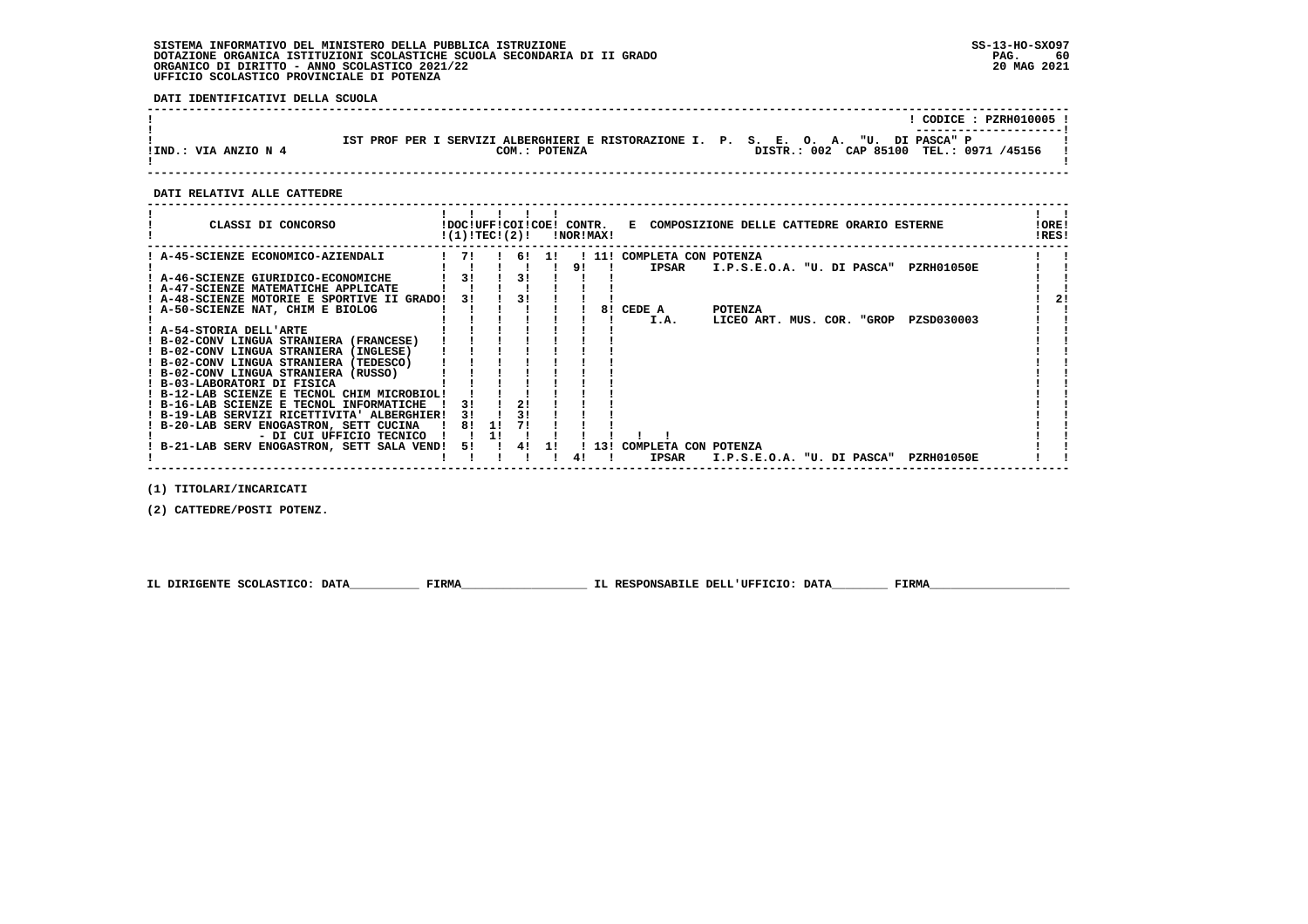#### **SISTEMA INFORMATIVO DEL MINISTERO DELLA PUBBLICA ISTRUZIONE SS-13-HO-SXO97 DOTAZIONE ORGANICA ISTITUZIONI SCOLASTICHE SCUOLA SECONDARIA DI II GRADO PAG. 60**ORGANICO DI DIRITTO - ANNO SCOLASTICO 2021/22  **UFFICIO SCOLASTICO PROVINCIALE DI POTENZA**

 **DATI IDENTIFICATIVI DELLA SCUOLA**

|                      |                                                                                     | CODICE: PZRH010005 !                    |
|----------------------|-------------------------------------------------------------------------------------|-----------------------------------------|
|                      | IST PROF PER I SERVIZI ALBERGHIERI E RISTORAZIONE I. P. S. E. O. A. "U. DI PASCA" P | ----------------------                  |
| !IND.: VIA ANZIO N 4 | COM.: POTENZA                                                                       | DISTR.: 002 CAP 85100 TEL.: 0971 /45156 |

 **------------------------------------------------------------------------------------------------------------------------------------**

#### **DATI RELATIVI ALLE CATTEDRE**

| CLASSI DI CONCORSO                          | !(1)!TEC!(2)! |    |       |    | !DOC!UFF!COI!COE! CONTR.<br>!NOR!MAX! |                          | E COMPOSIZIONE DELLE CATTEDRE ORARIO ESTERNE    | !ORE!<br>!RES! |
|---------------------------------------------|---------------|----|-------|----|---------------------------------------|--------------------------|-------------------------------------------------|----------------|
| : A-45-SCIENZE ECONOMICO-AZIENDALI          | 71            |    | 6! 1! |    |                                       | 11! COMPLETA CON POTENZA |                                                 |                |
|                                             |               |    |       | 9! |                                       | <b>IPSAR</b>             | I.P.S.E.O.A. "U. DI PASCA"<br>PZRH01050E        |                |
| ! A-46-SCIENZE GIURIDICO-ECONOMICHE         | 31            |    | 31    |    |                                       |                          |                                                 |                |
| ! A-47-SCIENZE MATEMATICHE APPLICATE        |               |    |       |    |                                       |                          |                                                 |                |
| ! A-48-SCIENZE MOTORIE E SPORTIVE II GRADO! | 31            | 31 |       |    |                                       |                          |                                                 |                |
| ! A-50-SCIENZE NAT, CHIM E BIOLOG           |               |    |       |    | 81                                    | CEDE A                   | <b>POTENZA</b>                                  |                |
|                                             |               |    |       |    |                                       | I.A.                     | PZSD030003<br>LICEO ART. MUS. COR. "GROP        |                |
| ! A-54-STORIA DELL'ARTE                     |               |    |       |    |                                       |                          |                                                 |                |
| ! B-02-CONV LINGUA STRANIERA (FRANCESE)     |               |    |       |    |                                       |                          |                                                 |                |
| ! B-02-CONV LINGUA STRANIERA (INGLESE)      |               |    |       |    |                                       |                          |                                                 |                |
| ! B-02-CONV LINGUA STRANIERA (TEDESCO)      |               |    |       |    |                                       |                          |                                                 |                |
| ! B-02-CONV LINGUA STRANIERA (RUSSO)        |               |    |       |    |                                       |                          |                                                 |                |
| ! B-03-LABORATORI DI FISICA                 |               |    |       |    |                                       |                          |                                                 |                |
| ! B-12-LAB SCIENZE E TECNOL CHIM MICROBIOL! |               |    |       |    |                                       |                          |                                                 |                |
| ! B-16-LAB SCIENZE E TECNOL INFORMATICHE    | 31            |    |       |    |                                       |                          |                                                 |                |
| ! B-19-LAB SERVIZI RICETTIVITA' ALBERGHIER! | 31            |    |       |    |                                       |                          |                                                 |                |
| ! B-20-LAB SERV ENOGASTRON, SETT CUCINA     | 81<br>-11     |    |       |    |                                       |                          |                                                 |                |
| - DI CUI UFFICIO TECNICO                    |               |    |       |    |                                       |                          |                                                 |                |
| ! B-21-LAB SERV ENOGASTRON, SETT SALA VEND! | 5!            | 4! |       |    | 13!                                   | COMPLETA CON POTENZA     |                                                 |                |
|                                             |               |    |       | 41 |                                       | <b>IPSAR</b>             | I.P.S.E.O.A. "U. DI PASCA"<br><b>PZRH01050E</b> |                |

 **(1) TITOLARI/INCARICATI**

 **(2) CATTEDRE/POSTI POTENZ.**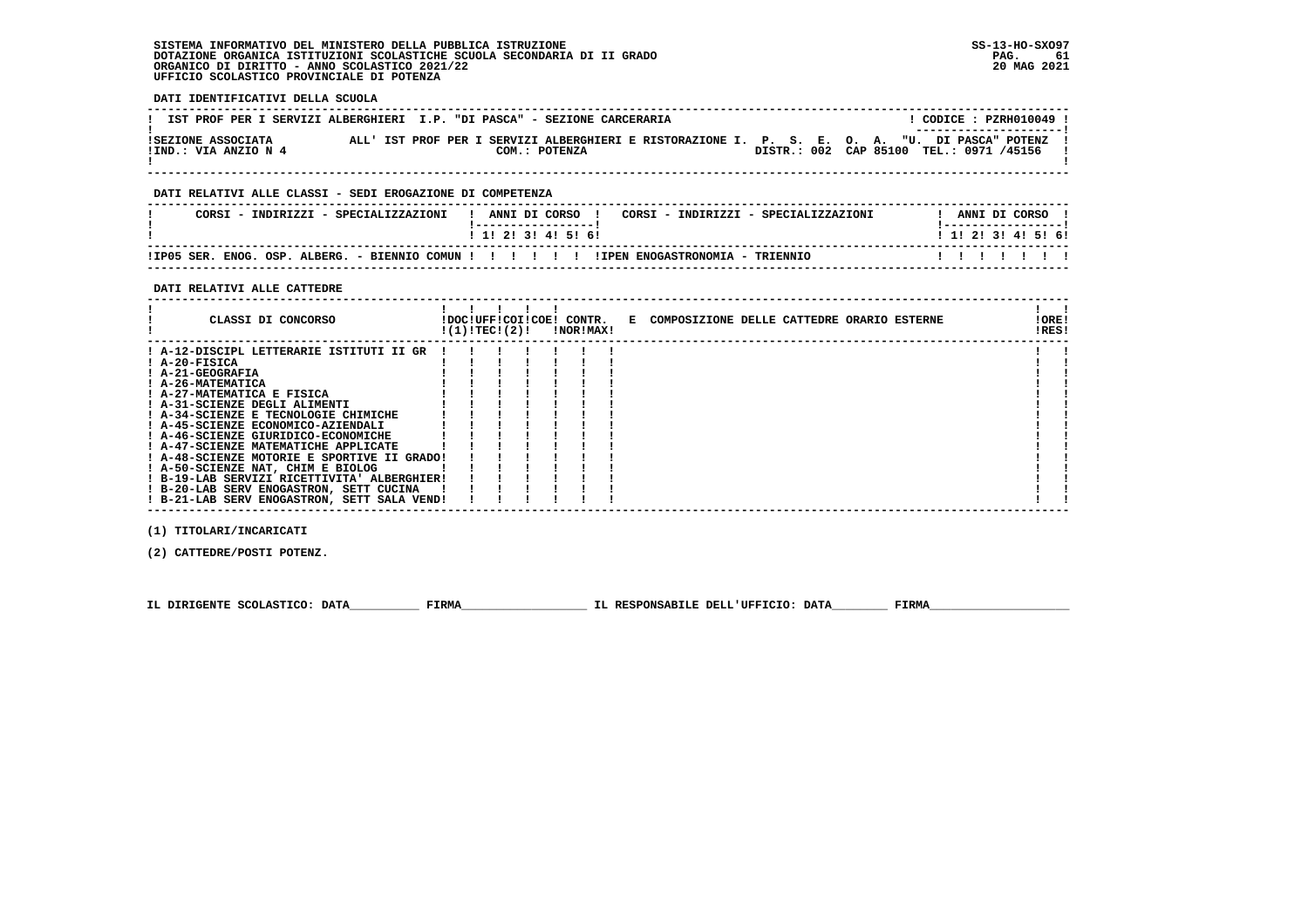#### **SISTEMA INFORMATIVO DEL MINISTERO DELLA PUBBLICA ISTRUZIONE SS-13-HO-SXO97 DOTAZIONE ORGANICA ISTITUZIONI SCOLASTICHE SCUOLA SECONDARIA DI II GRADO PAG. 61**ORGANICO DI DIRITTO - ANNO SCOLASTICO 2021/22  **UFFICIO SCOLASTICO PROVINCIALE DI POTENZA**

 **DATI IDENTIFICATIVI DELLA SCUOLA**

| IST PROF PER I SERVIZI ALBERGHIERI I.P. "DI PASCA" - SEZIONE CARCERARIA |  |  |               |                                                                                               |                                         |  |  |  | ! CODICE : PZRH010049 !<br>--------------------- |  |
|-------------------------------------------------------------------------|--|--|---------------|-----------------------------------------------------------------------------------------------|-----------------------------------------|--|--|--|--------------------------------------------------|--|
| ISEZIONE ASSOCIATA<br>!IND.: VIA ANZIO N 4                              |  |  | COM.: POTENZA | ALL' IST PROF PER I SERVIZI ALBERGHIERI E RISTORAZIONE I. P. S. E. O. A. "U. DI PASCA" POTENZ | DISTR.: 002 CAP 85100 TEL.: 0971 /45156 |  |  |  |                                                  |  |

 **------------------------------------------------------------------------------------------------------------------------------------**

## **DATI RELATIVI ALLE CLASSI - SEDI EROGAZIONE DI COMPETENZA**

| CORSI<br>- TNDTRTZZT -<br>SPECTALIZZAZIONI              | ANNI DI CORSO<br>CORSI - INDIRIZZI - SPECIALIZZAZIONI | ANNI DI CORSO       |
|---------------------------------------------------------|-------------------------------------------------------|---------------------|
|                                                         | ! 1! 2! 3! 4! 5! 6!                                   | ! 1! 2! 3! 4! 5! 6! |
| IIP05 SER.<br>ENOG.<br>OSP. ALBERG.<br>- BIENNIO COMINI | !IPEN ENOGASTRONOMIA - TRIENNIO<br>.                  |                     |

 **------------------------------------------------------------------------------------------------------------------------------------**

#### **DATI RELATIVI ALLE CATTEDRE**

| CLASSI DI CONCORSO                          | !(1)!TEC!(2)! |  | !DOC!UFF!COI!COE! CONTR.<br>!NOR!MAX! | E COMPOSIZIONE DELLE CATTEDRE ORARIO ESTERNE | ! ORE!<br>!RES! |  |
|---------------------------------------------|---------------|--|---------------------------------------|----------------------------------------------|-----------------|--|
| ! A-12-DISCIPL LETTERARIE ISTITUTI II GR    |               |  |                                       |                                              |                 |  |
| ! A-20-FISICA                               |               |  |                                       |                                              |                 |  |
| ! A-21-GEOGRAFIA                            |               |  |                                       |                                              |                 |  |
| ! A-26-MATEMATICA                           |               |  |                                       |                                              |                 |  |
| ! A-27-MATEMATICA E FISICA                  |               |  |                                       |                                              |                 |  |
| ! A-31-SCIENZE DEGLI ALIMENTI               |               |  |                                       |                                              |                 |  |
| ! A-34-SCIENZE E TECNOLOGIE CHIMICHE        |               |  |                                       |                                              |                 |  |
| ! A-45-SCIENZE ECONOMICO-AZIENDALI          |               |  |                                       |                                              |                 |  |
| ! A-46-SCIENZE GIURIDICO-ECONOMICHE         |               |  |                                       |                                              |                 |  |
| ! A-47-SCIENZE MATEMATICHE APPLICATE        |               |  |                                       |                                              |                 |  |
| ! A-48-SCIENZE MOTORIE E SPORTIVE II GRADO! |               |  |                                       |                                              |                 |  |
| ! A-50-SCIENZE NAT, CHIM E BIOLOG           |               |  |                                       |                                              |                 |  |
| ! B-19-LAB SERVIZI RICETTIVITA' ALBERGHIER! |               |  |                                       |                                              |                 |  |
| ! B-20-LAB SERV ENOGASTRON, SETT CUCINA     |               |  |                                       |                                              |                 |  |
| ! B-21-LAB SERV ENOGASTRON, SETT SALA VEND! |               |  |                                       |                                              |                 |  |

 **(1) TITOLARI/INCARICATI**

 **(2) CATTEDRE/POSTI POTENZ.**

 **IL DIRIGENTE SCOLASTICO: DATA\_\_\_\_\_\_\_\_\_\_ FIRMA\_\_\_\_\_\_\_\_\_\_\_\_\_\_\_\_\_\_ IL RESPONSABILE DELL'UFFICIO: DATA\_\_\_\_\_\_\_\_ FIRMA\_\_\_\_\_\_\_\_\_\_\_\_\_\_\_\_\_\_\_\_**

 **------------------------------------------------------------------------------------------------------------------------------------**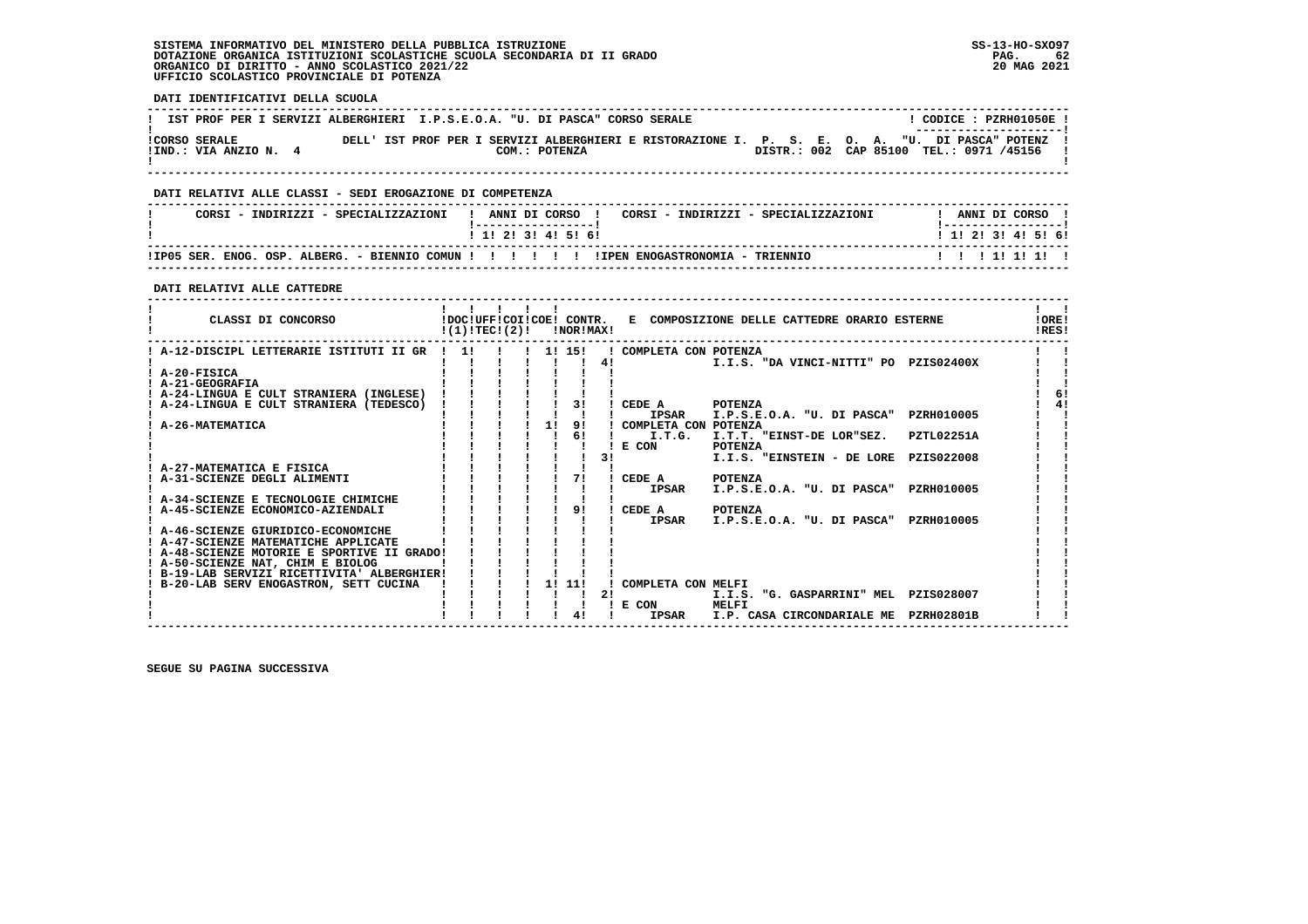#### **SISTEMA INFORMATIVO DEL MINISTERO DELLA PUBBLICA ISTRUZIONE SS-13-HO-SXO97 DOTAZIONE ORGANICA ISTITUZIONI SCOLASTICHE SCUOLA SECONDARIA DI II GRADO PAG. 62**ORGANICO DI DIRITTO - ANNO SCOLASTICO 2021/22  **UFFICIO SCOLASTICO PROVINCIALE DI POTENZA**

 **DATI IDENTIFICATIVI DELLA SCUOLA**

|                       | IST PROF PER I SERVIZI ALBERGHIERI I.P.S.E.O.A. "U. DI PASCA" CORSO SERALE | CODICE: PZRH01050E !                                                                                                     |
|-----------------------|----------------------------------------------------------------------------|--------------------------------------------------------------------------------------------------------------------------|
| <b>!CORSO SERALE</b>  |                                                                            | --------------------- <br>DELL' IST PROF PER I SERVIZI ALBERGHIERI E RISTORAZIONE I. P. S. E. O. A. "U. DI PASCA" POTENZ |
| !IND.: VIA ANZIO N. 4 | COM.: POTENZA                                                              | DISTR.: 002 CAP 85100 TEL.: 0971 /45156                                                                                  |

 **------------------------------------------------------------------------------------------------------------------------------------**

#### **DATI RELATIVI ALLE CLASSI - SEDI EROGAZIONE DI COMPETENZA**

| CORSI - INDIRIZZI - SPECIALIZZAZIONI | ANNI DI CORSO !<br>CORSI - INDIRIZZI - SPECIALIZZAZIONI<br>. _ _ _ _ _ _ _ _ _ _ _ _ _ _ _ _ _ _ | ANNI DI CORSO<br>! _ _ _ _ _ _ _ _ _ _ _ _ _ _ _ _ _ _ |
|--------------------------------------|--------------------------------------------------------------------------------------------------|--------------------------------------------------------|
|                                      | 1 1 1 2 1 3 1 4 1 5 1 6 1                                                                        | 1 1 1 2 1 3 1 4 1 5 1 6 1                              |
|                                      |                                                                                                  | 1111111111                                             |

 **------------------------------------------------------------------------------------------------------------------------------------**

 **DATI RELATIVI ALLE CATTEDRE**

| CLASSI DI CONCORSO                          | !(1)!TEC!(2)! |  |                        |        | !NOR!MAX! |    |                      | !DOC!UFF!COI!COE! CONTR. E COMPOSIZIONE DELLE CATTEDRE ORARIO ESTERNE |            | <b>!ORE!</b><br>IRES! |    |
|---------------------------------------------|---------------|--|------------------------|--------|-----------|----|----------------------|-----------------------------------------------------------------------|------------|-----------------------|----|
| ! A-12-DISCIPL LETTERARIE ISTITUTI II GR    | 11            |  | $1 \quad 1! \quad 15!$ |        |           |    | COMPLETA CON POTENZA |                                                                       |            |                       |    |
|                                             |               |  |                        |        |           | 4! |                      | I.I.S. "DA VINCI-NITTI" PO PZIS02400X                                 |            |                       |    |
| ! A-20-FISICA                               |               |  |                        |        |           |    |                      |                                                                       |            |                       |    |
| ! A-21-GEOGRAFIA                            |               |  |                        |        |           |    |                      |                                                                       |            |                       |    |
| ! A-24-LINGUA E CULT STRANIERA (INGLESE)    |               |  |                        |        |           |    |                      |                                                                       |            |                       | 6! |
| A-24-LINGUA E CULT STRANIERA (TEDESCO)      |               |  |                        |        |           |    | CEDE A               | <b>POTENZA</b>                                                        |            |                       |    |
|                                             |               |  |                        |        |           |    | <b>IPSAR</b>         | I.P.S.E.O.A. "U. DI PASCA"                                            | PZRH010005 |                       |    |
| A-26-MATEMATICA                             |               |  |                        | 11     | 91        |    | COMPLETA CON POTENZA |                                                                       |            |                       |    |
|                                             |               |  |                        |        | 6!        |    | I.T.G.               | I.T.T. "EINST-DE LOR"SEZ.                                             | PZTL02251A |                       |    |
|                                             |               |  |                        |        |           |    | E CON                | POTENZA                                                               |            |                       |    |
|                                             |               |  |                        |        |           | 31 |                      | I.I.S. "EINSTEIN - DE LORE                                            | PZIS022008 |                       |    |
| A-27-MATEMATICA E FISICA                    |               |  |                        |        |           |    |                      |                                                                       |            |                       |    |
| ! A-31-SCIENZE DEGLI ALIMENTI               |               |  |                        |        |           |    | CEDE A               | <b>POTENZA</b>                                                        |            |                       |    |
|                                             |               |  |                        |        |           |    | <b>IPSAR</b>         | I.P.S.E.O.A. "U. DI PASCA"                                            | PZRH010005 |                       |    |
| A-34-SCIENZE E TECNOLOGIE CHIMICHE          |               |  |                        |        |           |    |                      |                                                                       |            |                       |    |
| A-45-SCIENZE ECONOMICO-AZIENDALI            |               |  |                        |        |           |    | CEDE A               | <b>POTENZA</b>                                                        |            |                       |    |
|                                             |               |  |                        |        |           |    | <b>IPSAR</b>         | I.P.S.E.O.A. "U. DI PASCA"                                            | PZRH010005 |                       |    |
| A-46-SCIENZE GIURIDICO-ECONOMICHE           |               |  |                        |        |           |    |                      |                                                                       |            |                       |    |
| ! A-47-SCIENZE MATEMATICHE APPLICATE        |               |  |                        |        |           |    |                      |                                                                       |            |                       |    |
| ! A-48-SCIENZE MOTORIE E SPORTIVE II GRADO! |               |  |                        |        |           |    |                      |                                                                       |            |                       |    |
| ! A-50-SCIENZE NAT, CHIM E BIOLOG           |               |  |                        |        |           |    |                      |                                                                       |            |                       |    |
| ! B-19-LAB SERVIZI RICETTIVITA' ALBERGHIER! |               |  |                        |        |           |    |                      |                                                                       |            |                       |    |
| B-20-LAB SERV ENOGASTRON, SETT CUCINA       |               |  |                        | 1! 11! |           |    | COMPLETA CON MELFI   |                                                                       |            |                       |    |
|                                             |               |  |                        |        |           | 21 |                      | I.I.S. "G. GASPARRINI" MEL PZIS028007                                 |            |                       |    |
|                                             |               |  |                        |        |           |    | E CON                | MELFI                                                                 |            |                       |    |
|                                             |               |  |                        |        |           |    | <b>IPSAR</b>         | I.P. CASA CIRCONDARIALE ME                                            | PZRH02801B |                       |    |

 **------------------------------------------------------------------------------------------------------------------------------------**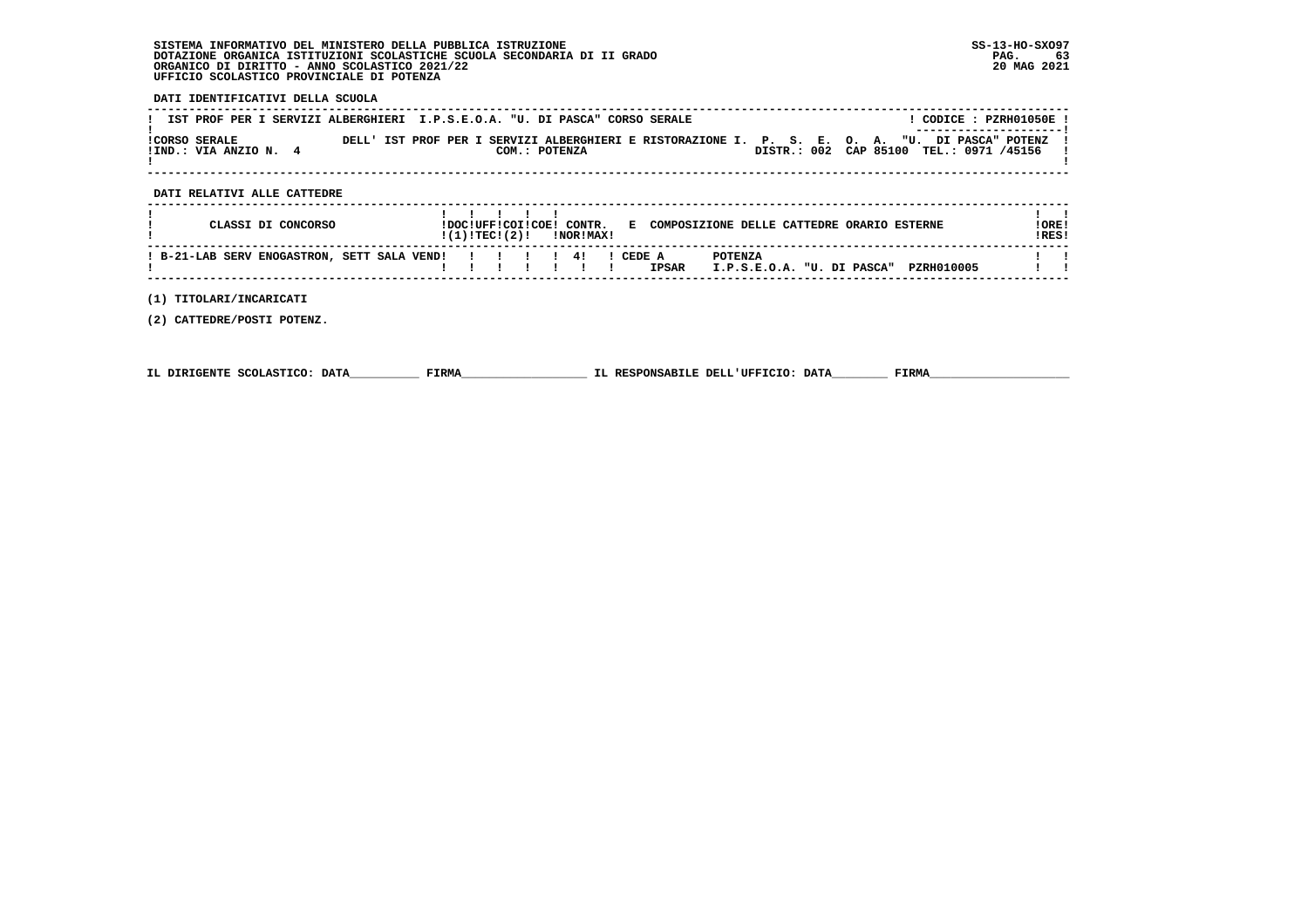# **SISTEMA INFORMATIVO DEL MINISTERO DELLA PUBBLICA ISTRUZIONE SS-13-HO-SXO97 DOTAZIONE ORGANICA ISTITUZIONI SCOLASTICHE SCUOLA SECONDARIA DI II GRADO PAG. 63 ORGANICO DI DIRITTO - ANNO SCOLASTICO 2021/22 20 MAG 2021 UFFICIO SCOLASTICO PROVINCIALE DI POTENZA**

 **DATI IDENTIFICATIVI DELLA SCUOLA**

| _______________________<br>DELL' IST PROF PER I SERVIZI ALBERGHIERI E RISTORAZIONE I. P. S. E. O. A. "U. DI PASCA" POTENZ<br><b>ICORSO SERALE</b><br>DISTR.: 002 CAP 85100 TEL.: 0971 /45156<br>!IND.: VIA ANZIO N. 4<br>COM.: POTENZA | IST PROF PER I SERVIZI ALBERGHIERI I.P.S.E.O.A. "U. DI PASCA" CORSO SERALE |  |  |  |  |  |  |  |  | CODICE: PZRH01050E! |  |
|----------------------------------------------------------------------------------------------------------------------------------------------------------------------------------------------------------------------------------------|----------------------------------------------------------------------------|--|--|--|--|--|--|--|--|---------------------|--|
|                                                                                                                                                                                                                                        |                                                                            |  |  |  |  |  |  |  |  |                     |  |

## **DATI RELATIVI ALLE CATTEDRE**

| CLASSI DI CONCORSO                                  | !DOC!UFF!COI!COE! CONTR.<br>!(1)!TEC!(2)! |  | INORIMAXI | E        |              | COMPOSIZIONE DELLE CATTEDRE ORARIO ESTERNE                 | ! ORE !<br>IRES! |
|-----------------------------------------------------|-------------------------------------------|--|-----------|----------|--------------|------------------------------------------------------------|------------------|
| ! B-21-LAB SERV ENOGASTRON, SETT SALA VEND!!!!!!!!! |                                           |  |           | I CEDE A | <b>IPSAR</b> | <b>POTENZA</b><br>PZRH010005<br>I.P.S.E.O.A. "U. DI PASCA" |                  |

 **------------------------------------------------------------------------------------------------------------------------------------**

 **(1) TITOLARI/INCARICATI**

 **(2) CATTEDRE/POSTI POTENZ.**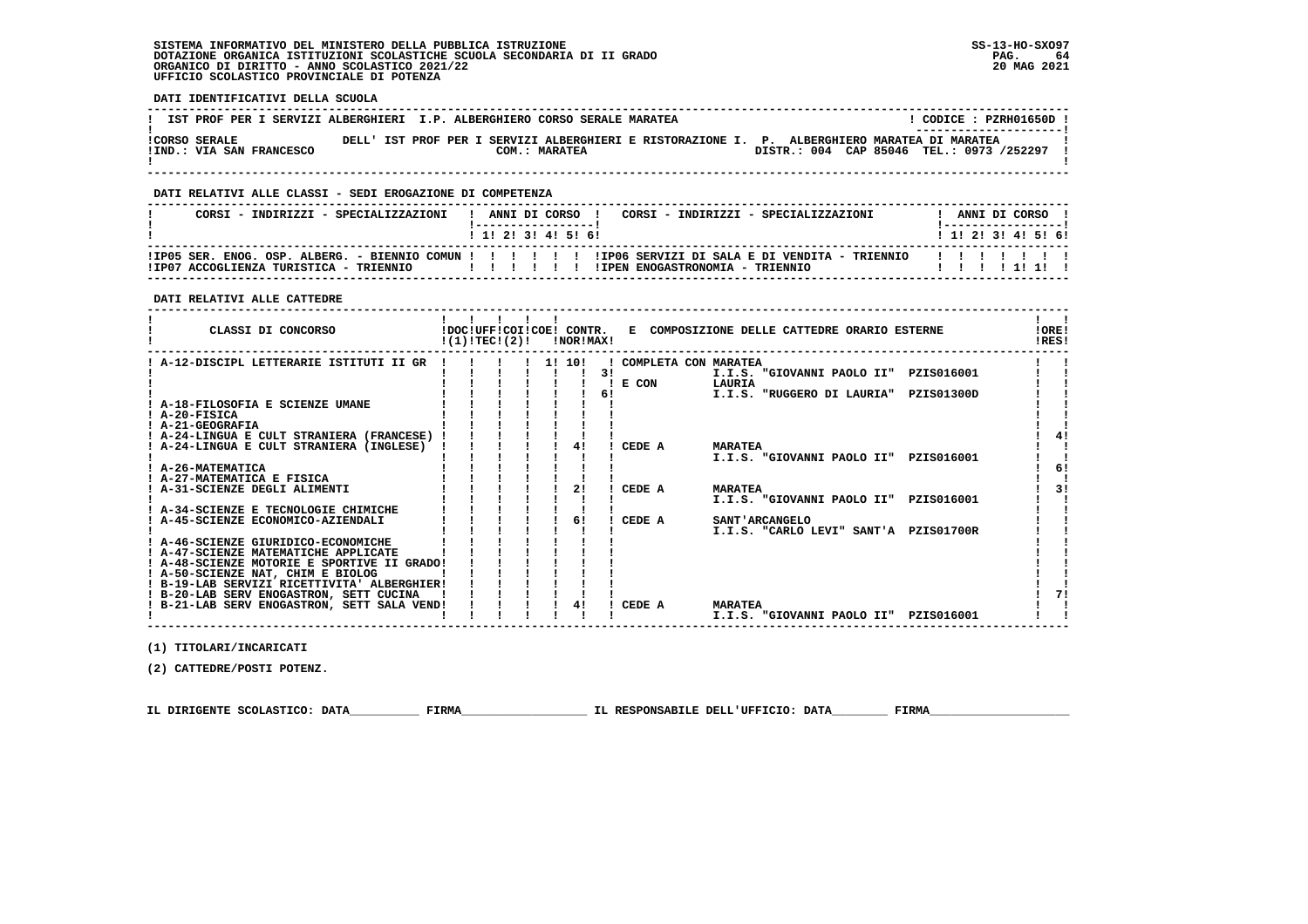#### **SISTEMA INFORMATIVO DEL MINISTERO DELLA PUBBLICA ISTRUZIONE SS-13-HO-SXO97 DOTAZIONE ORGANICA ISTITUZIONI SCOLASTICHE SCUOLA SECONDARIA DI II GRADO PAG. 64**ORGANICO DI DIRITTO - ANNO SCOLASTICO 2021/22  **UFFICIO SCOLASTICO PROVINCIALE DI POTENZA**

 **DATI IDENTIFICATIVI DELLA SCUOLA**

|                                                  | IST PROF PER I SERVIZI ALBERGHIERI I.P. ALBERGHIERO CORSO SERALE MARATEA                                      | CODICE: PZRH01650D !<br>----------------------- |
|--------------------------------------------------|---------------------------------------------------------------------------------------------------------------|-------------------------------------------------|
| <b>!CORSO SERALE</b><br>!IND.: VIA SAN FRANCESCO | DELL' IST PROF PER I SERVIZI ALBERGHIERI E RISTORAZIONE I. P. ALBERGHIERO MARATEA DI MARATEA<br>COM.: MARATEA | DISTR.: 004 CAP 85046 TEL.: 0973 /252297        |
|                                                  |                                                                                                               |                                                 |

## **DATI RELATIVI ALLE CLASSI - SEDI EROGAZIONE DI COMPETENZA**

| CORSI - INDIRIZZI - SPECIALIZZAZIONI   | ANNI DI CORSO<br>CORSI - INDIRIZZI - SPECIALIZZAZIONI                                                                                    | ANNI DI CORSO             |
|----------------------------------------|------------------------------------------------------------------------------------------------------------------------------------------|---------------------------|
|                                        | 1 1 1 2 1 3 1 4 1 5 1 6 1                                                                                                                | 1 1 1 2 1 3 1 4 1 5 1 6 1 |
| ITPOZ ACCOGLIENZA TURISTICA - TRIENNIO | IP05 SER. ENOG. OSP. ALBERG. - BIENNIO COMUN !!!!!!!!!!!!D06 SERVIZI DI SALA E DI VENDITA - TRIENNIO!<br>ITPEN ENOGASTRONOMTA - TRIENNIO | .                         |

 **------------------------------------------------------------------------------------------------------------------------------------**

#### **DATI RELATIVI ALLE CATTEDRE**

| CLASSI DI CONCORSO                          | !(1)!TEC!(2)! |  | !NOR!MAX! |    |                      | !DOC!UFF!COI!COE! CONTR. E COMPOSIZIONE DELLE CATTEDRE ORARIO ESTERNE | !ORE!<br>!RES! |
|---------------------------------------------|---------------|--|-----------|----|----------------------|-----------------------------------------------------------------------|----------------|
| A-12-DISCIPL LETTERARIE ISTITUTI II GR      |               |  | 1! 10!    |    | COMPLETA CON MARATEA |                                                                       |                |
|                                             |               |  |           | 31 |                      | I.I.S. "GIOVANNI PAOLO II" PZIS016001                                 |                |
|                                             |               |  |           |    | E CON                | LAURIA                                                                |                |
|                                             |               |  |           | 61 |                      | I.I.S. "RUGGERO DI LAURIA"<br>PZIS01300D                              |                |
| A-18-FILOSOFIA E SCIENZE UMANE              |               |  |           |    |                      |                                                                       |                |
| ! A-20-FISICA                               |               |  |           |    |                      |                                                                       |                |
| ! A-21-GEOGRAFIA                            |               |  |           |    |                      |                                                                       |                |
| ! A-24-LINGUA E CULT STRANIERA (FRANCESE)   |               |  |           |    |                      |                                                                       |                |
| A-24-LINGUA E CULT STRANIERA (INGLESE)      |               |  | 41        |    | CEDE A               | <b>MARATEA</b>                                                        |                |
| ! A-26-MATEMATICA                           |               |  |           |    |                      | I.I.S. "GIOVANNI PAOLO II"<br>PZIS016001                              | 6!             |
| ! A-27-MATEMATICA E FISICA                  |               |  |           |    |                      |                                                                       |                |
| A-31-SCIENZE DEGLI ALIMENTI                 |               |  |           |    | CEDE A               | <b>MARATEA</b>                                                        | 31             |
|                                             |               |  |           |    |                      | I.I.S. "GIOVANNI PAOLO II"<br>PZIS016001                              |                |
| ! A-34-SCIENZE E TECNOLOGIE CHIMICHE        |               |  |           |    |                      |                                                                       |                |
| ! A-45-SCIENZE ECONOMICO-AZIENDALI          |               |  | 61        |    | CEDE A               | <b>SANT'ARCANGELO</b>                                                 |                |
|                                             |               |  |           |    |                      | I.I.S. "CARLO LEVI" SANT'A PZIS01700R                                 |                |
| ! A-46-SCIENZE GIURIDICO-ECONOMICHE         |               |  |           |    |                      |                                                                       |                |
| ! A-47-SCIENZE MATEMATICHE APPLICATE        |               |  |           |    |                      |                                                                       |                |
| ! A-48-SCIENZE MOTORIE E SPORTIVE II GRADO! |               |  |           |    |                      |                                                                       |                |
| ! A-50-SCIENZE NAT, CHIM E BIOLOG           |               |  |           |    |                      |                                                                       |                |
| ! B-19-LAB SERVIZI RICETTIVITA' ALBERGHIER! |               |  |           |    |                      |                                                                       |                |
| ! B-20-LAB SERV ENOGASTRON, SETT CUCINA     |               |  |           |    |                      |                                                                       |                |
| ! B-21-LAB SERV ENOGASTRON, SETT SALA VEND! |               |  |           |    | CEDE A               | <b>MARATEA</b>                                                        |                |
|                                             |               |  |           |    |                      | I.I.S. "GIOVANNI PAOLO II"<br>PZIS016001                              |                |

 **(1) TITOLARI/INCARICATI**

 **(2) CATTEDRE/POSTI POTENZ.**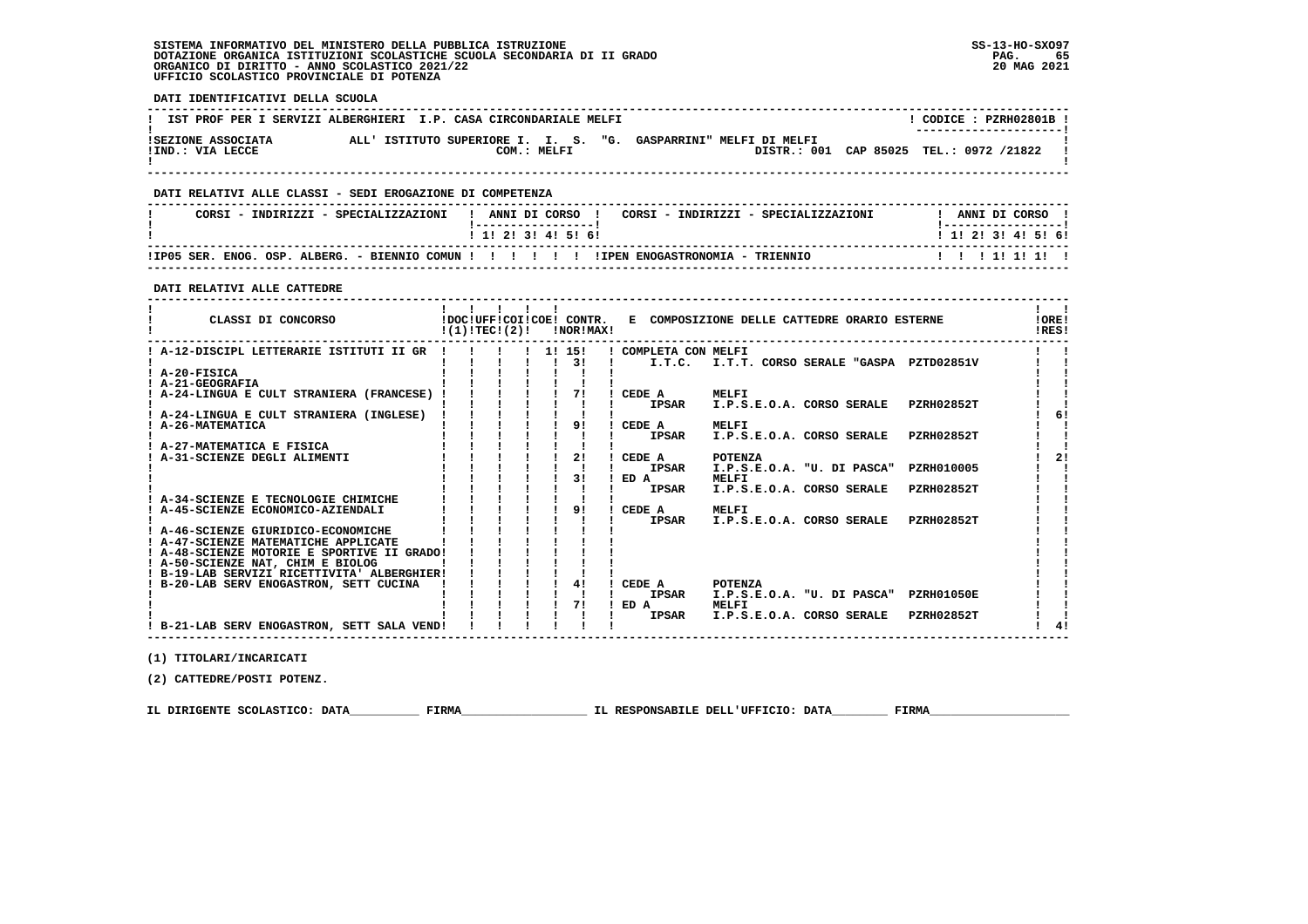#### **SISTEMA INFORMATIVO DEL MINISTERO DELLA PUBBLICA ISTRUZIONE SS-13-HO-SXO97 DOTAZIONE ORGANICA ISTITUZIONI SCOLASTICHE SCUOLA SECONDARIA DI II GRADO PAG. 65**ORGANICO DI DIRITTO - ANNO SCOLASTICO 2021/22  **UFFICIO SCOLASTICO PROVINCIALE DI POTENZA**

 **DATI IDENTIFICATIVI DELLA SCUOLA ------------------------------------------------------------------------------------------------------------------------------------**! CODICE: PZRH02801B ! **! IST PROF PER I SERVIZI ALBERGHIERI I.P. CASA CIRCONDARIALE MELFI ! ---------------------! !SEZIONE ASSOCIATA ALL' ISTITUTO SUPERIORE I. I. S. "G. GASPARRINI" MELFI DI MELFI ! !IND.: VIA LECCE COM.: MELFI DISTR.: 001 CAP 85025 TEL.: 0972 /21822 !** $\mathbf{I}$  **! ! ------------------------------------------------------------------------------------------------------------------------------------ DATI RELATIVI ALLE CLASSI - SEDI EROGAZIONE DI COMPETENZA ------------------------------------------------------------------------------------------------------------------------------------**! ANNI DI CORSO !  **! CORSI - INDIRIZZI - SPECIALIZZAZIONI ! ANNI DI CORSO ! CORSI - INDIRIZZI - SPECIALIZZAZIONI ! ANNI DI CORSO !**\_\_\_\_\_\_\_\_\_\_\_\_\_\_\_\_\_\_\_\_\_\_  **! !-----------------! !-----------------!**1 1 2 3 3 4 5 6  **! ! 1! 2! 3! 4! 5! 6! ! 1! 2! 3! 4! 5! 6! ------------------------------------------------------------------------------------------------------------------------------------ !IP05 SER. ENOG. OSP. ALBERG. - BIENNIO COMUN ! ! ! ! ! ! !IPEN ENOGASTRONOMIA - TRIENNIO ! ! ! 1! 1! 1! ! ------------------------------------------------------------------------------------------------------------------------------------ DATI RELATIVI ALLE CATTEDRE ------------------------------------------------------------------------------------------------------------------------------------** $\mathbf{I}$   $\mathbf{I}$  **! ! ! ! ! ! ! !IORE! ! CLASSI DI CONCORSO !DOC!UFF!COI!COE! CONTR. E COMPOSIZIONE DELLE CATTEDRE ORARIO ESTERNE !ORE!** $1851$  **! !(1)!TEC!(2)! !NOR!MAX! !RES! ------------------------------------------------------------------------------------------------------------------------------------** $\mathbf{I}$  and  $\mathbf{I}$ ا ! A-12-DISCIPL LETTERARIE ISTITUTI II GR ! ! ! ! ! 1! 15! ! COMPLETA CON MELFI<br>! ! ! : I : I.T.C. I.T.T. CORSO SERALE "GASPA PZTD02851V !! !<br>! A-20-FISICA !! ! ! ! ! !! ! !  $\blacksquare$  $\blacksquare$  **! A-21-GEOGRAFIA ! ! ! ! ! ! ! ! ! ! A-24-LINGUA E CULT STRANIERA (FRANCESE) ! ! ! ! ! 7! ! CEDE A MELFI ! ! ! ! ! ! ! ! ! ! IPSAR I.P.S.E.O.A. CORSO SERALE PZRH02852T ! !** $\blacksquare$  $\blacksquare$  $1 \quad 61$  **! A-24-LINGUA E CULT STRANIERA (INGLESE) ! ! ! ! ! ! ! ! 6! ! A-26-MATEMATICA ! ! ! ! ! 9! ! CEDE A MELFI ! ! ! ! ! ! ! ! ! ! IPSAR I.P.S.E.O.A. CORSO SERALE PZRH02852T ! !** $\mathbf{I}$ - 1  $\overline{\phantom{a}}$  **! A-27-MATEMATICA E FISICA ! ! ! ! ! ! ! ! !** $1 \quad 21$  **! A-31-SCIENZE DEGLI ALIMENTI ! ! ! ! ! 2! ! CEDE A POTENZA ! 2!** $\overline{\phantom{a}}$  **! IPSAR I.P.S.E.O.A. "U. DI PASCA" PZRH010005 !!<br>! ED A MELFI !!**  $\blacksquare$  **! ! ! ! ! ! 3! ! ED A MELFI ! !** $\blacksquare$  **! ! ! ! ! ! ! ! IPSAR I.P.S.E.O.A. CORSO SERALE PZRH02852T ! !** $\blacksquare$  **! A-34-SCIENZE E TECNOLOGIE CHIMICHE ! ! ! ! ! ! ! ! ! ! A-45-SCIENZE ECONOMICO-AZIENDALI ! ! ! ! ! 9! ! CEDE A MELFI ! ! ! ! ! ! ! ! ! ! IPSAR I.P.S.E.O.A. CORSO SERALE PZRH02852T ! ! ! A-46-SCIENZE GIURIDICO-ECONOMICHE ! ! ! ! ! ! ! ! ! ! A-47-SCIENZE MATEMATICHE APPLICATE ! ! ! ! ! ! ! ! ! ! A-48-SCIENZE MOTORIE E SPORTIVE II GRADO! ! ! ! ! ! ! ! ! ! A-50-SCIENZE NAT, CHIM E BIOLOG ! ! ! ! ! ! ! ! ! ! B-19-LAB SERVIZI RICETTIVITA' ALBERGHIER! ! ! ! ! ! ! ! ! ! B-20-LAB SERV ENOGASTRON, SETT CUCINA ! ! ! ! ! 4! ! CEDE A POTENZA ! !1 1 1 1 1 1 IPSAR I.P.S.E.O.A. "U. DI PASCA" PZRH01050E** - 1  **! ! ! ! ! ! 7! ! ED A MELFI ! !** $\mathbf{I}$  **! ! ! ! ! ! ! ! IPSAR I.P.S.E.O.A. CORSO SERALE PZRH02852T ! !** $\frac{1}{4}$  **! B-21-LAB SERV ENOGASTRON, SETT SALA VEND! ! ! ! ! ! ! ! 4! ------------------------------------------------------------------------------------------------------------------------------------**

 **(1) TITOLARI/INCARICATI**

 **(2) CATTEDRE/POSTI POTENZ.**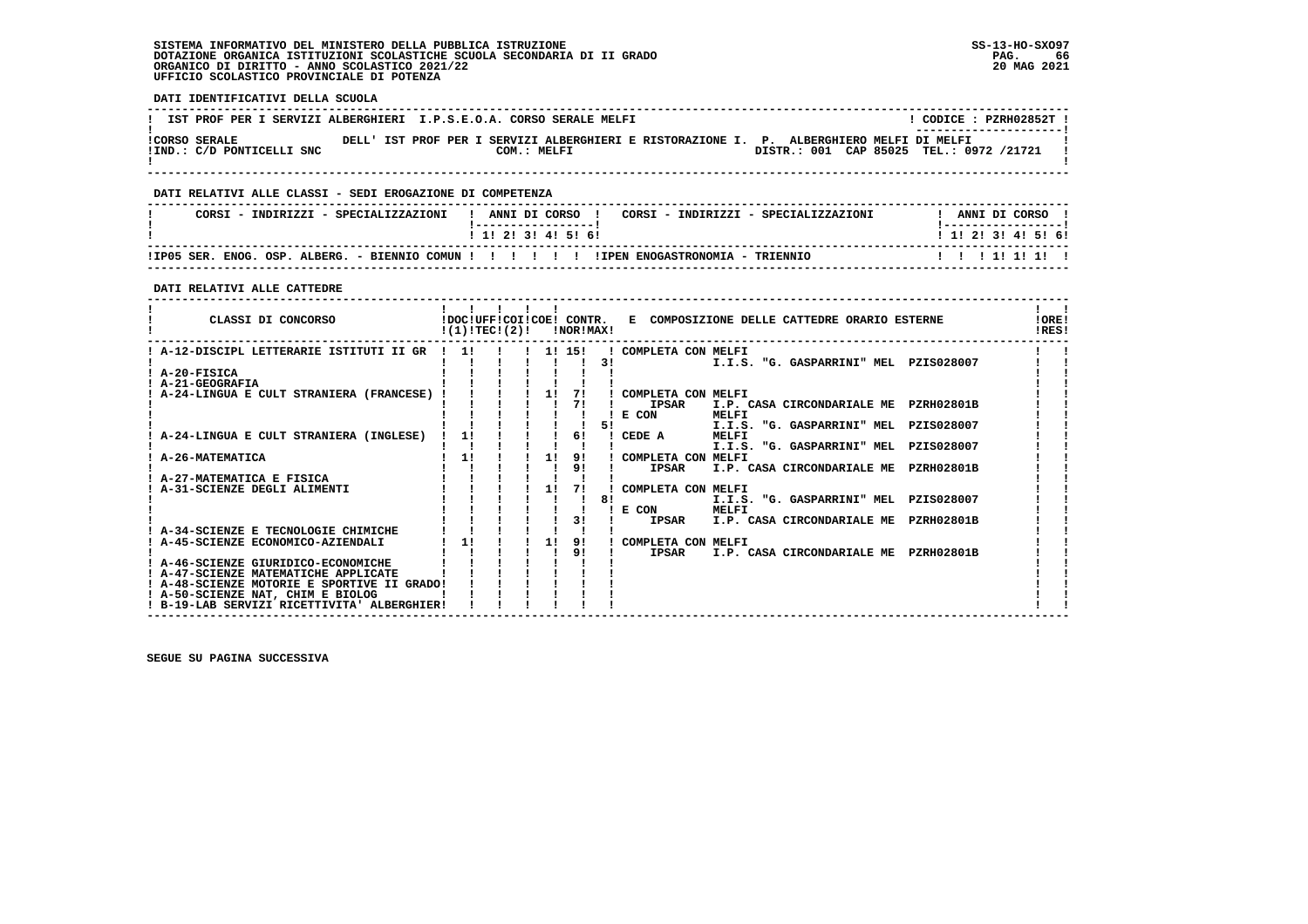## **SISTEMA INFORMATIVO DEL MINISTERO DELLA PUBBLICA ISTRUZIONE SS-13-HO-SXO97 DOTAZIONE ORGANICA ISTITUZIONI SCOLASTICHE SCUOLA SECONDARIA DI II GRADO PAG. 66 ORGANICO DI DIRITTO - ANNO SCOLASTICO 2021/22 20 MAG 2021 UFFICIO SCOLASTICO PROVINCIALE DI POTENZA**

 **DATI IDENTIFICATIVI DELLA SCUOLA**

| IST PROF PER I SERVIZI ALBERGHIERI I.P.S.E.O.A. CORSO SERALE MELFI |             |                                                                                          | CODICE: PZRH02852T !                                              |
|--------------------------------------------------------------------|-------------|------------------------------------------------------------------------------------------|-------------------------------------------------------------------|
| <b>!CORSO SERALE</b><br>!IND.: C/D PONTICELLI SNC                  | COM.: MELFI | DELL' IST PROF PER I SERVIZI ALBERGHIERI E RISTORAZIONE I. P. ALBERGHIERO MELFI DI MELFI | --------------------- <br>DISTR.: 001 CAP 85025 TEL.: 0972 /21721 |
|                                                                    |             |                                                                                          |                                                                   |

 **------------------------------------------------------------------------------------------------------------------------------------**

#### **DATI RELATIVI ALLE CLASSI - SEDI EROGAZIONE DI COMPETENZA**

| CORSI - INDIRIZZI - SPECIALIZZAZIONI | ANNI DI CORSO !<br>CORSI - INDIRIZZI - SPECIALIZZAZIONI<br>. _ _ _ _ _ _ _ _ _ _ _ _ _ _ _ _ _ _ | ANNI DI CORSO<br>! _ _ _ _ _ _ _ _ _ _ _ _ _ _ _ _ _ _ |
|--------------------------------------|--------------------------------------------------------------------------------------------------|--------------------------------------------------------|
|                                      | 1 1 1 2 1 3 1 4 1 5 1 6 1                                                                        | 1 1 1 2 1 3 1 4 1 5 1 6 1                              |
|                                      |                                                                                                  | 1111111111                                             |

 **------------------------------------------------------------------------------------------------------------------------------------**

 **DATI RELATIVI ALLE CATTEDRE**

| CLASSI DI CONCORSO                          | !DOC!UFF!COI!COE! CONTR.<br>!(1)!TEC!(2)! |  |    | !NOR!MAX! |    | E COMPOSIZIONE DELLE CATTEDRE ORARIO ESTERNE                                          | !ORE!<br>IRES! |  |
|---------------------------------------------|-------------------------------------------|--|----|-----------|----|---------------------------------------------------------------------------------------|----------------|--|
| A-12-DISCIPL LETTERARIE ISTITUTI II GR      | 11                                        |  |    | 1! 15!    |    | COMPLETA CON MELFI                                                                    |                |  |
|                                             |                                           |  |    |           | 31 | I.I.S. "G. GASPARRINI" MEL PZIS028007                                                 |                |  |
| ! A-20-FISICA                               |                                           |  |    |           |    |                                                                                       |                |  |
| A-21-GEOGRAFIA                              |                                           |  |    |           |    |                                                                                       |                |  |
| A-24-LINGUA E CULT STRANIERA (FRANCESE)     |                                           |  | 11 | 71        |    | COMPLETA CON MELFI                                                                    |                |  |
|                                             |                                           |  |    |           |    | <b>IPSAR</b><br><b>PZRH02801B</b><br>I.P. CASA CIRCONDARIALE ME                       |                |  |
|                                             |                                           |  |    |           |    | E CON<br>MELFI                                                                        |                |  |
|                                             |                                           |  |    |           | 51 | I.I.S. "G. GASPARRINI" MEL<br>PZIS028007                                              |                |  |
| A-24-LINGUA E CULT STRANIERA (INGLESE)      |                                           |  |    | 61        |    | <b>MELFI</b><br>CEDE A                                                                |                |  |
| A-26-MATEMATICA                             |                                           |  |    |           |    | I.I.S. "G. GASPARRINI" MEL<br>PZIS028007                                              |                |  |
|                                             | 1!                                        |  | 11 | 9!<br>91  |    | COMPLETA CON MELFI<br><b>IPSAR</b><br>I.P. CASA CIRCONDARIALE ME<br><b>PZRH02801B</b> |                |  |
| A-27-MATEMATICA E FISICA                    |                                           |  |    |           |    |                                                                                       |                |  |
| A-31-SCIENZE DEGLI ALIMENTI                 |                                           |  |    |           |    | COMPLETA CON MELFI                                                                    |                |  |
|                                             |                                           |  |    |           | 81 | I.I.S. "G. GASPARRINI" MEL<br>PZIS028007                                              |                |  |
|                                             |                                           |  |    |           |    | E CON<br>MELFI                                                                        |                |  |
|                                             |                                           |  |    |           |    | <b>IPSAR</b><br>I.P. CASA CIRCONDARIALE ME<br><b>PZRH02801B</b>                       |                |  |
| A-34-SCIENZE E TECNOLOGIE CHIMICHE          |                                           |  |    |           |    |                                                                                       |                |  |
| A-45-SCIENZE ECONOMICO-AZIENDALI            |                                           |  | 11 | 91        |    | COMPLETA CON MELFI                                                                    |                |  |
|                                             |                                           |  |    | 9!        |    | <b>IPSAR</b><br>I.P. CASA CIRCONDARIALE ME<br><b>PZRH02801B</b>                       |                |  |
| A-46-SCIENZE GIURIDICO-ECONOMICHE           |                                           |  |    |           |    |                                                                                       |                |  |
| ! A-47-SCIENZE MATEMATICHE APPLICATE        |                                           |  |    |           |    |                                                                                       |                |  |
| ! A-48-SCIENZE MOTORIE E SPORTIVE II GRADO! |                                           |  |    |           |    |                                                                                       |                |  |
| ! A-50-SCIENZE NAT, CHIM E BIOLOG           |                                           |  |    |           |    |                                                                                       |                |  |
| ! B-19-LAB SERVIZI RICETTIVITA' ALBERGHIER! |                                           |  |    |           |    |                                                                                       |                |  |

 **------------------------------------------------------------------------------------------------------------------------------------**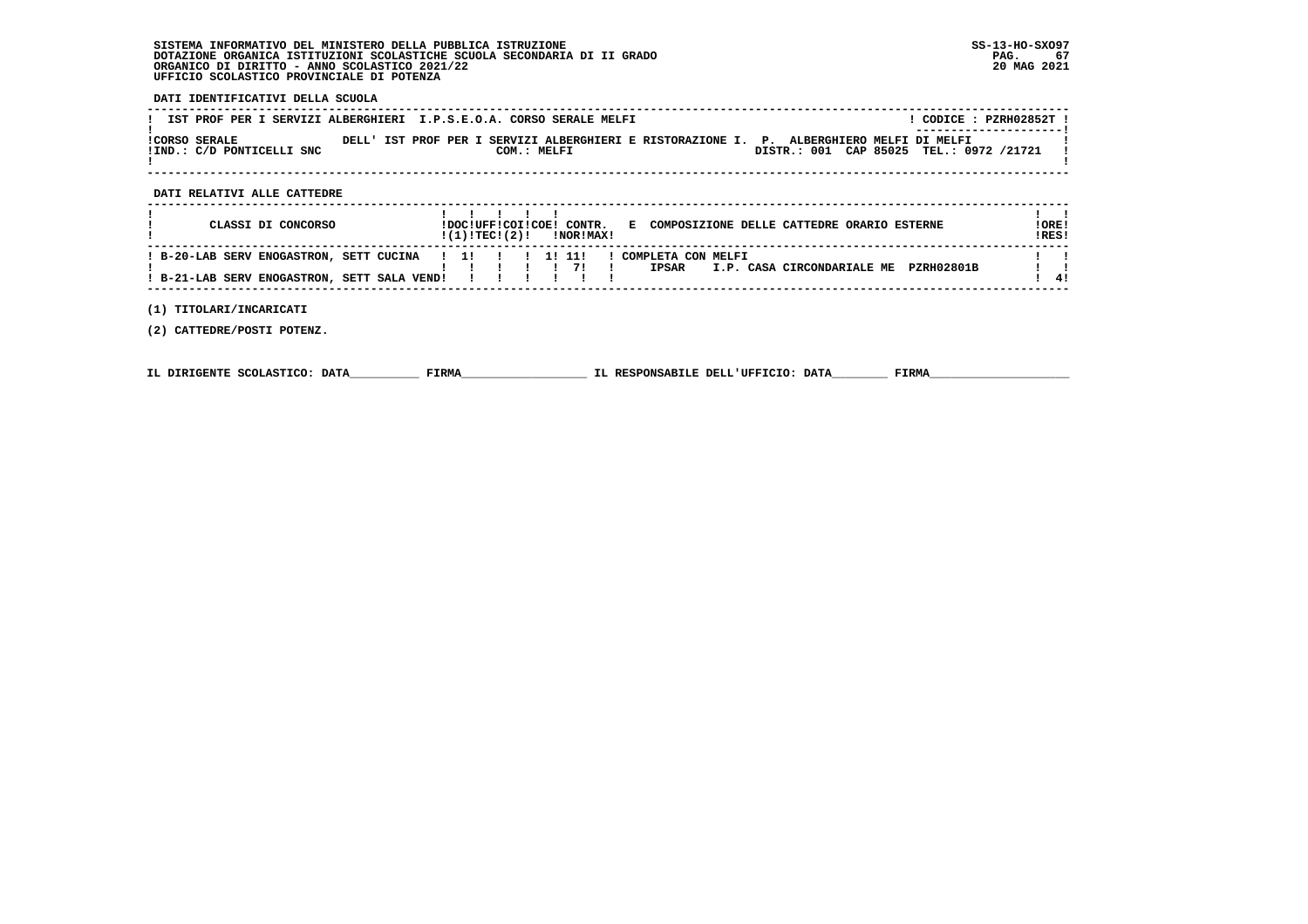## **SISTEMA INFORMATIVO DEL MINISTERO DELLA PUBBLICA ISTRUZIONE SS-13-HO-SXO97 DOTAZIONE ORGANICA ISTITUZIONI SCOLASTICHE SCUOLA SECONDARIA DI II GRADO PAG. 67 ORGANICO DI DIRITTO - ANNO SCOLASTICO 2021/22 20 MAG 2021 UFFICIO SCOLASTICO PROVINCIALE DI POTENZA**

#### **DATI IDENTIFICATIVI DELLA SCUOLA**

| IST PROF PER I SERVIZI ALBERGHIERI I.P.S.E.O.A. CORSO SERALE MELFI |             |                                                                                          |                                         | CODICE: PZRH02852T !<br>---------------------- |
|--------------------------------------------------------------------|-------------|------------------------------------------------------------------------------------------|-----------------------------------------|------------------------------------------------|
| ICORSO SERALE<br>!IND.: C/D PONTICELLI SNC                         | COM.: MELFI | DELL' IST PROF PER I SERVIZI ALBERGHIERI E RISTORAZIONE I. P. ALBERGHIERO MELFI DI MELFI | DISTR.: 001 CAP 85025 TEL.: 0972 /21721 |                                                |
|                                                                    |             |                                                                                          |                                         |                                                |

 **------------------------------------------------------------------------------------------------------------------------------------**

#### **DATI RELATIVI ALLE CATTEDRE**

| CLASSI DI CONCORSO                                                                                     | !(1)!TEC!(2)! | <b>!NOR!MAX!</b> | !DOC!UFF!COI!COE! CONTR. E COMPOSIZIONE DELLE CATTEDRE ORARIO ESTERNE   | ! ORE!<br>IRES! |
|--------------------------------------------------------------------------------------------------------|---------------|------------------|-------------------------------------------------------------------------|-----------------|
| ! B-20-LAB SERV ENOGASTRON, SETT CUCINA ! 1! ! ! 1! 11!<br>! B-21-LAB SERV ENOGASTRON, SETT SALA VEND! |               |                  | COMPLETA CON MELFI<br>PZRH02801B<br>I.P. CASA CIRCONDARIALE ME<br>IPSAR | 41              |

 **(1) TITOLARI/INCARICATI**

 **(2) CATTEDRE/POSTI POTENZ.**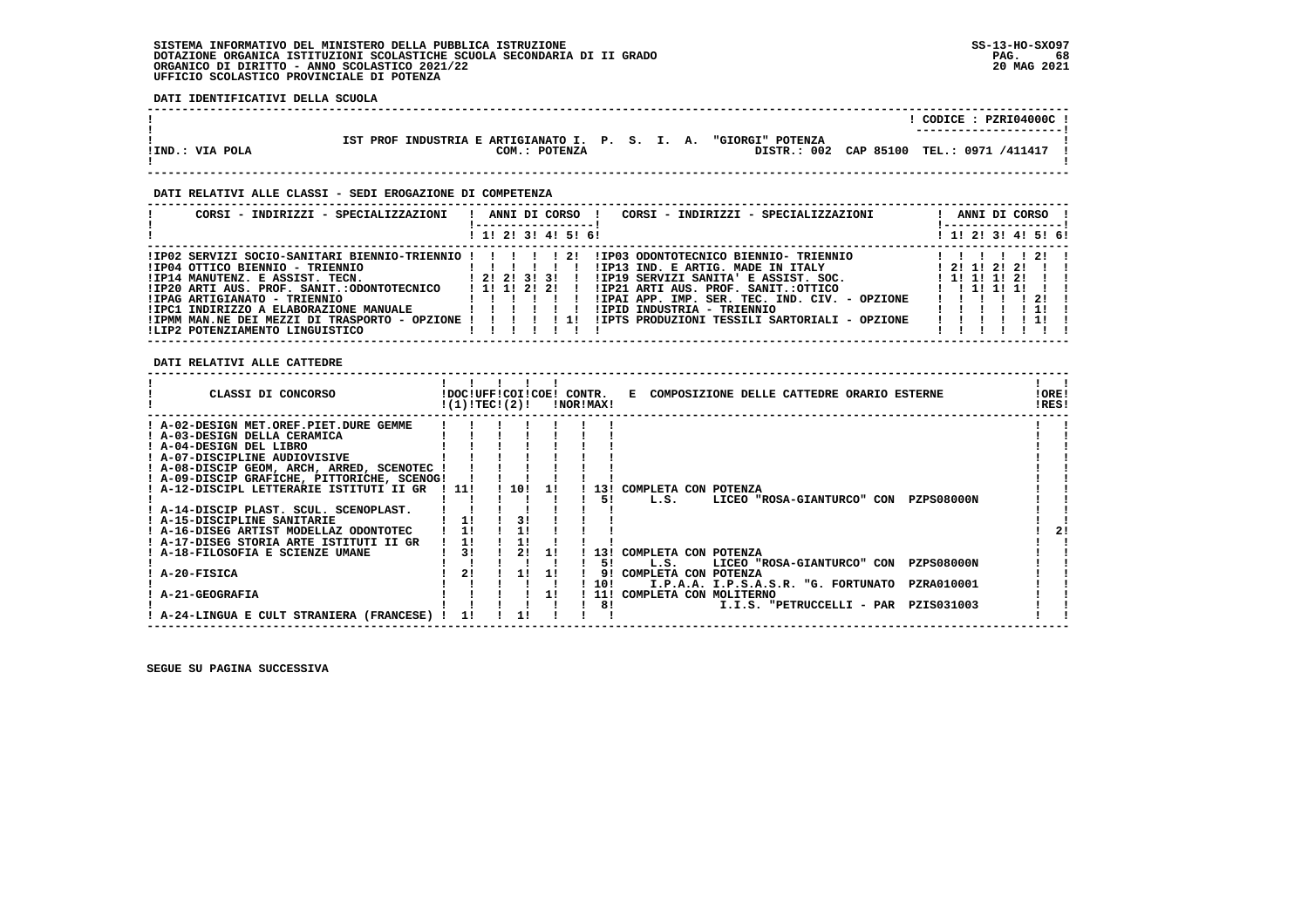#### **SISTEMA INFORMATIVO DEL MINISTERO DELLA PUBBLICA ISTRUZIONE SS-13-HO-SXO97 DOTAZIONE ORGANICA ISTITUZIONI SCOLASTICHE SCUOLA SECONDARIA DI II GRADO PAG. 68**ORGANICO DI DIRITTO - ANNO SCOLASTICO 2021/22  **UFFICIO SCOLASTICO PROVINCIALE DI POTENZA**

 **DATI IDENTIFICATIVI DELLA SCUOLA**

|                 |                                                                     | CODICE: PZRI04000C !   |
|-----------------|---------------------------------------------------------------------|------------------------|
|                 | IST PROF INDUSTRIA E ARTIGIANATO I. P. S. I. A.<br>"GIORGI" POTENZA | ---------------------- |
| !IND.: VIA POLA | DISTR.: 002 CAP 85100<br>COM.: POTENZA                              | TEL.: 0971 /411417     |

 **------------------------------------------------------------------------------------------------------------------------------------**

#### **DATI RELATIVI ALLE CLASSI - SEDI EROGAZIONE DI COMPETENZA**

| CORSI - INDIRIZZI - SPECIALIZZAZIONI                    | CORSI - INDIRIZZI - SPECIALIZZAZIONI<br>ANNI DI CORSO |  |  |  |     |                                               |  | ANNI DI CORSO !<br>-------------       |      |  |
|---------------------------------------------------------|-------------------------------------------------------|--|--|--|-----|-----------------------------------------------|--|----------------------------------------|------|--|
|                                                         | ! 1! 2! 3! 4! 5! 6!                                   |  |  |  |     |                                               |  | ! 1! 2! 3! 4! 5! 6!                    |      |  |
| !IP02 SERVIZI SOCIO-SANITARI BIENNIO-TRIENNIO !!!!!! 2! |                                                       |  |  |  |     | !IP03 ODONTOTECNICO BIENNIO- TRIENNIO         |  |                                        | 12!  |  |
| !IP04 OTTICO BIENNIO - TRIENNIO                         |                                                       |  |  |  |     | !IP13 IND. E ARTIG. MADE IN ITALY             |  | 1 21 11 21 21                          |      |  |
| !IP14 MANUTENZ. E ASSIST. TECN.                         | 1 2 1 2 1 3 1 3 1                                     |  |  |  |     | !IP19 SERVIZI SANITA' E ASSIST. SOC.          |  | 1 11 11 11 21                          |      |  |
| !IP20 ARTI AUS. PROF. SANIT.:ODONTOTECNICO              | 1 1 1 1 2 1 2 1                                       |  |  |  |     | IIP21 ARTI AUS. PROF. SANIT.:OTTICO           |  | $1 \quad 1 \quad 11 \quad 11 \quad 11$ |      |  |
| !IPAG ARTIGIANATO - TRIENNIO                            |                                                       |  |  |  |     | !IPAI APP. IMP. SER. TEC. IND. CIV. - OPZIONE |  |                                        | 21 1 |  |
| !IPC1 INDIRIZZO A ELABORAZIONE MANUALE                  |                                                       |  |  |  |     | !IPID INDUSTRIA - TRIENNIO                    |  |                                        |      |  |
| !IPMM MAN.NE DEI MEZZI DI TRASPORTO - OPZIONE !         |                                                       |  |  |  | -11 | !IPTS PRODUZIONI TESSILI SARTORIALI - OPZIONE |  |                                        |      |  |
| !LIP2 POTENZIAMENTO LINGUISTICO                         |                                                       |  |  |  |     |                                               |  |                                        |      |  |

 **DATI RELATIVI ALLE CATTEDRE**

| CLASSI DI CONCORSO<br>COMPOSIZIONE DELLE CATTEDRE ORARIO ESTERNE<br>!DOC!UFF!COI!COE! CONTR.<br>Е<br>!(1)!TEC!(2)!<br>!NOR!MAX! | !ORE!<br>!RES! |
|---------------------------------------------------------------------------------------------------------------------------------|----------------|
| : A-02-DESIGN MET.OREF.PIET.DURE GEMME                                                                                          |                |
| A-03-DESIGN DELLA CERAMICA                                                                                                      |                |
| ! A-04-DESIGN DEL LIBRO                                                                                                         |                |
| ! A-07-DISCIPLINE AUDIOVISIVE                                                                                                   |                |
| ! A-08-DISCIP GEOM, ARCH, ARRED, SCENOTEC                                                                                       |                |
| ! A-09-DISCIP GRAFICHE, PITTORICHE, SCENOG!                                                                                     |                |
| ! A-12-DISCIPL LETTERARIE ISTITUTI II GR<br>1111<br>101<br>COMPLETA CON POTENZA<br>131                                          |                |
| L.S.<br>LICEO "ROSA-GIANTURCO" CON<br><b>PZPS08000N</b><br>51                                                                   |                |
| ! A-14-DISCIP PLAST. SCUL. SCENOPLAST.                                                                                          |                |
| 11<br>! A-15-DISCIPLINE SANITARIE                                                                                               |                |
| ! A-16-DISEG ARTIST MODELLAZ ODONTOTEC                                                                                          | 21             |
| 11<br>! A-17-DISEG STORIA ARTE ISTITUTI II GR                                                                                   |                |
| 31<br>A-18-FILOSOFIA E SCIENZE UMANE<br>COMPLETA CON POTENZA<br>131                                                             |                |
| <b>PZPS08000N</b><br>L.S.<br>LICEO "ROSA-GIANTURCO" CON<br>51                                                                   |                |
| 21<br>A-20-FISICA<br>COMPLETA CON POTENZA<br>11<br>11<br>91                                                                     |                |
| 10!<br>I.P.A.A. I.P.S.A.S.R. "G. FORTUNATO<br>PZRA010001                                                                        |                |
| A-21-GEOGRAFIA<br>COMPLETA CON MOLITERNO<br>11!                                                                                 |                |
| 81<br>I.I.S. "PETRUCCELLI - PAR<br>PZIS031003                                                                                   |                |
| A-24-LINGUA E CULT STRANIERA (FRANCESE)                                                                                         |                |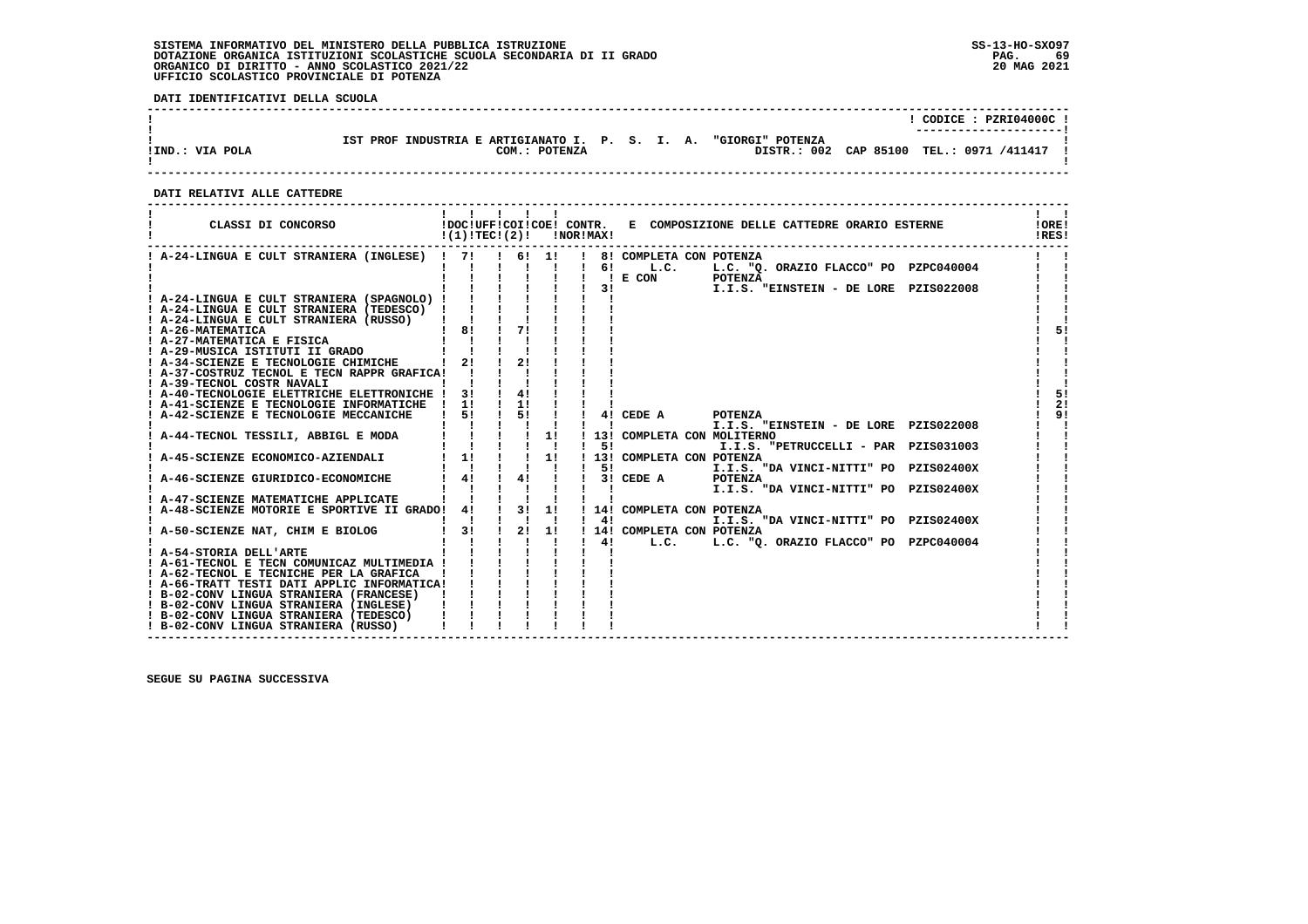#### **SISTEMA INFORMATIVO DEL MINISTERO DELLA PUBBLICA ISTRUZIONE SS-13-HO-SXO97 DOTAZIONE ORGANICA ISTITUZIONI SCOLASTICHE SCUOLA SECONDARIA DI II GRADO PAG. 69**ORGANICO DI DIRITTO - ANNO SCOLASTICO 2021/22  **UFFICIO SCOLASTICO PROVINCIALE DI POTENZA**

 **DATI IDENTIFICATIVI DELLA SCUOLA**

|                 |                                                                                      | CODICE: PZRI04000C!<br>---------------------- |
|-----------------|--------------------------------------------------------------------------------------|-----------------------------------------------|
| !IND.: VIA POLA | IST PROF INDUSTRIA E ARTIGIANATO I. P. S. I. A.<br>"GIORGI" POTENZA<br>COM.: POTENZA | DISTR.: 002 CAP 85100 TEL.: 0971 /411417      |

 **------------------------------------------------------------------------------------------------------------------------------------**

#### **DATI RELATIVI ALLE CATTEDRE**

| CLASSI DI CONCORSO                                                                      | $!(1)!TEC!(2)!$ $ NOR MAX!$                                                                          |                                                         |                |                           | !DOC!UFF!COI!COE! CONTR. E COMPOSIZIONE DELLE CATTEDRE ORARIO ESTERNE                                                     | <b>IORE!</b><br>IRES! |
|-----------------------------------------------------------------------------------------|------------------------------------------------------------------------------------------------------|---------------------------------------------------------|----------------|---------------------------|---------------------------------------------------------------------------------------------------------------------------|-----------------------|
| ! A-24-LINGUA E CULT STRANIERA (INGLESE) ! 7! ! 6! 1! !                                 |                                                                                                      |                                                         |                |                           | 8! COMPLETA CON POTENZA                                                                                                   |                       |
|                                                                                         |                                                                                                      |                                                         | $\blacksquare$ | $\mathbf{I}$              | 6! L.C. L.C. "Q. ORAZIO FLACCO" PO PZPC040004                                                                             |                       |
|                                                                                         |                                                                                                      |                                                         |                | 3!                        | $!$ E CON<br><b>POTENZA</b><br>I.I.S. "EINSTEIN - DE LORE PZIS022008                                                      |                       |
| ! A-24-LINGUA E CULT STRANIERA (SPAGNOLO) !                                             |                                                                                                      |                                                         |                |                           |                                                                                                                           |                       |
| ! A-24-LINGUA E CULT STRANIERA (TEDESCO) !                                              | $\begin{array}{ccccccccc}\n1 & 1 & 1 & 1 & 1 \\ 1 & 1 & 1 & 1 & 1 \\ 1 & 81 & 1 & 71 &\n\end{array}$ |                                                         |                |                           |                                                                                                                           |                       |
| ! A-24-LINGUA E CULT STRANIERA (RUSSO)                                                  |                                                                                                      |                                                         |                |                           |                                                                                                                           |                       |
| ! A-26-MATEMATICA<br>! A-27-MATEMATICA E FISICA                                         |                                                                                                      |                                                         |                |                           |                                                                                                                           | 51                    |
| ! A-29-MUSICA ISTITUTI II GRADO                                                         |                                                                                                      |                                                         |                |                           |                                                                                                                           |                       |
| ! A-34-SCIENZE E TECNOLOGIE CHIMICHE   2! !                                             |                                                                                                      | 21                                                      |                |                           |                                                                                                                           |                       |
| ! A-37-COSTRUZ TECNOL E TECN RAPPR GRAFICA!                                             |                                                                                                      |                                                         |                |                           |                                                                                                                           |                       |
| ! A-39-TECNOL COSTR NAVALI                                                              |                                                                                                      |                                                         |                |                           |                                                                                                                           |                       |
| ! A-40-TECNOLOGIE ELETTRICHE ELETTRONICHE ! 3!                                          |                                                                                                      | $\frac{1}{4}$<br>$\frac{1}{2}$                          |                |                           |                                                                                                                           | 5!<br>2!              |
| ! A-41-SCIENZE E TECNOLOGIE INFORMATICHE ! 1!<br>! A-42-SCIENZE E TECNOLOGIE MECCANICHE | $1 \quad 51$                                                                                         | $\frac{1}{5}$ $\frac{5}{1}$                             |                |                           | 4! CEDE A<br>POTENZA                                                                                                      | 91                    |
|                                                                                         |                                                                                                      |                                                         |                |                           | I.I.S. "EINSTEIN - DE LORE PZIS022008<br>$\mathbf{1}$ and $\mathbf{1}$ and $\mathbf{1}$ and $\mathbf{1}$ and $\mathbf{1}$ |                       |
| ! A-44-TECNOL TESSILI, ABBIGL E MODA                                                    |                                                                                                      | $\frac{1}{1}$ $\frac{1}{1}$ $\frac{1}{1}$ $\frac{1}{1}$ |                |                           | ! 13! COMPLETA CON MOLITERNO                                                                                              |                       |
|                                                                                         |                                                                                                      |                                                         |                | 51                        | I.I.S. "PETRUCCELLI - PAR PZIS031003                                                                                      |                       |
| ! A-45-SCIENZE ECONOMICO-AZIENDALI                                                      | $\frac{1}{1}$ $\frac{1}{1}$ $\frac{1}{1}$                                                            |                                                         | 1!             |                           | ! 13! COMPLETA CON POTENZA                                                                                                |                       |
|                                                                                         | $1 \quad 41$                                                                                         | $\frac{1}{4}$                                           |                | 51                        | I.I.S. "DA VINCI-NITTI" PO PZIS02400X                                                                                     |                       |
| ! A-46-SCIENZE GIURIDICO-ECONOMICHE                                                     |                                                                                                      |                                                         |                | $\mathbf{1}$ $\mathbf{1}$ | $1 \quad 31$ CEDE A<br><b>POTENZA</b><br>I.I.S. "DA VINCI-NITTI" PO PZIS02400X                                            |                       |
| ! A-47-SCIENZE MATEMATICHE APPLICATE                                                    |                                                                                                      |                                                         |                |                           |                                                                                                                           |                       |
| ! A-48-SCIENZE MOTORIE E SPORTIVE II GRADO! 4!                                          |                                                                                                      |                                                         |                |                           | ! 3! 1! ! 14! COMPLETA CON POTENZA                                                                                        |                       |
|                                                                                         |                                                                                                      |                                                         |                |                           | $1 \quad 41$<br>I.I.S. "DA VINCI-NITTI" PO PZIS02400X                                                                     |                       |
| ! A-50-SCIENZE NAT, CHIM E BIOLOG                                                       | $1 \quad 31$                                                                                         | $\frac{1}{2!}$ 1!                                       |                |                           | ! 14! COMPLETA CON POTENZA                                                                                                |                       |
| ! A-54-STORIA DELL'ARTE                                                                 |                                                                                                      |                                                         |                |                           |                                                                                                                           |                       |
| ! A-61-TECNOL E TECN COMUNICAZ MULTIMEDIA !                                             |                                                                                                      |                                                         |                |                           |                                                                                                                           |                       |
| ! A-62-TECNOL E TECNICHE PER LA GRAFICA                                                 |                                                                                                      |                                                         |                |                           |                                                                                                                           |                       |
| ! A-66-TRATT TESTI DATI APPLIC INFORMATICA!                                             |                                                                                                      |                                                         |                |                           |                                                                                                                           |                       |
| ! B-02-CONV LINGUA STRANIERA (FRANCESE)                                                 |                                                                                                      |                                                         |                |                           |                                                                                                                           |                       |
| ! B-02-CONV LINGUA STRANIERA (INGLESE)                                                  |                                                                                                      |                                                         |                |                           |                                                                                                                           |                       |
| ! B-02-CONV LINGUA STRANIERA (TEDESCO)<br>! B-02-CONV LINGUA STRANIERA (RUSSO)          |                                                                                                      |                                                         |                |                           |                                                                                                                           |                       |
|                                                                                         |                                                                                                      |                                                         |                |                           |                                                                                                                           |                       |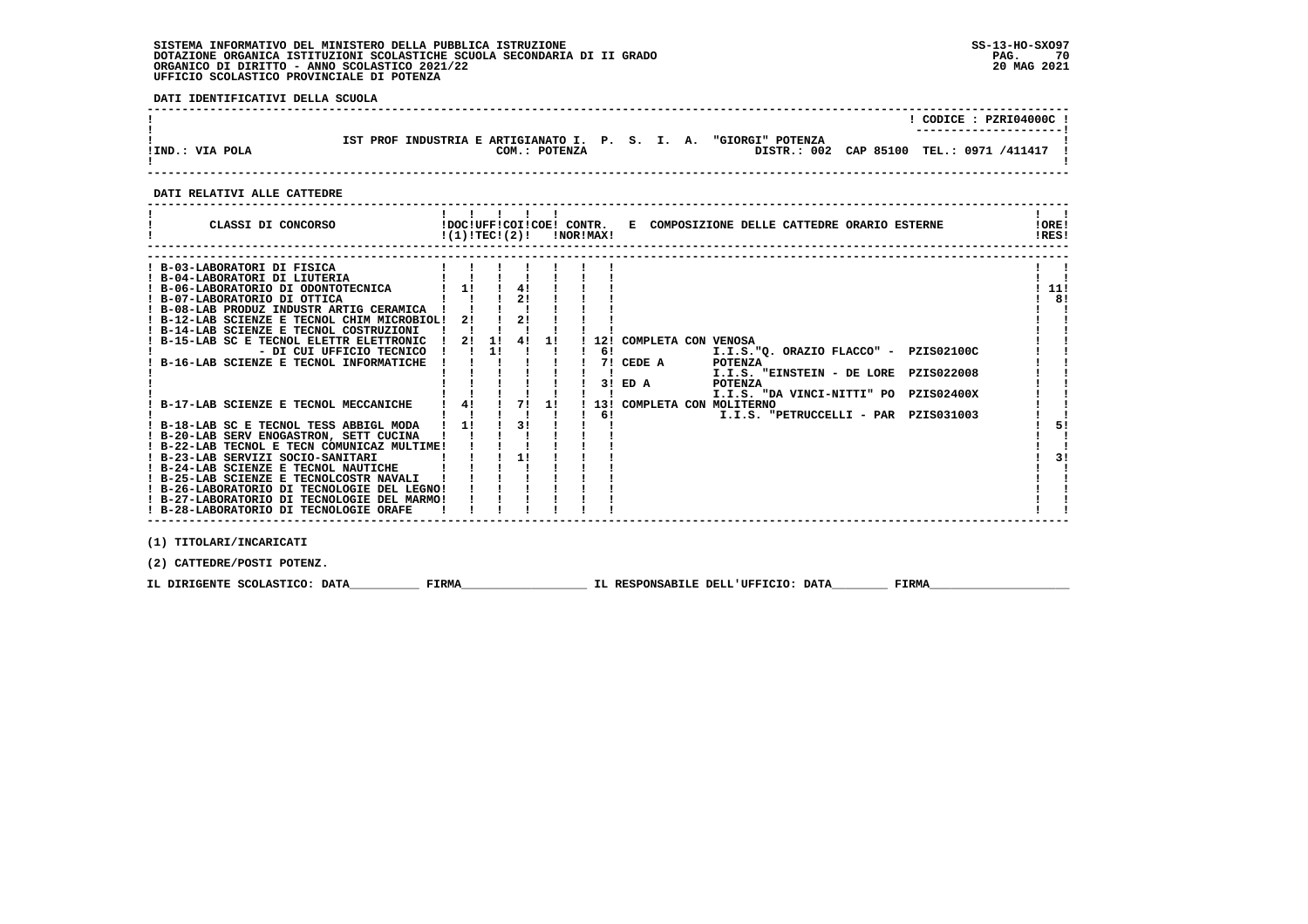#### **SISTEMA INFORMATIVO DEL MINISTERO DELLA PUBBLICA ISTRUZIONE SS-13-HO-SXO97 DOTAZIONE ORGANICA ISTITUZIONI SCOLASTICHE SCUOLA SECONDARIA DI II GRADO** ORGANICO DI DIRITTO - ANNO SCOLASTICO 2021/22  **UFFICIO SCOLASTICO PROVINCIALE DI POTENZA**

 **DATI IDENTIFICATIVI DELLA SCUOLA**

|                 |                                                                  |                  | CODICE: PZRI04000C !<br>---------------------- |
|-----------------|------------------------------------------------------------------|------------------|------------------------------------------------|
| !IND.: VIA POLA | IST PROF INDUSTRIA E ARTIGIANATO I. P. S. I. A.<br>COM.: POTENZA | "GIORGI" POTENZA | DISTR.: 002 CAP 85100 TEL.: 0971 /411417       |

 **------------------------------------------------------------------------------------------------------------------------------------**

#### **DATI RELATIVI ALLE CATTEDRE**

| CLASSI DI CONCORSO                                                                             | $!(1)!TEC!(2)!$ $INORIMAX!$ |                                        |                |    |    |                        | !DOC!UFF!COI!COE! CONTR. E COMPOSIZIONE DELLE CATTEDRE ORARIO ESTERNE | ! ORE!<br>IRES! |
|------------------------------------------------------------------------------------------------|-----------------------------|----------------------------------------|----------------|----|----|------------------------|-----------------------------------------------------------------------|-----------------|
| ! B-03-LABORATORI DI FISICA<br>! B-04-LABORATORI DI LIUTERIA                                   |                             |                                        |                |    |    |                        |                                                                       |                 |
| ! B-06-LABORATORIO DI ODONTOTECNICA                                                            | $\mathbf{i}$ 11             |                                        | 4!             |    |    |                        |                                                                       | 11!             |
| ! B-07-LABORATORIO DI OTTICA                                                                   |                             |                                        |                |    |    |                        |                                                                       | 8!              |
| ! B-08-LAB PRODUZ INDUSTR ARTIG CERAMICA !                                                     |                             |                                        |                |    |    |                        |                                                                       |                 |
| ! B-12-LAB SCIENZE E TECNOL CHIM MICROBIOL!                                                    |                             | $2!$ $1$                               | 21             |    |    |                        |                                                                       |                 |
| ! B-14-LAB SCIENZE E TECNOL COSTRUZIONI<br>! B-15-LAB SC E TECNOL ELETTR ELETTRONIC ! 2! 1! 4! |                             |                                        |                | 11 |    |                        | 12! COMPLETA CON VENOSA                                               |                 |
| - DI CUI UFFICIO TECNICO ! !                                                                   |                             |                                        | $11 \quad 1$   |    |    | $6!$ $\qquad \qquad -$ | I.I.S."Q. ORAZIO FLACCO" - PZIS02100C                                 |                 |
| B-16-LAB SCIENZE E TECNOL INFORMATICHE                                                         |                             |                                        |                |    |    | 7! CEDE A              | POTENZA                                                               |                 |
|                                                                                                |                             |                                        |                |    |    |                        | I.I.S. "EINSTEIN - DE LORE PZIS022008                                 |                 |
|                                                                                                |                             |                                        |                |    |    | $3!$ ED A              | POTENZA                                                               |                 |
|                                                                                                |                             | $1 \quad 4! \quad 1 \quad 7! \quad 1!$ |                |    |    |                        | I.I.S. "DA VINCI-NITTI" PO PZIS02400X                                 |                 |
| ! B-17-LAB SCIENZE E TECNOL MECCANICHE                                                         |                             |                                        |                |    | 61 |                        | 13! COMPLETA CON MOLITERNO<br>I.I.S. "PETRUCCELLI - PAR PZISO31003    |                 |
| ! B-18-LAB SC E TECNOL TESS ABBIGL MODA ! 1!                                                   |                             |                                        | $\frac{1}{3!}$ |    |    |                        |                                                                       | 51              |
| ! B-20-LAB SERV ENOGASTRON, SETT CUCINA                                                        |                             |                                        |                |    |    |                        |                                                                       |                 |
| ! B-22-LAB TECNOL E TECN COMUNICAZ MULTIME!                                                    |                             |                                        |                |    |    |                        |                                                                       |                 |
| ! B-23-LAB SERVIZI SOCIO-SANITARI                                                              |                             |                                        | 11             |    |    |                        |                                                                       | 31              |
| ! B-24-LAB SCIENZE E TECNOL NAUTICHE                                                           |                             |                                        |                |    |    |                        |                                                                       |                 |
| ! B-25-LAB SCIENZE E TECNOLCOSTR NAVALI<br>! B-26-LABORATORIO DI TECNOLOGIE DEL LEGNO!         |                             |                                        |                |    |    |                        |                                                                       |                 |
| ! B-27-LABORATORIO DI TECNOLOGIE DEL MARMO!                                                    |                             |                                        |                |    |    |                        |                                                                       |                 |
| ! B-28-LABORATORIO DI TECNOLOGIE ORAFE                                                         |                             |                                        |                |    |    |                        |                                                                       |                 |
|                                                                                                |                             |                                        |                |    |    |                        |                                                                       |                 |
| (1) TITOLARI/INCARICATI                                                                        |                             |                                        |                |    |    |                        |                                                                       |                 |

 **(2) CATTEDRE/POSTI POTENZ.**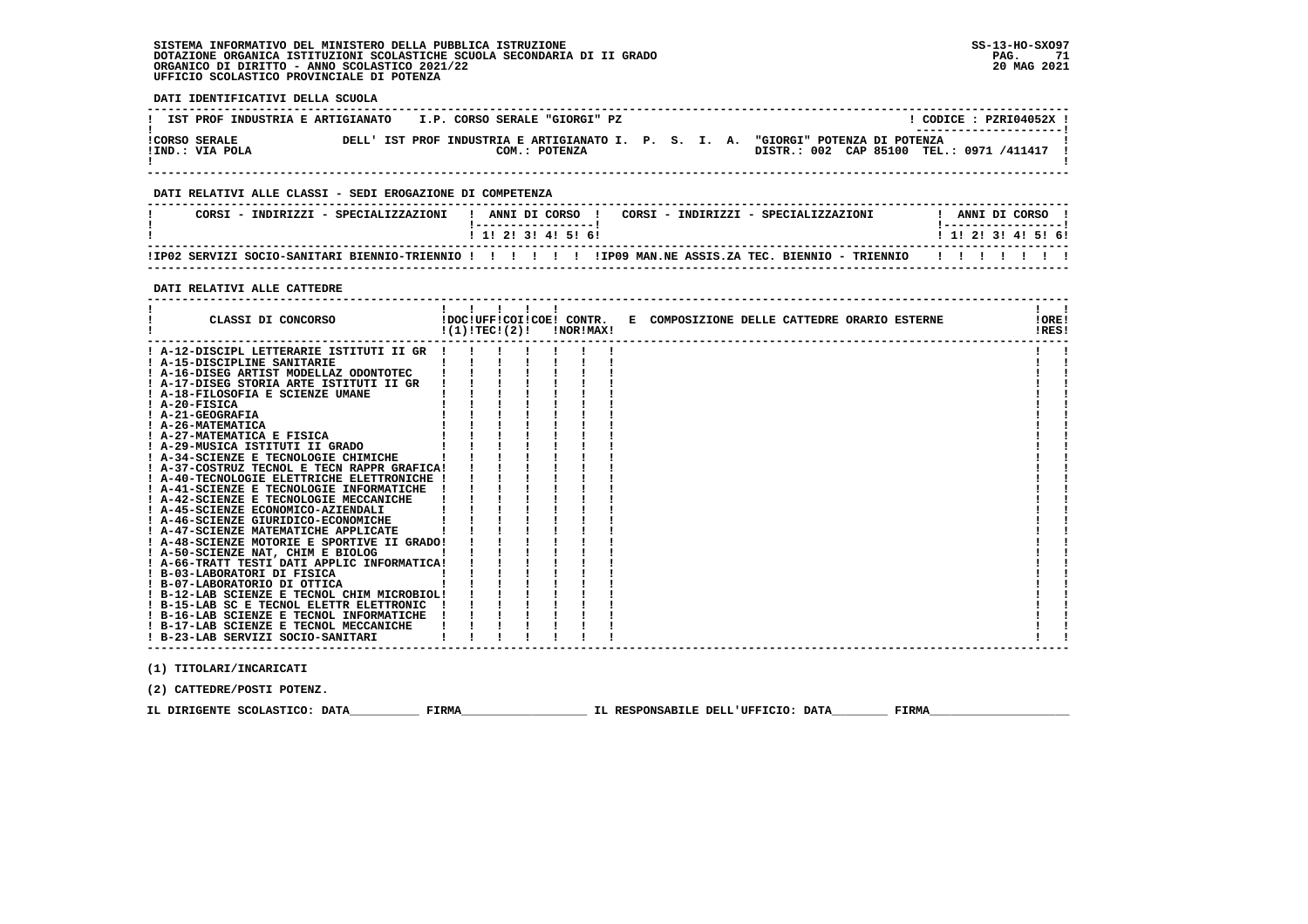#### **SISTEMA INFORMATIVO DEL MINISTERO DELLA PUBBLICA ISTRUZIONE SS-13-HO-SXO97 DOTAZIONE ORGANICA ISTITUZIONI SCOLASTICHE SCUOLA SECONDARIA DI II GRADO PAG. 71**ORGANICO DI DIRITTO - ANNO SCOLASTICO 2021/22  **UFFICIO SCOLASTICO PROVINCIALE DI POTENZA**

| IST PROF INDUSTRIA E ARTIGIANATO I.P. CORSO SERALE "GIORGI" PZ                                                                                                                                                                                                                                                                                                                                                                                                                                                                                               |                                                                                                                                                                                                                                                                                                                                                                                                                                                           | ! CODICE : PZRI04052X !                     |
|--------------------------------------------------------------------------------------------------------------------------------------------------------------------------------------------------------------------------------------------------------------------------------------------------------------------------------------------------------------------------------------------------------------------------------------------------------------------------------------------------------------------------------------------------------------|-----------------------------------------------------------------------------------------------------------------------------------------------------------------------------------------------------------------------------------------------------------------------------------------------------------------------------------------------------------------------------------------------------------------------------------------------------------|---------------------------------------------|
| !IND.: VIA POLA                                                                                                                                                                                                                                                                                                                                                                                                                                                                                                                                              | !CORSO SERALE THE DELL' IST PROF INDUSTRIA E ARTIGIANATO I. P. S. I. A. "GIORGI" POTENZA DI POTENZA<br>DISTR.: 002 CAP 85100 TEL.: 0971 /411417 !<br>COM.: POTENZA                                                                                                                                                                                                                                                                                        |                                             |
| DATI RELATIVI ALLE CLASSI - SEDI EROGAZIONE DI COMPETENZA                                                                                                                                                                                                                                                                                                                                                                                                                                                                                                    |                                                                                                                                                                                                                                                                                                                                                                                                                                                           |                                             |
|                                                                                                                                                                                                                                                                                                                                                                                                                                                                                                                                                              | CORSI - INDIRIZZI - SPECIALIZZAZIONI   ANNI DI CORSO   CORSI - INDIRIZZI - SPECIALIZZAZIONI                                                                                                                                                                                                                                                                                                                                                               | ! ANNI DI CORSO !                           |
|                                                                                                                                                                                                                                                                                                                                                                                                                                                                                                                                                              | 1 1 2 2 1 3 1 4 1 5 1 6 1                                                                                                                                                                                                                                                                                                                                                                                                                                 | 1 1 2 3 3 4 5 5 6 9                         |
|                                                                                                                                                                                                                                                                                                                                                                                                                                                                                                                                                              | ! IPO2 SERVIZI SOCIO-SANITARI BIENNIO-TRIENNIO ! !!!! !! IPO9 MAN.NE ASSIS.ZA TEC. BIENNIO - TRIENNIO !!!!!!!                                                                                                                                                                                                                                                                                                                                             |                                             |
| DATI RELATIVI ALLE CATTEDRE                                                                                                                                                                                                                                                                                                                                                                                                                                                                                                                                  |                                                                                                                                                                                                                                                                                                                                                                                                                                                           |                                             |
| --------------------------------<br>CLASSI DI CONCORSO                                                                                                                                                                                                                                                                                                                                                                                                                                                                                                       | $1 \quad 1 \quad 1 \quad 1 \quad 1$<br>!DOC!UFF!COI!COE! CONTR. E COMPOSIZIONE DELLE CATTEDRE ORARIO ESTERNE<br>$!(1)!$ TEC! $(2)!$ $\qquad$ $\qquad$ $\qquad$ $\qquad$ $\qquad$ $\qquad$ $\qquad$ $\qquad$ $\qquad$ $\qquad$ $\qquad$ $\qquad$ $\qquad$ $\qquad$ $\qquad$ $\qquad$ $\qquad$ $\qquad$ $\qquad$ $\qquad$ $\qquad$ $\qquad$ $\qquad$ $\qquad$ $\qquad$ $\qquad$ $\qquad$ $\qquad$ $\qquad$ $\qquad$ $\qquad$ $\qquad$ $\qquad$ $\qquad$ $\$ | $\mathbf{1}$ $\mathbf{1}$<br>IORE!<br>IRES! |
| ! A-15-DISCIPLINE SANITARIE              <br>! A-16-DISEG ARTIST MODELLAZ ODONTOTEC   !!<br>! A-17-DISEG STORIA ARTE ISTITUTI II GR      <br>! A-18-FILOSOFIA E SCIENZE UMANE<br>! A-20-FISICA<br>! A-21-GEOGRAFIA<br>! A-26-MATEMATICA<br>: A 20 MATEMATICA E FISICA (1992)<br>1 A-29-MUSICA ISTITUTI II GRADO (1994)<br>1 A-34-SCIENZE E TECNOLOGIE CHIMICHE (1994)                                                                                                                                                                                        | $1 \quad 1 \quad 1 \quad 1$<br>$\mathbf{I}$ $\mathbf{I}$<br>$\mathbf{1}$ $\mathbf{1}$ $\mathbf{1}$<br>$1 \quad 1 \quad$                                                                                                                                                                                                                                                                                                                                   |                                             |
| ! A-37-COSTRUZ TECNOL E TECN RAPPR GRAFICA! !!<br>! A-40-TECNOLOGIE ELETTRICHE ELETTRONICHE ! ! ! !<br>! A-41-SCIENZE E TECNOLOGIE INFORMATICHE ! ! ! ! ! !<br>! A-42-SCIENZE E TECNOLOGIE MECCANICHE  <br>! A-45-SCIENZE ECONOMICO-AZIENDALI<br>! A-46-SCIENZE GIURIDICO-ECONOMICHE  <br>! A-47-SCIENZE MATEMATICHE APPLICATE                                                                                                                                                                                                                               | $\blacksquare$ $\blacksquare$ $\blacksquare$ $\blacksquare$ $\blacksquare$                                                                                                                                                                                                                                                                                                                                                                                |                                             |
| ! A-48-SCIENZE MOTORIE E SPORTIVE II GRADO! ! !<br>! A-50-SCIENZE NAT, CHIM E BIOLOG     ! !<br>! A-66-TRATT TESTI DATI APPLIC INFORMATICA! ! !<br>$\mathbf{1}$ and $\mathbf{1}$ and $\mathbf{1}$ and $\mathbf{1}$ and $\mathbf{1}$<br>! B-03-LABORATORI DI FISICA<br>! B-07-LABORATORIO DI OTTICA<br>! B-12-LAB SCIENZE E TECNOL CHIM MICROBIOL! ! !<br>$!$ B-15-LAB SC E TECNOL ELETTR ELETTRONIC $!$ $!$ $!$ $!$<br>! B-16-LAB SCIENZE E TECNOL INFORMATICHE ! ! ! !<br>! B-17-LAB SCIENZE E TECNOL MECCANICHE ! ! !<br>! B-23-LAB SERVIZI SOCIO-SANITARI |                                                                                                                                                                                                                                                                                                                                                                                                                                                           |                                             |

 **(2) CATTEDRE/POSTI POTENZ.**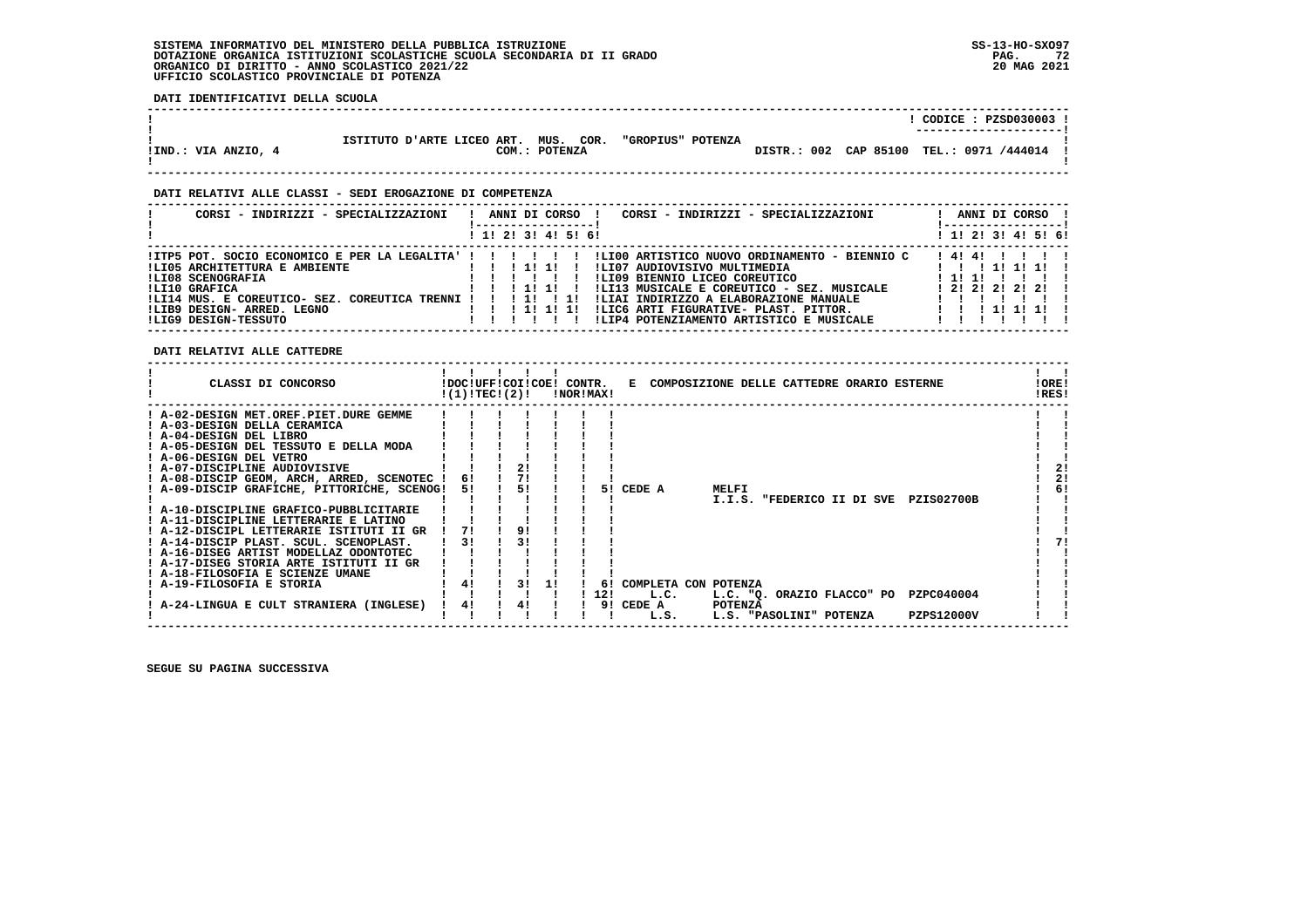#### **SISTEMA INFORMATIVO DEL MINISTERO DELLA PUBBLICA ISTRUZIONE SS-13-HO-SXO97 DOTAZIONE ORGANICA ISTITUZIONI SCOLASTICHE SCUOLA SECONDARIA DI II GRADO PAG. 72**ORGANICO DI DIRITTO - ANNO SCOLASTICO 2021/22  **UFFICIO SCOLASTICO PROVINCIALE DI POTENZA**

 **DATI IDENTIFICATIVI DELLA SCUOLA**

|                     |                                      |               |                   |  | CODICE: PZSD030003 !                     |
|---------------------|--------------------------------------|---------------|-------------------|--|------------------------------------------|
|                     |                                      |               |                   |  | ----------------------                   |
|                     |                                      |               |                   |  |                                          |
|                     | ISTITUTO D'ARTE LICEO ART. MUS. COR. |               | "GROPIUS" POTENZA |  |                                          |
| !IND.: VIA ANZIO, 4 |                                      | COM.: POTENZA |                   |  | DISTR.: 002 CAP 85100 TEL.: 0971 /444014 |
|                     |                                      |               |                   |  |                                          |
|                     |                                      |               |                   |  |                                          |

 **------------------------------------------------------------------------------------------------------------------------------------**

#### **DATI RELATIVI ALLE CLASSI - SEDI EROGAZIONE DI COMPETENZA**

| CORSI - INDIRIZZI - SPECIALIZZAZIONI                                                                                                                                                                                                             | ANNI DI CORSO !<br>CORSI - INDIRIZZI - SPECIALIZZAZIONI<br>. ___________________<br>! 1! 2! 3! 4! 5! 6!                                                                                                                                                                                                                                                                                 | ANNI DI CORSO<br>-----------------<br>! 1! 2! 3! 4! 5! 6!                    |
|--------------------------------------------------------------------------------------------------------------------------------------------------------------------------------------------------------------------------------------------------|-----------------------------------------------------------------------------------------------------------------------------------------------------------------------------------------------------------------------------------------------------------------------------------------------------------------------------------------------------------------------------------------|------------------------------------------------------------------------------|
| !ITP5 POT. SOCIO ECONOMICO E PER LA LEGALITA' ! ! ! ! ! !<br>!LI05 ARCHITETTURA E AMBIENTE<br>!LI08 SCENOGRAFIA<br>ILI10 GRAFICA<br>!LI14 MUS. E COREUTICO- SEZ. COREUTICA TRENNI ! ! ! 1!<br>!LIB9 DESIGN- ARRED. LEGNO<br>ILIG9 DESIGN-TESSUTO | !LI00 ARTISTICO NUOVO ORDINAMENTO - BIENNIO C<br>! 1! 1!<br>!LI07 AUDIOVISIVO MULTIMEDIA<br>$\blacksquare$<br>ILI09 BIENNIO LICEO COREUTICO<br>!LI13 MUSICALE E COREUTICO - SEZ. MUSICALE<br>$1 \quad 1 \quad 1111$<br>!LIAI INDIRIZZO A ELABORAZIONE MANUALE<br>$\blacksquare$<br>!LIC6 ARTI FIGURATIVE- PLAST. PITTOR.<br>1 1 1 1 1 1 1 1<br>!LIP4 POTENZIAMENTO ARTISTICO E MUSICALE | 14141<br>1 1 1 1 1 1 1 1<br>1111<br>1 2 1 2 1 2 1 2 1 2 1<br>1 1 1 1 1 1 1 1 |

## **DATI RELATIVI ALLE CATTEDRE**

| CLASSI DI CONCORSO                                                                                                                                                                                                                                                                                                                                                                                                                                                                                                                                                   |                | !DOC!UFF!COI!COE! CONTR.<br>!(1)!TEC!(2)! | !NOR!MAX! |                 | E COMPOSIZIONE DELLE CATTEDRE ORARIO ESTERNE   |                                                                  |  |  |                                 | !ORE!<br>!RES! |                |
|----------------------------------------------------------------------------------------------------------------------------------------------------------------------------------------------------------------------------------------------------------------------------------------------------------------------------------------------------------------------------------------------------------------------------------------------------------------------------------------------------------------------------------------------------------------------|----------------|-------------------------------------------|-----------|-----------------|------------------------------------------------|------------------------------------------------------------------|--|--|---------------------------------|----------------|----------------|
| ! A-02-DESIGN MET.OREF.PIET.DURE GEMME<br>! A-03-DESIGN DELLA CERAMICA<br>! A-04-DESIGN DEL LIBRO<br>! A-05-DESIGN DEL TESSUTO E DELLA MODA<br>! A-06-DESIGN DEL VETRO<br>! A-07-DISCIPLINE AUDIOVISIVE<br>! A-08-DISCIP GEOM, ARCH, ARRED, SCENOTEC !<br>! A-09-DISCIP GRAFICHE, PITTORICHE, SCENOG!<br>! A-10-DISCIPLINE GRAFICO-PUBBLICITARIE<br>! A-11-DISCIPLINE LETTERARIE E LATINO<br>! A-12-DISCIPL LETTERARIE ISTITUTI II GR<br>! A-14-DISCIP PLAST. SCUL. SCENOPLAST.<br>! A-16-DISEG ARTIST MODELLAZ ODONTOTEC<br>! A-17-DISEG STORIA ARTE ISTITUTI II GR | 6!<br>51<br>31 | 21<br>51                                  |           | 51              | CEDE A                                         | MELFI<br>I.I.S. "FEDERICO II DI SVE                              |  |  | <b>PZIS02700B</b>               |                | 21<br>2!<br>6! |
| ! A-18-FILOSOFIA E SCIENZE UMANE<br>A-19-FILOSOFIA E STORIA<br>A-24-LINGUA E CULT STRANIERA (INGLESE)                                                                                                                                                                                                                                                                                                                                                                                                                                                                | 4!             | 31<br>4!                                  |           | 61<br>12!<br>91 | COMPLETA CON POTENZA<br>L.C.<br>CEDE A<br>L.S. | L.C. "Q. ORAZIO FLACCO" PO<br>POTENZA<br>L.S. "PASOLINI" POTENZA |  |  | PZPC040004<br><b>PZPS12000V</b> |                |                |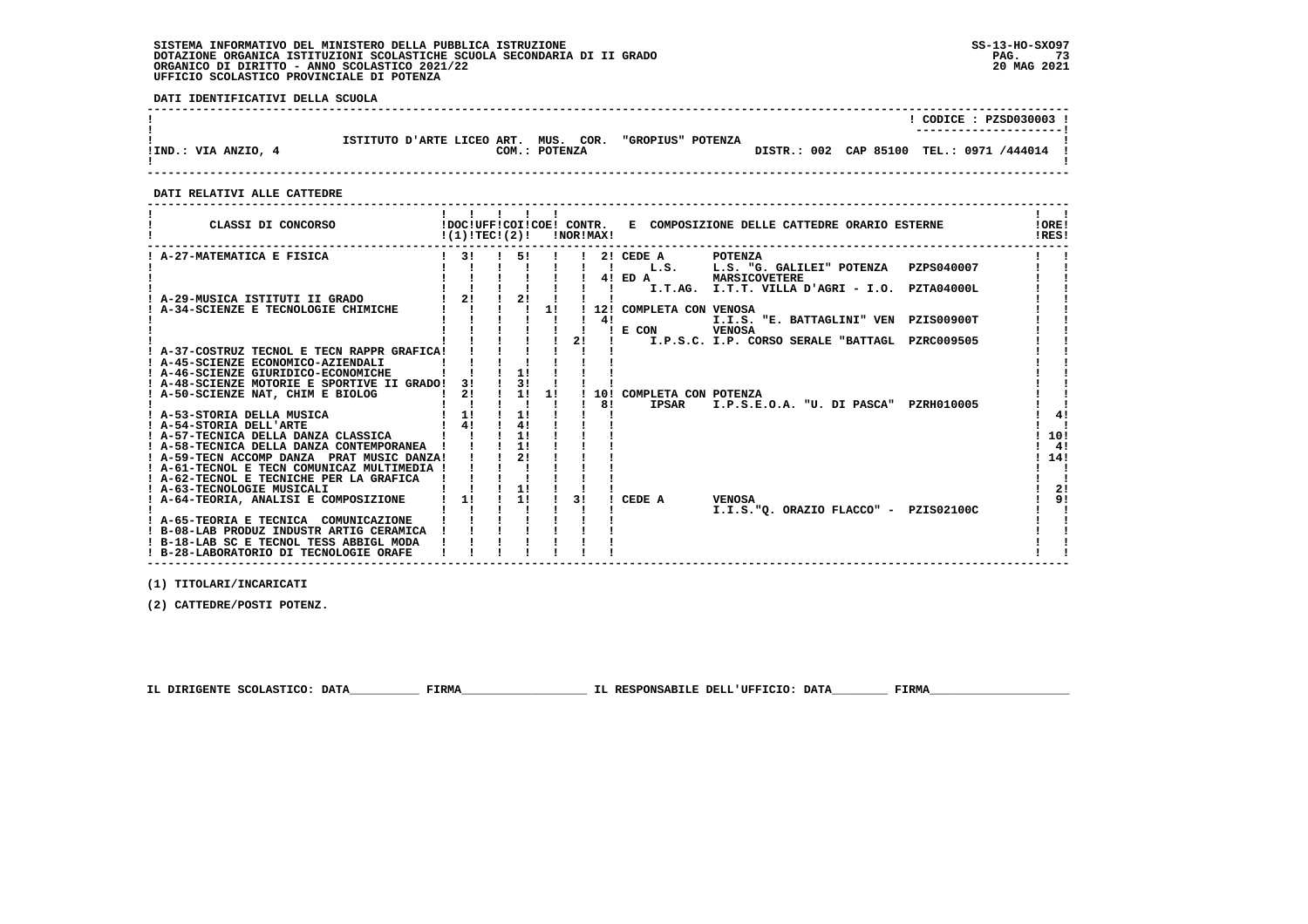# **SISTEMA INFORMATIVO DEL MINISTERO DELLA PUBBLICA ISTRUZIONE SS-13-HO-SXO97 DOTAZIONE ORGANICA ISTITUZIONI SCOLASTICHE SCUOLA SECONDARIA DI II GRADO PAG. 73 ORGANICO DI DIRITTO - ANNO SCOLASTICO 2021/22 20 MAG 2021 UFFICIO SCOLASTICO PROVINCIALE DI POTENZA**

 **DATI IDENTIFICATIVI DELLA SCUOLA**

|                     |                                      |               |                   |  | CODICE: PZSD030003 !<br>---------------------- |
|---------------------|--------------------------------------|---------------|-------------------|--|------------------------------------------------|
| !IND.: VIA ANZIO, 4 | ISTITUTO D'ARTE LICEO ART. MUS. COR. | COM.: POTENZA | "GROPIUS" POTENZA |  | DISTR.: 002 CAP 85100 TEL.: 0971 /444014       |

 **------------------------------------------------------------------------------------------------------------------------------------**

#### **DATI RELATIVI ALLE CATTEDRE**

| CLASSI DI CONCORSO                                                                       | $!(1)!TEC!(2)!$ $ NORIMAX $           |               |          |                  |    |    |                            | !DOC!UFF!COI!COE! CONTR. E COMPOSIZIONE DELLE CATTEDRE ORARIO ESTERNE | !ORE!<br>IRES! |
|------------------------------------------------------------------------------------------|---------------------------------------|---------------|----------|------------------|----|----|----------------------------|-----------------------------------------------------------------------|----------------|
| A-27-MATEMATICA E FISICA                                                                 | $1 \quad 31$                          |               | 51       |                  |    |    | 2! CEDE A                  | <b>POTENZA</b>                                                        |                |
|                                                                                          |                                       |               |          |                  |    |    |                            | ! L.S. L.S. "G. GALILEI" POTENZA PZPS040007                           |                |
|                                                                                          |                                       |               |          |                  |    |    |                            | 4! ED A MARSICOVETERE                                                 |                |
|                                                                                          |                                       |               |          |                  |    |    |                            | I.T.AG. I.T.T. VILLA D'AGRI - I.O. PZTA04000L                         |                |
| ! A-29-MUSICA ISTITUTI II GRADO                                                          | $1 \quad 21 \quad 1 \quad 21 \quad 1$ |               |          |                  |    |    |                            |                                                                       |                |
| A-34-SCIENZE E TECNOLOGIE CHIMICHE                                                       |                                       |               |          | $\frac{1}{1}$ 11 |    | 41 | 12! COMPLETA CON VENOSA    |                                                                       |                |
|                                                                                          |                                       |               |          |                  |    |    | ! E CON VENOSA             | I.I.S. "E. BATTAGLINI" VEN PZIS00900T                                 |                |
|                                                                                          |                                       |               |          |                  | 2! |    |                            | I.P.S.C. I.P. CORSO SERALE "BATTAGL PZRC009505                        |                |
| ! A-37-COSTRUZ TECNOL E TECN RAPPR GRAFICA!                                              |                                       |               |          |                  |    |    |                            |                                                                       |                |
| ! A-45-SCIENZE ECONOMICO-AZIENDALI                                                       |                                       |               |          |                  |    |    |                            |                                                                       |                |
| ! A-46-SCIENZE GIURIDICO-ECONOMICHE                                                      |                                       |               | 1!       |                  |    |    |                            |                                                                       |                |
| ! A-48-SCIENZE MOTORIE E SPORTIVE II GRADO!                                              | 31                                    |               | 3!       |                  |    |    |                            |                                                                       |                |
| ! A-50-SCIENZE NAT, CHIM E BIOLOG                                                        | 2!                                    | ! 1! 1!       |          |                  |    |    | ! 10! COMPLETA CON POTENZA |                                                                       |                |
|                                                                                          |                                       |               |          |                  |    | 81 | <b>IPSAR</b>               | I.P.S.E.O.A. "U. DI PASCA" PZRH010005                                 |                |
| ! A-53-STORIA DELLA MUSICA                                                               | $1 \quad 1!$                          |               | 11       |                  |    |    |                            |                                                                       | 41             |
| ! A-54-STORIA DELL'ARTE                                                                  |                                       |               | 41       |                  |    |    |                            |                                                                       |                |
| ! A-57-TECNICA DELLA DANZA CLASSICA                                                      |                                       |               | 11       |                  |    |    |                            |                                                                       | 10!            |
| ! A-58-TECNICA DELLA DANZA CONTEMPORANEA !<br>! A-59-TECN ACCOMP DANZA PRAT MUSIC DANZA! |                                       |               | 11<br>2! |                  |    |    |                            |                                                                       | -41<br>14!     |
| ! A-61-TECNOL E TECN COMUNICAZ MULTIMEDIA !                                              |                                       |               |          |                  |    |    |                            |                                                                       |                |
| ! A-62-TECNOL E TECNICHE PER LA GRAFICA                                                  |                                       |               |          |                  |    |    |                            |                                                                       |                |
| ! A-63-TECNOLOGIE MUSICALI                                                               |                                       |               | 1!       |                  |    |    |                            |                                                                       | 2!             |
| ! A-64-TEORIA, ANALISI E COMPOSIZIONE                                                    | $1 \quad 1!$                          | $\frac{1}{2}$ |          |                  | 3! |    | CEDE A                     | VENOSA                                                                | 9 <sub>1</sub> |
|                                                                                          |                                       |               |          |                  |    |    |                            | I.I.S."O. ORAZIO FLACCO" - PZIS02100C                                 |                |
| ! A-65-TEORIA E TECNICA COMUNICAZIONE                                                    |                                       |               |          |                  |    |    |                            |                                                                       |                |
| ! B-08-LAB PRODUZ INDUSTR ARTIG CERAMICA                                                 |                                       |               |          |                  |    |    |                            |                                                                       |                |
| ! B-18-LAB SC E TECNOL TESS ABBIGL MODA                                                  |                                       |               |          |                  |    |    |                            |                                                                       |                |
| ! B-28-LABORATORIO DI TECNOLOGIE ORAFE                                                   |                                       |               |          |                  |    |    |                            |                                                                       |                |

 **------------------------------------------------------------------------------------------------------------------------------------**

 **(1) TITOLARI/INCARICATI**

 **(2) CATTEDRE/POSTI POTENZ.**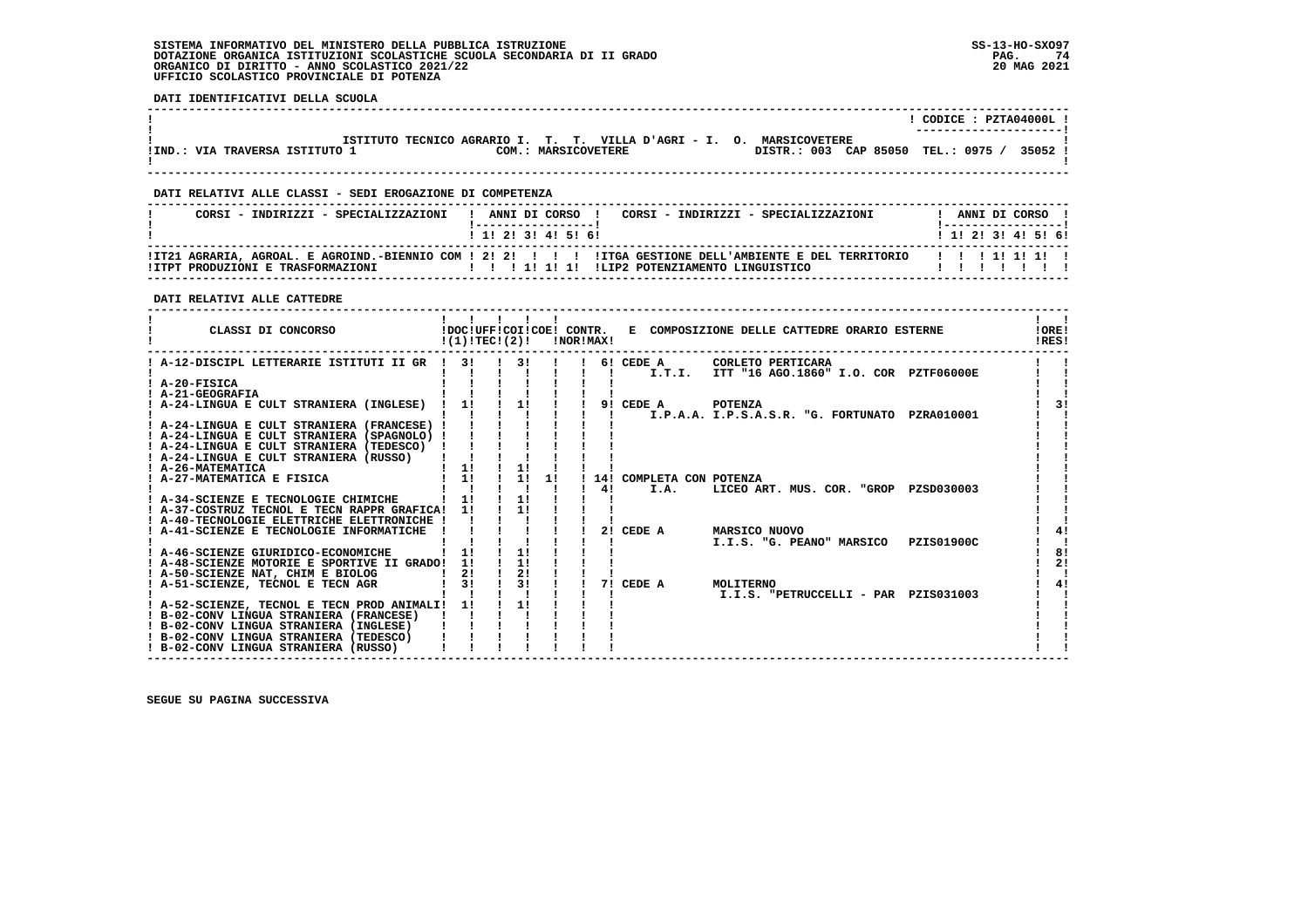# **SISTEMA INFORMATIVO DEL MINISTERO DELLA PUBBLICA ISTRUZIONE SS-13-HO-SXO97 DOTAZIONE ORGANICA ISTITUZIONI SCOLASTICHE SCUOLA SECONDARIA DI II GRADO PAG. 74**ORGANICO DI DIRITTO - ANNO SCOLASTICO 2021/22  **UFFICIO SCOLASTICO PROVINCIALE DI POTENZA**

 **DATI IDENTIFICATIVI DELLA SCUOLA**

|                                |                                                                         | CODICE: PZTA04000L!<br>----------------------- |
|--------------------------------|-------------------------------------------------------------------------|------------------------------------------------|
|                                | ISTITUTO TECNICO AGRARIO I. T. T. VILLA D'AGRI - I. O.<br>MARSICOVETERE |                                                |
| !IND.: VIA TRAVERSA ISTITUTO 1 | COM.: MARSICOVETERE                                                     | 35052 1<br>DISTR.: 003 CAP 85050 TEL.: 0975 /  |
|                                |                                                                         |                                                |

 **------------------------------------------------------------------------------------------------------------------------------------**

# **DATI RELATIVI ALLE CLASSI - SEDI EROGAZIONE DI COMPETENZA**

| CORSI - INDIRIZZI - SPECIALIZZAZIONI | ANNI DI CORSO<br>CORSI - INDIRIZZI - SPECIALIZZAZIONI                                                                                                   | ANNI DI CORSO             |
|--------------------------------------|---------------------------------------------------------------------------------------------------------------------------------------------------------|---------------------------|
|                                      | 1 1 2 3 3 4 5 6 1                                                                                                                                       | 1 1 1 2 1 3 1 4 1 5 1 6 1 |
| IITPT PRODUZIONI E TRASFORMAZIONI    | ITZ1 AGRARIA, AGROAL, E AGROIND.-BIENNIO COM ! 2! 2! !!! !ITGA GESTIONE DELL'AMBIENTE E DEL TERRITORIO!!!<br>1111111<br>ILIP2 POTENZIAMENTO LINGUISTICO | , , , , , , , , , , ,     |

 **------------------------------------------------------------------------------------------------------------------------------------**

# **DATI RELATIVI ALLE CATTEDRE**

| CLASSI DI CONCORSO                            | $!(1)!$ TEC $!(2)!$ | 1111 |                |                | !NOR!MAX! |                          | !DOC!UFF!COI!COE! CONTR. E COMPOSIZIONE DELLE CATTEDRE ORARIO ESTERNE | <b>!ORE!</b><br>IRES! |
|-----------------------------------------------|---------------------|------|----------------|----------------|-----------|--------------------------|-----------------------------------------------------------------------|-----------------------|
| ! A-12-DISCIPL LETTERARIE ISTITUTI II GR ! 3! |                     |      | 3!             | $\blacksquare$ |           | 6! CEDE A                | CORLETO PERTICARA                                                     |                       |
|                                               |                     |      |                |                |           | I.T.I.                   | ITT "16 AGO.1860" I.O. COR PZTF06000E                                 |                       |
| ! A-20-FISICA                                 |                     |      |                |                |           |                          |                                                                       |                       |
| ! A-21-GEOGRAFIA                              |                     |      |                |                |           |                          |                                                                       |                       |
| ! A-24-LINGUA E CULT STRANIERA (INGLESE)      | 11                  |      | 11             |                |           | 9! CEDE A                | POTENZA                                                               | २।                    |
|                                               |                     |      |                |                |           |                          | I.P.A.A. I.P.S.A.S.R. "G. FORTUNATO PZRA010001                        |                       |
| ! A-24-LINGUA E CULT STRANIERA (FRANCESE) !   |                     |      |                |                |           |                          |                                                                       |                       |
| ! A-24-LINGUA E CULT STRANIERA (SPAGNOLO) !   |                     |      |                |                |           |                          |                                                                       |                       |
| ! A-24-LINGUA E CULT STRANIERA (TEDESCO)      |                     |      |                |                |           |                          |                                                                       |                       |
| ! A-24-LINGUA E CULT STRANIERA (RUSSO)        |                     |      |                |                |           |                          |                                                                       |                       |
| ! A-26-MATEMATICA                             | 1!                  |      | 1!             |                |           |                          |                                                                       |                       |
| ! A-27-MATEMATICA E FISICA                    | 11                  |      | 11             | 11             |           | 14! COMPLETA CON POTENZA |                                                                       |                       |
|                                               |                     |      |                |                | 41        | I.A.                     | LICEO ART. MUS. COR. "GROP PZSD030003                                 |                       |
| ! A-34-SCIENZE E TECNOLOGIE CHIMICHE          | 1!                  |      | 1!             |                |           |                          |                                                                       |                       |
| ! A-37-COSTRUZ TECNOL E TECN RAPPR GRAFICA!   | 11                  |      | 11             |                |           |                          |                                                                       |                       |
| ! A-40-TECNOLOGIE ELETTRICHE ELETTRONICHE !   |                     |      |                |                |           |                          |                                                                       |                       |
| ! A-41-SCIENZE E TECNOLOGIE INFORMATICHE      |                     |      |                |                | 2!        | CEDE A                   | <b>MARSICO NUOVO</b>                                                  | 4!                    |
|                                               |                     |      |                |                |           |                          | I.I.S. "G. PEANO" MARSICO<br>PZIS01900C                               |                       |
| ! A-46-SCIENZE GIURIDICO-ECONOMICHE           | 1!                  |      | 1!             |                |           |                          |                                                                       | 8!                    |
| ! A-48-SCIENZE MOTORIE E SPORTIVE II GRADO!   | 11                  |      | 11             |                |           |                          |                                                                       | 2 <sub>1</sub>        |
| ! A-50-SCIENZE NAT, CHIM E BIOLOG             | 2!                  |      | 2!             |                |           |                          |                                                                       |                       |
| ! A-51-SCIENZE, TECNOL E TECN AGR             | 3!                  |      | 3 <sub>1</sub> |                |           | 7! CEDE A                | MOLITERNO                                                             | 4!                    |
|                                               |                     |      |                |                |           |                          | I.I.S. "PETRUCCELLI - PAR PZIS031003                                  |                       |
| ! A-52-SCIENZE, TECNOL E TECN PROD ANIMALI!   | 11                  |      | 11             |                |           |                          |                                                                       |                       |
| ! B-02-CONV LINGUA STRANIERA (FRANCESE)       |                     |      |                |                |           |                          |                                                                       |                       |
| ! B-02-CONV LINGUA STRANIERA (INGLESE)        |                     |      |                |                |           |                          |                                                                       |                       |
| ! B-02-CONV LINGUA STRANIERA (TEDESCO)        |                     |      |                |                |           |                          |                                                                       |                       |
| ! B-02-CONV LINGUA STRANIERA (RUSSO)          |                     |      |                |                |           |                          |                                                                       |                       |
|                                               |                     |      |                |                |           |                          |                                                                       |                       |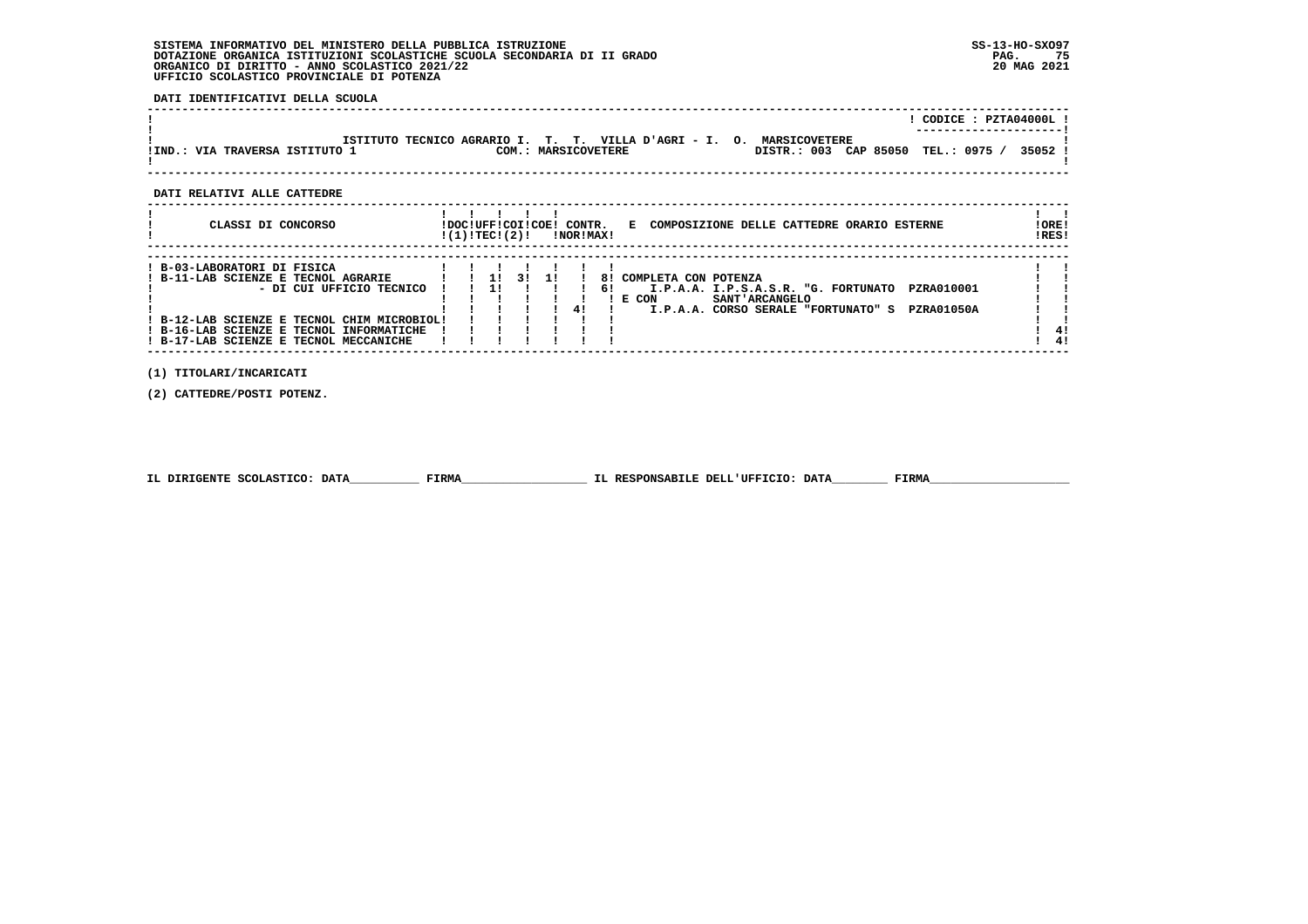# **SISTEMA INFORMATIVO DEL MINISTERO DELLA PUBBLICA ISTRUZIONE SS-13-HO-SXO97**DOTAZIONE ORGANICA ISTITUZIONI SCOLASTICHE SCUOLA SECONDARIA DI II GRADO<br>ORGANICO DI DIRITTO - ANNO SCOLASTICO 2021/22<br>UFFICIO SCOLASTICO PROVINCIALE DI POTENZA

 **DATI IDENTIFICATIVI DELLA SCUOLA**

|                                |                                                                                             |                                    | CODICE: PZTA04000L! |
|--------------------------------|---------------------------------------------------------------------------------------------|------------------------------------|---------------------|
| !IND.: VIA TRAVERSA ISTITUTO 1 | ISTITUTO TECNICO AGRARIO I. T. T. VILLA D'AGRI - I. O. MARSICOVETERE<br>COM.: MARSICOVETERE | DISTR.: 003 CAP 85050 TEL.: 0975 / | 35052               |
| DATI RELATIVI ALLE CATTEDRE    |                                                                                             |                                    |                     |

| CLASSI DI CONCORSO | !DOC!UFF!COI!COE!<br>CONTR.<br>!(1)!TEC!(2)!<br>!NOR!MAX! | COMPOSIZIONE DELLE CATTEDRE ORARIO | <b>ESTERNE</b> | ORE!<br>RES! |
|--------------------|-----------------------------------------------------------|------------------------------------|----------------|--------------|
|                    |                                                           |                                    |                |              |

| B-03-LABORATORI DI FISICA                 |  |  |  |     |                                                          |     |
|-------------------------------------------|--|--|--|-----|----------------------------------------------------------|-----|
| ! B-11-LAB SCIENZE E TECNOL AGRARIE       |  |  |  |     | 8! COMPLETA CON POTENZA                                  |     |
| - DI CUI UFFICIO TECNICO                  |  |  |  | -61 | PZRA010001<br>I.P.A.A. I.P.S.A.S.R. "G. FORTUNATO        |     |
|                                           |  |  |  |     | <b>SANT' ARCANGELO</b><br>! E CON                        |     |
|                                           |  |  |  |     | <b>PZRA01050A</b><br>I.P.A.A. CORSO SERALE "FORTUNATO" S |     |
| B-12-LAB SCIENZE E TECNOL CHIM MICROBIOL! |  |  |  |     |                                                          |     |
| ! B-16-LAB SCIENZE E TECNOL INFORMATICHE  |  |  |  |     |                                                          | -41 |
| ! B-17-LAB SCIENZE E TECNOL MECCANICHE    |  |  |  |     |                                                          | -41 |
|                                           |  |  |  |     |                                                          |     |

 **(1) TITOLARI/INCARICATI**

 **(2) CATTEDRE/POSTI POTENZ.**

| IL DIRIGENTE SCOLASTICO: DATA | <b>FIRMA</b> | IL RESPONSABILE DELL'UFFICIO: DATA | FIRMZ |
|-------------------------------|--------------|------------------------------------|-------|
|                               |              |                                    |       |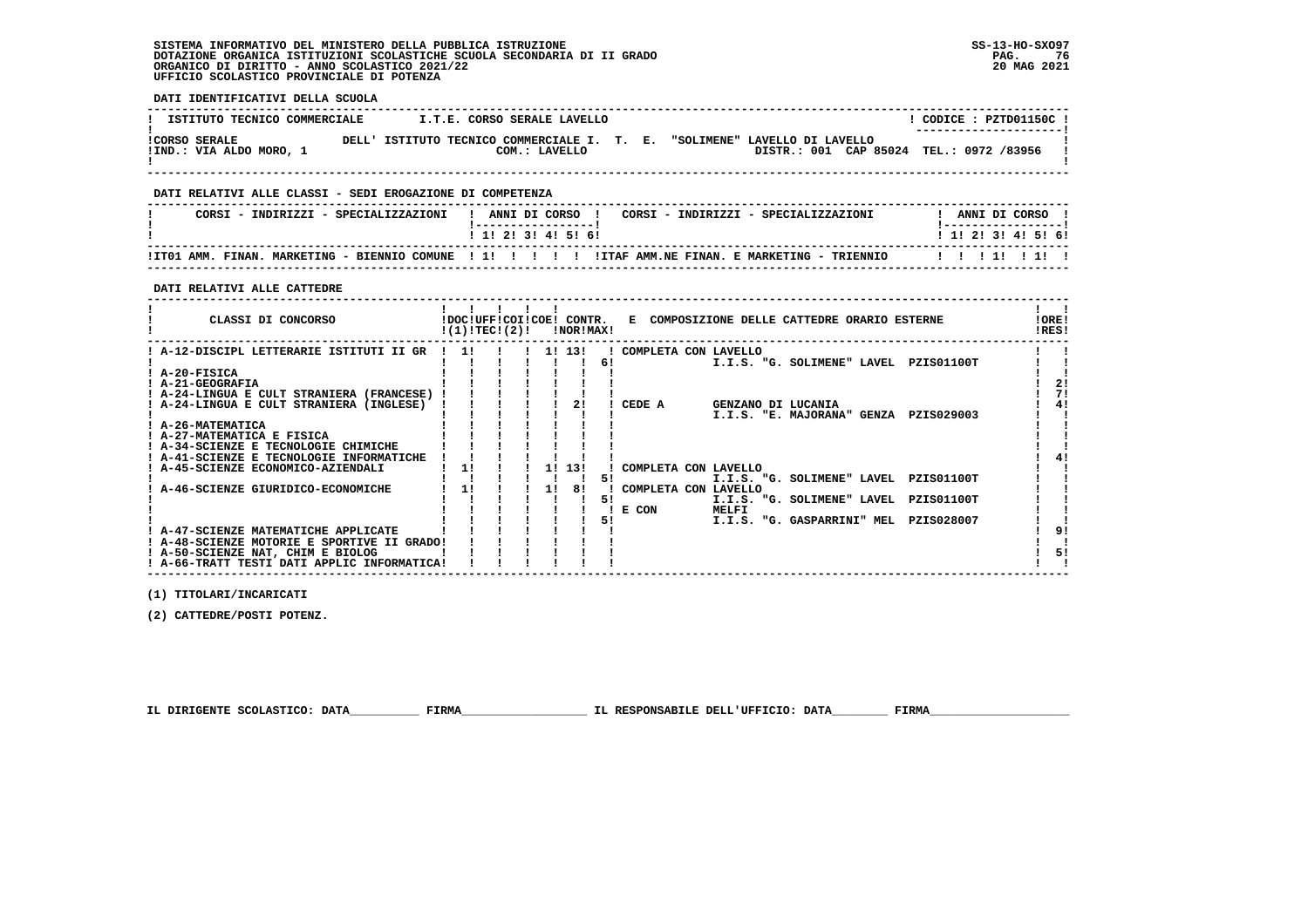# **SISTEMA INFORMATIVO DEL MINISTERO DELLA PUBBLICA ISTRUZIONE SS-13-HO-SXO97 DOTAZIONE ORGANICA ISTITUZIONI SCOLASTICHE SCUOLA SECONDARIA DI II GRADO PAG. 76ORGANICO DI DIRITTO - ANNO SCOLASTICO 2021/22 UFFICIO SCOLASTICO PROVINCIALE DI POTENZA**

 **DATI IDENTIFICATIVI DELLA SCUOLA**

| ISTITUTO TECNICO COMMERCIALE |       |                                       | I.T.E. CORSO SERALE LAVELLO |  |                                         |  | CODICE: PZTD01150C !  |  |
|------------------------------|-------|---------------------------------------|-----------------------------|--|-----------------------------------------|--|-----------------------|--|
|                              |       |                                       |                             |  |                                         |  | --------------------- |  |
| <b>!CORSO SERALE</b>         | DELL' | ISTITUTO TECNICO COMMERCIALE I. T. E. |                             |  | "SOLIMENE" LAVELLO DI LAVELLO           |  |                       |  |
| !IND.: VIA ALDO MORO, 1      |       |                                       | COM.: LAVELLO               |  | DISTR.: 001 CAP 85024 TEL.: 0972 /83956 |  |                       |  |
|                              |       |                                       |                             |  |                                         |  |                       |  |

 **------------------------------------------------------------------------------------------------------------------------------------**

# **DATI RELATIVI ALLE CLASSI - SEDI EROGAZIONE DI COMPETENZA**

| CORSI - INDIRIZZI - SPECIALIZZAZIONI | ANNI DI CORSO<br>CORSI - INDIRIZZI - SPECIALIZZAZIONI                           | ANNI DI CORSO     |
|--------------------------------------|---------------------------------------------------------------------------------|-------------------|
|                                      | 1 1 2 3 3 4 5 6 1                                                               | 1 1 2 3 3 4 5 6 6 |
| ITTO1 AMM.<br>FINAN.                 | MARKETING - BIENNIO COMUNE ! !!!!!!! ITTAF AMM.NE FINAN. E MARKETING - TRIENNIO |                   |

 **------------------------------------------------------------------------------------------------------------------------------------**

# **DATI RELATIVI ALLE CATTEDRE**

| CLASSI DI CONCORSO                          | !DOC!UFF!COI!COE! CONTR.<br>!(1)!TECI(2)! |  |    | !NOR!MAX! |    |                      | E COMPOSIZIONE DELLE CATTEDRE ORARIO ESTERNE | !ORE!<br>!RES! |
|---------------------------------------------|-------------------------------------------|--|----|-----------|----|----------------------|----------------------------------------------|----------------|
| ! A-12-DISCIPL LETTERARIE ISTITUTI II GR    | -11                                       |  |    |           |    | COMPLETA CON LAVELLO |                                              |                |
|                                             |                                           |  |    |           | 6! |                      | I.I.S. "G. SOLIMENE" LAVEL<br>PZIS01100T     |                |
| ! A-20-FISICA                               |                                           |  |    |           |    |                      |                                              |                |
| ! A-21-GEOGRAFIA                            |                                           |  |    |           |    |                      |                                              |                |
| ! A-24-LINGUA E CULT STRANIERA (FRANCESE)   |                                           |  |    |           |    |                      |                                              |                |
| ! A-24-LINGUA E CULT STRANIERA (INGLESE)    |                                           |  |    |           |    | CEDE A               | GENZANO DI LUCANIA                           |                |
|                                             |                                           |  |    |           |    |                      | I.I.S. "E. MAJORANA" GENZA<br>PZIS029003     |                |
| ! A-26-MATEMATICA                           |                                           |  |    |           |    |                      |                                              |                |
| ! A-27-MATEMATICA E FISICA                  |                                           |  |    |           |    |                      |                                              |                |
| ! A-34-SCIENZE E TECNOLOGIE CHIMICHE        |                                           |  |    |           |    |                      |                                              |                |
| ! A-41-SCIENZE E TECNOLOGIE INFORMATICHE    |                                           |  |    |           |    |                      |                                              |                |
| ! A-45-SCIENZE ECONOMICO-AZIENDALI          | 1!                                        |  |    | 1! 13!    |    | COMPLETA CON LAVELLO |                                              |                |
|                                             |                                           |  |    |           | 51 |                      | I.I.S. "G. SOLIMENE" LAVEL PZIS01100T        |                |
| A-46-SCIENZE GIURIDICO-ECONOMICHE           |                                           |  | 11 | 81        |    | COMPLETA CON LAVELLO |                                              |                |
|                                             |                                           |  |    |           | 51 |                      | I.I.S. "G. SOLIMENE" LAVEL<br>PZIS01100T     |                |
|                                             |                                           |  |    |           |    | ! E COM              | MELFI                                        |                |
|                                             |                                           |  |    |           | 51 |                      | PZIS028007<br>I.I.S. "G. GASPARRINI" MEL     |                |
| ! A-47-SCIENZE MATEMATICHE APPLICATE        |                                           |  |    |           |    |                      |                                              |                |
| ! A-48-SCIENZE MOTORIE E SPORTIVE II GRADO! |                                           |  |    |           |    |                      |                                              |                |
| ! A-50-SCIENZE NAT, CHIM E BIOLOG           |                                           |  |    |           |    |                      |                                              | 51             |
| ! A-66-TRATT TESTI DATI APPLIC INFORMATICA! |                                           |  |    |           |    |                      |                                              |                |

 **(1) TITOLARI/INCARICATI**

 **(2) CATTEDRE/POSTI POTENZ.**

 **IL DIRIGENTE SCOLASTICO: DATA\_\_\_\_\_\_\_\_\_\_ FIRMA\_\_\_\_\_\_\_\_\_\_\_\_\_\_\_\_\_\_ IL RESPONSABILE DELL'UFFICIO: DATA\_\_\_\_\_\_\_\_ FIRMA\_\_\_\_\_\_\_\_\_\_\_\_\_\_\_\_\_\_\_\_**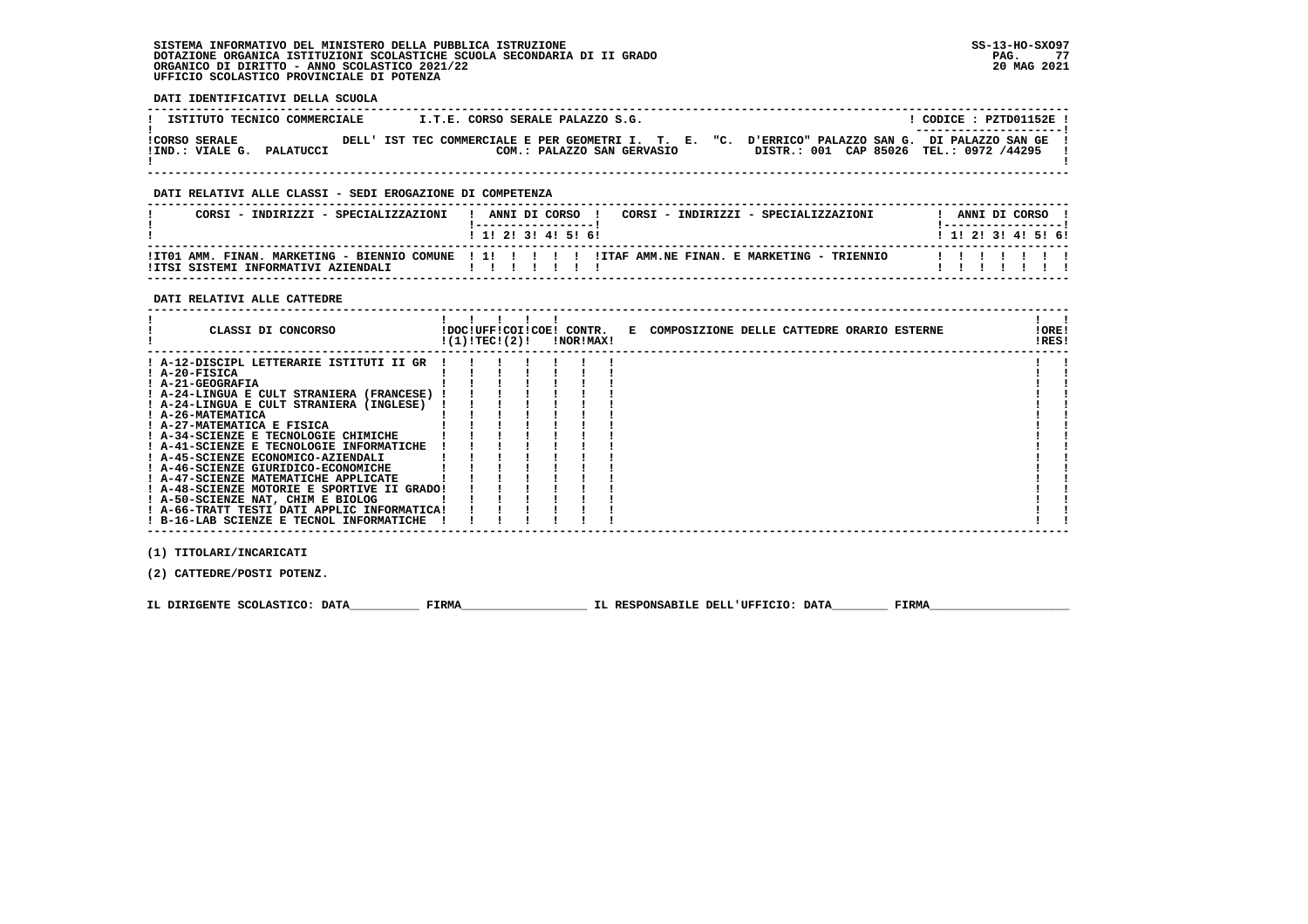# **SISTEMA INFORMATIVO DEL MINISTERO DELLA PUBBLICA ISTRUZIONE SS-13-HO-SXO97 DOTAZIONE ORGANICA ISTITUZIONI SCOLASTICHE SCUOLA SECONDARIA DI II GRADO** ORGANICO DI DIRITTO - ANNO SCOLASTICO 2021/22  **UFFICIO SCOLASTICO PROVINCIALE DI POTENZA**

# **DATI IDENTIFICATIVI DELLA SCUOLA**

| ISTITUTO TECNICO COMMERCIALE | I.T.E. CORSO SERALE PALAZZO S.G.                      | CODICE: PZTD01152E!                                                    |
|------------------------------|-------------------------------------------------------|------------------------------------------------------------------------|
| <b>!CORSO SERALE</b>         | DELL' IST TEC COMMERCIALE E PER GEOMETRI I. T. E. "C. | ---------------------- <br>D'ERRICO" PALAZZO SAN G. DI PALAZZO SAN GE! |
| !IND.: VIALE G.<br>PALATUCCI | COM.: PALAZZO SAN GERVASIO                            | DISTR.: 001 CAP 85026 TEL.: 0972 /44295                                |

 **------------------------------------------------------------------------------------------------------------------------------------**

#### **DATI RELATIVI ALLE CLASSI - SEDI EROGAZIONE DI COMPETENZA**

| CORSI - INDIRIZZI - SPECIALIZZAZIONI | ! ANNI DI CORSO !<br>CORSI - INDIRIZZI - SPECIALIZZAZIONI                                              | ANNI DI CORSO !           |
|--------------------------------------|--------------------------------------------------------------------------------------------------------|---------------------------|
|                                      | 1 1 1 2 1 3 1 4 1 5 1 6 1                                                                              | 1 1 2 2 1 3 1 4 1 5 1 6 1 |
| !ITSI SISTEMI INFORMATIVI AZIENDALI  | ITTO1 AMM. FINAN. MARKETING - BIENNIO COMUNE   1!            ITAF AMM.NE FINAN. E MARKETING - TRIENNIO | .                         |

 **------------------------------------------------------------------------------------------------------------------------------------**

#### **DATI RELATIVI ALLE CATTEDRE**

| CLASSI DI CONCORSO                          | !(1)!TEC!(2)! |  | !DOC!UFF!COI!COE! CONTR.<br>!NOR!MAX! | E COMPOSIZIONE DELLE CATTEDRE ORARIO ESTERNE | ! ORE!<br>!RES! |  |
|---------------------------------------------|---------------|--|---------------------------------------|----------------------------------------------|-----------------|--|
| ! A-12-DISCIPL LETTERARIE ISTITUTI II GR    |               |  |                                       |                                              |                 |  |
| ! A-20-FISICA                               |               |  |                                       |                                              |                 |  |
| ! A-21-GEOGRAFIA                            |               |  |                                       |                                              |                 |  |
| ! A-24-LINGUA E CULT STRANIERA (FRANCESE)   |               |  |                                       |                                              |                 |  |
| ! A-24-LINGUA E CULT STRANIERA (INGLESE)    |               |  |                                       |                                              |                 |  |
| ! A-26-MATEMATICA                           |               |  |                                       |                                              |                 |  |
| ! A-27-MATEMATICA E FISICA                  |               |  |                                       |                                              |                 |  |
| ! A-34-SCIENZE E TECNOLOGIE CHIMICHE        |               |  |                                       |                                              |                 |  |
| ! A-41-SCIENZE E TECNOLOGIE INFORMATICHE    |               |  |                                       |                                              |                 |  |
| ! A-45-SCIENZE ECONOMICO-AZIENDALI          |               |  |                                       |                                              |                 |  |
| ! A-46-SCIENZE GIURIDICO-ECONOMICHE         |               |  |                                       |                                              |                 |  |
| ! A-47-SCIENZE MATEMATICHE APPLICATE        |               |  |                                       |                                              |                 |  |
| ! A-48-SCIENZE MOTORIE E SPORTIVE II GRADO! |               |  |                                       |                                              |                 |  |
| ! A-50-SCIENZE NAT, CHIM E BIOLOG           |               |  |                                       |                                              |                 |  |
| ! A-66-TRATT TESTI DATI APPLIC INFORMATICA! |               |  |                                       |                                              |                 |  |
| ! B-16-LAB SCIENZE E TECNOL INFORMATICHE    |               |  |                                       |                                              |                 |  |

 **(1) TITOLARI/INCARICATI**

 **(2) CATTEDRE/POSTI POTENZ.**

 **IL DIRIGENTE SCOLASTICO: DATA\_\_\_\_\_\_\_\_\_\_ FIRMA\_\_\_\_\_\_\_\_\_\_\_\_\_\_\_\_\_\_ IL RESPONSABILE DELL'UFFICIO: DATA\_\_\_\_\_\_\_\_ FIRMA\_\_\_\_\_\_\_\_\_\_\_\_\_\_\_\_\_\_\_\_**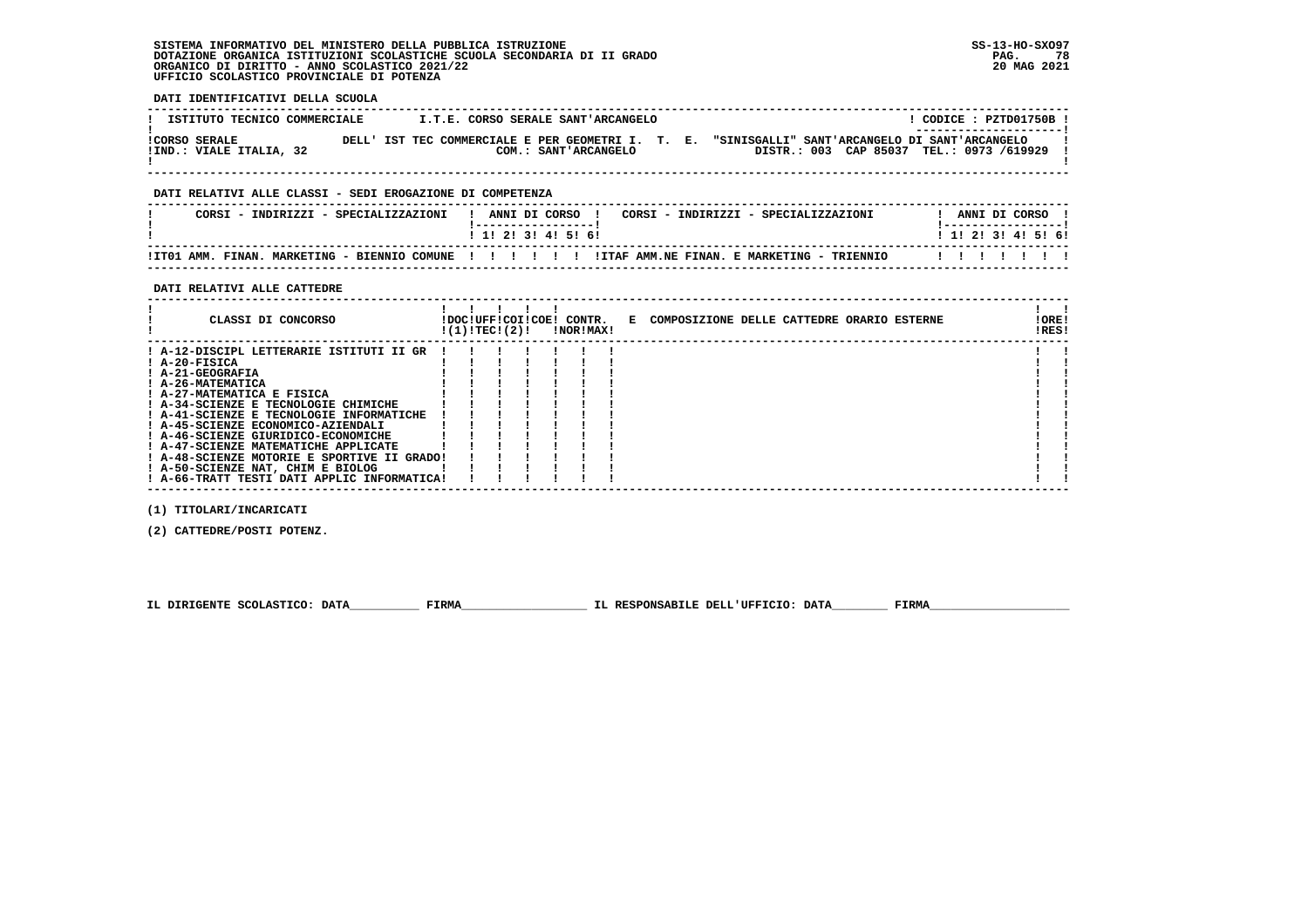# **SISTEMA INFORMATIVO DEL MINISTERO DELLA PUBBLICA ISTRUZIONE SS-13-HO-SXO97 DOTAZIONE ORGANICA ISTITUZIONI SCOLASTICHE SCUOLA SECONDARIA DI II GRADO PAG. 78ORGANICO DI DIRITTO - ANNO SCOLASTICO 2021/22 UFFICIO SCOLASTICO PROVINCIALE DI POTENZA**

 **DATI IDENTIFICATIVI DELLA SCUOLA**

| ISTITUTO TECNICO COMMERCIALE                    |  | I.T.E. CORSO SERALE SANT'ARCANGELO |  |                                                                                                                                             | CODICE : PZTD01750B !<br>---------------------- |  |
|-------------------------------------------------|--|------------------------------------|--|---------------------------------------------------------------------------------------------------------------------------------------------|-------------------------------------------------|--|
| <b>!CORSO SERALE</b><br>IIND.: VIALE ITALIA, 32 |  | COM.: SANT'ARCANGELO               |  | DELL' IST TEC COMMERCIALE E PER GEOMETRI I. T. E. "SINISGALLI" SANT'ARCANGELO DI SANT'ARCANGELO<br>DISTR.: 003 CAP 85037 TEL.: 0973 /619929 |                                                 |  |

 **------------------------------------------------------------------------------------------------------------------------------------**

# **DATI RELATIVI ALLE CLASSI - SEDI EROGAZIONE DI COMPETENZA**

| CORSI - INDIRIZZI - SPECIALIZZAZIONI | ANNI DI CORSO<br>CORSI - INDIRIZZI - SPECIALIZZAZIONI                                                | ANNI DI CORSO             |
|--------------------------------------|------------------------------------------------------------------------------------------------------|---------------------------|
|                                      | 1 1 2 3 3 4 5 6 6                                                                                    | 1 1 1 2 1 3 1 4 1 5 1 6 1 |
|                                      | ITO1 AMM. FINAN. MARKETING - BIENNIO COMUNE !!!!!!!!!ITAF AMM.NE FINAN. E MARKETING - TRIENNIO!!!!!! | .                         |

 **------------------------------------------------------------------------------------------------------------------------------------**

# **DATI RELATIVI ALLE CATTEDRE**

| CLASSI DI CONCORSO                                                                                                                                                                                                                                         | !(1)!TEC!(2)! |  | !DOC!UFF!COI!COE! CONTR.<br>!NOR!MAX! | E COMPOSIZIONE DELLE CATTEDRE ORARIO ESTERNE | !ORE!<br>!RES! |  |
|------------------------------------------------------------------------------------------------------------------------------------------------------------------------------------------------------------------------------------------------------------|---------------|--|---------------------------------------|----------------------------------------------|----------------|--|
| ! A-12-DISCIPL LETTERARIE ISTITUTI II GR<br>! A-20-FISICA<br>! A-21-GEOGRAFIA<br>! A-26-MATEMATICA<br>! A-27-MATEMATICA E FISICA<br>! A-34-SCIENZE E TECNOLOGIE CHIMICHE<br>! A-41-SCIENZE E TECNOLOGIE INFORMATICHE<br>! A-45-SCIENZE ECONOMICO-AZIENDALI |               |  |                                       |                                              |                |  |
| ! A-46-SCIENZE GIURIDICO-ECONOMICHE<br>! A-47-SCIENZE MATEMATICHE APPLICATE<br>! A-48-SCIENZE MOTORIE E SPORTIVE II GRADO!<br>! A-50-SCIENZE NAT, CHIM E BIOLOG<br>! A-66-TRATT TESTI DATI APPLIC INFORMATICA!                                             |               |  |                                       |                                              |                |  |

 **(1) TITOLARI/INCARICATI**

 **(2) CATTEDRE/POSTI POTENZ.**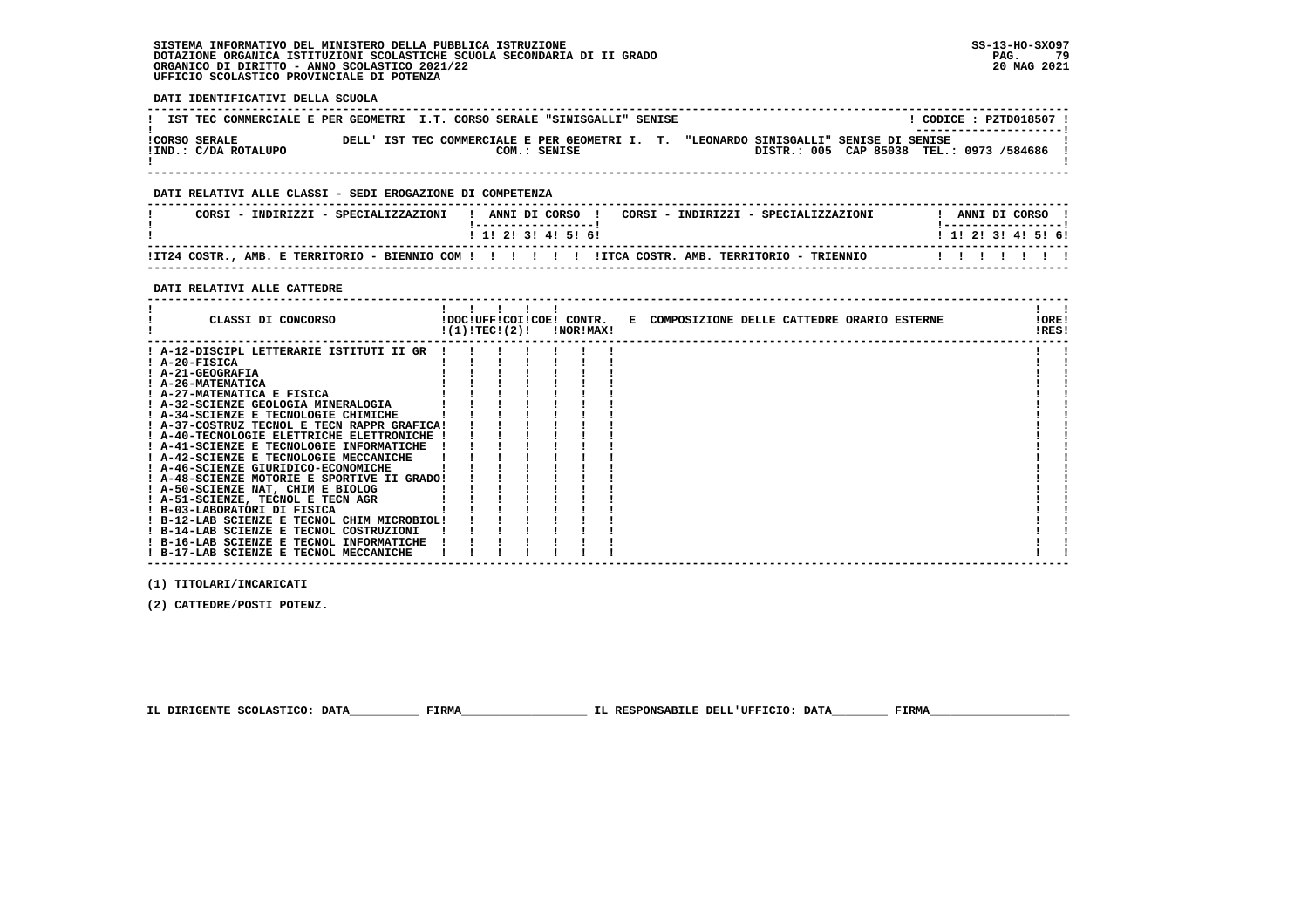# **SISTEMA INFORMATIVO DEL MINISTERO DELLA PUBBLICA ISTRUZIONE SS-13-HO-SXO97 DOTAZIONE ORGANICA ISTITUZIONI SCOLASTICHE SCUOLA SECONDARIA DI II GRADO PAG. 79**ORGANICO DI DIRITTO - ANNO SCOLASTICO 2021/22  **UFFICIO SCOLASTICO PROVINCIALE DI POTENZA**

 **DATI IDENTIFICATIVI DELLA SCUOLA**

| IST TEC COMMERCIALE E PER GEOMETRI I.T. CORSO SERALE "SINISGALLI" SENISE |  |                                                                |                                        | $CODE: PZTD018507$ !<br>---------------------- |
|--------------------------------------------------------------------------|--|----------------------------------------------------------------|----------------------------------------|------------------------------------------------|
| <b>!CORSO SERALE</b><br>IIND.: C/DA ROTALUPO                             |  | DELL' IST TEC COMMERCIALE E PER GEOMETRI I. T.<br>COM.: SENISE | "LEONARDO SINISGALLI" SENISE DI SENISE | DISTR.: 005 CAP 85038 TEL.: 0973 /584686       |

 **------------------------------------------------------------------------------------------------------------------------------------**

# **DATI RELATIVI ALLE CLASSI - SEDI EROGAZIONE DI COMPETENZA**

| CORSI - INDIRIZZI - SPECIALIZZAZIONI |  | ANNI DI CORSO     |  |  |  | CORSI - INDIRIZZI - SPECIALIZZAZIONI |  | ANNI DI CORSO             |  |  |  |
|--------------------------------------|--|-------------------|--|--|--|--------------------------------------|--|---------------------------|--|--|--|
|                                      |  | 1 1 2 3 3 4 5 6 1 |  |  |  |                                      |  | 1 1 1 2 1 3 1 4 1 5 1 6 1 |  |  |  |
|                                      |  |                   |  |  |  |                                      |  |                           |  |  |  |

 **------------------------------------------------------------------------------------------------------------------------------------**

# **DATI RELATIVI ALLE CATTEDRE**

| CLASSI DI CONCORSO                                                         | !(1)!TEC!(2)! |  | !DOC!UFF!COI!COE! CONTR.<br>!NOR!MAX! | E COMPOSIZIONE DELLE CATTEDRE ORARIO ESTERNE | !ORE!<br>!RES! |  |
|----------------------------------------------------------------------------|---------------|--|---------------------------------------|----------------------------------------------|----------------|--|
| ! A-12-DISCIPL LETTERARIE ISTITUTI II GR                                   |               |  |                                       |                                              |                |  |
| ! A-20-FISICA                                                              |               |  |                                       |                                              |                |  |
| ! A-21-GEOGRAFIA                                                           |               |  |                                       |                                              |                |  |
| ! A-26-MATEMATICA                                                          |               |  |                                       |                                              |                |  |
| ! A-27-MATEMATICA E FISICA                                                 |               |  |                                       |                                              |                |  |
| ! A-32-SCIENZE GEOLOGIA MINERALOGIA                                        |               |  |                                       |                                              |                |  |
| ! A-34-SCIENZE E TECNOLOGIE CHIMICHE                                       |               |  |                                       |                                              |                |  |
| ! A-37-COSTRUZ TECNOL E TECN RAPPR GRAFICA!                                |               |  |                                       |                                              |                |  |
| ! A-40-TECNOLOGIE ELETTRICHE ELETTRONICHE                                  |               |  |                                       |                                              |                |  |
| ! A-41-SCIENZE E TECNOLOGIE INFORMATICHE                                   |               |  |                                       |                                              |                |  |
| ! A-42-SCIENZE E TECNOLOGIE MECCANICHE                                     |               |  |                                       |                                              |                |  |
| ! A-46-SCIENZE GIURIDICO-ECONOMICHE                                        |               |  |                                       |                                              |                |  |
| ! A-48-SCIENZE MOTORIE E SPORTIVE II GRADO!                                |               |  |                                       |                                              |                |  |
| ! A-50-SCIENZE NAT, CHIM E BIOLOG                                          |               |  |                                       |                                              |                |  |
| ! A-51-SCIENZE, TECNOL E TECN AGR                                          |               |  |                                       |                                              |                |  |
| ! B-03-LABORATORI DI FISICA<br>! B-12-LAB SCIENZE E TECNOL CHIM MICROBIOL! |               |  |                                       |                                              |                |  |
| ! B-14-LAB SCIENZE E TECNOL COSTRUZIONI                                    |               |  |                                       |                                              |                |  |
| ! B-16-LAB SCIENZE E TECNOL INFORMATICHE                                   |               |  |                                       |                                              |                |  |
| ! B-17-LAB SCIENZE E TECNOL MECCANICHE                                     |               |  |                                       |                                              |                |  |
|                                                                            |               |  |                                       |                                              |                |  |

 **------------------------------------------------------------------------------------------------------------------------------------**

 **(1) TITOLARI/INCARICATI**

 **(2) CATTEDRE/POSTI POTENZ.**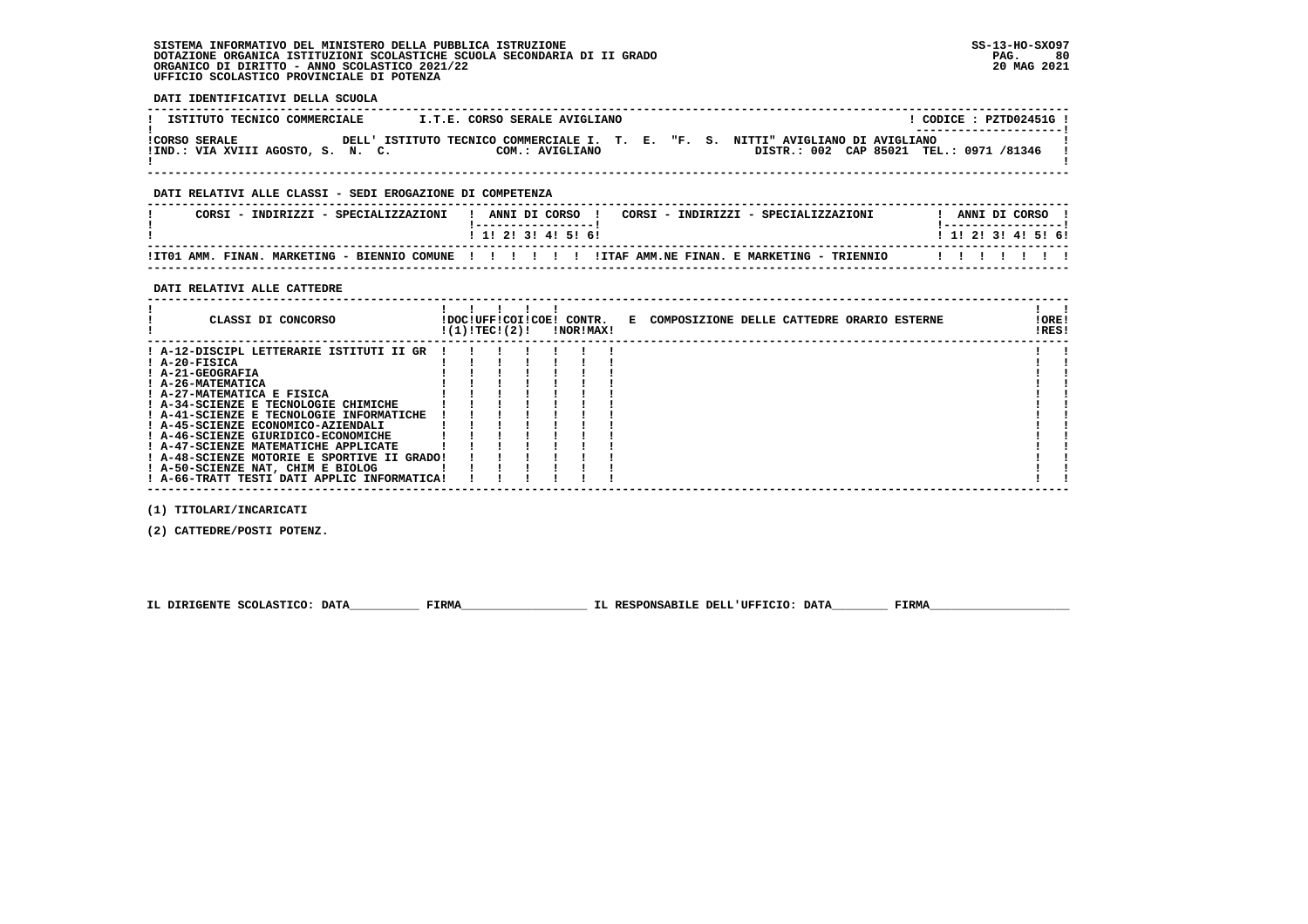# **SISTEMA INFORMATIVO DEL MINISTERO DELLA PUBBLICA ISTRUZIONE SS-13-HO-SXO97 DOTAZIONE ORGANICA ISTITUZIONI SCOLASTICHE SCUOLA SECONDARIA DI II GRADO** ORGANICO DI DIRITTO - ANNO SCOLASTICO 2021/22  **UFFICIO SCOLASTICO PROVINCIALE DI POTENZA**

 **DATI IDENTIFICATIVI DELLA SCUOLA**

| ISTITUTO TECNICO COMMERCIALE                              | I.T.E. CORSO SERALE AVIGLIANO |  |  | CODICE: PZTD02451G!<br>---------------------                                                                                |  |
|-----------------------------------------------------------|-------------------------------|--|--|-----------------------------------------------------------------------------------------------------------------------------|--|
| <b>!CORSO SERALE</b><br>!IND.: VIA XVIII AGOSTO, S. N. C. | COM.: AVIGLIANO               |  |  | DELL' ISTITUTO TECNICO COMMERCIALE I. T. E. "F. S. NITTI" AVIGLIANO DI AVIGLIANO<br>DISTR.: 002 CAP 85021 TEL.: 0971 /81346 |  |

 **------------------------------------------------------------------------------------------------------------------------------------**

# **DATI RELATIVI ALLE CLASSI - SEDI EROGAZIONE DI COMPETENZA**

| CORSI<br>: - INDIRIZZI - SPECIALIZZAZIONI                   | ANNI DI CORSO<br>CORSI - INDIRIZZI - SPECIALIZZAZIONI | ANNI DI CORSO       |
|-------------------------------------------------------------|-------------------------------------------------------|---------------------|
|                                                             | ! 1! 2! 3! 4! 5! 6!                                   | ! 1! 2! 3! 4! 5! 6! |
| !IT01 AMM. FINAN.<br>MARKETING - BIENNIO COMUNE ! ! ! ! ! ! | ITTAF AMM.NE FINAN. E MARKETING - TRIENNIO            |                     |

 **------------------------------------------------------------------------------------------------------------------------------------**

# **DATI RELATIVI ALLE CATTEDRE**

| CLASSI DI CONCORSO                                          | !(1)!TEC!(2)! |  | !DOC!UFF!COI!COE! CONTR.<br>!NOR!MAX! | E COMPOSIZIONE DELLE CATTEDRE ORARIO ESTERNE | ! ORE!<br>!RES! |  |
|-------------------------------------------------------------|---------------|--|---------------------------------------|----------------------------------------------|-----------------|--|
| ! A-12-DISCIPL LETTERARIE ISTITUTI II GR<br>$I$ A-20-FISICA |               |  |                                       |                                              |                 |  |
| ! A-21-GEOGRAFIA                                            |               |  |                                       |                                              |                 |  |
| ! A-26-MATEMATICA                                           |               |  |                                       |                                              |                 |  |
| ! A-27-MATEMATICA E FISICA                                  |               |  |                                       |                                              |                 |  |
| ! A-34-SCIENZE E TECNOLOGIE CHIMICHE                        |               |  |                                       |                                              |                 |  |
| ! A-41-SCIENZE E TECNOLOGIE INFORMATICHE                    |               |  |                                       |                                              |                 |  |
| ! A-45-SCIENZE ECONOMICO-AZIENDALI                          |               |  |                                       |                                              |                 |  |
| ! A-46-SCIENZE GIURIDICO-ECONOMICHE                         |               |  |                                       |                                              |                 |  |
| ! A-47-SCIENZE MATEMATICHE APPLICATE                        |               |  |                                       |                                              |                 |  |
| ! A-48-SCIENZE MOTORIE E SPORTIVE II GRADO!                 |               |  |                                       |                                              |                 |  |
| ! A-50-SCIENZE NAT, CHIM E BIOLOG                           |               |  |                                       |                                              |                 |  |
| ! A-66-TRATT TESTI DATI APPLIC INFORMATICA!                 |               |  |                                       |                                              |                 |  |

 **(1) TITOLARI/INCARICATI**

 **(2) CATTEDRE/POSTI POTENZ.**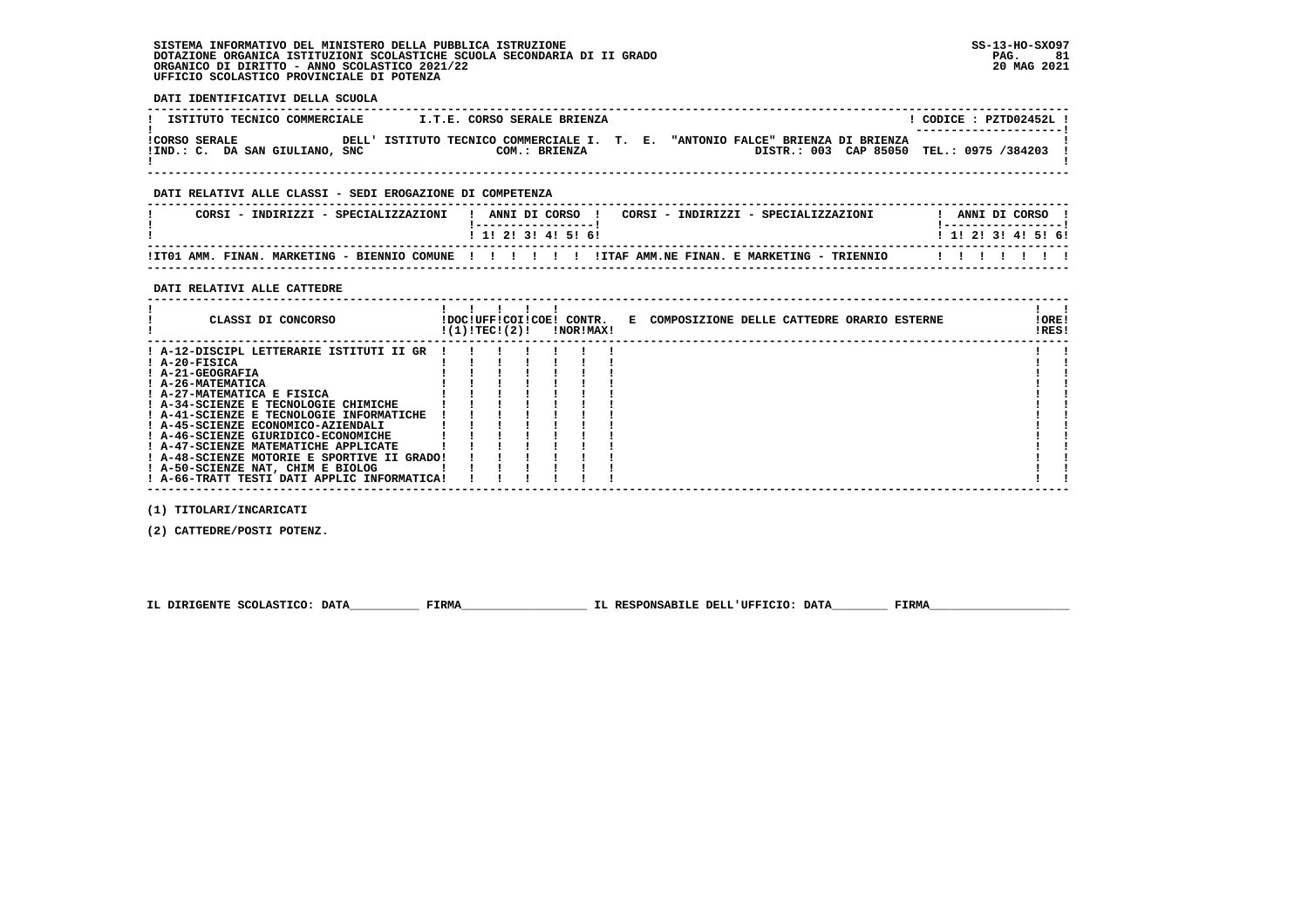# **SISTEMA INFORMATIVO DEL MINISTERO DELLA PUBBLICA ISTRUZIONE SS-13-HO-SXO97 DOTAZIONE ORGANICA ISTITUZIONI SCOLASTICHE SCUOLA SECONDARIA DI II GRADO PAG. 81ORGANICO DI DIRITTO - ANNO SCOLASTICO 2021/22 UFFICIO SCOLASTICO PROVINCIALE DI POTENZA**

 **DATI IDENTIFICATIVI DELLA SCUOLA**

| ISTITUTO TECNICO COMMERCIALE                           | I.T.E. CORSO SERALE BRIENZA                                  |  |                                                                                | CODICE: PZTD02452L!<br>---------------------- |  |
|--------------------------------------------------------|--------------------------------------------------------------|--|--------------------------------------------------------------------------------|-----------------------------------------------|--|
| <b>ICORSO SERALE</b><br>!IND.: C. DA SAN GIULIANO, SNC | DELL' ISTITUTO TECNICO COMMERCIALE I. T. E.<br>COM.: BRIENZA |  | "ANTONIO FALCE" BRIENZA DI BRIENZA<br>DISTR.: 003 CAP 85050 TEL.: 0975 /384203 |                                               |  |

# **DATI RELATIVI ALLE CLASSI - SEDI EROGAZIONE DI COMPETENZA**

| CORSI - INDIRIZZI - SPECIALIZZAZIONI | ANNI DI CORSO<br>CORSI - INDIRIZZI - SPECIALIZZAZIONI                                                | ANNI DI CORSO             |
|--------------------------------------|------------------------------------------------------------------------------------------------------|---------------------------|
|                                      | 1 1 2 3 3 4 5 6 1                                                                                    | 1 1 1 2 1 3 1 4 1 5 1 6 1 |
|                                      | ITTO1 AMM. FINAN. MARKETING - BIENNIO COMUNE !!!!!!!!!!!ITAF AMM.NE FINAN. E MARKETING - TRIENNIO!!! | .                         |

 **------------------------------------------------------------------------------------------------------------------------------------**

# **DATI RELATIVI ALLE CATTEDRE**

| CLASSI DI CONCORSO                                                                                                                                                                                                                                                                                  |               |  |           | !DOC!UFF!COI!COE! CONTR. E COMPOSIZIONE DELLE CATTEDRE ORARIO ESTERNE | !ORE! |  |
|-----------------------------------------------------------------------------------------------------------------------------------------------------------------------------------------------------------------------------------------------------------------------------------------------------|---------------|--|-----------|-----------------------------------------------------------------------|-------|--|
| ! A-12-DISCIPL LETTERARIE ISTITUTI II GR<br>$I$ A-20-FISICA<br>! A-21-GEOGRAFIA<br>! A-26-MATEMATICA<br>! A-27-MATEMATICA E FISICA<br>! A-34-SCIENZE E TECNOLOGIE CHIMICHE<br>! A-41-SCIENZE E TECNOLOGIE INFORMATICHE<br>! A-45-SCIENZE ECONOMICO-AZIENDALI<br>! A-46-SCIENZE GIURIDICO-ECONOMICHE | !(1)!TEC!(2)! |  | !NOR!MAX! |                                                                       | !RES! |  |
| ! A-47-SCIENZE MATEMATICHE APPLICATE<br>! A-48-SCIENZE MOTORIE E SPORTIVE II GRADO!<br>! A-50-SCIENZE NAT, CHIM E BIOLOG<br>! A-66-TRATT TESTI DATI APPLIC INFORMATICA!                                                                                                                             |               |  |           |                                                                       |       |  |

 **(1) TITOLARI/INCARICATI**

 **(2) CATTEDRE/POSTI POTENZ.**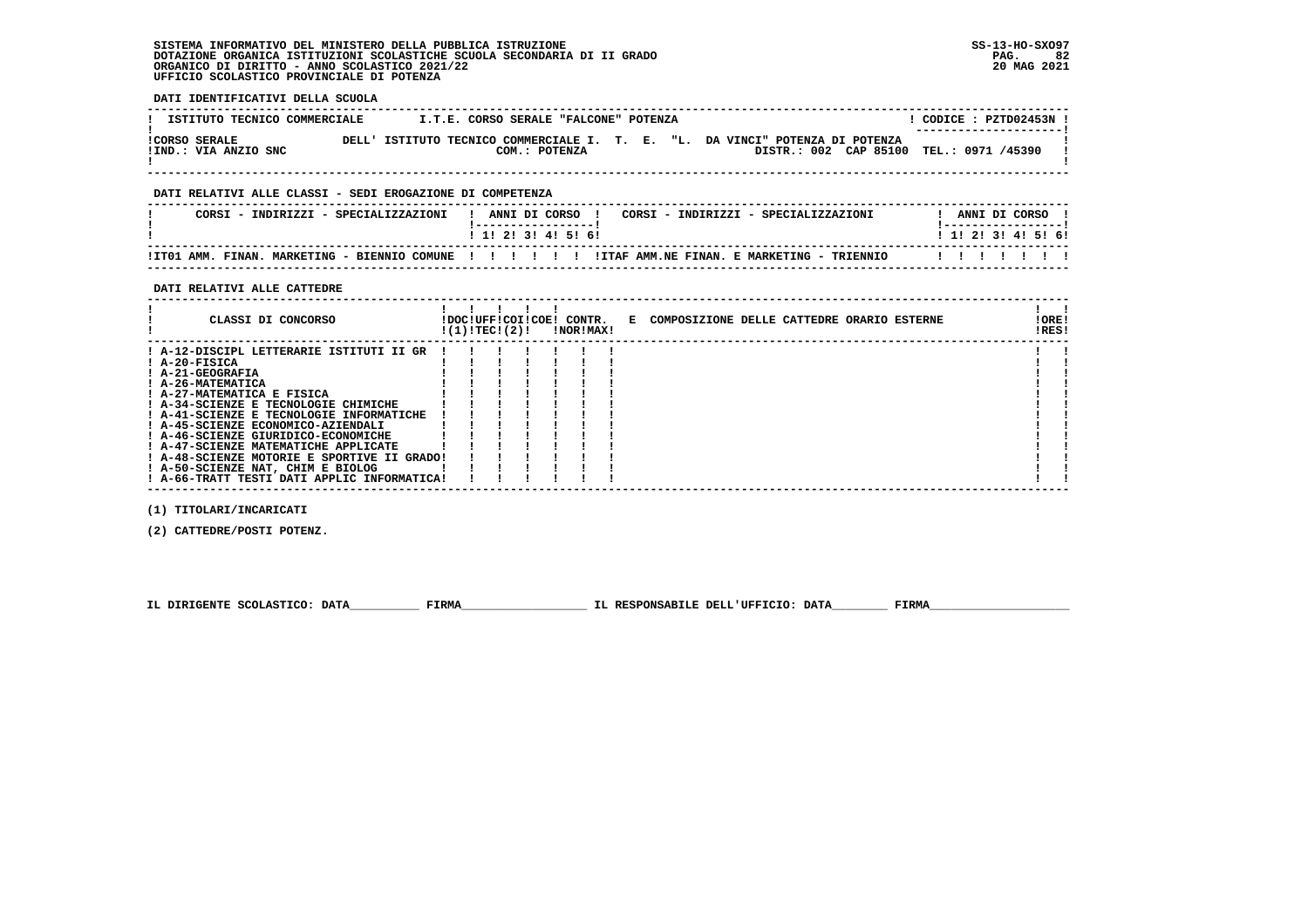# **SISTEMA INFORMATIVO DEL MINISTERO DELLA PUBBLICA ISTRUZIONE SS-13-HO-SXO97 DOTAZIONE ORGANICA ISTITUZIONI SCOLASTICHE SCUOLA SECONDARIA DI II GRADO PAG. 82**ORGANICO DI DIRITTO - ANNO SCOLASTICO 2021/22  **UFFICIO SCOLASTICO PROVINCIALE DI POTENZA**

 **DATI IDENTIFICATIVI DELLA SCUOLA**

| ISTITUTO TECNICO COMMERCIALE                 | I.T.E. CORSO SERALE "FALCONE" POTENZA |  |                                                                                                                         | CODICE: PZTD02453N !<br>--------------------- |
|----------------------------------------------|---------------------------------------|--|-------------------------------------------------------------------------------------------------------------------------|-----------------------------------------------|
| <b>!CORSO SERALE</b><br>!IND.: VIA ANZIO SNC | COM.: POTENZA                         |  | DELL' ISTITUTO TECNICO COMMERCIALE I. T. E. "L. DA VINCI" POTENZA DI POTENZA<br>DISTR.: 002 CAP 85100 TEL.: 0971 /45390 |                                               |

 **------------------------------------------------------------------------------------------------------------------------------------**

# **DATI RELATIVI ALLE CLASSI - SEDI EROGAZIONE DI COMPETENZA**

|  | CORSI - INDIRIZZI - SPECIALIZZAZIONI                 |  |  | ANNI DI CORSO       |  |  |  | CORSI - INDIRIZZI - SPECIALIZZAZIONI       |  |                     | ANNI DI CORSO |  |  |
|--|------------------------------------------------------|--|--|---------------------|--|--|--|--------------------------------------------|--|---------------------|---------------|--|--|
|  |                                                      |  |  | ! 1! 2! 3! 4! 5! 6! |  |  |  |                                            |  | ! 1! 2! 3! 4! 5! 6! |               |  |  |
|  | !IT01 AMM. FINAN. MARKETING - BIENNIO COMUNE !!!!!!! |  |  |                     |  |  |  | IITAF AMM.NE FINAN. E MARKETING - TRIENNIO |  |                     |               |  |  |

 **------------------------------------------------------------------------------------------------------------------------------------**

# **DATI RELATIVI ALLE CATTEDRE**

| CLASSI DI CONCORSO                                                                                                                                                                                                                                         | !(1)!TEC!(2)! |  | !DOC!UFF!COI!COE! CONTR.<br>!NOR!MAX! | E COMPOSIZIONE DELLE CATTEDRE ORARIO ESTERNE | !ORE!<br>!RES! |  |
|------------------------------------------------------------------------------------------------------------------------------------------------------------------------------------------------------------------------------------------------------------|---------------|--|---------------------------------------|----------------------------------------------|----------------|--|
| ! A-12-DISCIPL LETTERARIE ISTITUTI II GR<br>! A-20-FISICA<br>! A-21-GEOGRAFIA<br>! A-26-MATEMATICA<br>! A-27-MATEMATICA E FISICA<br>! A-34-SCIENZE E TECNOLOGIE CHIMICHE<br>! A-41-SCIENZE E TECNOLOGIE INFORMATICHE<br>! A-45-SCIENZE ECONOMICO-AZIENDALI |               |  |                                       |                                              |                |  |
| ! A-46-SCIENZE GIURIDICO-ECONOMICHE<br>! A-47-SCIENZE MATEMATICHE APPLICATE<br>! A-48-SCIENZE MOTORIE E SPORTIVE II GRADO!<br>! A-50-SCIENZE NAT, CHIM E BIOLOG<br>! A-66-TRATT TESTI DATI APPLIC INFORMATICA!                                             |               |  |                                       |                                              |                |  |

 **(1) TITOLARI/INCARICATI**

 **(2) CATTEDRE/POSTI POTENZ.**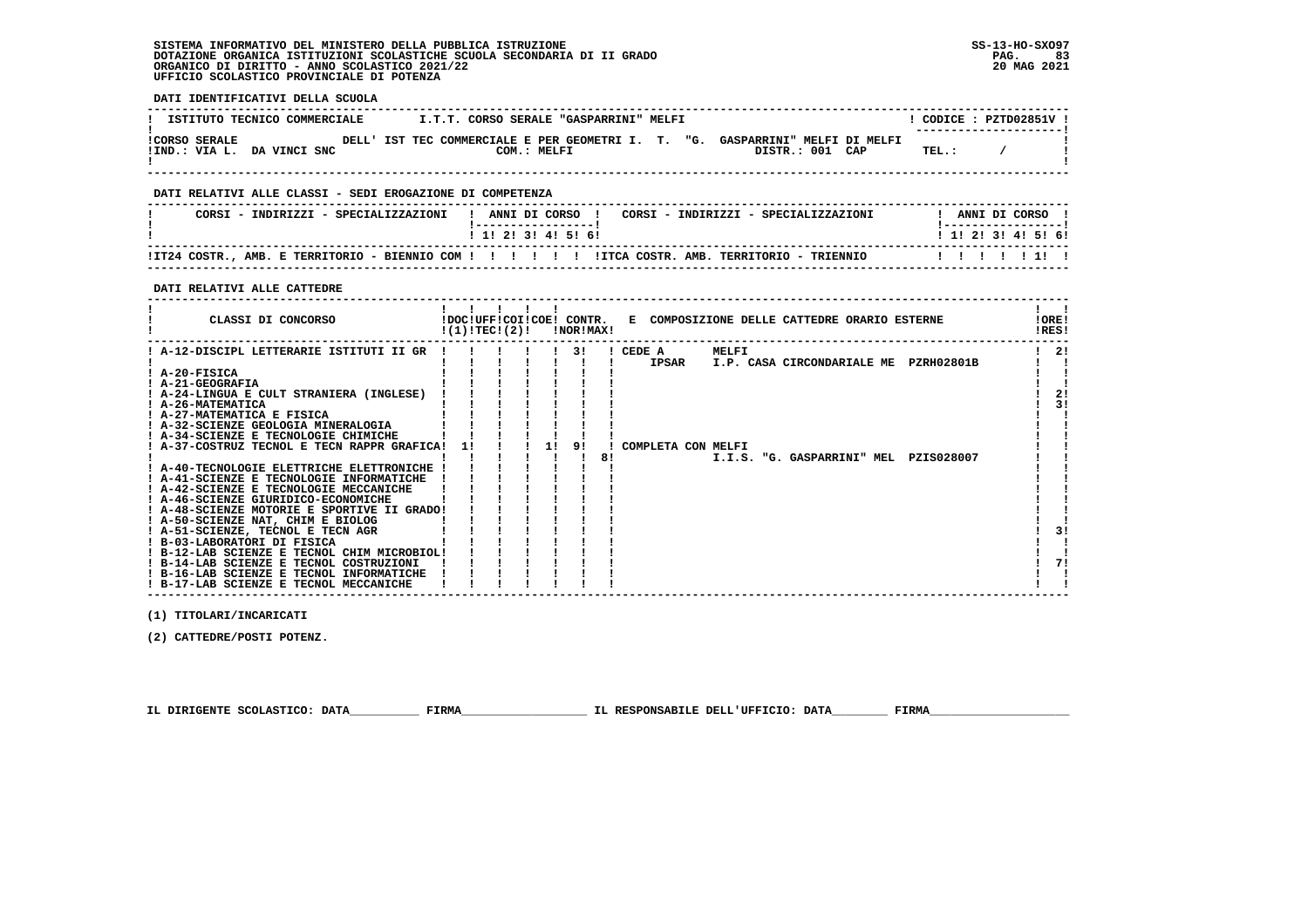# **SISTEMA INFORMATIVO DEL MINISTERO DELLA PUBBLICA ISTRUZIONE SS-13-HO-SXO97 DOTAZIONE ORGANICA ISTITUZIONI SCOLASTICHE SCUOLA SECONDARIA DI II GRADO PAG. 83**ORGANICO DI DIRITTO - ANNO SCOLASTICO 2021/22  **UFFICIO SCOLASTICO PROVINCIALE DI POTENZA**

 **DATI IDENTIFICATIVI DELLA SCUOLA**

| ISTITUTO TECNICO COMMERCIALE                       | I.T.T. CORSO SERALE "GASPARRINI" MELFI                               |                                               | CODICE: PZTD02851V !<br>--------------------- |
|----------------------------------------------------|----------------------------------------------------------------------|-----------------------------------------------|-----------------------------------------------|
| <b>!CORSO SERALE</b><br>!IND.: VIA L. DA VINCI SNC | DELL' IST TEC COMMERCIALE E PER GEOMETRI I. T.<br>"G.<br>COM.: MELFI | GASPARRINI" MELFI DI MELFI<br>DISTR.: 001 CAP | TEL.:                                         |

 **------------------------------------------------------------------------------------------------------------------------------------**

#### **DATI RELATIVI ALLE CLASSI - SEDI EROGAZIONE DI COMPETENZA**

| CORSI - INDIRIZZI - SPECIALIZZAZIONI                                                |  | ANNI DI CORSO             |  |  | CORSI - INDIRIZZI - SPECIALIZZAZIONI |  | ANNI DI CORSO       |  |  |  |
|-------------------------------------------------------------------------------------|--|---------------------------|--|--|--------------------------------------|--|---------------------|--|--|--|
|                                                                                     |  | 1 1 1 2 1 3 1 4 1 5 1 6 1 |  |  |                                      |  | ! 1! 2! 3! 4! 5! 6! |  |  |  |
| IT24 COSTR., AMB. E TERRITORIO - BIENNIO COM !!!!!!!!!!!!!!!! TERRITORIO - TRIENNIO |  |                           |  |  |                                      |  |                     |  |  |  |

 **------------------------------------------------------------------------------------------------------------------------------------**

#### **DATI RELATIVI ALLE CATTEDRE**

| CLASSI DI CONCORSO                          | !(1)!TECI(2)! |  |    | !NOR!MAX! |    |                    |       | !DOC!UFF!COI!COE! CONTR. E COMPOSIZIONE DELLE CATTEDRE ORARIO ESTERNE |            | !ORE!<br>!RES! |
|---------------------------------------------|---------------|--|----|-----------|----|--------------------|-------|-----------------------------------------------------------------------|------------|----------------|
| ! A-12-DISCIPL LETTERARIE ISTITUTI II GR    |               |  |    | 31        |    | ! CEDE A           | MELFI |                                                                       |            | 2!             |
|                                             |               |  |    |           |    | <b>IPSAR</b>       |       | I.P. CASA CIRCONDARIALE ME                                            | PZRH02801B |                |
| $I$ A-20-FISICA                             |               |  |    |           |    |                    |       |                                                                       |            |                |
| ! A-21-GEOGRAFIA                            |               |  |    |           |    |                    |       |                                                                       |            |                |
| ! A-24-LINGUA E CULT STRANIERA (INGLESE)    |               |  |    |           |    |                    |       |                                                                       |            | 2!             |
| ! A-26-MATEMATICA                           |               |  |    |           |    |                    |       |                                                                       |            | 31             |
| ! A-27-MATEMATICA E FISICA                  |               |  |    |           |    |                    |       |                                                                       |            |                |
| ! A-32-SCIENZE GEOLOGIA MINERALOGIA         |               |  |    |           |    |                    |       |                                                                       |            |                |
| ! A-34-SCIENZE E TECNOLOGIE CHIMICHE        |               |  |    |           |    |                    |       |                                                                       |            |                |
| ! A-37-COSTRUZ TECNOL E TECN RAPPR GRAFICA! | 11            |  | 11 | 91        |    | COMPLETA CON MELFI |       |                                                                       |            |                |
|                                             |               |  |    |           | 8! |                    |       | I.I.S. "G. GASPARRINI" MEL                                            | PZIS028007 |                |
| ! A-40-TECNOLOGIE ELETTRICHE ELETTRONICHE   |               |  |    |           |    |                    |       |                                                                       |            |                |
| ! A-41-SCIENZE E TECNOLOGIE INFORMATICHE    |               |  |    |           |    |                    |       |                                                                       |            |                |
| ! A-42-SCIENZE E TECNOLOGIE MECCANICHE      |               |  |    |           |    |                    |       |                                                                       |            |                |
| ! A-46-SCIENZE GIURIDICO-ECONOMICHE         |               |  |    |           |    |                    |       |                                                                       |            |                |
| ! A-48-SCIENZE MOTORIE E SPORTIVE II GRADO! |               |  |    |           |    |                    |       |                                                                       |            |                |
| ! A-50-SCIENZE NAT, CHIM E BIOLOG           |               |  |    |           |    |                    |       |                                                                       |            |                |
| ! A-51-SCIENZE, TECNOL E TECN AGR           |               |  |    |           |    |                    |       |                                                                       |            | 31             |
| ! B-03-LABORATORI DI FISICA                 |               |  |    |           |    |                    |       |                                                                       |            |                |
| ! B-12-LAB SCIENZE E TECNOL CHIM MICROBIOL! |               |  |    |           |    |                    |       |                                                                       |            |                |
| ! B-14-LAB SCIENZE E TECNOL COSTRUZIONI     |               |  |    |           |    |                    |       |                                                                       |            | 71             |
| ! B-16-LAB SCIENZE E TECNOL INFORMATICHE    |               |  |    |           |    |                    |       |                                                                       |            |                |
| ! B-17-LAB SCIENZE E TECNOL MECCANICHE      |               |  |    |           |    |                    |       |                                                                       |            |                |

 **(1) TITOLARI/INCARICATI**

 **(2) CATTEDRE/POSTI POTENZ.**

 **IL DIRIGENTE SCOLASTICO: DATA\_\_\_\_\_\_\_\_\_\_ FIRMA\_\_\_\_\_\_\_\_\_\_\_\_\_\_\_\_\_\_ IL RESPONSABILE DELL'UFFICIO: DATA\_\_\_\_\_\_\_\_ FIRMA\_\_\_\_\_\_\_\_\_\_\_\_\_\_\_\_\_\_\_\_**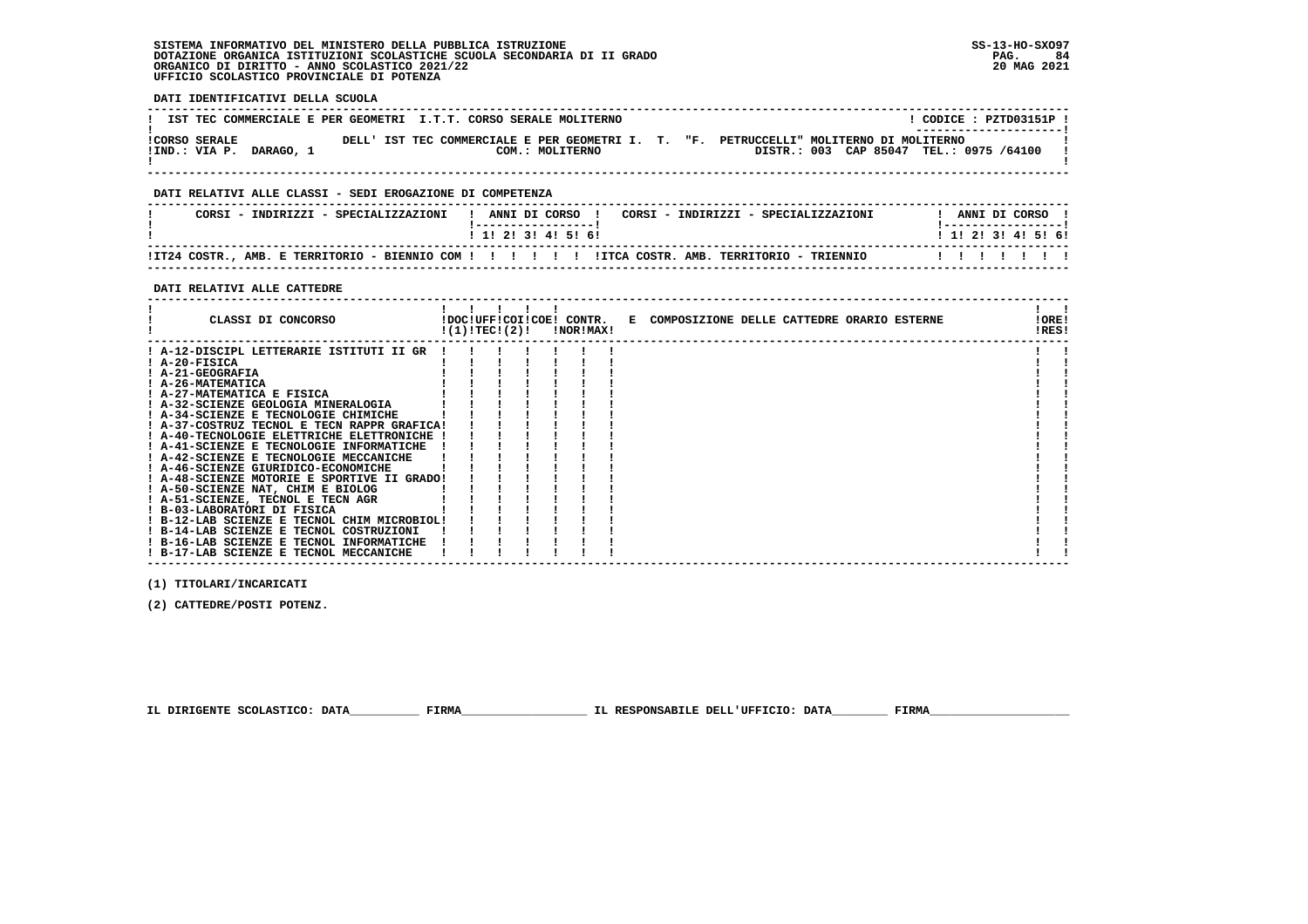# **SISTEMA INFORMATIVO DEL MINISTERO DELLA PUBBLICA ISTRUZIONE SS-13-HO-SXO97 DOTAZIONE ORGANICA ISTITUZIONI SCOLASTICHE SCUOLA SECONDARIA DI II GRADO PAG. 84 ORGANICO DI DIRITTO - ANNO SCOLASTICO 2021/22 20 MAG 2021 UFFICIO SCOLASTICO PROVINCIALE DI POTENZA**

 **DATI IDENTIFICATIVI DELLA SCUOLA**

|                      | IST TEC COMMERCIALE E PER GEOMETRI I.T.T. CORSO SERALE MOLITERNO |  |  |                 |                                                    |  |                                     |  | CODICE: PZTD03151P !<br>--------------------- |  |  |
|----------------------|------------------------------------------------------------------|--|--|-----------------|----------------------------------------------------|--|-------------------------------------|--|-----------------------------------------------|--|--|
| <b>!CORSO SERALE</b> | !IND.: VIA P. DARAGO, 1                                          |  |  | COM.: MOLITERNO | DELL' IST TEC COMMERCIALE E PER GEOMETRI I. T. "F. |  | PETRUCCELLI" MOLITERNO DI MOLITERNO |  | DISTR.: 003 CAP 85047 TEL.: 0975 /64100       |  |  |

 **------------------------------------------------------------------------------------------------------------------------------------**

# **DATI RELATIVI ALLE CLASSI - SEDI EROGAZIONE DI COMPETENZA**

| CORSI - INDIRIZZI - SPECIALIZZAZIONI |  | ANNI DI CORSO     |  |  |  | CORSI - INDIRIZZI - SPECIALIZZAZIONI |  | ANNI DI CORSO             |  |  |  |
|--------------------------------------|--|-------------------|--|--|--|--------------------------------------|--|---------------------------|--|--|--|
|                                      |  | 1 1 2 3 3 4 5 6 1 |  |  |  |                                      |  | 1 1 1 2 1 3 1 4 1 5 1 6 1 |  |  |  |
|                                      |  |                   |  |  |  |                                      |  |                           |  |  |  |

 **------------------------------------------------------------------------------------------------------------------------------------**

# **DATI RELATIVI ALLE CATTEDRE**

| CLASSI DI CONCORSO                                               | !(1)!TEC!(2)! |  | !DOC!UFF!COI!COE! CONTR.<br>!NOR!MAX! | E COMPOSIZIONE DELLE CATTEDRE ORARIO ESTERNE | ! ORE!<br>!RES! |  |
|------------------------------------------------------------------|---------------|--|---------------------------------------|----------------------------------------------|-----------------|--|
| ! A-12-DISCIPL LETTERARIE ISTITUTI II GR                         |               |  |                                       |                                              |                 |  |
| ! A-20-FISICA                                                    |               |  |                                       |                                              |                 |  |
| ! A-21-GEOGRAFIA                                                 |               |  |                                       |                                              |                 |  |
| ! A-26-MATEMATICA                                                |               |  |                                       |                                              |                 |  |
| ! A-27-MATEMATICA E FISICA                                       |               |  |                                       |                                              |                 |  |
| ! A-32-SCIENZE GEOLOGIA MINERALOGIA                              |               |  |                                       |                                              |                 |  |
| ! A-34-SCIENZE E TECNOLOGIE CHIMICHE                             |               |  |                                       |                                              |                 |  |
| ! A-37-COSTRUZ TECNOL E TECN RAPPR GRAFICA!                      |               |  |                                       |                                              |                 |  |
| ! A-40-TECNOLOGIE ELETTRICHE ELETTRONICHE !                      |               |  |                                       |                                              |                 |  |
| ! A-41-SCIENZE E TECNOLOGIE INFORMATICHE                         |               |  |                                       |                                              |                 |  |
| ! A-42-SCIENZE E TECNOLOGIE MECCANICHE                           |               |  |                                       |                                              |                 |  |
| ! A-46-SCIENZE GIURIDICO-ECONOMICHE                              |               |  |                                       |                                              |                 |  |
| ! A-48-SCIENZE MOTORIE E SPORTIVE II GRADO!                      |               |  |                                       |                                              |                 |  |
| ! A-50-SCIENZE NAT, CHIM E BIOLOG                                |               |  |                                       |                                              |                 |  |
| ! A-51-SCIENZE, TECNOL E TECN AGR<br>! B-03-LABORATORI DI FISICA |               |  |                                       |                                              |                 |  |
| ! B-12-LAB SCIENZE E TECNOL CHIM MICROBIOL!                      |               |  |                                       |                                              |                 |  |
| ! B-14-LAB SCIENZE E TECNOL COSTRUZIONI                          |               |  |                                       |                                              |                 |  |
| ! B-16-LAB SCIENZE E TECNOL INFORMATICHE                         |               |  |                                       |                                              |                 |  |
| ! B-17-LAB SCIENZE E TECNOL MECCANICHE                           |               |  |                                       |                                              |                 |  |
|                                                                  |               |  |                                       |                                              |                 |  |

 **------------------------------------------------------------------------------------------------------------------------------------**

 **(1) TITOLARI/INCARICATI**

 **(2) CATTEDRE/POSTI POTENZ.**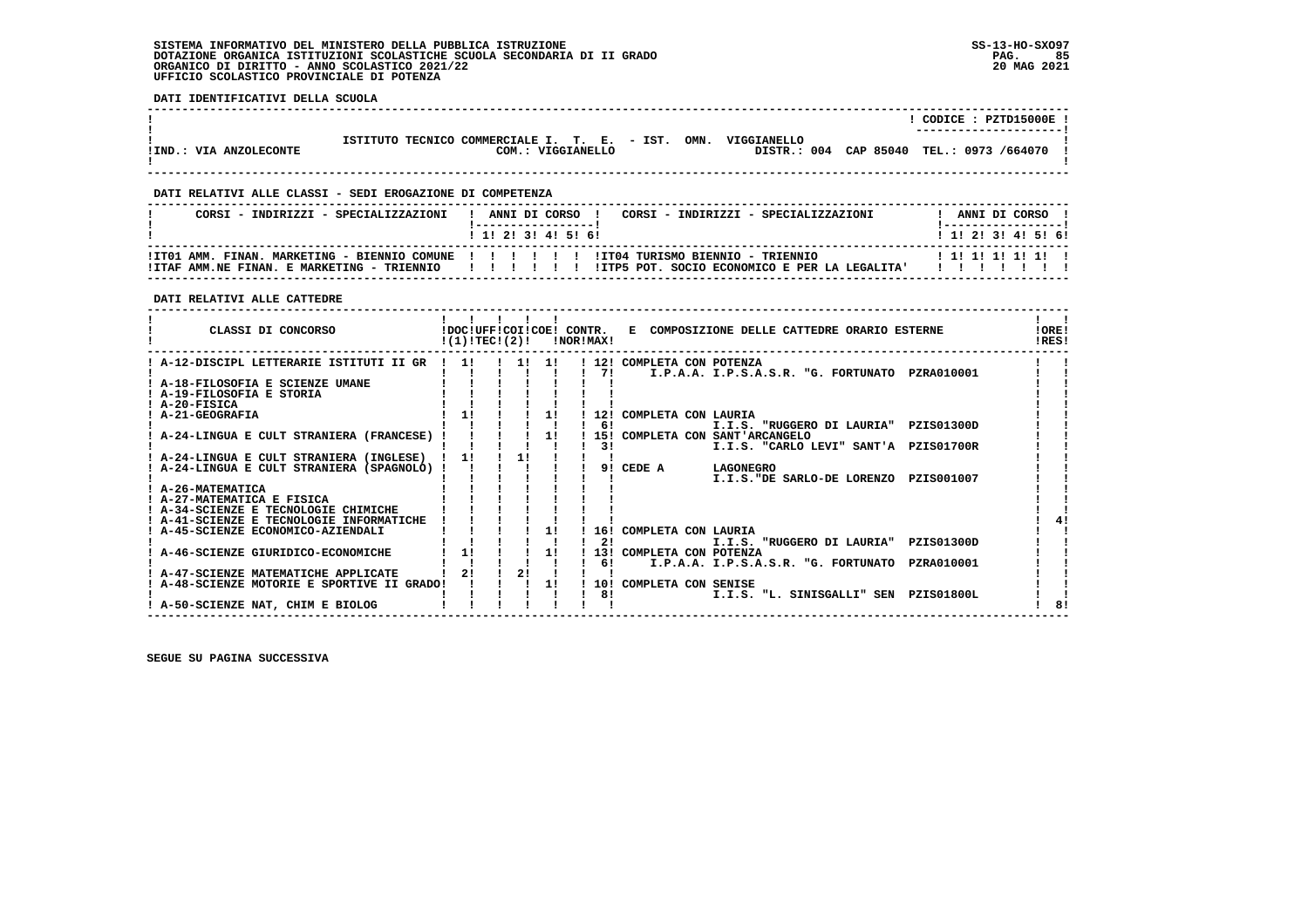# **SISTEMA INFORMATIVO DEL MINISTERO DELLA PUBBLICA ISTRUZIONE SS-13-HO-SXO97 DOTAZIONE ORGANICA ISTITUZIONI SCOLASTICHE SCUOLA SECONDARIA DI II GRADO PAG. 85**ORGANICO DI DIRITTO - ANNO SCOLASTICO 2021/22  **UFFICIO SCOLASTICO PROVINCIALE DI POTENZA**

 **DATI IDENTIFICATIVI DELLA SCUOLA**

|                        |                                              |                           |             | CODICE: PZTD15000E!                      |
|------------------------|----------------------------------------------|---------------------------|-------------|------------------------------------------|
| !IND.: VIA ANZOLECONTE | ISTITUTO TECNICO COMMERCIALE I. T. E. - IST. | OMN.<br>COM.: VIGGIANELLO | VIGGTANELLO | DISTR.: 004 CAP 85040 TEL.: 0973 /664070 |

 **------------------------------------------------------------------------------------------------------------------------------------**

 **------------------------------------------------------------------------------------------------------------------------------------**

# **DATI RELATIVI ALLE CLASSI - SEDI EROGAZIONE DI COMPETENZA**

| CORSI - INDIRIZZI - SPECIALIZZAZIONI                | CORSI - INDIRIZZI - SPECIALIZZAZIONI<br>ANNI DI CORSO !<br>! 1! 2! 3! 4! 5! 6! | ANNI DI CORSO !<br>1 1 1 2 1 3 1 4 1 5 1 6 1 |
|-----------------------------------------------------|--------------------------------------------------------------------------------|----------------------------------------------|
| !ITAF AMM.NE FINAN. E MARKETING - TRIENNIO   !!!!!! | IITP5 POT, SOCIO ECONOMICO E PER LA LEGALITA'                                  | 1 1 1 1 1 1 1 1 1 1                          |

# **DATI RELATIVI ALLE CATTEDRE**

| CLASSI DI CONCORSO                        | !DOC!UFF!COI!COE! CONTR.<br>!(1)!TEC!(2)! |    |    | !NOR!MAX! | E COMPOSIZIONE DELLE CATTEDRE ORARIO ESTERNE      | <b>!ORE!</b><br>IRES! |
|-------------------------------------------|-------------------------------------------|----|----|-----------|---------------------------------------------------|-----------------------|
| A-12-DISCIPL LETTERARIE ISTITUTI II GR    | 11                                        | 11 | 11 |           | ! 12! COMPLETA CON POTENZA                        |                       |
|                                           |                                           |    |    | 71        | I.P.A.A. I.P.S.A.S.R. "G. FORTUNATO PZRA010001    |                       |
| A-18-FILOSOFIA E SCIENZE UMANE            |                                           |    |    |           |                                                   |                       |
| ! A-19-FILOSOFIA E STORIA                 |                                           |    |    |           |                                                   |                       |
| ! A-20-FISICA                             |                                           |    |    |           |                                                   |                       |
| <b>A-21-GEOGRAFIA</b>                     |                                           |    | 11 | 12!       | COMPLETA CON LAURIA                               |                       |
|                                           |                                           |    |    | -61       | I.I.S. "RUGGERO DI LAURIA" PZISO1300D             |                       |
| ! A-24-LINGUA E CULT STRANIERA (FRANCESE) |                                           |    | 1! |           | 15! COMPLETA CON SANT'ARCANGELO                   |                       |
|                                           |                                           |    |    | 3!        | I.I.S. "CARLO LEVI" SANT'A PZIS01700R             |                       |
| A-24-LINGUA E CULT STRANIERA (INGLESE)    | 11                                        | 11 |    |           |                                                   |                       |
| A-24-LINGUA E CULT STRANIERA (SPAGNOLO) ! |                                           |    |    | 91        | CEDE A<br>LAGONEGRO                               |                       |
|                                           |                                           |    |    |           | I.I.S."DE SARLO-DE LORENZO<br>PZIS001007          |                       |
| ! A-26-MATEMATICA                         |                                           |    |    |           |                                                   |                       |
| ! A-27-MATEMATICA E FISICA                |                                           |    |    |           |                                                   |                       |
| ! A-34-SCIENZE E TECNOLOGIE CHIMICHE      |                                           |    |    |           |                                                   |                       |
| ! A-41-SCIENZE E TECNOLOGIE INFORMATICHE  |                                           |    |    |           |                                                   |                       |
| A-45-SCIENZE ECONOMICO-AZIENDALI          |                                           |    | 11 |           | 16! COMPLETA CON LAURIA                           |                       |
|                                           |                                           |    |    | 21        | I.I.S. "RUGGERO DI LAURIA"<br>PZIS01300D          |                       |
| A-46-SCIENZE GIURIDICO-ECONOMICHE         | 11                                        |    | 11 |           | 13! COMPLETA CON POTENZA                          |                       |
|                                           |                                           |    |    | 61        | I.P.A.A. I.P.S.A.S.R. "G. FORTUNATO<br>PZRA010001 |                       |
| A-47-SCIENZE MATEMATICHE APPLICATE        | 21                                        | 21 |    |           |                                                   |                       |
| A-48-SCIENZE MOTORIE E SPORTIVE II GRADO! |                                           |    | 1! | 10!       | COMPLETA CON SENISE                               |                       |
|                                           |                                           |    |    | 81        | I.I.S. "L. SINISGALLI" SEN<br>PZIS01800L          |                       |
| ! A-50-SCIENZE NAT, CHIM E BIOLOG         |                                           |    |    |           |                                                   | 8                     |
|                                           |                                           |    |    |           |                                                   |                       |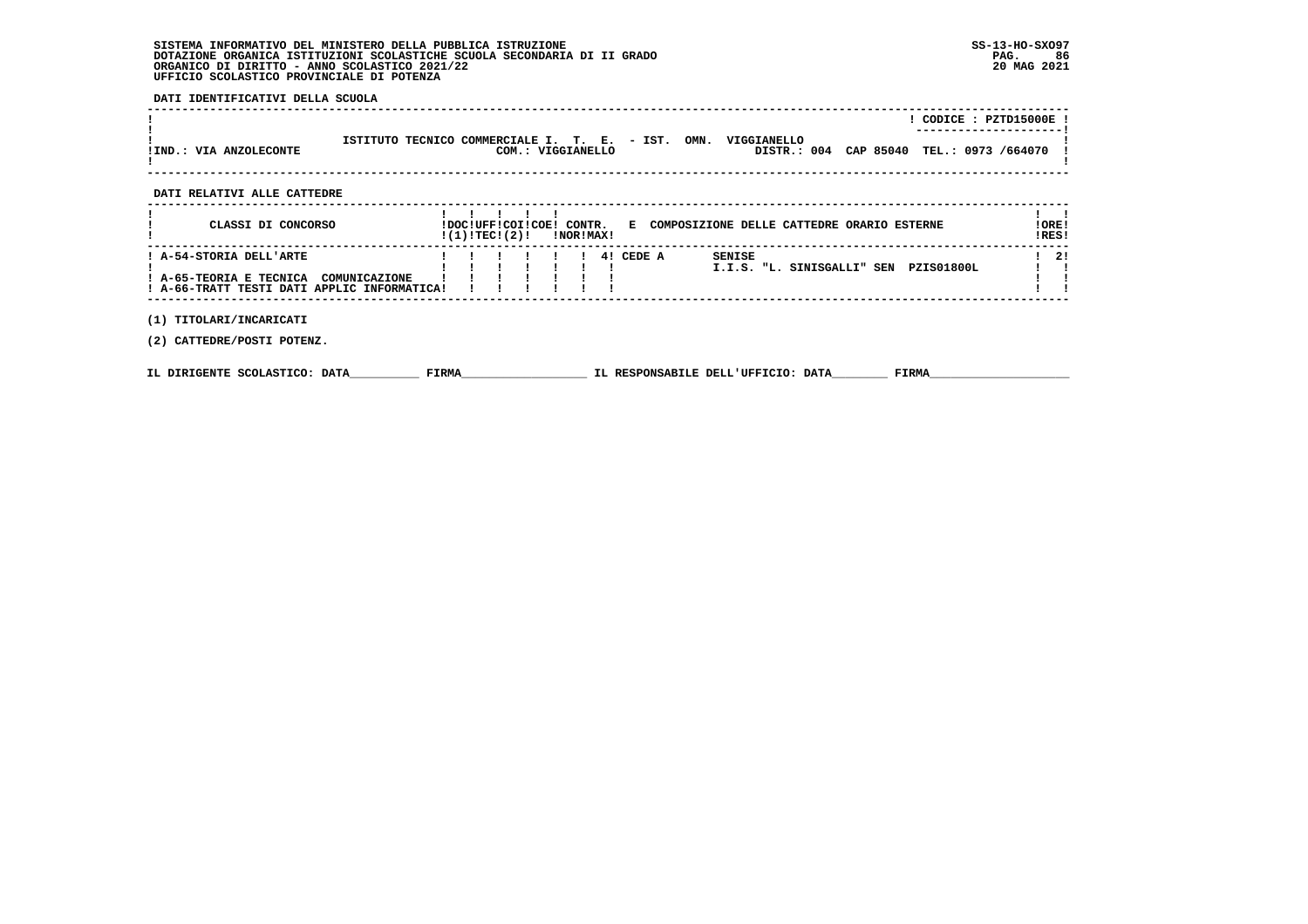# **SISTEMA INFORMATIVO DEL MINISTERO DELLA PUBBLICA ISTRUZIONE SS-13-HO-SXO97 DOTAZIONE ORGANICA ISTITUZIONI SCOLASTICHE SCUOLA SECONDARIA DI II GRADO PAG. 86**ORGANICO DI DIRITTO - ANNO SCOLASTICO 2021/22  **UFFICIO SCOLASTICO PROVINCIALE DI POTENZA**

# **DATI IDENTIFICATIVI DELLA SCUOLA**

|                        |                                                                                                                                        | CODICE: PZTD15000E !<br>----------------------- |
|------------------------|----------------------------------------------------------------------------------------------------------------------------------------|-------------------------------------------------|
| !IND.: VIA ANZOLECONTE | ISTITUTO TECNICO COMMERCIALE I. T. E. - IST.<br>OMN.<br>VIGGTANELLO<br>DISTR.: 004 CAP 85040 TEL.: 0973 /664070 !<br>COM.: VIGGIANELLO |                                                 |

# **DATI RELATIVI ALLE CATTEDRE**

| CLASSI DI CONCORSO                                                                                                 | !DOC!UFF!COI!COE! CONTR.<br>!(1)!TECI(2)! |  |  | !NOR!MAX! | Е         |               | COMPOSIZIONE DELLE CATTEDRE ORARIO ESTERNE |            | ! ORE!<br>!RES! |
|--------------------------------------------------------------------------------------------------------------------|-------------------------------------------|--|--|-----------|-----------|---------------|--------------------------------------------|------------|-----------------|
| ! A-54-STORIA DELL'ARTE<br>! A-65-TEORIA E TECNICA<br>COMUNICAZIONE<br>! A-66-TRATT TESTI DATI APPLIC INFORMATICA! |                                           |  |  |           | 4! CEDE A | <b>SENISE</b> | I.I.S. "L. SINISGALLI" SEN                 | PZIS01800L | 2!              |
| TITOLARI/INCARICATI                                                                                                |                                           |  |  |           |           |               |                                            |            |                 |

 **(2) CATTEDRE/POSTI POTENZ.**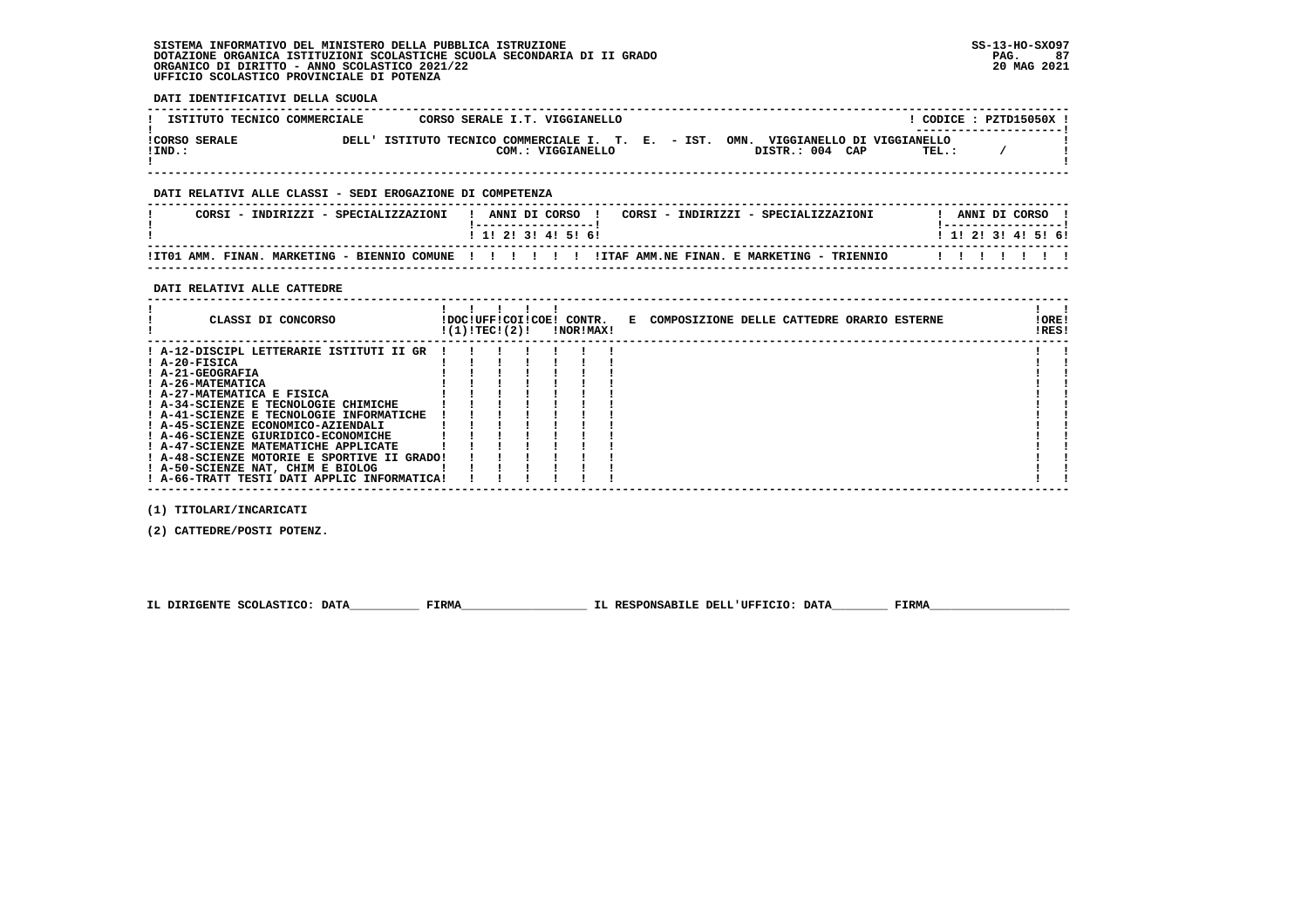# **SISTEMA INFORMATIVO DEL MINISTERO DELLA PUBBLICA ISTRUZIONE SS-13-HO-SXO97 DOTAZIONE ORGANICA ISTITUZIONI SCOLASTICHE SCUOLA SECONDARIA DI II GRADO PAG. 87 ORGANICO DI DIRITTO - ANNO SCOLASTICO 2021/22 20 MAG 2021 UFFICIO SCOLASTICO PROVINCIALE DI POTENZA**

| DATI IDENTIFICATIVI DELLA SCUOLA                                                                                                                                                                                                                                                                                                                                                                                                                                                                                                                                                                                                                                                                                                          |                             |                    |  |                               |
|-------------------------------------------------------------------------------------------------------------------------------------------------------------------------------------------------------------------------------------------------------------------------------------------------------------------------------------------------------------------------------------------------------------------------------------------------------------------------------------------------------------------------------------------------------------------------------------------------------------------------------------------------------------------------------------------------------------------------------------------|-----------------------------|--------------------|--|-------------------------------|
| ISTITUTO TECNICO COMMERCIALE CORSO SERALE I.T. VIGGIANELLO                                                                                                                                                                                                                                                                                                                                                                                                                                                                                                                                                                                                                                                                                | $!$ CODICE : PZTD15050X $!$ | ------------------ |  |                               |
| CORSO SERALE DELL'ISTITUTO TECNICO COMMERCIALE I. T. E. - IST. OMN. VIGGIANELLO DI VIGGIANELLO<br>DISTR.: 004 CAP TEL.: /<br>COM.: VIGGIANELLO<br>$!$ IND.:                                                                                                                                                                                                                                                                                                                                                                                                                                                                                                                                                                               |                             |                    |  |                               |
| DATI RELATIVI ALLE CLASSI - SEDI EROGAZIONE DI COMPETENZA                                                                                                                                                                                                                                                                                                                                                                                                                                                                                                                                                                                                                                                                                 |                             |                    |  |                               |
| CORSI - INDIRIZZI - SPECIALIZZAZIONI<br>! ANNI DI CORSO ! CORSI - INDIRIZZI - SPECIALIZZAZIONI         ! ANNI DI CORSO !<br>!------------------!                                                                                                                                                                                                                                                                                                                                                                                                                                                                                                                                                                                          |                             |                    |  | !-----------------!           |
| $1$ 1! 2! 3! 4! 5! 6!                                                                                                                                                                                                                                                                                                                                                                                                                                                                                                                                                                                                                                                                                                                     | 1 1 2 3 3 4 5 5 6 9         |                    |  |                               |
| ! ITO1 AMM. FINAN. MARKETING - BIENNIO COMUNE ! ! !! !! !ITAF AMM.NE FINAN. E MARKETING - TRIENNIO !! !! !! !!                                                                                                                                                                                                                                                                                                                                                                                                                                                                                                                                                                                                                            |                             |                    |  |                               |
| DATI RELATIVI ALLE CATTEDRE<br>$\blacksquare$<br>! CLASSI DI CONCORSO           IDOC!UFF!COI!COE! CONTR.   E COMPOSIZIONE DELLE CATTEDRE ORARIO ESTERNE<br>$!(1)!TEC!(2)!$ $ NOR MAX!$                                                                                                                                                                                                                                                                                                                                                                                                                                                                                                                                                    |                             |                    |  | $1 \quad 1$<br>!ORE!<br>!RES! |
| ! A-12-DISCIPL LETTERARIE ISTITUTI II GR !!!<br>! A-20-FISICA<br>$\begin{array}{cccccccccc} 1 & 1 & 1 & 1 & 1 & 1 \\ 1 & 1 & 1 & 1 & 1 & 1 \\ 1 & 1 & 1 & 1 & 1 & 1 \\ \end{array}$<br>! A-21-GEOGRAFIA<br>: A-26-MATEMATICA<br>! A-26-MATEMATICA<br>! A-34-SCIENZE E TECNOLOGIE CHIMICHE<br>$\mathbf{1}$ $\mathbf{1}$ $\mathbf{1}$ $\mathbf{1}$<br>$\mathbf{1}$ $\mathbf{1}$ $\mathbf{1}$ $\mathbf{1}$<br>! A-41-SCIENZE E TECNOLOGIE INFORMATICHE ! !<br>! A-45-SCIENZE ECONOMICO-AZIENDALI<br>$\mathbf{r}$ iii<br>! A-46-SCIENZE GIURIDICO-ECONOMICHE<br>! A-47-SCIENZE MATEMATICHE APPLICATE<br>! A-48-SCIENZE MOTORIE E SPORTIVE II GRADO! ! ! !<br>! A-50-SCIENZE NAT, CHIM E BIOLOG<br>! A-66-TRATT TESTI DATI APPLIC INFORMATICA! |                             |                    |  |                               |
| (1) TITOLARI/INCARICATI                                                                                                                                                                                                                                                                                                                                                                                                                                                                                                                                                                                                                                                                                                                   |                             |                    |  |                               |

 **(2) CATTEDRE/POSTI POTENZ.**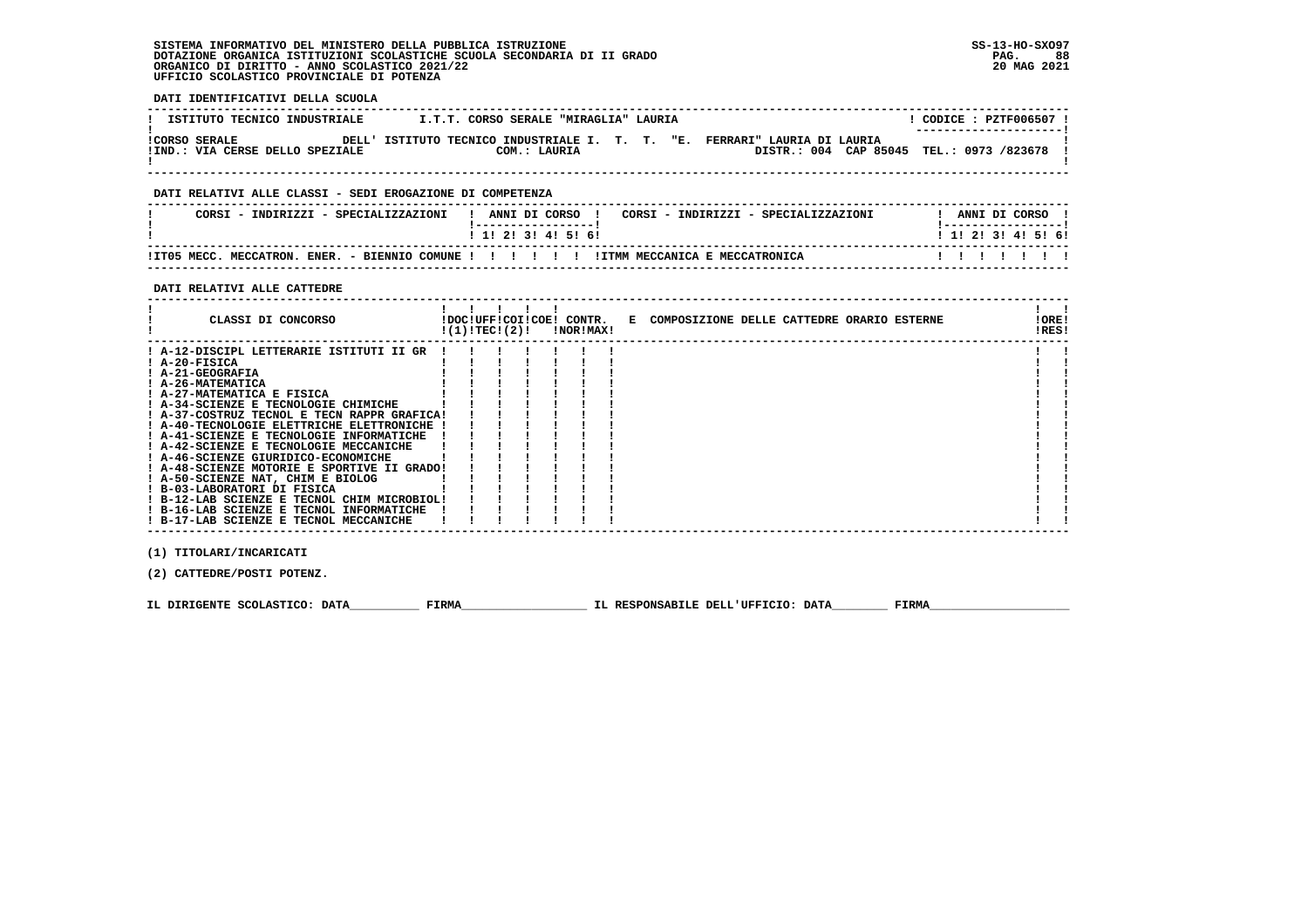# **SISTEMA INFORMATIVO DEL MINISTERO DELLA PUBBLICA ISTRUZIONE SS-13-HO-SXO97 DOTAZIONE ORGANICA ISTITUZIONI SCOLASTICHE SCUOLA SECONDARIA DI II GRADO PAG. 88**ORGANICO DI DIRITTO - ANNO SCOLASTICO 2021/22  **UFFICIO SCOLASTICO PROVINCIALE DI POTENZA**

 **DATI IDENTIFICATIVI DELLA SCUOLA**

| ISTITUTO TECNICO INDUSTRIALE                            | I.T.T. CORSO SERALE "MIRAGLIA" LAURIA                                                     | CODICE: PZTF006507 !<br>--------------------- |
|---------------------------------------------------------|-------------------------------------------------------------------------------------------|-----------------------------------------------|
| <b>ICORSO SERALE</b><br>!IND.: VIA CERSE DELLO SPEZIALE | DELL' ISTITUTO TECNICO INDUSTRIALE I. T. T. "E. FERRARI" LAURIA DI LAURIA<br>COM.: LAURIA | DISTR.: 004 CAP 85045 TEL.: 0973 /823678 !    |

# **DATI RELATIVI ALLE CLASSI - SEDI EROGAZIONE DI COMPETENZA**

| CORSI - INDIRIZZI - SPECIALIZZAZIONI |                                                                     |  |  | ANNI DI CORSO     |  |  |  | CORSI - INDIRIZZI - SPECIALIZZAZIONI |  | ANNI DI CORSO |  |                           |  |
|--------------------------------------|---------------------------------------------------------------------|--|--|-------------------|--|--|--|--------------------------------------|--|---------------|--|---------------------------|--|
|                                      |                                                                     |  |  | 1 1 2 3 3 4 5 6 1 |  |  |  |                                      |  |               |  | 1 1 1 2 1 3 1 4 1 5 1 6 1 |  |
| IIT05 MECC. MECCATRON.               | ENER. - BIENNIO COMUNE ! ! ! ! !! ! ! ITMM MECCANICA E MECCATRONICA |  |  |                   |  |  |  |                                      |  |               |  |                           |  |

 **------------------------------------------------------------------------------------------------------------------------------------**

# **DATI RELATIVI ALLE CATTEDRE**

| CLASSI DI CONCORSO                          | !(1)!TECI(2)! |  | !DOC!UFF!COI!COE! CONTR.<br>!NOR!MAX! | E COMPOSIZIONE DELLE CATTEDRE ORARIO ESTERNE | !ORE!<br>!RES! |  |
|---------------------------------------------|---------------|--|---------------------------------------|----------------------------------------------|----------------|--|
| ! A-12-DISCIPL LETTERARIE ISTITUTI II GR    |               |  |                                       |                                              |                |  |
| ! A-20-FISICA                               |               |  |                                       |                                              |                |  |
| ! A-21-GEOGRAFIA                            |               |  |                                       |                                              |                |  |
| ! A-26-MATEMATICA                           |               |  |                                       |                                              |                |  |
| ! A-27-MATEMATICA E FISICA                  |               |  |                                       |                                              |                |  |
| ! A-34-SCIENZE E TECNOLOGIE CHIMICHE        |               |  |                                       |                                              |                |  |
| ! A-37-COSTRUZ TECNOL E TECN RAPPR GRAFICA! |               |  |                                       |                                              |                |  |
| ! A-40-TECNOLOGIE ELETTRICHE ELETTRONICHE ! |               |  |                                       |                                              |                |  |
| ! A-41-SCIENZE E TECNOLOGIE INFORMATICHE    |               |  |                                       |                                              |                |  |
| ! A-42-SCIENZE E TECNOLOGIE MECCANICHE      |               |  |                                       |                                              |                |  |
| ! A-46-SCIENZE GIURIDICO-ECONOMICHE         |               |  |                                       |                                              |                |  |
| ! A-48-SCIENZE MOTORIE E SPORTIVE II GRADO! |               |  |                                       |                                              |                |  |
| ! A-50-SCIENZE NAT, CHIM E BIOLOG           |               |  |                                       |                                              |                |  |
| ! B-03-LABORATORI DI FISICA                 |               |  |                                       |                                              |                |  |
| ! B-12-LAB SCIENZE E TECNOL CHIM MICROBIOL! |               |  |                                       |                                              |                |  |
| ! B-16-LAB SCIENZE E TECNOL INFORMATICHE    |               |  |                                       |                                              |                |  |
| ! B-17-LAB SCIENZE E TECNOL MECCANICHE      |               |  |                                       |                                              |                |  |

 **(1) TITOLARI/INCARICATI**

 **(2) CATTEDRE/POSTI POTENZ.**

 **IL DIRIGENTE SCOLASTICO: DATA\_\_\_\_\_\_\_\_\_\_ FIRMA\_\_\_\_\_\_\_\_\_\_\_\_\_\_\_\_\_\_ IL RESPONSABILE DELL'UFFICIO: DATA\_\_\_\_\_\_\_\_ FIRMA\_\_\_\_\_\_\_\_\_\_\_\_\_\_\_\_\_\_\_\_**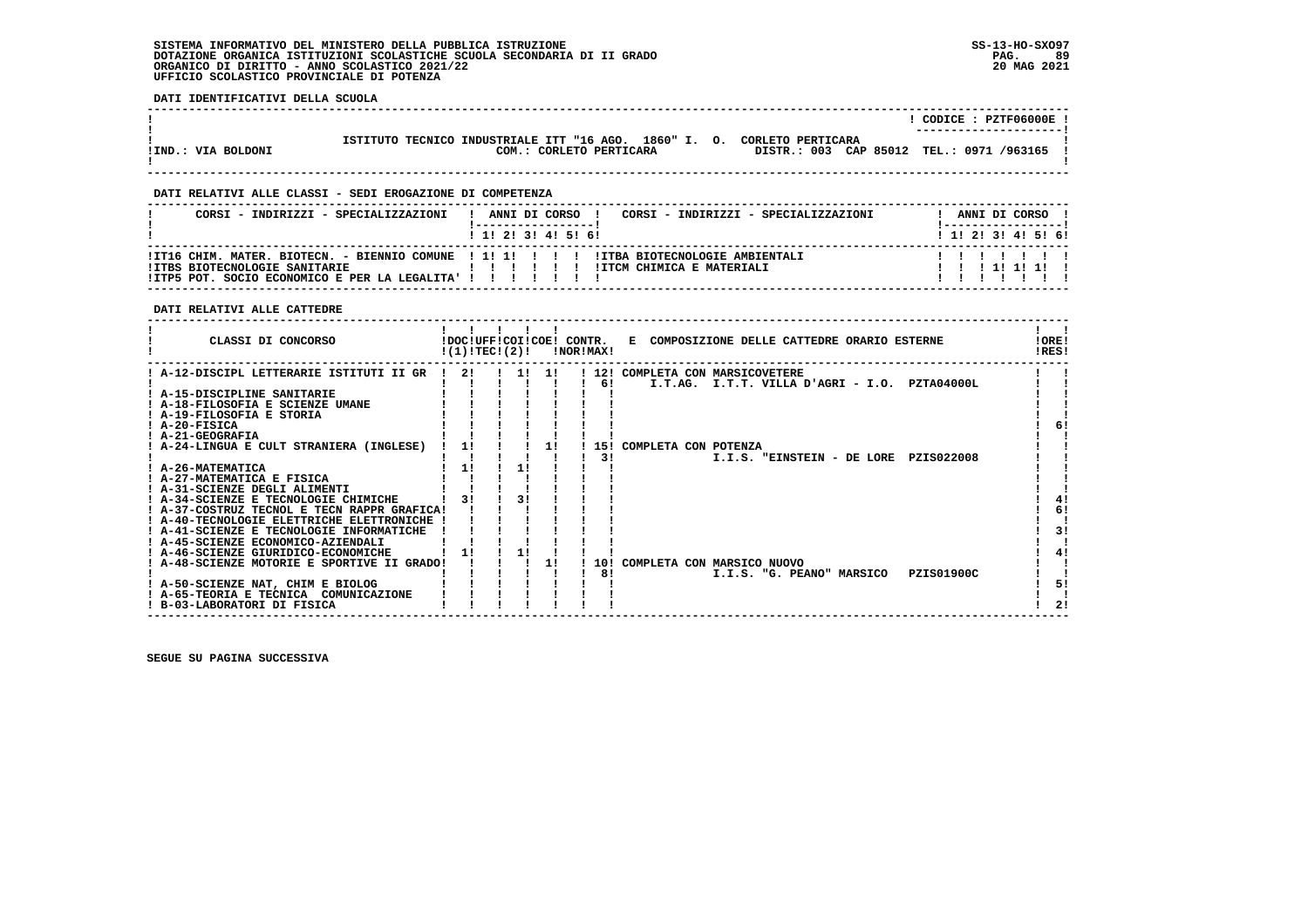# **SISTEMA INFORMATIVO DEL MINISTERO DELLA PUBBLICA ISTRUZIONE SS-13-HO-SXO97 DOTAZIONE ORGANICA ISTITUZIONI SCOLASTICHE SCUOLA SECONDARIA DI II GRADO PAG. 89**ORGANICO DI DIRITTO - ANNO SCOLASTICO 2021/22  **UFFICIO SCOLASTICO PROVINCIALE DI POTENZA**

 **DATI IDENTIFICATIVI DELLA SCUOLA**

|                    |                                                       | CODICE: PZTF06000E !                     |
|--------------------|-------------------------------------------------------|------------------------------------------|
|                    |                                                       | ----------------------                   |
|                    |                                                       |                                          |
|                    | ISTITUTO TECNICO INDUSTRIALE ITT "16 AGO. 1860" I. O. | CORLETO PERTICARA                        |
| !IND.: VIA BOLDONI | COM.: CORLETO PERTICARA                               | DISTR.: 003 CAP 85012 TEL.: 0971 /963165 |
|                    |                                                       |                                          |
|                    |                                                       |                                          |

 **------------------------------------------------------------------------------------------------------------------------------------**

# **DATI RELATIVI ALLE CLASSI - SEDI EROGAZIONE DI COMPETENZA**

| 1 1 2 3 3 4 5 5 6 1<br>1 1 2 3 3 4 5 5 6 1<br>!IT16 CHIM. MATER. BIOTECN. - BIENNIO COMUNE ! 1! 1! ! ! !! !ITBA BIOTECNOLOGIE AMBIENTALI |                               |
|------------------------------------------------------------------------------------------------------------------------------------------|-------------------------------|
|                                                                                                                                          |                               |
| IITCM CHIMICA E MATERIALI<br>1 1 1 1 1 1 1 1<br>, , , , , , , ,<br>! ITP5 POT. SOCIO ECONOMICO E PER LA LEGALITA' ! ! ! ! ! ! ! !        | !ITBS BIOTECNOLOGIE SANITARIE |

# **DATI RELATIVI ALLE CATTEDRE**

| CLASSI DI CONCORSO                              | !DOC!UFF!COI!COE! CONTR.<br>!(1)!TECI(2)! |    |     | !NOR!MAX! | E COMPOSIZIONE DELLE CATTEDRE ORARIO ESTERNE     | !ORE!<br>!RES! |
|-------------------------------------------------|-------------------------------------------|----|-----|-----------|--------------------------------------------------|----------------|
| ! A-12-DISCIPL LETTERARIE ISTITUTI II GR  !  2! |                                           | 11 | -11 |           | ! 12! COMPLETA CON MARSICOVETERE                 |                |
|                                                 |                                           |    |     | 6!        | I.T.AG.<br>I.T.T. VILLA D'AGRI - I.O. PZTA04000L |                |
| ! A-15-DISCIPLINE SANITARIE                     |                                           |    |     |           |                                                  |                |
| ! A-18-FILOSOFIA E SCIENZE UMANE                |                                           |    |     |           |                                                  |                |
| ! A-19-FILOSOFIA E STORIA                       |                                           |    |     |           |                                                  |                |
| ! A-20-FISICA                                   |                                           |    |     |           |                                                  | 61             |
| ! A-21-GEOGRAFIA                                |                                           |    |     |           |                                                  |                |
| ! A-24-LINGUA E CULT STRANIERA (INGLESE)        | 11                                        |    |     | -151      | COMPLETA CON POTENZA                             |                |
|                                                 |                                           |    |     | 31        | I.I.S. "EINSTEIN - DE LORE<br>PZIS022008         |                |
| ! A-26-MATEMATICA                               | 11                                        | 11 |     |           |                                                  |                |
| ! A-27-MATEMATICA E FISICA                      |                                           |    |     |           |                                                  |                |
| ! A-31-SCIENZE DEGLI ALIMENTI                   |                                           |    |     |           |                                                  |                |
| ! A-34-SCIENZE E TECNOLOGIE CHIMICHE            |                                           | 31 |     |           |                                                  | 41             |
| ! A-37-COSTRUZ TECNOL E TECN RAPPR GRAFICA!     |                                           |    |     |           |                                                  | 6!             |
| ! A-40-TECNOLOGIE ELETTRICHE ELETTRONICHE       |                                           |    |     |           |                                                  |                |
| ! A-41-SCIENZE E TECNOLOGIE INFORMATICHE        |                                           |    |     |           |                                                  | 3!             |
| ! A-45-SCIENZE ECONOMICO-AZIENDALI              |                                           |    |     |           |                                                  |                |
| A-46-SCIENZE GIURIDICO-ECONOMICHE               |                                           |    |     |           |                                                  |                |
| ! A-48-SCIENZE MOTORIE E SPORTIVE II GRADO!     |                                           |    | 11  | 10 I      | COMPLETA CON MARSICO NUOVO                       |                |
|                                                 |                                           |    |     | 8!        | PZIS01900C<br>I.I.S. "G. PEANO" MARSICO          |                |
| ! A-50-SCIENZE NAT, CHIM E BIOLOG               |                                           |    |     |           |                                                  | 51             |
| ! A-65-TEORIA E TECNICA COMUNICAZIONE           |                                           |    |     |           |                                                  |                |
| ! B-03-LABORATORI DI FISICA                     |                                           |    |     |           |                                                  | 21             |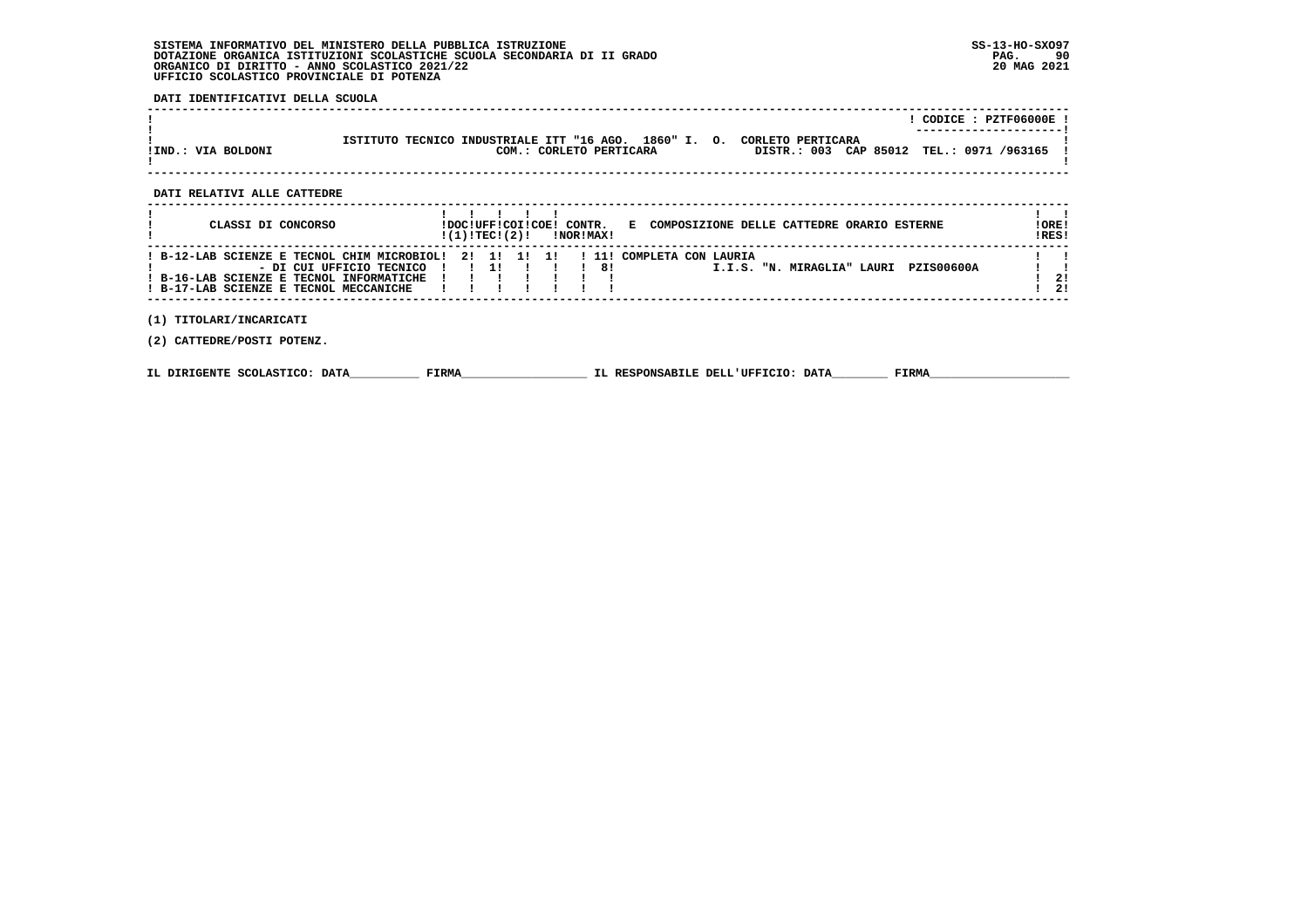# **SISTEMA INFORMATIVO DEL MINISTERO DELLA PUBBLICA ISTRUZIONE SS-13-HO-SXO97 DOTAZIONE ORGANICA ISTITUZIONI SCOLASTICHE SCUOLA SECONDARIA DI II GRADO** ORGANICO DI DIRITTO - ANNO SCOLASTICO 2021/22  **UFFICIO SCOLASTICO PROVINCIALE DI POTENZA**

# **DATI IDENTIFICATIVI DELLA SCUOLA**

|                    |                                                                                                       |                                          | CODICE: PZTF06000E!<br>---------------------- |
|--------------------|-------------------------------------------------------------------------------------------------------|------------------------------------------|-----------------------------------------------|
| !IND.: VIA BOLDONI | ISTITUTO TECNICO INDUSTRIALE ITT "16 AGO. 1860" I. O.<br>CORLETO PERTICARA<br>COM.: CORLETO PERTICARA | DISTR.: 003 CAP 85012 TEL.: 0971 /963165 |                                               |

 **------------------------------------------------------------------------------------------------------------------------------------**

#### **DATI RELATIVI ALLE CATTEDRE**

| CLASSI DI CONCORSO                                                                                                                                            | !(1)!TECI(2)! |       | !DOC!UFF!COI!COE! CONTR.<br>!NOR!MAX! | COMPOSIZIONE DELLE CATTEDRE ORARIO ESTERNE<br>Е                              | !ORE!<br>!RES! |
|---------------------------------------------------------------------------------------------------------------------------------------------------------------|---------------|-------|---------------------------------------|------------------------------------------------------------------------------|----------------|
| ! B-12-LAB SCIENZE E TECNOL CHIM MICROBIOL!<br>- DI CUI UFFICIO TECNICO<br>! B-16-LAB SCIENZE E TECNOL INFORMATICHE<br>! B-17-LAB SCIENZE E TECNOL MECCANICHE | 21 11         | 11 11 | 81                                    | ! 11! COMPLETA CON LAURIA<br><b>PZIS00600A</b><br>I.I.S. "N. MIRAGLIA" LAURI | 21<br>21       |
| TITOLARI/INCARICATI                                                                                                                                           |               |       |                                       |                                                                              |                |

 **(2) CATTEDRE/POSTI POTENZ.**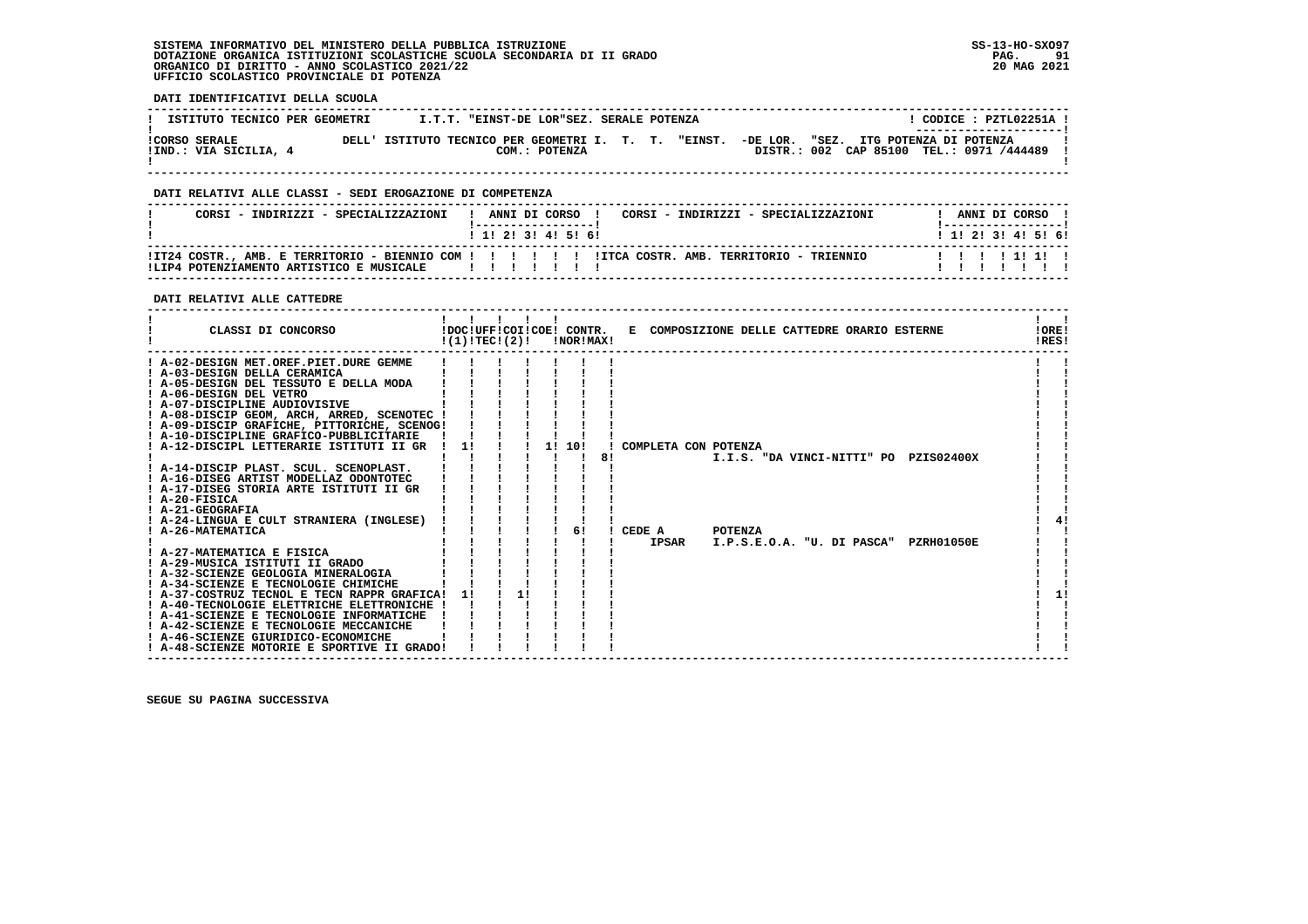# **SISTEMA INFORMATIVO DEL MINISTERO DELLA PUBBLICA ISTRUZIONE SS-13-HO-SXO97 DOTAZIONE ORGANICA ISTITUZIONI SCOLASTICHE SCUOLA SECONDARIA DI II GRADO PAG. 91 ORGANICO DI DIRITTO - ANNO SCOLASTICO 2021/22 20 MAG 2021 UFFICIO SCOLASTICO PROVINCIALE DI POTENZA**

 **DATI IDENTIFICATIVI DELLA SCUOLA**

| ISTITUTO TECNICO PER GEOMETRI                 | I.T.T. "EINST-DE LOR"SEZ. SERALE POTENZA             |               |  |  |                                                                                   | CODICE: PZTL02251A !<br>--------------------- |  |
|-----------------------------------------------|------------------------------------------------------|---------------|--|--|-----------------------------------------------------------------------------------|-----------------------------------------------|--|
| <b>!CORSO SERALE</b><br>!IND.: VIA SICILIA, 4 | DELL' ISTITUTO TECNICO PER GEOMETRI I. T. T. "EINST. | COM.: POTENZA |  |  | -DE LOR. "SEZ. ITG POTENZA DI POTENZA<br>DISTR.: 002 CAP 85100 TEL.: 0971 /444489 |                                               |  |

 **------------------------------------------------------------------------------------------------------------------------------------**

# **DATI RELATIVI ALLE CLASSI - SEDI EROGAZIONE DI COMPETENZA**

| CORSI - INDIRIZZI - SPECIALIZZAZIONI                   | ! ANNI DI CORSO !<br>CORSI - INDIRIZZI - SPECIALIZZAZIONI<br>------------------ | ANNI DI CORSO<br>I ___________________ |
|--------------------------------------------------------|---------------------------------------------------------------------------------|----------------------------------------|
|                                                        | 1 1 2 3 3 4 5 6 1                                                               | 1 1 1 2 1 3 1 4 1 5 1 6 1              |
| !LIP4 POTENZIAMENTO ARTISTICO E MUSICALE   ! ! ! ! ! ! |                                                                                 | 11111111                               |

 **------------------------------------------------------------------------------------------------------------------------------------**

# **DATI RELATIVI ALLE CATTEDRE**

| CLASSI DI CONCORSO                                                               | !DOC!UFF!COI!COE! CONTR.<br>!(1)!TECI(2)! | - 1 1 1 | !NOR!MAX! |    | E COMPOSIZIONE DELLE CATTEDRE ORARIO ESTERNE          | <b>!ORE!</b><br>IRES! |  |
|----------------------------------------------------------------------------------|-------------------------------------------|---------|-----------|----|-------------------------------------------------------|-----------------------|--|
| ! A-02-DESIGN MET.OREF.PIET.DURE GEMME                                           |                                           |         |           |    |                                                       |                       |  |
| ! A-03-DESIGN DELLA CERAMICA                                                     |                                           |         |           |    |                                                       |                       |  |
| ! A-05-DESIGN DEL TESSUTO E DELLA MODA                                           |                                           |         |           |    |                                                       |                       |  |
| ! A-06-DESIGN DEL VETRO                                                          |                                           |         |           |    |                                                       |                       |  |
| ! A-07-DISCIPLINE AUDIOVISIVE                                                    |                                           |         |           |    |                                                       |                       |  |
| ! A-08-DISCIP GEOM, ARCH, ARRED, SCENOTEC !                                      |                                           |         |           |    |                                                       |                       |  |
| ! A-09-DISCIP GRAFICHE, PITTORICHE, SCENOG!                                      |                                           |         |           |    |                                                       |                       |  |
| ! A-10-DISCIPLINE GRAFICO-PUBBLICITARIE                                          |                                           |         |           |    |                                                       |                       |  |
| ! A-12-DISCIPL LETTERARIE ISTITUTI II GR                                         | 1!                                        |         | 1! 10!    |    | COMPLETA CON POTENZA                                  |                       |  |
|                                                                                  |                                           |         |           | 8! | I.I.S. "DA VINCI-NITTI" PO PZIS02400X                 |                       |  |
| ! A-14-DISCIP PLAST. SCUL. SCENOPLAST.<br>! A-16-DISEG ARTIST MODELLAZ ODONTOTEC |                                           |         |           |    |                                                       |                       |  |
| ! A-17-DISEG STORIA ARTE ISTITUTI II GR                                          |                                           |         |           |    |                                                       |                       |  |
| $I$ A-20-FISICA                                                                  |                                           |         |           |    |                                                       |                       |  |
| ! A-21-GEOGRAFIA                                                                 |                                           |         |           |    |                                                       |                       |  |
| ! A-24-LINGUA E CULT STRANIERA (INGLESE)                                         |                                           |         |           |    |                                                       |                       |  |
| ! A-26-MATEMATICA                                                                |                                           |         | 61        |    | CEDE A<br><b>POTENZA</b>                              |                       |  |
|                                                                                  |                                           |         |           |    | <b>IPSAR</b><br>I.P.S.E.O.A. "U. DI PASCA" PZRH01050E |                       |  |
| ! A-27-MATEMATICA E FISICA                                                       |                                           |         |           |    |                                                       |                       |  |
| ! A-29-MUSICA ISTITUTI II GRADO                                                  |                                           |         |           |    |                                                       |                       |  |
| ! A-32-SCIENZE GEOLOGIA MINERALOGIA                                              |                                           |         |           |    |                                                       |                       |  |
| ! A-34-SCIENZE E TECNOLOGIE CHIMICHE                                             |                                           |         |           |    |                                                       |                       |  |
| ! A-37-COSTRUZ TECNOL E TECN RAPPR GRAFICA!                                      | 11                                        | 11      |           |    |                                                       |                       |  |
| ! A-40-TECNOLOGIE ELETTRICHE ELETTRONICHE !                                      |                                           |         |           |    |                                                       |                       |  |
| ! A-41-SCIENZE E TECNOLOGIE INFORMATICHE                                         |                                           |         |           |    |                                                       |                       |  |
| ! A-42-SCIENZE E TECNOLOGIE MECCANICHE                                           |                                           |         |           |    |                                                       |                       |  |
| ! A-46-SCIENZE GIURIDICO-ECONOMICHE                                              |                                           |         |           |    |                                                       |                       |  |
| ! A-48-SCIENZE MOTORIE E SPORTIVE II GRADO!                                      |                                           |         |           |    |                                                       |                       |  |
|                                                                                  |                                           |         |           |    |                                                       |                       |  |